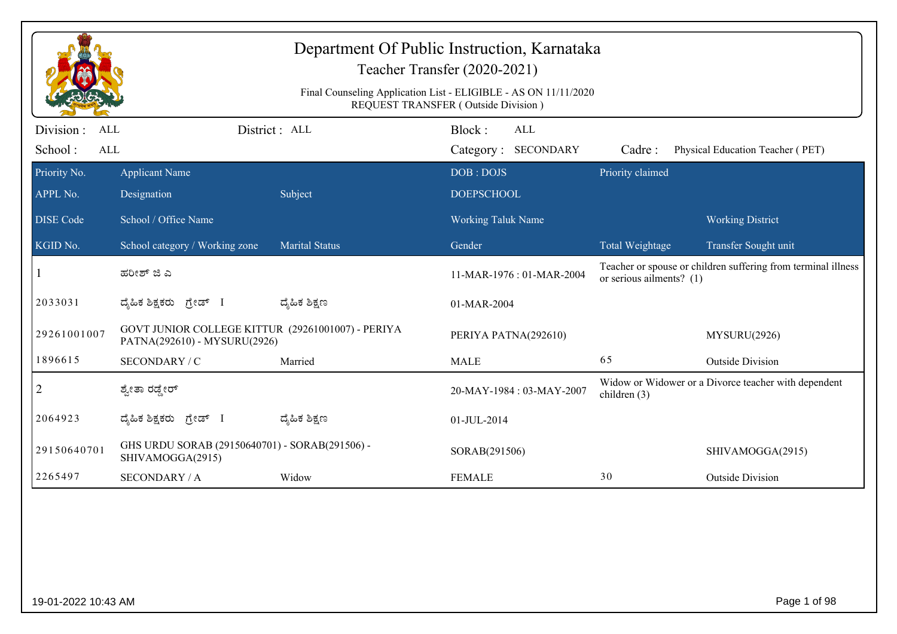|                                           |                                                                                   |                       | Department Of Public Instruction, Karnataka<br>Teacher Transfer (2020-2021)<br>Final Counseling Application List - ELIGIBLE - AS ON 11/11/2020<br>REQUEST TRANSFER (Outside Division) |                          |                                                               |
|-------------------------------------------|-----------------------------------------------------------------------------------|-----------------------|---------------------------------------------------------------------------------------------------------------------------------------------------------------------------------------|--------------------------|---------------------------------------------------------------|
| Division:<br><b>ALL</b><br>School:<br>ALL |                                                                                   | District : ALL        | Block:<br>ALL<br>Category: SECONDARY                                                                                                                                                  | Cadre:                   | Physical Education Teacher (PET)                              |
| Priority No.<br>APPL No.                  | <b>Applicant Name</b><br>Designation                                              | Subject               | DOB: DOJS<br><b>DOEPSCHOOL</b>                                                                                                                                                        | Priority claimed         |                                                               |
| <b>DISE</b> Code                          | School / Office Name                                                              |                       | Working Taluk Name                                                                                                                                                                    |                          | <b>Working District</b>                                       |
| KGID No.                                  | School category / Working zone                                                    | <b>Marital Status</b> | Gender                                                                                                                                                                                | Total Weightage          | Transfer Sought unit                                          |
|                                           | ಹರೀಶ್ ಜಿ ಎ                                                                        |                       | 11-MAR-1976: 01-MAR-2004                                                                                                                                                              | or serious ailments? (1) | Teacher or spouse or children suffering from terminal illness |
| 2033031                                   | ಗ್ರೇಡ್ I<br>ದ್ಯೆಹಿಕ ಶಿಕ್ಷಕರು                                                      | ದ್ಯಹಿಕ ಶಿಕ್ಷಣ         | 01-MAR-2004                                                                                                                                                                           |                          |                                                               |
| 29261001007                               | GOVT JUNIOR COLLEGE KITTUR (29261001007) - PERIYA<br>PATNA(292610) - MYSURU(2926) |                       | PERIYA PATNA(292610)                                                                                                                                                                  |                          | MYSURU(2926)                                                  |
| 1896615                                   | SECONDARY / C                                                                     | Married               | <b>MALE</b>                                                                                                                                                                           | 65                       | <b>Outside Division</b>                                       |
| $\overline{2}$                            | ಶ್ವೇತಾ ರಡ್ಡೇರ್                                                                    |                       | 20-MAY-1984: 03-MAY-2007                                                                                                                                                              | children $(3)$           | Widow or Widower or a Divorce teacher with dependent          |
| 2064923                                   | ದ್ಯಹಿಕ ಶಿಕ್ಷಕರು ಗ್ರೇಡ್ I                                                          | ದ್ಮಹಿಕ ಶಿಕ್ಷಣ         | 01-JUL-2014                                                                                                                                                                           |                          |                                                               |
| 29150640701                               | GHS URDU SORAB (29150640701) - SORAB(291506) -<br>SHIVAMOGGA(2915)                |                       | SORAB(291506)                                                                                                                                                                         |                          | SHIVAMOGGA(2915)                                              |
| 2265497                                   | <b>SECONDARY / A</b>                                                              | Widow                 | <b>FEMALE</b>                                                                                                                                                                         | 30                       | <b>Outside Division</b>                                       |
|                                           |                                                                                   |                       |                                                                                                                                                                                       |                          |                                                               |
| 19-01-2022 10:43 AM                       |                                                                                   |                       |                                                                                                                                                                                       |                          | Page 1 of 98                                                  |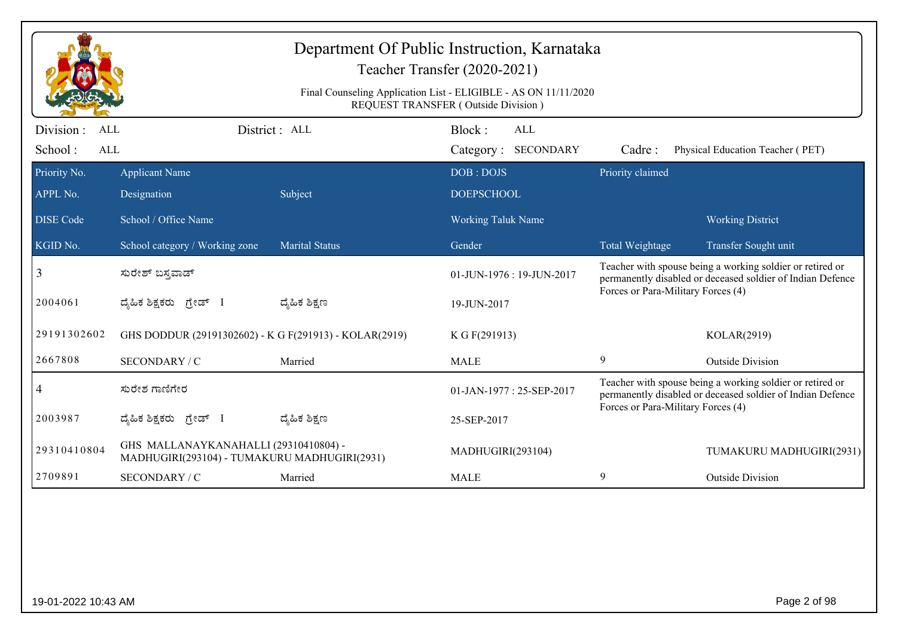|                                                  |                                                                                       |                       | Department Of Public Instruction, Karnataka<br>Teacher Transfer (2020-2021)                            |                                                                                                                         |                                                                                                                         |  |
|--------------------------------------------------|---------------------------------------------------------------------------------------|-----------------------|--------------------------------------------------------------------------------------------------------|-------------------------------------------------------------------------------------------------------------------------|-------------------------------------------------------------------------------------------------------------------------|--|
|                                                  |                                                                                       |                       | Final Counseling Application List - ELIGIBLE - AS ON 11/11/2020<br>REQUEST TRANSFER (Outside Division) |                                                                                                                         |                                                                                                                         |  |
| Division:<br><b>ALL</b><br>School:<br><b>ALL</b> |                                                                                       | District: ALL         | Block:<br>ALL<br>Category: SECONDARY                                                                   | Cadre:                                                                                                                  | Physical Education Teacher (PET)                                                                                        |  |
| Priority No.                                     | <b>Applicant Name</b>                                                                 |                       | DOB: DOJS                                                                                              | Priority claimed                                                                                                        |                                                                                                                         |  |
| APPL No.                                         | Designation                                                                           | Subject               | <b>DOEPSCHOOL</b>                                                                                      |                                                                                                                         |                                                                                                                         |  |
| <b>DISE</b> Code                                 | School / Office Name                                                                  |                       | <b>Working Taluk Name</b>                                                                              |                                                                                                                         | <b>Working District</b>                                                                                                 |  |
| KGID No.                                         | School category / Working zone                                                        | <b>Marital Status</b> | Gender                                                                                                 | Total Weightage                                                                                                         | Transfer Sought unit                                                                                                    |  |
| 3                                                | ಸುರೇಶ್ ಬಸ್ತವಾಡ್                                                                       |                       | $01$ -JUN-1976 : 19-JUN-2017                                                                           | Teacher with spouse being a working soldier or retired or<br>permanently disabled or deceased soldier of Indian Defence |                                                                                                                         |  |
| 2004061                                          | ದ್ಯಹಿಕ ಶಿಕ್ಷಕರು <i>ಗ್ರೇಡ್</i> I                                                       | ದ್ಯೆಹಿಕ ಶಿಕ್ಷಣ        | 19-JUN-2017                                                                                            | Forces or Para-Military Forces (4)                                                                                      |                                                                                                                         |  |
| 29191302602                                      | GHS DODDUR (29191302602) - K G F(291913) - KOLAR(2919)                                |                       | K G F(291913)                                                                                          |                                                                                                                         | KOLAR(2919)                                                                                                             |  |
| 2667808                                          | SECONDARY / C                                                                         | Married               | <b>MALE</b>                                                                                            | 9                                                                                                                       | <b>Outside Division</b>                                                                                                 |  |
| 4                                                | ಸುರೇಶ ಗಾಣಿಗೇರ                                                                         |                       | 01-JAN-1977: 25-SEP-2017                                                                               | Forces or Para-Military Forces (4)                                                                                      | Teacher with spouse being a working soldier or retired or<br>permanently disabled or deceased soldier of Indian Defence |  |
| 2003987                                          | ದೈಹಿಕ ಶಿಕ್ಷಕರು ಗ್ರೇಡ್ I                                                               | ದ್ಯೆಹಿಕ ಶಿಕ್ಷಣ        | 25-SEP-2017                                                                                            |                                                                                                                         |                                                                                                                         |  |
| 29310410804                                      | GHS MALLANAYKANAHALLI (29310410804) -<br>MADHUGIRI(293104) - TUMAKURU MADHUGIRI(2931) |                       | MADHUGIRI(293104)                                                                                      |                                                                                                                         | TUMAKURU MADHUGIRI(2931)                                                                                                |  |
| 2709891                                          | SECONDARY / C                                                                         | Married               | <b>MALE</b>                                                                                            | 9                                                                                                                       | <b>Outside Division</b>                                                                                                 |  |
|                                                  |                                                                                       |                       |                                                                                                        |                                                                                                                         |                                                                                                                         |  |
|                                                  |                                                                                       |                       |                                                                                                        |                                                                                                                         |                                                                                                                         |  |
|                                                  |                                                                                       |                       |                                                                                                        |                                                                                                                         |                                                                                                                         |  |
|                                                  |                                                                                       |                       |                                                                                                        |                                                                                                                         |                                                                                                                         |  |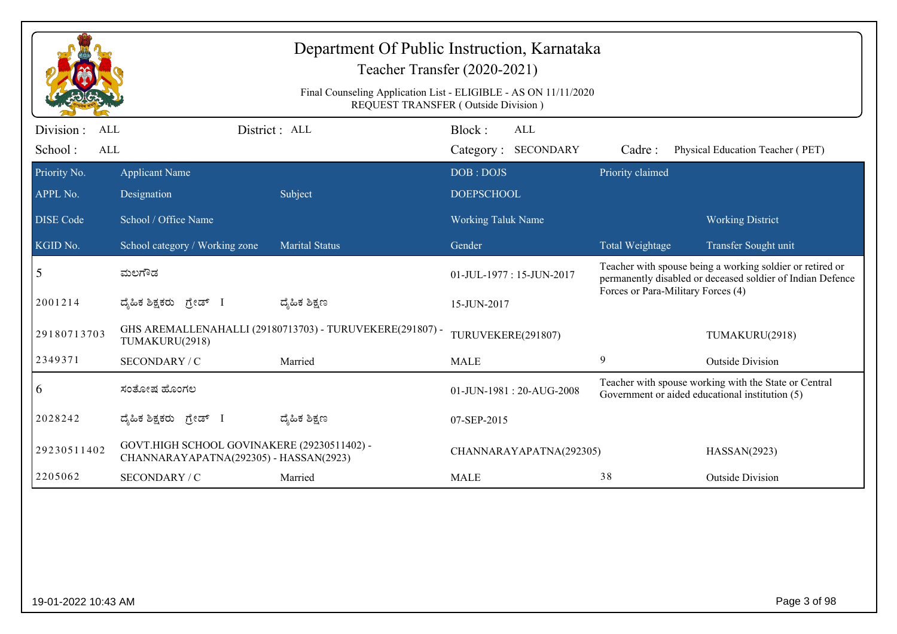|                                                   |                                                                                       | Department Of Public Instruction, Karnataka<br>Teacher Transfer (2020-2021)                                   |                          |                            |                                    |                                                                                                                         |
|---------------------------------------------------|---------------------------------------------------------------------------------------|---------------------------------------------------------------------------------------------------------------|--------------------------|----------------------------|------------------------------------|-------------------------------------------------------------------------------------------------------------------------|
|                                                   |                                                                                       | Final Counseling Application List - ELIGIBLE - AS ON 11/11/2020<br><b>REQUEST TRANSFER (Outside Division)</b> |                          |                            |                                    |                                                                                                                         |
| Division :<br><b>ALL</b><br>School:<br><b>ALL</b> |                                                                                       | District: ALL                                                                                                 | Block:                   | ALL<br>Category: SECONDARY | Cadre:                             | Physical Education Teacher (PET)                                                                                        |
| Priority No.                                      | <b>Applicant Name</b>                                                                 |                                                                                                               | DOB: DOJS                |                            | Priority claimed                   |                                                                                                                         |
| APPL No.                                          | Designation                                                                           | Subject                                                                                                       | <b>DOEPSCHOOL</b>        |                            |                                    |                                                                                                                         |
| <b>DISE</b> Code                                  | School / Office Name                                                                  |                                                                                                               | Working Taluk Name       |                            |                                    | <b>Working District</b>                                                                                                 |
| KGID No.                                          | School category / Working zone                                                        | <b>Marital Status</b>                                                                                         | Gender                   |                            | Total Weightage                    | Transfer Sought unit                                                                                                    |
| 5                                                 | ಮಲಗೌಡ                                                                                 |                                                                                                               | 01-JUL-1977: 15-JUN-2017 |                            | Forces or Para-Military Forces (4) | Teacher with spouse being a working soldier or retired or<br>permanently disabled or deceased soldier of Indian Defence |
| 2001214                                           | ಗ್ರೇಡ್ I<br>ದ್ಯೆಹಿಕ ಶಿಕ್ಷಕರು                                                          | ದ್ಯೆಹಿಕ ಶಿಕ್ಷಣ                                                                                                | 15-JUN-2017              |                            |                                    |                                                                                                                         |
| 29180713703                                       | TUMAKURU(2918)                                                                        | GHS AREMALLENAHALLI (29180713703) - TURUVEKERE(291807) -                                                      | TURUVEKERE(291807)       |                            |                                    | TUMAKURU(2918)                                                                                                          |
| 2349371                                           | SECONDARY / C                                                                         | Married                                                                                                       | <b>MALE</b>              |                            | 9                                  | <b>Outside Division</b>                                                                                                 |
| $\overline{6}$                                    | ಸಂತೋಷ ಹೊಂಗಲ                                                                           |                                                                                                               |                          | 01-JUN-1981: 20-AUG-2008   |                                    | Teacher with spouse working with the State or Central<br>Government or aided educational institution (5)                |
| 2028242                                           | ದ್ಯೆಹಿಕ ಶಿಕ್ಷಕರು<br>ಗೇಡ್ I                                                            | ದ್ಯೆಹಿಕ ಶಿಕ್ಷಣ                                                                                                | 07-SEP-2015              |                            |                                    |                                                                                                                         |
| 29230511402                                       | GOVT.HIGH SCHOOL GOVINAKERE (29230511402) -<br>CHANNARAYAPATNA(292305) - HASSAN(2923) |                                                                                                               |                          | CHANNARAYAPATNA(292305)    |                                    | HASSAN(2923)                                                                                                            |
| 2205062                                           | SECONDARY / C                                                                         | Married                                                                                                       | <b>MALE</b>              |                            | 38                                 | <b>Outside Division</b>                                                                                                 |
|                                                   |                                                                                       |                                                                                                               |                          |                            |                                    |                                                                                                                         |
|                                                   |                                                                                       |                                                                                                               |                          |                            |                                    |                                                                                                                         |
|                                                   |                                                                                       |                                                                                                               |                          |                            |                                    |                                                                                                                         |
|                                                   |                                                                                       |                                                                                                               |                          |                            |                                    |                                                                                                                         |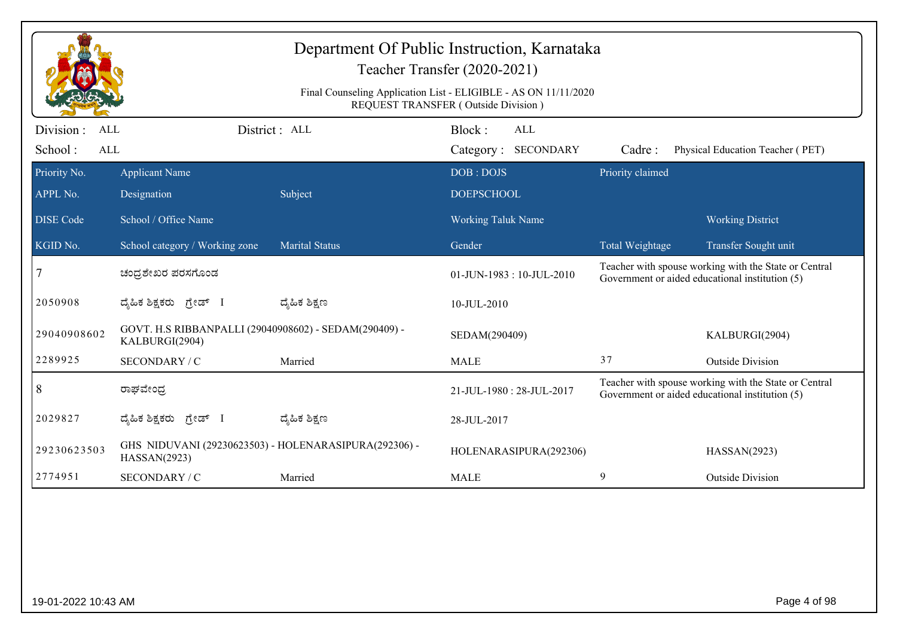| Department Of Public Instruction, Karnataka<br>Teacher Transfer (2020-2021)<br>Final Counseling Application List - ELIGIBLE - AS ON 11/11/2020<br>REQUEST TRANSFER (Outside Division) |                                                                         |                       |                                      |                  |                                                                                                          |  |  |
|---------------------------------------------------------------------------------------------------------------------------------------------------------------------------------------|-------------------------------------------------------------------------|-----------------------|--------------------------------------|------------------|----------------------------------------------------------------------------------------------------------|--|--|
| Division :<br><b>ALL</b><br>School:<br><b>ALL</b>                                                                                                                                     |                                                                         | District : ALL        | Block:<br>ALL<br>Category: SECONDARY | Cadre:           | Physical Education Teacher (PET)                                                                         |  |  |
| Priority No.                                                                                                                                                                          | <b>Applicant Name</b>                                                   |                       | DOB: DOJS                            | Priority claimed |                                                                                                          |  |  |
| APPL No.                                                                                                                                                                              | Designation                                                             | Subject               | <b>DOEPSCHOOL</b>                    |                  |                                                                                                          |  |  |
| <b>DISE</b> Code                                                                                                                                                                      | School / Office Name                                                    |                       | <b>Working Taluk Name</b>            |                  | <b>Working District</b>                                                                                  |  |  |
| KGID No.                                                                                                                                                                              | School category / Working zone                                          | <b>Marital Status</b> | Gender                               | Total Weightage  | Transfer Sought unit                                                                                     |  |  |
| 7                                                                                                                                                                                     | ಚಂದ್ರಶೇಖರ ಪರಸಗೊಂಡ                                                       |                       | 01-JUN-1983: 10-JUL-2010             |                  | Teacher with spouse working with the State or Central<br>Government or aided educational institution (5) |  |  |
| 2050908                                                                                                                                                                               | ದೈಹಿಕ ಶಿಕ್ಷಕರು ಗ್ರೇಡ್ I                                                 | ದ್ಯೆಹಿಕ ಶಿಕ್ಷಣ        | 10-JUL-2010                          |                  |                                                                                                          |  |  |
| 29040908602                                                                                                                                                                           | GOVT. H.S RIBBANPALLI (29040908602) - SEDAM(290409) -<br>KALBURGI(2904) |                       | SEDAM(290409)                        |                  | KALBURGI(2904)                                                                                           |  |  |
| 2289925                                                                                                                                                                               | SECONDARY / C                                                           | Married               | <b>MALE</b>                          | 37               | <b>Outside Division</b>                                                                                  |  |  |
| 8                                                                                                                                                                                     | ರಾಘವೇಂದ್ರ                                                               |                       | 21-JUL-1980: 28-JUL-2017             |                  | Teacher with spouse working with the State or Central<br>Government or aided educational institution (5) |  |  |
| 2029827                                                                                                                                                                               | ದೈಹಿಕ ಶಿಕ್ಷಕರು ಗ್ರೇಡ್ I                                                 | ದ್ಯೆಹಿಕ ಶಿಕ್ಷಣ        | 28-JUL-2017                          |                  |                                                                                                          |  |  |
| 29230623503                                                                                                                                                                           | GHS NIDUVANI (29230623503) - HOLENARASIPURA(292306) -<br>HASSAN(2923)   |                       | HOLENARASIPURA(292306)               |                  | HASSAN(2923)                                                                                             |  |  |
| 2774951                                                                                                                                                                               | SECONDARY / C                                                           | Married               | <b>MALE</b>                          | 9                | <b>Outside Division</b>                                                                                  |  |  |
|                                                                                                                                                                                       |                                                                         |                       |                                      |                  |                                                                                                          |  |  |
| 19-01-2022 10:43 AM                                                                                                                                                                   |                                                                         |                       |                                      |                  | Page 4 of 98                                                                                             |  |  |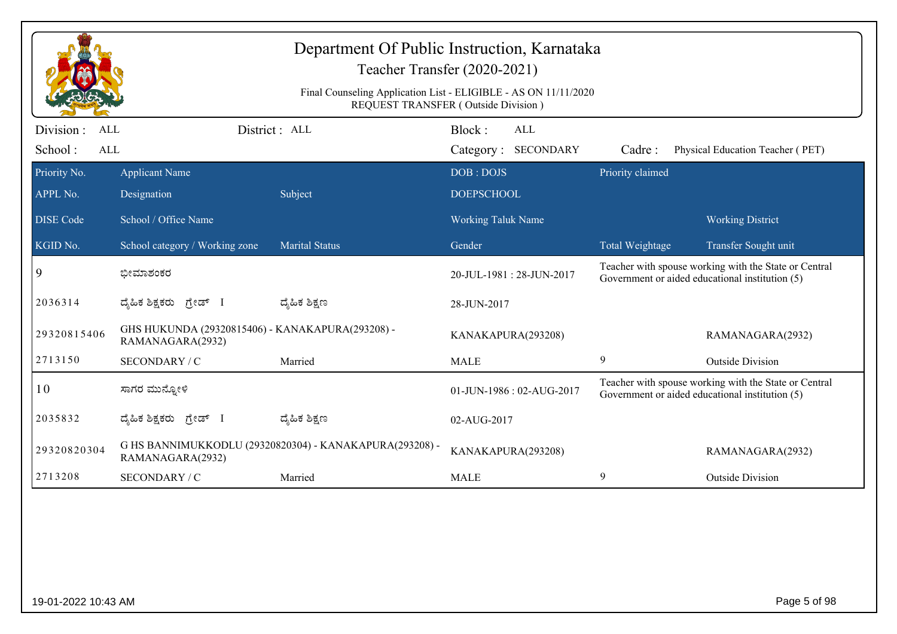|                                                   |                                                                      | Department Of Public Instruction, Karnataka             | Teacher Transfer (2020-2021)                                                                                  |                  |                                                                                                          |
|---------------------------------------------------|----------------------------------------------------------------------|---------------------------------------------------------|---------------------------------------------------------------------------------------------------------------|------------------|----------------------------------------------------------------------------------------------------------|
|                                                   |                                                                      |                                                         | Final Counseling Application List - ELIGIBLE - AS ON 11/11/2020<br><b>REQUEST TRANSFER (Outside Division)</b> |                  |                                                                                                          |
| Division :<br><b>ALL</b><br>School:<br><b>ALL</b> |                                                                      | District: ALL                                           | Block:<br>ALL<br>Category: SECONDARY                                                                          | Cadre:           | Physical Education Teacher (PET)                                                                         |
| Priority No.<br>APPL No.                          | <b>Applicant Name</b><br>Designation                                 | Subject                                                 | DOB: DOJS<br><b>DOEPSCHOOL</b>                                                                                | Priority claimed |                                                                                                          |
| <b>DISE</b> Code                                  | School / Office Name                                                 |                                                         | Working Taluk Name                                                                                            |                  | <b>Working District</b>                                                                                  |
| KGID No.                                          | School category / Working zone                                       | <b>Marital Status</b>                                   | Gender                                                                                                        | Total Weightage  | Transfer Sought unit                                                                                     |
| 9                                                 | ಭೀಮಾಶಂಕರ                                                             |                                                         | 20-JUL-1981: 28-JUN-2017                                                                                      |                  | Teacher with spouse working with the State or Central<br>Government or aided educational institution (5) |
| 2036314                                           | ದೈಹಿಕ ಶಿಕ್ಷಕರು ಗ್ರೇಡ್ I                                              | ದ್ಮೆಹಿಕ ಶಿಕ್ಷಣ                                          | 28-JUN-2017                                                                                                   |                  |                                                                                                          |
| 29320815406                                       | GHS HUKUNDA (29320815406) - KANAKAPURA(293208) -<br>RAMANAGARA(2932) |                                                         | KANAKAPURA(293208)                                                                                            |                  | RAMANAGARA(2932)                                                                                         |
| 2713150                                           | SECONDARY / C                                                        | Married                                                 | <b>MALE</b>                                                                                                   | 9                | <b>Outside Division</b>                                                                                  |
| 10                                                | ಸಾಗರ ಮುನ್ಸೋಳಿ                                                        |                                                         | 01-JUN-1986: 02-AUG-2017                                                                                      |                  | Teacher with spouse working with the State or Central<br>Government or aided educational institution (5) |
| 2035832                                           | ದ್ಯಹಿಕ ಶಿಕ್ಷಕರು ಗ್ರೇಡ್ I                                             | ದ್ಯಹಿಕ ಶಿಕ್ಷಣ                                           | 02-AUG-2017                                                                                                   |                  |                                                                                                          |
| 29320820304                                       | RAMANAGARA(2932)                                                     | G HS BANNIMUKKODLU (29320820304) - KANAKAPURA(293208) - | KANAKAPURA(293208)                                                                                            |                  | RAMANAGARA(2932)                                                                                         |
| 2713208                                           | SECONDARY / C                                                        | Married                                                 | <b>MALE</b>                                                                                                   | 9                | <b>Outside Division</b>                                                                                  |
|                                                   |                                                                      |                                                         |                                                                                                               |                  |                                                                                                          |
| 19-01-2022 10:43 AM                               |                                                                      |                                                         |                                                                                                               |                  | Page 5 of 98                                                                                             |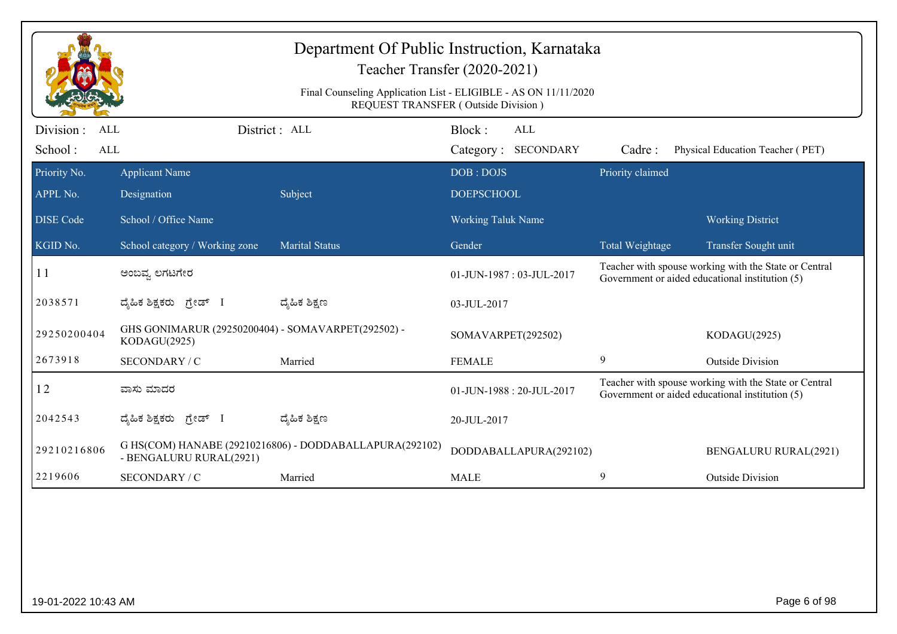|                                    |                                                                    | Department Of Public Instruction, Karnataka<br>Final Counseling Application List - ELIGIBLE - AS ON 11/11/2020 | Teacher Transfer (2020-2021)<br>REQUEST TRANSFER (Outside Division) |                  |                                                                                                          |
|------------------------------------|--------------------------------------------------------------------|----------------------------------------------------------------------------------------------------------------|---------------------------------------------------------------------|------------------|----------------------------------------------------------------------------------------------------------|
| Division:<br>ALL<br>School:<br>ALL |                                                                    | District : ALL                                                                                                 | Block:<br><b>ALL</b><br>Category: SECONDARY                         | Cadre:           | Physical Education Teacher (PET)                                                                         |
| Priority No.<br>APPL No.           | <b>Applicant Name</b><br>Designation                               | Subject                                                                                                        | DOB: DOJS<br><b>DOEPSCHOOL</b>                                      | Priority claimed |                                                                                                          |
| <b>DISE</b> Code                   | School / Office Name                                               |                                                                                                                | <b>Working Taluk Name</b>                                           |                  | <b>Working District</b>                                                                                  |
| KGID No.                           | School category / Working zone                                     | <b>Marital Status</b>                                                                                          | Gender                                                              | Total Weightage  | Transfer Sought unit                                                                                     |
| 11                                 | ಅಂಬವ್ನ ಲಗಟಗೇರ                                                      |                                                                                                                | 01-JUN-1987: 03-JUL-2017                                            |                  | Teacher with spouse working with the State or Central<br>Government or aided educational institution (5) |
| 2038571                            | ದ್ಯಹಿಕ ಶಿಕ್ಷಕರು ಗ್ರೇಡ್ I                                           | ದ್ಯೆಹಿಕ ಶಿಕ್ಷಣ                                                                                                 | 03-JUL-2017                                                         |                  |                                                                                                          |
| 29250200404                        | GHS GONIMARUR (29250200404) - SOMAVARPET(292502) -<br>KODAGU(2925) |                                                                                                                | SOMAVARPET(292502)                                                  |                  | KODAGU(2925)                                                                                             |
| 2673918                            | SECONDARY / C                                                      | Married                                                                                                        | <b>FEMALE</b>                                                       | 9                | <b>Outside Division</b>                                                                                  |
| 12                                 | ವಾಸು ಮಾದರ                                                          |                                                                                                                | 01-JUN-1988: 20-JUL-2017                                            |                  | Teacher with spouse working with the State or Central<br>Government or aided educational institution (5) |
| 2042543                            | ದ್ಯಹಿಕ ಶಿಕ್ಷಕರು ಗ್ರೇಡ್ I                                           | ದ್ಯೆಹಿಕ ಶಿಕ್ಷಣ                                                                                                 | 20-JUL-2017                                                         |                  |                                                                                                          |
| 29210216806                        | - BENGALURU RURAL(2921)                                            | G HS(COM) HANABE (29210216806) - DODDABALLAPURA(292102)                                                        | DODDABALLAPURA(292102)                                              |                  | <b>BENGALURU RURAL(2921)</b>                                                                             |
| 2219606                            | SECONDARY / C                                                      | Married                                                                                                        | <b>MALE</b>                                                         | 9                | <b>Outside Division</b>                                                                                  |
|                                    |                                                                    |                                                                                                                |                                                                     |                  |                                                                                                          |
| 19-01-2022 10:43 AM                |                                                                    |                                                                                                                |                                                                     |                  | Page 6 of 98                                                                                             |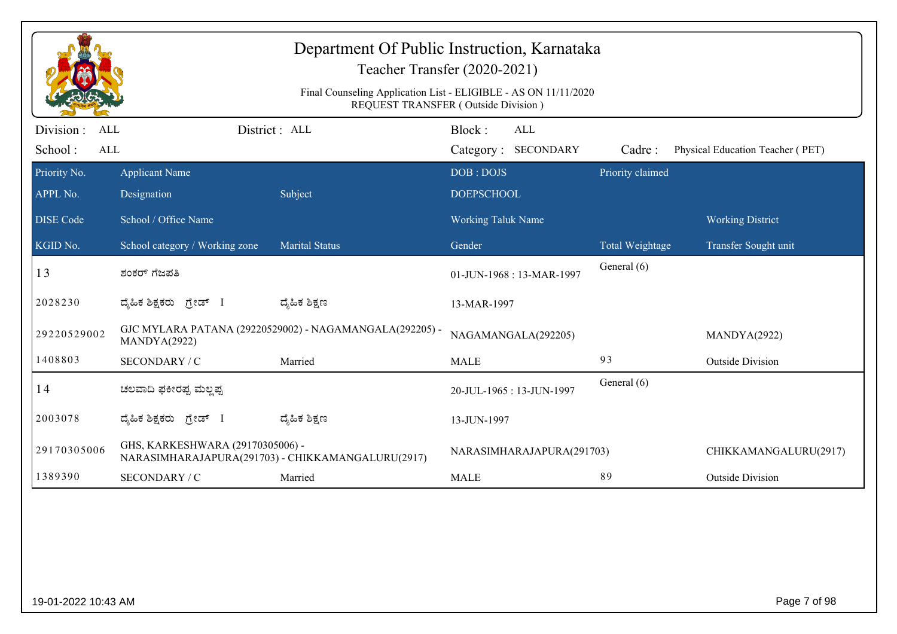| Department Of Public Instruction, Karnataka<br>Teacher Transfer (2020-2021) |                                      |                                                         |                                                                                                        |                  |                                  |  |
|-----------------------------------------------------------------------------|--------------------------------------|---------------------------------------------------------|--------------------------------------------------------------------------------------------------------|------------------|----------------------------------|--|
|                                                                             |                                      |                                                         | Final Counseling Application List - ELIGIBLE - AS ON 11/11/2020<br>REQUEST TRANSFER (Outside Division) |                  |                                  |  |
| Division :<br><b>ALL</b><br>School:<br><b>ALL</b>                           |                                      | District : ALL                                          | Block:<br>ALL<br>Category: SECONDARY                                                                   | Cadre:           | Physical Education Teacher (PET) |  |
| Priority No.<br>APPL No.                                                    | <b>Applicant Name</b><br>Designation | Subject                                                 | DOB: DOJS<br><b>DOEPSCHOOL</b>                                                                         | Priority claimed |                                  |  |
| <b>DISE Code</b>                                                            | School / Office Name                 |                                                         | <b>Working Taluk Name</b>                                                                              |                  | <b>Working District</b>          |  |
| KGID No.                                                                    | School category / Working zone       | <b>Marital Status</b>                                   | Gender                                                                                                 | Total Weightage  | Transfer Sought unit             |  |
| 13                                                                          | ಶಂಕರ್ ಗೆಜಪತಿ                         |                                                         | 01-JUN-1968: 13-MAR-1997                                                                               | General (6)      |                                  |  |
| 2028230                                                                     | ದ್ಯಹಿಕ ಶಿಕ್ಷಕರು ಗ್ರೇಡ್ I             | ದ್ಯೆಹಿಕ ಶಿಕ್ಷಣ                                          | 13-MAR-1997                                                                                            |                  |                                  |  |
| 29220529002                                                                 | MANDYA(2922)                         | GJC MYLARA PATANA (29220529002) - NAGAMANGALA(292205) - | NAGAMANGALA(292205)                                                                                    |                  | MANDYA(2922)                     |  |
| 1408803                                                                     | SECONDARY / C                        | Married                                                 | <b>MALE</b>                                                                                            | 93               | <b>Outside Division</b>          |  |
| 14                                                                          | ಚಲವಾದಿ ಫಕೀರಪ್ಪ ಮಲ್ಲಪ್ಪ               |                                                         | 20-JUL-1965: 13-JUN-1997                                                                               | General (6)      |                                  |  |
| 2003078                                                                     | ದ್ಯಹಿಕ ಶಿಕ್ಷಕರು ಗ್ರೇಡ್ I             | ದ್ಮಹಿಕ ಶಿಕ್ಷಣ                                           | 13-JUN-1997                                                                                            |                  |                                  |  |
| 29170305006                                                                 | GHS, KARKESHWARA (29170305006) -     | NARASIMHARAJAPURA(291703) - CHIKKAMANGALURU(2917)       | NARASIMHARAJAPURA(291703)                                                                              |                  | CHIKKAMANGALURU(2917)            |  |
| 1389390                                                                     | SECONDARY / C                        | Married                                                 | <b>MALE</b>                                                                                            | 89               | <b>Outside Division</b>          |  |
|                                                                             |                                      |                                                         |                                                                                                        |                  |                                  |  |
| 19-01-2022 10:43 AM                                                         |                                      |                                                         |                                                                                                        |                  | Page 7 of 98                     |  |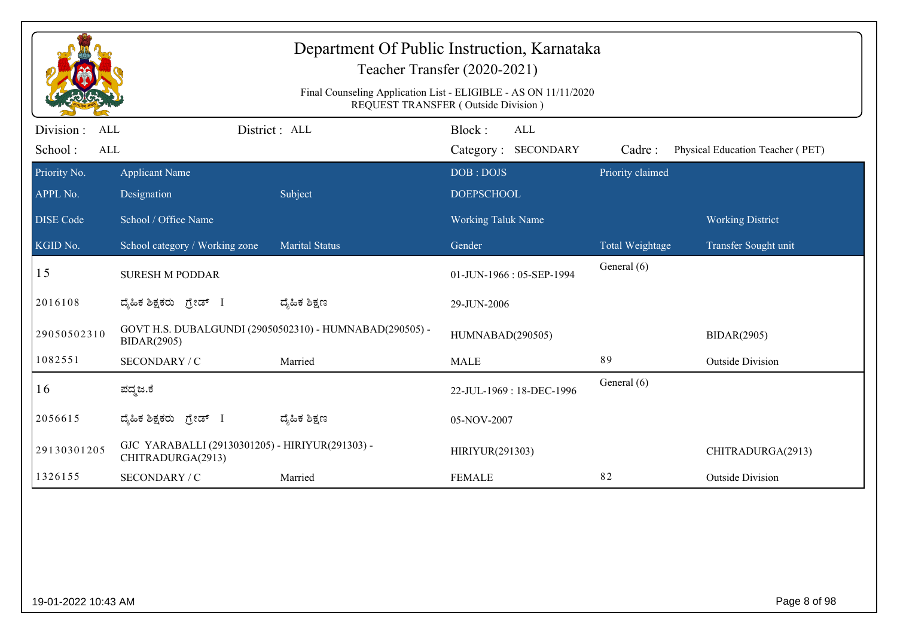|                                                  |                                                                      | Department Of Public Instruction, Karnataka             | Teacher Transfer (2020-2021)<br>Final Counseling Application List - ELIGIBLE - AS ON 11/11/2020<br>REQUEST TRANSFER (Outside Division) |                  |                                  |
|--------------------------------------------------|----------------------------------------------------------------------|---------------------------------------------------------|----------------------------------------------------------------------------------------------------------------------------------------|------------------|----------------------------------|
| Division:<br><b>ALL</b><br>School:<br><b>ALL</b> |                                                                      | District : ALL                                          | Block:<br><b>ALL</b><br>Category: SECONDARY                                                                                            | Cadre:           | Physical Education Teacher (PET) |
| Priority No.<br>APPL No.                         | <b>Applicant Name</b><br>Designation                                 | Subject                                                 | DOB: DOJS<br><b>DOEPSCHOOL</b>                                                                                                         | Priority claimed |                                  |
| <b>DISE</b> Code                                 | School / Office Name                                                 |                                                         | <b>Working Taluk Name</b>                                                                                                              |                  | <b>Working District</b>          |
| KGID No.                                         | School category / Working zone                                       | <b>Marital Status</b>                                   | Gender                                                                                                                                 | Total Weightage  | Transfer Sought unit             |
| 15                                               | <b>SURESH M PODDAR</b>                                               |                                                         | 01-JUN-1966: 05-SEP-1994                                                                                                               | General (6)      |                                  |
| 2016108                                          | ದೈಹಿಕ ಶಿಕ್ಷಕರು <i>ಗ್ರೇಡ್</i> I                                       | ದ್ಮಹಿಕ ಶಿಕ್ಷಣ                                           | 29-JUN-2006                                                                                                                            |                  |                                  |
| 29050502310                                      | <b>BIDAR(2905)</b>                                                   | GOVT H.S. DUBALGUNDI (29050502310) - HUMNABAD(290505) - | HUMNABAD(290505)                                                                                                                       |                  | <b>BIDAR(2905)</b>               |
| 1082551                                          | SECONDARY / C                                                        | Married                                                 | <b>MALE</b>                                                                                                                            | 89               | <b>Outside Division</b>          |
| 16                                               | ಪದ್ಮಜ.ಕೆ                                                             |                                                         | 22-JUL-1969: 18-DEC-1996                                                                                                               | General (6)      |                                  |
| 2056615                                          | ದ್ಯಹಿಕ ಶಿಕ್ಷಕರು ಗ್ರೇಡ್ I                                             | ದ್ಯಹಿಕ ಶಿಕ್ಷಣ                                           | 05-NOV-2007                                                                                                                            |                  |                                  |
| 29130301205                                      | GJC YARABALLI (29130301205) - HIRIYUR(291303) -<br>CHITRADURGA(2913) |                                                         | HIRIYUR(291303)                                                                                                                        |                  | CHITRADURGA(2913)                |
| 1326155                                          | SECONDARY / C                                                        | Married                                                 | <b>FEMALE</b>                                                                                                                          | 82               | <b>Outside Division</b>          |
|                                                  |                                                                      |                                                         |                                                                                                                                        |                  |                                  |
| 19-01-2022 10:43 AM                              |                                                                      |                                                         |                                                                                                                                        |                  | Page 8 of 98                     |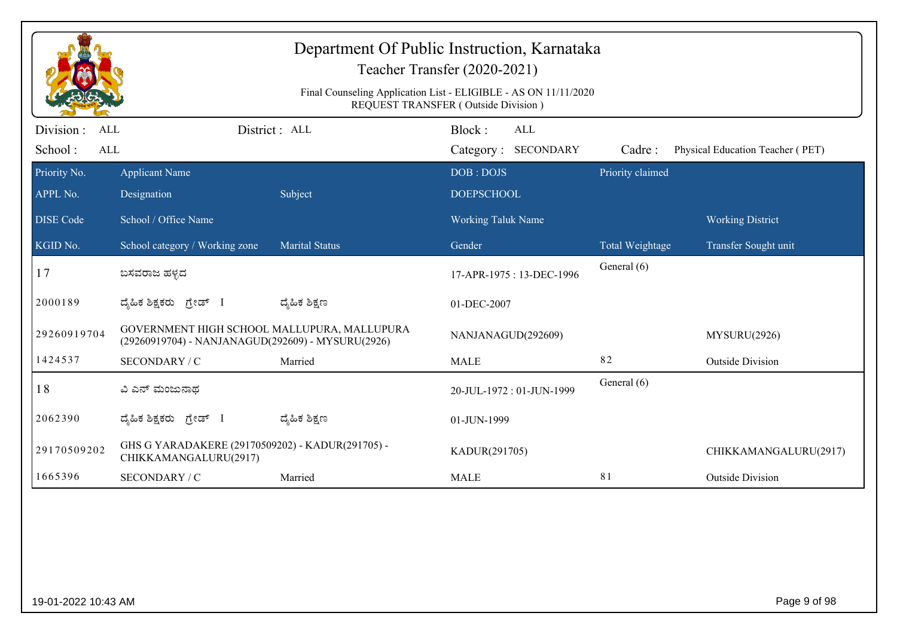|                                                   |                                                                                                  |                       | Department Of Public Instruction, Karnataka<br>Teacher Transfer (2020-2021)<br>Final Counseling Application List - ELIGIBLE - AS ON 11/11/2020<br>REQUEST TRANSFER (Outside Division) |                  |                                  |
|---------------------------------------------------|--------------------------------------------------------------------------------------------------|-----------------------|---------------------------------------------------------------------------------------------------------------------------------------------------------------------------------------|------------------|----------------------------------|
| Division :<br><b>ALL</b><br>School:<br><b>ALL</b> |                                                                                                  | District : ALL        | Block:<br>ALL<br>Category: SECONDARY                                                                                                                                                  | Cadre:           | Physical Education Teacher (PET) |
| Priority No.<br>APPL No.                          | <b>Applicant Name</b><br>Designation                                                             | Subject               | DOB: DOJS<br><b>DOEPSCHOOL</b>                                                                                                                                                        | Priority claimed |                                  |
| <b>DISE Code</b>                                  | School / Office Name                                                                             |                       | <b>Working Taluk Name</b>                                                                                                                                                             |                  | <b>Working District</b>          |
| KGID No.                                          | School category / Working zone                                                                   | <b>Marital Status</b> | Gender                                                                                                                                                                                | Total Weightage  | Transfer Sought unit             |
| 17                                                | ಬಸವರಾಜ ಹಳ್ಳದ                                                                                     |                       | 17-APR-1975: 13-DEC-1996                                                                                                                                                              | General (6)      |                                  |
| 2000189                                           | ದ್ಯಹಿಕ ಶಿಕ್ಷಕರು ಗ್ರೇಡ್ I                                                                         | ದ್ಯೆಹಿಕ ಶಿಕ್ಷಣ        | 01-DEC-2007                                                                                                                                                                           |                  |                                  |
| 29260919704                                       | GOVERNMENT HIGH SCHOOL MALLUPURA, MALLUPURA<br>(29260919704) - NANJANAGUD(292609) - MYSURU(2926) |                       | NANJANAGUD(292609)                                                                                                                                                                    |                  | MYSURU(2926)                     |
| 1424537                                           | SECONDARY / C                                                                                    | Married               | <b>MALE</b>                                                                                                                                                                           | 82               | <b>Outside Division</b>          |
| 18                                                | ವಿ ಎನ್ ಮಂಜುನಾಥ                                                                                   |                       | 20-JUL-1972: 01-JUN-1999                                                                                                                                                              | General (6)      |                                  |
| 2062390                                           | ದ್ಯಹಿಕ ಶಿಕ್ಷಕರು ಗ್ರೇಡ್ I                                                                         | ದ್ಮಹಿಕ ಶಿಕ್ಷಣ         | 01-JUN-1999                                                                                                                                                                           |                  |                                  |
| 29170509202                                       | GHS G YARADAKERE (29170509202) - KADUR(291705) -<br>CHIKKAMANGALURU(2917)                        |                       | KADUR(291705)                                                                                                                                                                         |                  | CHIKKAMANGALURU(2917)            |
| 1665396                                           | SECONDARY / C                                                                                    | Married               | <b>MALE</b>                                                                                                                                                                           | 81               | <b>Outside Division</b>          |
|                                                   |                                                                                                  |                       |                                                                                                                                                                                       |                  |                                  |
| 19-01-2022 10:43 AM                               |                                                                                                  |                       |                                                                                                                                                                                       |                  | Page 9 of 98                     |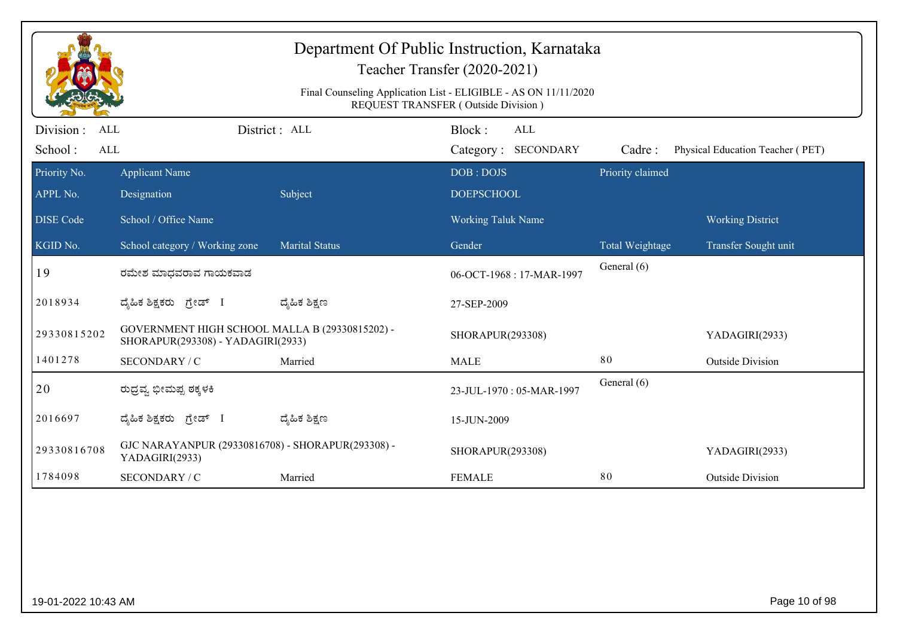|                          |                                                                                     |                       | Department Of Public Instruction, Karnataka<br>Teacher Transfer (2020-2021)<br>Final Counseling Application List - ELIGIBLE - AS ON 11/11/2020 |                  |                                  |
|--------------------------|-------------------------------------------------------------------------------------|-----------------------|------------------------------------------------------------------------------------------------------------------------------------------------|------------------|----------------------------------|
| Division :<br><b>ALL</b> |                                                                                     | District: ALL         | REQUEST TRANSFER (Outside Division)<br>Block:<br><b>ALL</b>                                                                                    |                  |                                  |
| School:<br>ALL           |                                                                                     |                       | Category: SECONDARY                                                                                                                            | Cadre:           | Physical Education Teacher (PET) |
| Priority No.             | <b>Applicant Name</b>                                                               |                       | DOB: DOJS                                                                                                                                      | Priority claimed |                                  |
| APPL No.                 | Designation                                                                         | Subject               | <b>DOEPSCHOOL</b>                                                                                                                              |                  |                                  |
| <b>DISE</b> Code         | School / Office Name                                                                |                       | <b>Working Taluk Name</b>                                                                                                                      |                  | <b>Working District</b>          |
| KGID No.                 | School category / Working zone                                                      | <b>Marital Status</b> | Gender                                                                                                                                         | Total Weightage  | Transfer Sought unit             |
| 19                       | ರಮೇಶ ಮಾಧವರಾವ ಗಾಯಕವಾಡ                                                                |                       | 06-OCT-1968: 17-MAR-1997                                                                                                                       | General (6)      |                                  |
| 2018934                  | ದೈಹಿಕ ಶಿಕ್ಷಕರು <i>ಗ್ರೇಡ್</i> I                                                      | ದ್ಮೆಹಿಕ ಶಿಕ್ಷಣ        | 27-SEP-2009                                                                                                                                    |                  |                                  |
| 29330815202              | GOVERNMENT HIGH SCHOOL MALLA B (29330815202) -<br>SHORAPUR(293308) - YADAGIRI(2933) |                       | SHORAPUR(293308)                                                                                                                               |                  | YADAGIRI(2933)                   |
| 1401278                  | SECONDARY / C                                                                       | Married               | <b>MALE</b>                                                                                                                                    | 80               | <b>Outside Division</b>          |
| 20                       | ರುದ್ರವ್ಯ ಭೀಮಪ್ಪ ಠಕ್ಕಳಕಿ                                                             |                       | 23-JUL-1970: 05-MAR-1997                                                                                                                       | General (6)      |                                  |
| 2016697                  | ದೈಹಿಕ ಶಿಕ್ಷಕರು ಗ್ರೇಡ್ I                                                             | ದ್ಯೆಹಿಕ ಶಿಕ್ಷಣ        | 15-JUN-2009                                                                                                                                    |                  |                                  |
| 29330816708              | GJC NARAYANPUR (29330816708) - SHORAPUR(293308) -<br>YADAGIRI(2933)                 |                       | SHORAPUR(293308)                                                                                                                               |                  | YADAGIRI(2933)                   |
| 1784098                  | <b>SECONDARY / C</b>                                                                | Married               | <b>FEMALE</b>                                                                                                                                  | 80               | <b>Outside Division</b>          |
|                          |                                                                                     |                       |                                                                                                                                                |                  |                                  |
| 19-01-2022 10:43 AM      |                                                                                     |                       |                                                                                                                                                |                  | Page 10 of 98                    |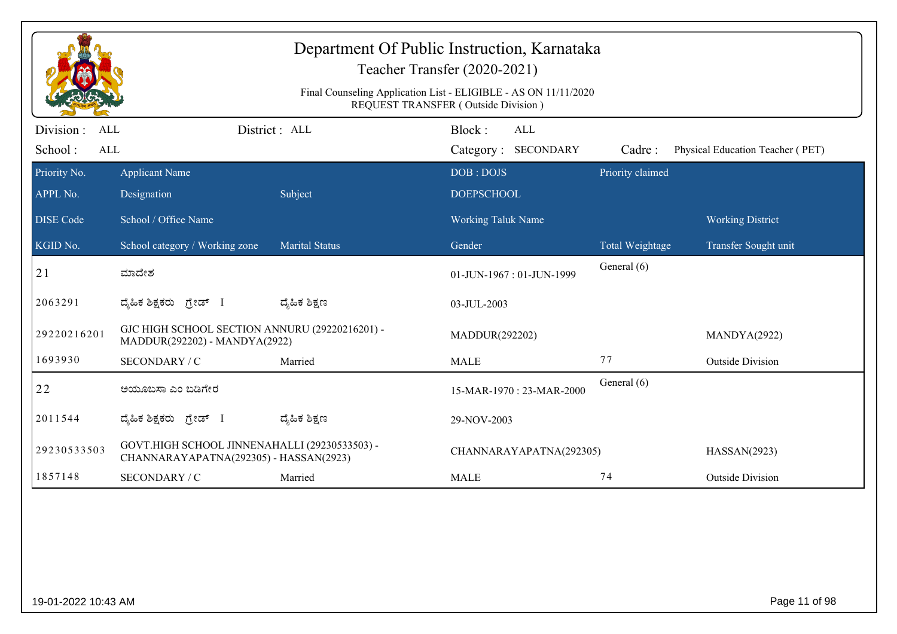|                                                  |                                                                                         |                       | Department Of Public Instruction, Karnataka<br>Teacher Transfer (2020-2021)<br>Final Counseling Application List - ELIGIBLE - AS ON 11/11/2020<br><b>REQUEST TRANSFER (Outside Division)</b> |                  |                                  |
|--------------------------------------------------|-----------------------------------------------------------------------------------------|-----------------------|----------------------------------------------------------------------------------------------------------------------------------------------------------------------------------------------|------------------|----------------------------------|
| Division:<br><b>ALL</b><br>School:<br><b>ALL</b> |                                                                                         | District: ALL         | Block:<br>ALL<br>Category: SECONDARY                                                                                                                                                         | Cadre:           | Physical Education Teacher (PET) |
| Priority No.                                     | <b>Applicant Name</b>                                                                   |                       | DOB: DOJS                                                                                                                                                                                    | Priority claimed |                                  |
| APPL No.                                         | Designation                                                                             | Subject               | <b>DOEPSCHOOL</b>                                                                                                                                                                            |                  |                                  |
| <b>DISE Code</b>                                 | School / Office Name                                                                    |                       | <b>Working Taluk Name</b>                                                                                                                                                                    |                  | <b>Working District</b>          |
| KGID No.                                         | School category / Working zone                                                          | <b>Marital Status</b> | Gender                                                                                                                                                                                       | Total Weightage  | Transfer Sought unit             |
| 21                                               | ಮಾದೇಶ                                                                                   |                       | 01-JUN-1967: 01-JUN-1999                                                                                                                                                                     | General (6)      |                                  |
| 2063291                                          | ದೈಹಿಕ ಶಿಕ್ಷಕರು ಗ್ರೇಡ್ I                                                                 | ದ್ಮೆಹಿಕ ಶಿಕ್ಷಣ        | 03-JUL-2003                                                                                                                                                                                  |                  |                                  |
| 29220216201                                      | GJC HIGH SCHOOL SECTION ANNURU (29220216201) -<br>MADDUR(292202) - MANDYA(2922)         |                       | MADDUR(292202)                                                                                                                                                                               |                  | MANDYA(2922)                     |
| 1693930                                          | SECONDARY / C                                                                           | Married               | <b>MALE</b>                                                                                                                                                                                  | 77               | <b>Outside Division</b>          |
| 22                                               | ಅಯೂಬಸಾ ಎಂ ಬಡಿಗೇರ                                                                        |                       | 15-MAR-1970: 23-MAR-2000                                                                                                                                                                     | General (6)      |                                  |
| 2011544                                          | ದೈಹಿಕ ಶಿಕ್ಷಕರು <i>ಗ್ರೇಡ್</i> I                                                          | ದ್ಯೆಹಿಕ ಶಿಕ್ಷಣ        | 29-NOV-2003                                                                                                                                                                                  |                  |                                  |
| 29230533503                                      | GOVT.HIGH SCHOOL JINNENAHALLI (29230533503) -<br>CHANNARAYAPATNA(292305) - HASSAN(2923) |                       | CHANNARAYAPATNA(292305)                                                                                                                                                                      |                  | HASSAN(2923)                     |
| 1857148                                          | SECONDARY / C                                                                           | Married               | <b>MALE</b>                                                                                                                                                                                  | 74               | <b>Outside Division</b>          |
|                                                  |                                                                                         |                       |                                                                                                                                                                                              |                  |                                  |
| 19-01-2022 10:43 AM                              |                                                                                         |                       |                                                                                                                                                                                              |                  | Page 11 of 98                    |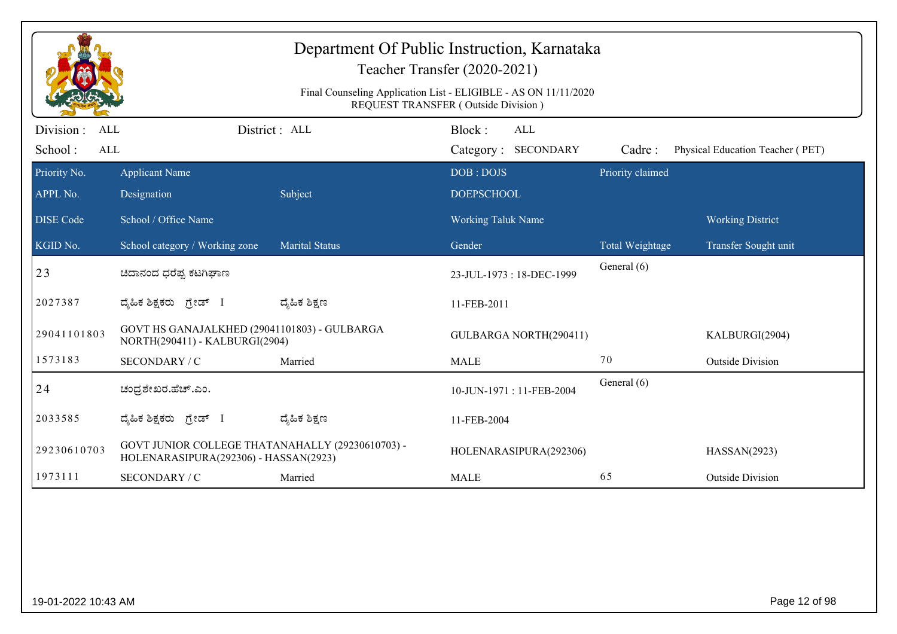|                                           |                                                                                           |                       | Department Of Public Instruction, Karnataka<br>Teacher Transfer (2020-2021)<br>Final Counseling Application List - ELIGIBLE - AS ON 11/11/2020<br>REQUEST TRANSFER (Outside Division) |                  |                                  |
|-------------------------------------------|-------------------------------------------------------------------------------------------|-----------------------|---------------------------------------------------------------------------------------------------------------------------------------------------------------------------------------|------------------|----------------------------------|
| Division:<br><b>ALL</b><br>School:<br>ALL |                                                                                           | District : ALL        | Block:<br>ALL<br>Category: SECONDARY                                                                                                                                                  | Cadre:           | Physical Education Teacher (PET) |
| Priority No.                              | <b>Applicant Name</b>                                                                     |                       | DOB: DOJS                                                                                                                                                                             | Priority claimed |                                  |
| APPL No.                                  | Designation                                                                               | Subject               | <b>DOEPSCHOOL</b>                                                                                                                                                                     |                  |                                  |
| <b>DISE</b> Code                          | School / Office Name                                                                      |                       | <b>Working Taluk Name</b>                                                                                                                                                             |                  | <b>Working District</b>          |
| KGID No.                                  | School category / Working zone                                                            | <b>Marital Status</b> | Gender                                                                                                                                                                                | Total Weightage  | Transfer Sought unit             |
| 23                                        | ಚಿದಾನಂದ ಧರೆಪ್ಪ ಕಟಗಿಘಾಣ                                                                    |                       | 23-JUL-1973: 18-DEC-1999                                                                                                                                                              | General (6)      |                                  |
| 2027387                                   | ದ್ಯಹಿಕ ಶಿಕ್ಷಕರು ಗ್ರೇಡ್ I                                                                  | ದ್ಯಹಿಕ ಶಿಕ್ಷಣ         | 11-FEB-2011                                                                                                                                                                           |                  |                                  |
| 29041101803                               | GOVT HS GANAJALKHED (29041101803) - GULBARGA<br>NORTH(290411) - KALBURGI(2904)            |                       | GULBARGA NORTH(290411)                                                                                                                                                                |                  | KALBURGI(2904)                   |
| 1573183                                   | SECONDARY / C                                                                             | Married               | <b>MALE</b>                                                                                                                                                                           | 70               | <b>Outside Division</b>          |
| 24                                        | ಚಂದ್ರಶೇಖರ.ಹೆಚ್.ಎಂ.                                                                        |                       | 10-JUN-1971: 11-FEB-2004                                                                                                                                                              | General (6)      |                                  |
| 2033585                                   | ದ್ಯಹಿಕ ಶಿಕ್ಷಕರು ಗ್ರೇಡ್ I                                                                  | ದ್ಮಹಿಕ ಶಿಕ್ಷಣ         | 11-FEB-2004                                                                                                                                                                           |                  |                                  |
| 29230610703                               | GOVT JUNIOR COLLEGE THATANAHALLY (29230610703) -<br>HOLENARASIPURA(292306) - HASSAN(2923) |                       | HOLENARASIPURA(292306)                                                                                                                                                                |                  | HASSAN(2923)                     |
| 1973111                                   | SECONDARY / C                                                                             | Married               | <b>MALE</b>                                                                                                                                                                           | 65               | <b>Outside Division</b>          |
|                                           |                                                                                           |                       |                                                                                                                                                                                       |                  |                                  |
| 19-01-2022 10:43 AM                       |                                                                                           |                       |                                                                                                                                                                                       |                  | Page 12 of 98                    |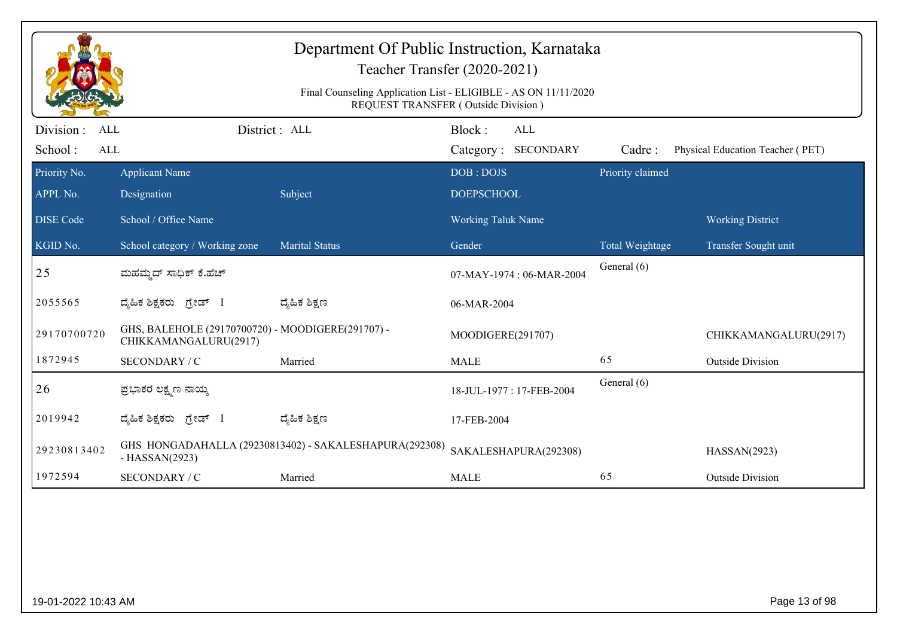|                                                   |                                                                            | Department Of Public Instruction, Karnataka<br>Teacher Transfer (2020-2021)<br>Final Counseling Application List - ELIGIBLE - AS ON 11/11/2020<br>REQUEST TRANSFER (Outside Division) |                           |                                   |                  |                                  |
|---------------------------------------------------|----------------------------------------------------------------------------|---------------------------------------------------------------------------------------------------------------------------------------------------------------------------------------|---------------------------|-----------------------------------|------------------|----------------------------------|
| Division :<br><b>ALL</b><br>School:<br><b>ALL</b> |                                                                            | District : ALL                                                                                                                                                                        | Block:                    | <b>ALL</b><br>Category: SECONDARY | Cadre:           | Physical Education Teacher (PET) |
| Priority No.                                      | <b>Applicant Name</b>                                                      |                                                                                                                                                                                       | DOB: DOJS                 |                                   | Priority claimed |                                  |
| APPL No.                                          | Designation                                                                | Subject                                                                                                                                                                               | <b>DOEPSCHOOL</b>         |                                   |                  |                                  |
| <b>DISE Code</b>                                  | School / Office Name                                                       |                                                                                                                                                                                       | <b>Working Taluk Name</b> |                                   |                  | <b>Working District</b>          |
| KGID No.                                          | School category / Working zone                                             | <b>Marital Status</b>                                                                                                                                                                 | Gender                    |                                   | Total Weightage  | Transfer Sought unit             |
| 25                                                | ಮಹಮ್ಮದ್ ಸಾಧಿಕ್ ಕೆ.ಹೆಚ್                                                     |                                                                                                                                                                                       |                           | 07-MAY-1974: 06-MAR-2004          | General (6)      |                                  |
| 2055565                                           | ದ್ಯಹಿಕ ಶಿಕ್ಷಕರು ಗ್ರೇಡ್ I                                                   | ದ್ಯಹಿಕ ಶಿಕ್ಷಣ                                                                                                                                                                         | 06-MAR-2004               |                                   |                  |                                  |
| 29170700720                                       | GHS, BALEHOLE (29170700720) - MOODIGERE(291707) -<br>CHIKKAMANGALURU(2917) |                                                                                                                                                                                       | MOODIGERE(291707)         |                                   |                  | CHIKKAMANGALURU(2917)            |
| 1872945                                           | SECONDARY / C                                                              | Married                                                                                                                                                                               | <b>MALE</b>               |                                   | 65               | <b>Outside Division</b>          |
| 26                                                | ಪ್ರಭಾಕರ ಲಕ್ಷ್ಮಣ ನಾಯ್ಕ                                                      |                                                                                                                                                                                       |                           | 18-JUL-1977: 17-FEB-2004          | General (6)      |                                  |
| 2019942                                           | ದ್ಯಹಿಕ ಶಿಕ್ಷಕರು ಗ್ರೇಡ್ I                                                   | ದ್ಮಹಿಕ ಶಿಕ್ಷಣ                                                                                                                                                                         | 17-FEB-2004               |                                   |                  |                                  |
| 29230813402                                       | $-HASSAN(2923)$                                                            | GHS HONGADAHALLA (29230813402) - SAKALESHAPURA(292308)                                                                                                                                |                           | SAKALESHAPURA(292308)             |                  | HASSAN(2923)                     |
| 1972594                                           | SECONDARY / C                                                              | Married                                                                                                                                                                               | <b>MALE</b>               |                                   | 65               | <b>Outside Division</b>          |
|                                                   |                                                                            |                                                                                                                                                                                       |                           |                                   |                  |                                  |
| 19-01-2022 10:43 AM                               |                                                                            |                                                                                                                                                                                       |                           |                                   |                  | Page 13 of 98                    |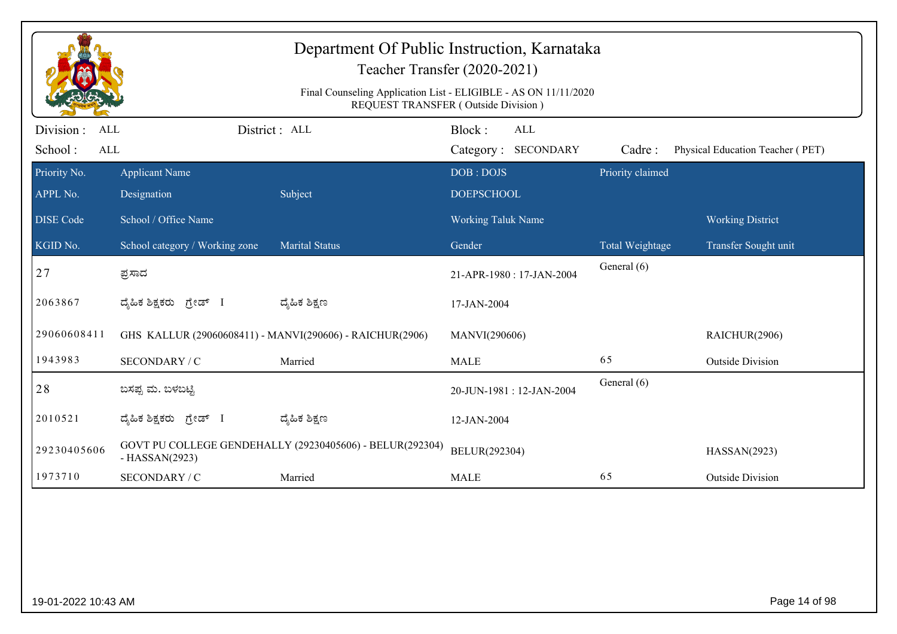|                                                   |                                | Department Of Public Instruction, Karnataka<br>Teacher Transfer (2020-2021)<br>Final Counseling Application List - ELIGIBLE - AS ON 11/11/2020<br><b>REQUEST TRANSFER (Outside Division)</b> |                           |                                   |                  |                                  |
|---------------------------------------------------|--------------------------------|----------------------------------------------------------------------------------------------------------------------------------------------------------------------------------------------|---------------------------|-----------------------------------|------------------|----------------------------------|
| Division :<br><b>ALL</b><br>School:<br><b>ALL</b> |                                | District: ALL                                                                                                                                                                                | Block:                    | <b>ALL</b><br>Category: SECONDARY | Cadre:           | Physical Education Teacher (PET) |
| Priority No.                                      | <b>Applicant Name</b>          |                                                                                                                                                                                              | DOB: DOJS                 |                                   | Priority claimed |                                  |
| APPL No.                                          | Designation                    | Subject                                                                                                                                                                                      | <b>DOEPSCHOOL</b>         |                                   |                  |                                  |
| <b>DISE Code</b>                                  | School / Office Name           |                                                                                                                                                                                              | <b>Working Taluk Name</b> |                                   |                  | <b>Working District</b>          |
| KGID No.                                          | School category / Working zone | <b>Marital Status</b>                                                                                                                                                                        | Gender                    |                                   | Total Weightage  | Transfer Sought unit             |
| 27                                                | ಪ್ರಸಾದ                         |                                                                                                                                                                                              |                           | 21-APR-1980: 17-JAN-2004          | General (6)      |                                  |
| 2063867                                           | ದ್ಯೆಹಿಕ ಶಿಕ್ಷಕರು<br>ಗ್ರೇಡ್ I   | ದ್ಯಹಿಕ ಶಿಕ್ಷಣ                                                                                                                                                                                | 17-JAN-2004               |                                   |                  |                                  |
| 29060608411                                       |                                | GHS KALLUR (29060608411) - MANVI(290606) - RAICHUR(2906)                                                                                                                                     | MANVI(290606)             |                                   |                  | RAICHUR(2906)                    |
| 1943983                                           | SECONDARY / C                  | Married                                                                                                                                                                                      | <b>MALE</b>               |                                   | 65               | <b>Outside Division</b>          |
| 28                                                | ಬಸಪ್ಪ ಮ. ಬಳಬಟ್ಟಿ               |                                                                                                                                                                                              |                           | 20-JUN-1981: 12-JAN-2004          | General (6)      |                                  |
| 2010521                                           | ದ್ಶೆಹಿಕ ಶಿಕ್ಷಕರು<br>ಗ್ರೇಡ್ I   | ದ್ಮಹಿಕ ಶಿಕ್ಷಣ                                                                                                                                                                                | 12-JAN-2004               |                                   |                  |                                  |
| 29230405606                                       | $-HASSAN(2923)$                | GOVT PU COLLEGE GENDEHALLY (29230405606) - BELUR(292304)                                                                                                                                     | BELUR(292304)             |                                   |                  | HASSAN(2923)                     |
| 1973710                                           | SECONDARY / C                  | Married                                                                                                                                                                                      | <b>MALE</b>               |                                   | 65               | <b>Outside Division</b>          |
|                                                   |                                |                                                                                                                                                                                              |                           |                                   |                  |                                  |
| 19-01-2022 10:43 AM                               |                                |                                                                                                                                                                                              |                           |                                   |                  | Page 14 of 98                    |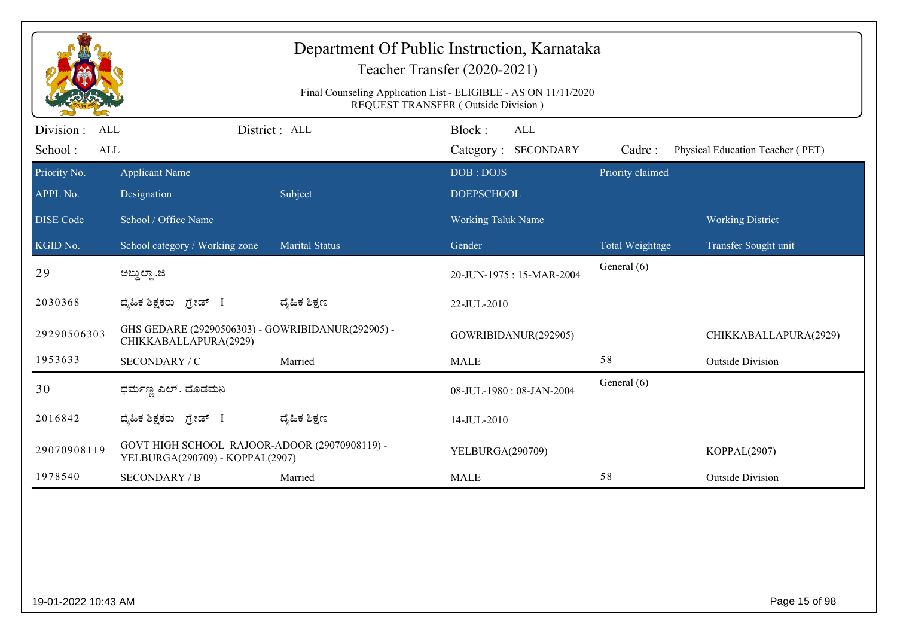|                                            |                                                                                  |                       | Department Of Public Instruction, Karnataka<br>Teacher Transfer (2020-2021)<br>Final Counseling Application List - ELIGIBLE - AS ON 11/11/2020<br>REQUEST TRANSFER (Outside Division) |                  |                                  |
|--------------------------------------------|----------------------------------------------------------------------------------|-----------------------|---------------------------------------------------------------------------------------------------------------------------------------------------------------------------------------|------------------|----------------------------------|
| Division :<br>ALL<br>School:<br><b>ALL</b> |                                                                                  | District : ALL        | Block:<br>ALL<br>Category: SECONDARY                                                                                                                                                  | Cadre:           | Physical Education Teacher (PET) |
| Priority No.<br>APPL No.                   | <b>Applicant Name</b><br>Designation                                             | Subject               | DOB: DOJS<br><b>DOEPSCHOOL</b>                                                                                                                                                        | Priority claimed |                                  |
| <b>DISE Code</b>                           | School / Office Name                                                             |                       | Working Taluk Name                                                                                                                                                                    |                  | <b>Working District</b>          |
| KGID No.                                   | School category / Working zone                                                   | <b>Marital Status</b> | Gender                                                                                                                                                                                | Total Weightage  | Transfer Sought unit             |
| 29                                         | ಅಬ್ದುಲ್ಲಾ .ಜಿ                                                                    |                       | 20-JUN-1975: 15-MAR-2004                                                                                                                                                              | General (6)      |                                  |
| 2030368                                    | ದ್ಯಹಿಕ ಶಿಕ್ಷಕರು ಗ್ರೇಡ್ I                                                         | ದ್ಶೆಹಿಕ ಶಿಕ್ಷಣ        | 22-JUL-2010                                                                                                                                                                           |                  |                                  |
| 29290506303                                | GHS GEDARE (29290506303) - GOWRIBIDANUR(292905) -<br>CHIKKABALLAPURA(2929)       |                       | GOWRIBIDANUR(292905)                                                                                                                                                                  |                  | CHIKKABALLAPURA(2929)            |
| 1953633                                    | SECONDARY / C                                                                    | Married               | <b>MALE</b>                                                                                                                                                                           | 58               | <b>Outside Division</b>          |
| 30                                         | ಧರ್ಮಣ್ಣ ಎಲ್. ದೊಡಮನಿ                                                              |                       | 08-JUL-1980: 08-JAN-2004                                                                                                                                                              | General (6)      |                                  |
| 2016842                                    | ದ್ಯಹಿಕ ಶಿಕ್ಷಕರು ಗ್ರೇಡ್ I                                                         | ದ್ಮಹಿಕ ಶಿಕ್ಷಣ         | 14-JUL-2010                                                                                                                                                                           |                  |                                  |
| 29070908119                                | GOVT HIGH SCHOOL RAJOOR-ADOOR (29070908119) -<br>YELBURGA(290709) - KOPPAL(2907) |                       | YELBURGA(290709)                                                                                                                                                                      |                  | KOPPAL(2907)                     |
| 1978540                                    | <b>SECONDARY / B</b>                                                             | Married               | <b>MALE</b>                                                                                                                                                                           | 58               | <b>Outside Division</b>          |
|                                            |                                                                                  |                       |                                                                                                                                                                                       |                  |                                  |
| 19-01-2022 10:43 AM                        |                                                                                  |                       |                                                                                                                                                                                       |                  | Page 15 of 98                    |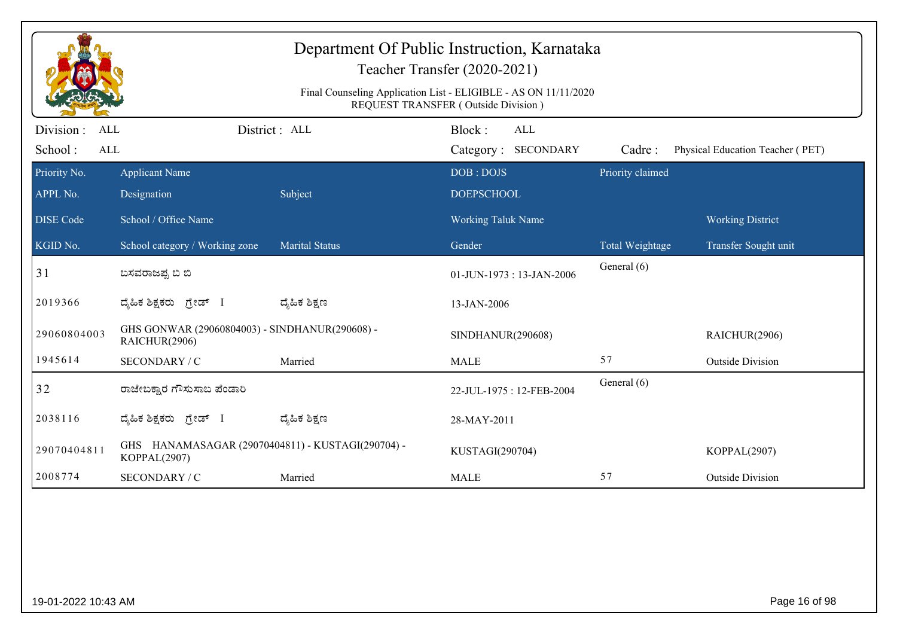|                                            |                                                                   |                       | Department Of Public Instruction, Karnataka<br>Teacher Transfer (2020-2021)<br>Final Counseling Application List - ELIGIBLE - AS ON 11/11/2020<br>REQUEST TRANSFER (Outside Division) |                  |                                  |
|--------------------------------------------|-------------------------------------------------------------------|-----------------------|---------------------------------------------------------------------------------------------------------------------------------------------------------------------------------------|------------------|----------------------------------|
| Division :<br><b>ALL</b><br>School:<br>ALL |                                                                   | District : ALL        | Block:<br><b>ALL</b><br>Category: SECONDARY                                                                                                                                           | Cadre:           | Physical Education Teacher (PET) |
| Priority No.<br>APPL No.                   | <b>Applicant Name</b><br>Designation                              | Subject               | DOB: DOJS<br><b>DOEPSCHOOL</b>                                                                                                                                                        | Priority claimed |                                  |
| <b>DISE Code</b>                           | School / Office Name                                              |                       | <b>Working Taluk Name</b>                                                                                                                                                             |                  | <b>Working District</b>          |
| KGID No.                                   | School category / Working zone                                    | <b>Marital Status</b> | Gender                                                                                                                                                                                | Total Weightage  | Transfer Sought unit             |
| 31                                         | ಬಸವರಾಜಪ್ಪ ಬಿ ಬಿ                                                   |                       | 01-JUN-1973: 13-JAN-2006                                                                                                                                                              | General (6)      |                                  |
| 2019366                                    | ದೈಹಿಕ ಶಿಕ್ಷಕರು ಗ್ರೇಡ್ I                                           | ದ್ಶೆಹಿಕ ಶಿಕ್ಷಣ        | 13-JAN-2006                                                                                                                                                                           |                  |                                  |
| 29060804003                                | GHS GONWAR (29060804003) - SINDHANUR(290608) -<br>RAICHUR(2906)   |                       | SINDHANUR(290608)                                                                                                                                                                     |                  | RAICHUR(2906)                    |
| 1945614                                    | SECONDARY / C                                                     | Married               | <b>MALE</b>                                                                                                                                                                           | 57               | <b>Outside Division</b>          |
| 32                                         | ರಾಜೇಬಕ್ಷಾರ ಗೌಸುಸಾಬ ಪೆಂಡಾರಿ                                        |                       | 22-JUL-1975: 12-FEB-2004                                                                                                                                                              | General (6)      |                                  |
| 2038116                                    | ದೈಹಿಕ ಶಿಕ್ಷಕರು ಗ್ರೇಡ್ I                                           | ದ್ಯೆಹಿಕ ಶಿಕ್ಷಣ        | 28-MAY-2011                                                                                                                                                                           |                  |                                  |
| 29070404811                                | GHS HANAMASAGAR (29070404811) - KUSTAGI(290704) -<br>KOPPAL(2907) |                       | KUSTAGI(290704)                                                                                                                                                                       |                  | KOPPAL(2907)                     |
| 2008774                                    | SECONDARY / C                                                     | Married               | <b>MALE</b>                                                                                                                                                                           | 57               | <b>Outside Division</b>          |
|                                            |                                                                   |                       |                                                                                                                                                                                       |                  |                                  |
| 19-01-2022 10:43 AM                        |                                                                   |                       |                                                                                                                                                                                       |                  | Page 16 of 98                    |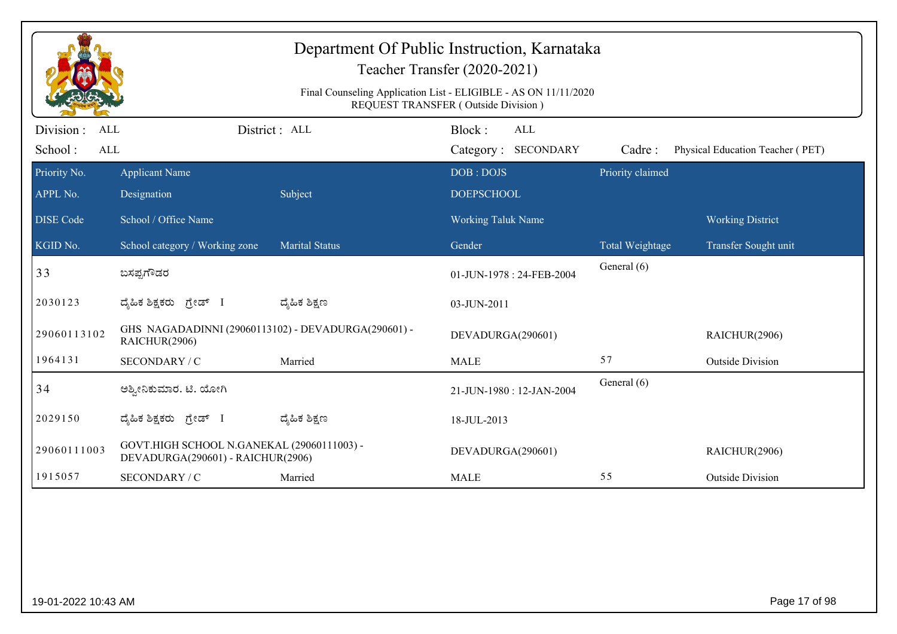|                                                                                                        | Teacher Transfer (2020-2021)                                                    |                       |                                             |                  |                                  |  |  |
|--------------------------------------------------------------------------------------------------------|---------------------------------------------------------------------------------|-----------------------|---------------------------------------------|------------------|----------------------------------|--|--|
| Final Counseling Application List - ELIGIBLE - AS ON 11/11/2020<br>REQUEST TRANSFER (Outside Division) |                                                                                 |                       |                                             |                  |                                  |  |  |
| Division:<br>ALL<br>School:<br>ALL                                                                     |                                                                                 | District : ALL        | Block:<br><b>ALL</b><br>Category: SECONDARY | Cadre:           | Physical Education Teacher (PET) |  |  |
| Priority No.                                                                                           | <b>Applicant Name</b>                                                           |                       | DOB: DOJS                                   | Priority claimed |                                  |  |  |
| APPL No.                                                                                               | Designation                                                                     | Subject               | <b>DOEPSCHOOL</b>                           |                  |                                  |  |  |
| <b>DISE</b> Code                                                                                       | School / Office Name                                                            |                       | <b>Working Taluk Name</b>                   |                  | <b>Working District</b>          |  |  |
| KGID No.                                                                                               | School category / Working zone                                                  | <b>Marital Status</b> | Gender                                      | Total Weightage  | Transfer Sought unit             |  |  |
| 33                                                                                                     | ಬಸಪ್ಪಗೌಡರ                                                                       |                       | 01-JUN-1978: 24-FEB-2004                    | General (6)      |                                  |  |  |
| 2030123                                                                                                | ದೈಹಿಕ ಶಿಕ್ಷಕರು ಗ್ರೇಡ್ I                                                         | ದ್ಯಹಿಕ ಶಿಕ್ಷಣ         | 03-JUN-2011                                 |                  |                                  |  |  |
| 29060113102                                                                                            | GHS NAGADADINNI (29060113102) - DEVADURGA(290601) -<br>RAICHUR(2906)            |                       | DEVADURGA(290601)                           |                  | RAICHUR(2906)                    |  |  |
| 1964131                                                                                                | SECONDARY / C                                                                   | Married               | <b>MALE</b>                                 | 57               | <b>Outside Division</b>          |  |  |
| 34                                                                                                     | ಅಶ್ರೀನಿಕುಮಾರ. ಟಿ. ಯೋಗಿ                                                          |                       | 21-JUN-1980: 12-JAN-2004                    | General (6)      |                                  |  |  |
| 2029150                                                                                                | ದ್ಯಹಿಕ ಶಿಕ್ಷಕರು <i>ಗ್ರೇಡ್</i> I                                                 | ದ್ಯಹಿಕ ಶಿಕ್ಷಣ         | 18-JUL-2013                                 |                  |                                  |  |  |
| 29060111003                                                                                            | GOVT.HIGH SCHOOL N.GANEKAL (29060111003) -<br>DEVADURGA(290601) - RAICHUR(2906) |                       | DEVADURGA(290601)                           |                  | RAICHUR(2906)                    |  |  |
| 1915057                                                                                                | SECONDARY / C                                                                   | Married               | <b>MALE</b>                                 | 55               | <b>Outside Division</b>          |  |  |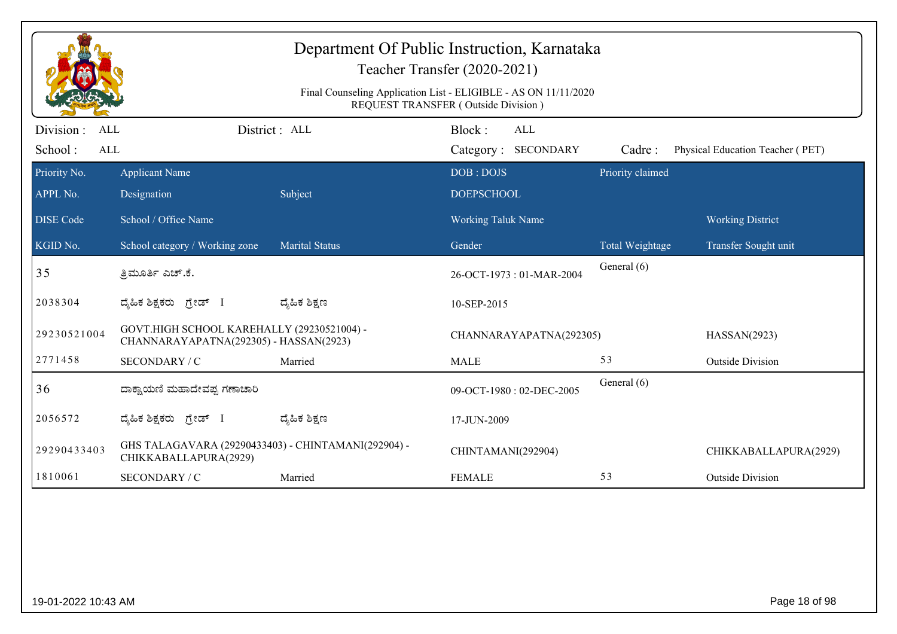|                                                  |                                                                                      |                       | Department Of Public Instruction, Karnataka<br>Teacher Transfer (2020-2021)<br>Final Counseling Application List - ELIGIBLE - AS ON 11/11/2020<br>REQUEST TRANSFER (Outside Division) |                  |                                  |
|--------------------------------------------------|--------------------------------------------------------------------------------------|-----------------------|---------------------------------------------------------------------------------------------------------------------------------------------------------------------------------------|------------------|----------------------------------|
| Division:<br><b>ALL</b><br>School:<br><b>ALL</b> |                                                                                      | District: ALL         | Block:<br>ALL<br>Category: SECONDARY                                                                                                                                                  | Cadre:           | Physical Education Teacher (PET) |
| Priority No.                                     | <b>Applicant Name</b>                                                                |                       | DOB: DOJS                                                                                                                                                                             | Priority claimed |                                  |
| APPL No.                                         | Designation                                                                          | Subject               | <b>DOEPSCHOOL</b>                                                                                                                                                                     |                  |                                  |
| <b>DISE</b> Code                                 | School / Office Name                                                                 |                       | <b>Working Taluk Name</b>                                                                                                                                                             |                  | <b>Working District</b>          |
| KGID No.                                         | School category / Working zone                                                       | <b>Marital Status</b> | Gender                                                                                                                                                                                | Total Weightage  | Transfer Sought unit             |
| 35                                               | ತ್ರಿಮೂರ್ತಿ ಎಚ್.ಕೆ.                                                                   |                       | 26-OCT-1973: 01-MAR-2004                                                                                                                                                              | General (6)      |                                  |
| 2038304                                          | ದ್ಯಹಿಕ ಶಿಕ್ಷಕರು ಗ್ರೇಡ್ I                                                             | ದ್ಯೆಹಿಕ ಶಿಕ್ಷಣ        | 10-SEP-2015                                                                                                                                                                           |                  |                                  |
| 29230521004                                      | GOVT.HIGH SCHOOL KAREHALLY (29230521004) -<br>CHANNARAYAPATNA(292305) - HASSAN(2923) |                       | CHANNARAYAPATNA(292305)                                                                                                                                                               |                  | HASSAN(2923)                     |
| 2771458                                          | SECONDARY / C                                                                        | Married               | <b>MALE</b>                                                                                                                                                                           | 53               | <b>Outside Division</b>          |
| 36                                               | ದಾಕ್ಷಾಯಣಿ ಮಹಾದೇವಪ್ಪ ಗಣಾಚಾರಿ                                                          |                       | 09-OCT-1980: 02-DEC-2005                                                                                                                                                              | General (6)      |                                  |
| 2056572                                          | ದ್ಯಹಿಕ ಶಿಕ್ಷಕರು <i>ಗ್ರೇ</i> ಡ್ I                                                     | ದ್ಮಹಿಕ ಶಿಕ್ಷಣ         | 17-JUN-2009                                                                                                                                                                           |                  |                                  |
| 29290433403                                      | GHS TALAGAVARA (29290433403) - CHINTAMANI(292904) -<br>CHIKKABALLAPURA(2929)         |                       | CHINTAMANI(292904)                                                                                                                                                                    |                  | CHIKKABALLAPURA(2929)            |
| 1810061                                          | SECONDARY / C                                                                        | Married               | <b>FEMALE</b>                                                                                                                                                                         | 53               | <b>Outside Division</b>          |
|                                                  |                                                                                      |                       |                                                                                                                                                                                       |                  |                                  |
| 19-01-2022 10:43 AM                              |                                                                                      |                       |                                                                                                                                                                                       |                  | Page 18 of 98                    |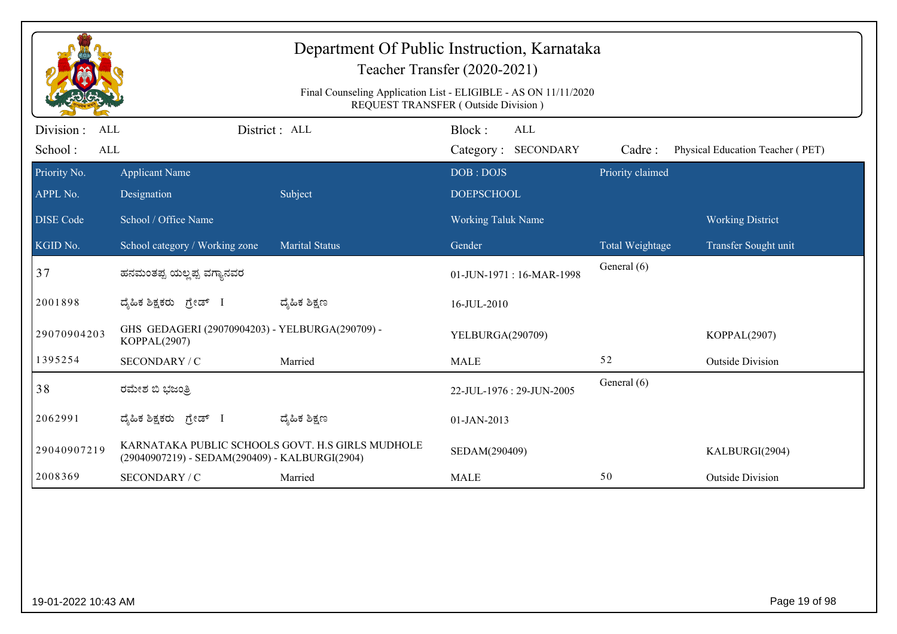| Department Of Public Instruction, Karnataka<br>Teacher Transfer (2020-2021)<br>Final Counseling Application List - ELIGIBLE - AS ON 11/11/2020<br>REQUEST TRANSFER (Outside Division) |                                                                 |                                                  |                                             |                  |                                  |  |  |
|---------------------------------------------------------------------------------------------------------------------------------------------------------------------------------------|-----------------------------------------------------------------|--------------------------------------------------|---------------------------------------------|------------------|----------------------------------|--|--|
| Division:<br><b>ALL</b><br>School:<br><b>ALL</b>                                                                                                                                      |                                                                 | District : ALL                                   | Block:<br><b>ALL</b><br>Category: SECONDARY | Cadre:           | Physical Education Teacher (PET) |  |  |
| Priority No.<br>APPL No.                                                                                                                                                              | <b>Applicant Name</b><br>Designation                            | Subject                                          | DOB: DOJS<br><b>DOEPSCHOOL</b>              | Priority claimed |                                  |  |  |
| <b>DISE Code</b>                                                                                                                                                                      | School / Office Name                                            |                                                  | <b>Working Taluk Name</b>                   |                  | <b>Working District</b>          |  |  |
| KGID No.                                                                                                                                                                              | School category / Working zone                                  | <b>Marital Status</b>                            | Gender                                      | Total Weightage  | Transfer Sought unit             |  |  |
| 37                                                                                                                                                                                    | ಹನಮಂತಪ್ಪ ಯಲ್ಲಪ್ಪ ವಗ್ಯಾನವರ                                       |                                                  | 01-JUN-1971: 16-MAR-1998                    | General (6)      |                                  |  |  |
| 2001898                                                                                                                                                                               | ದೈಹಿಕ ಶಿಕ್ಷಕರು ಗ್ರೇಡ್ I                                         | ದ್ಯಹಿಕ ಶಿಕ್ಷಣ                                    | 16-JUL-2010                                 |                  |                                  |  |  |
| 29070904203                                                                                                                                                                           | GHS GEDAGERI (29070904203) - YELBURGA(290709) -<br>KOPPAL(2907) |                                                  | YELBURGA(290709)                            |                  | KOPPAL(2907)                     |  |  |
| 1395254                                                                                                                                                                               | SECONDARY / C                                                   | Married                                          | <b>MALE</b>                                 | 52               | <b>Outside Division</b>          |  |  |
| 38                                                                                                                                                                                    | ರಮೇಶ ಬಿ ಭಜಂತ್ರಿ                                                 |                                                  | 22-JUL-1976: 29-JUN-2005                    | General (6)      |                                  |  |  |
| 2062991                                                                                                                                                                               | ದ್ಯಹಿಕ ಶಿಕ್ಷಕರು ಗ್ರೇಡ್ I                                        | ದ್ಮಹಿಕ ಶಿಕ್ಷಣ                                    | 01-JAN-2013                                 |                  |                                  |  |  |
| 29040907219                                                                                                                                                                           | (29040907219) - SEDAM(290409) - KALBURGI(2904)                  | KARNATAKA PUBLIC SCHOOLS GOVT. H.S GIRLS MUDHOLE | SEDAM(290409)                               |                  | KALBURGI(2904)                   |  |  |
| 2008369                                                                                                                                                                               | SECONDARY / C                                                   | Married                                          | <b>MALE</b>                                 | 50               | <b>Outside Division</b>          |  |  |
|                                                                                                                                                                                       |                                                                 |                                                  |                                             |                  |                                  |  |  |
| 19-01-2022 10:43 AM                                                                                                                                                                   |                                                                 |                                                  |                                             |                  | Page 19 of 98                    |  |  |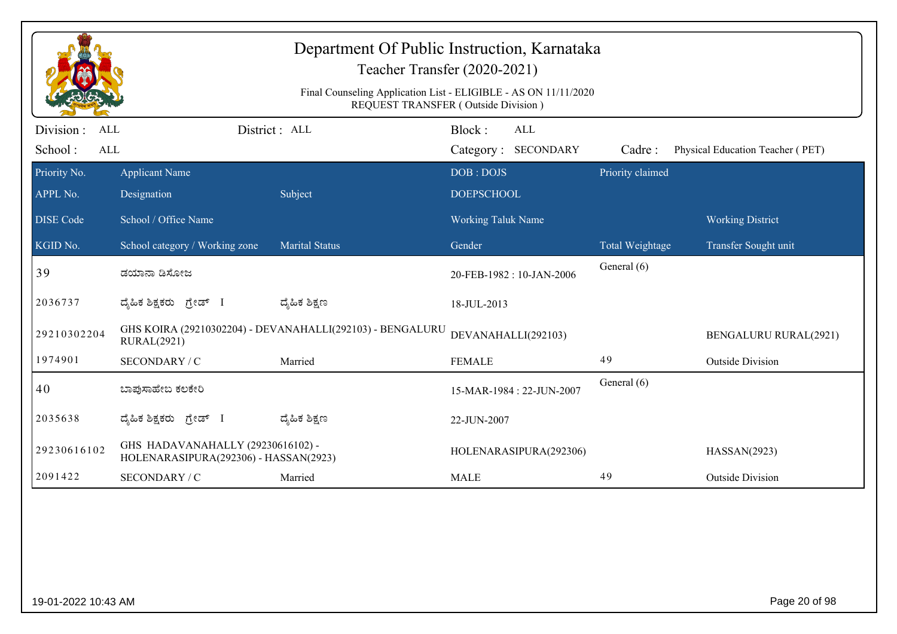|                                            |                                                                                 |                       | Final Counseling Application List - ELIGIBLE - AS ON 11/11/2020<br>REQUEST TRANSFER (Outside Division) |                  |                                  |
|--------------------------------------------|---------------------------------------------------------------------------------|-----------------------|--------------------------------------------------------------------------------------------------------|------------------|----------------------------------|
| Division :<br>ALL<br>School:<br><b>ALL</b> |                                                                                 | District : ALL        | Block:<br><b>ALL</b><br>Category: SECONDARY                                                            | Cadre:           | Physical Education Teacher (PET) |
| Priority No.                               | <b>Applicant Name</b>                                                           |                       | DOB: DOJS                                                                                              | Priority claimed |                                  |
| APPL No.                                   | Designation                                                                     | Subject               | <b>DOEPSCHOOL</b>                                                                                      |                  |                                  |
| <b>DISE</b> Code                           | School / Office Name                                                            |                       | <b>Working Taluk Name</b>                                                                              |                  | <b>Working District</b>          |
| KGID No.                                   | School category / Working zone                                                  | <b>Marital Status</b> | Gender                                                                                                 | Total Weightage  | Transfer Sought unit             |
| 39                                         | ಡಯಾನಾ ಡಿಸೋಜ                                                                     |                       | 20-FEB-1982: 10-JAN-2006                                                                               | General (6)      |                                  |
| 2036737                                    | ದೈಹಿಕ ಶಿಕ್ಷಕರು ಗ್ರೇಡ್ I                                                         | ದ್ಯೆಹಿಕ ಶಿಕ್ಷಣ        | 18-JUL-2013                                                                                            |                  |                                  |
| 29210302204                                | GHS KOIRA (29210302204) - DEVANAHALLI(292103) - BENGALURU<br><b>RURAL(2921)</b> |                       | DEVANAHALLI(292103)                                                                                    |                  | <b>BENGALURU RURAL(2921)</b>     |
| 1974901                                    | SECONDARY / C                                                                   | Married               | <b>FEMALE</b>                                                                                          | 49               | <b>Outside Division</b>          |
| 40                                         | ಬಾಪುಸಾಹೇಬ ಕಲಕೇರಿ                                                                |                       | 15-MAR-1984: 22-JUN-2007                                                                               | General (6)      |                                  |
| 2035638                                    | ದ್ಯಹಿಕ ಶಿಕ್ಷಕರು ಗ್ರೇಡ್ I                                                        | ದ್ಮಹಿಕ ಶಿಕ್ಷಣ         | 22-JUN-2007                                                                                            |                  |                                  |
| 29230616102                                | GHS HADAVANAHALLY (29230616102) -<br>HOLENARASIPURA(292306) - HASSAN(2923)      |                       | HOLENARASIPURA(292306)                                                                                 |                  | HASSAN(2923)                     |
| 2091422                                    | SECONDARY / C                                                                   | Married               | <b>MALE</b>                                                                                            | 49               | <b>Outside Division</b>          |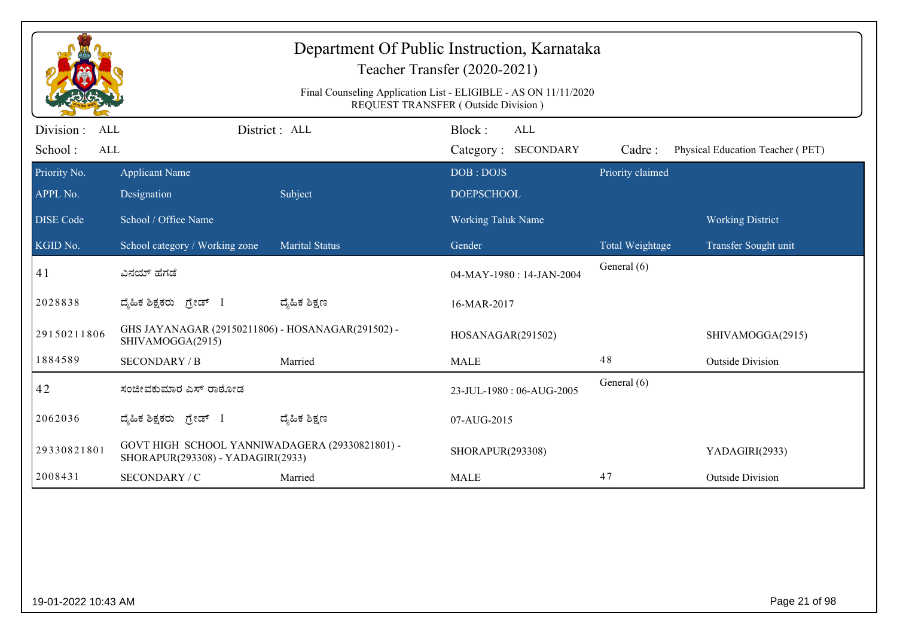|                                           |                                                                                     |                       | Department Of Public Instruction, Karnataka<br>Teacher Transfer (2020-2021)<br>Final Counseling Application List - ELIGIBLE - AS ON 11/11/2020 |                  |                                  |
|-------------------------------------------|-------------------------------------------------------------------------------------|-----------------------|------------------------------------------------------------------------------------------------------------------------------------------------|------------------|----------------------------------|
| Division:<br><b>ALL</b><br>School:<br>ALL |                                                                                     | District : ALL        | REQUEST TRANSFER (Outside Division)<br>Block:<br><b>ALL</b><br>Category: SECONDARY                                                             | Cadre:           | Physical Education Teacher (PET) |
| Priority No.                              | <b>Applicant Name</b>                                                               |                       | DOB: DOJS                                                                                                                                      | Priority claimed |                                  |
| APPL No.<br><b>DISE</b> Code              | Designation<br>School / Office Name                                                 | Subject               | <b>DOEPSCHOOL</b><br><b>Working Taluk Name</b>                                                                                                 |                  | <b>Working District</b>          |
| KGID No.                                  | School category / Working zone                                                      | <b>Marital Status</b> | Gender                                                                                                                                         | Total Weightage  | Transfer Sought unit             |
| 41                                        | ವಿನಯ್ ಹೆಗಡೆ                                                                         |                       | 04-MAY-1980: 14-JAN-2004                                                                                                                       | General (6)      |                                  |
| 2028838                                   | ದ್ಯಹಿಕ ಶಿಕ್ಷಕರು ಗ್ರೇಡ್ I                                                            | ದ್ಯಹಿಕ ಶಿಕ್ಷಣ         | 16-MAR-2017                                                                                                                                    |                  |                                  |
| 29150211806                               | GHS JAYANAGAR (29150211806) - HOSANAGAR(291502) -<br>SHIVAMOGGA(2915)               |                       | HOSANAGAR(291502)                                                                                                                              |                  | SHIVAMOGGA(2915)                 |
| 1884589                                   | <b>SECONDARY / B</b>                                                                | Married               | <b>MALE</b>                                                                                                                                    | 48               | <b>Outside Division</b>          |
| 42                                        | ಸಂಜೀವಕುಮಾರ ಎಸ್ ರಾಠೋಡ                                                                |                       | 23-JUL-1980: 06-AUG-2005                                                                                                                       | General (6)      |                                  |
| 2062036                                   | ದ್ಯಹಿಕ ಶಿಕ್ಷಕರು ಗ್ರೇಡ್ I                                                            | ದ್ಮಹಿಕ ಶಿಕ್ಷಣ         | 07-AUG-2015                                                                                                                                    |                  |                                  |
| 29330821801                               | GOVT HIGH SCHOOL YANNIWADAGERA (29330821801) -<br>SHORAPUR(293308) - YADAGIRI(2933) |                       | SHORAPUR(293308)                                                                                                                               |                  | YADAGIRI(2933)                   |
| 2008431                                   | SECONDARY / C                                                                       | Married               | <b>MALE</b>                                                                                                                                    | 47               | <b>Outside Division</b>          |
|                                           |                                                                                     |                       |                                                                                                                                                |                  |                                  |
| 19-01-2022 10:43 AM                       |                                                                                     |                       |                                                                                                                                                |                  | Page 21 of 98                    |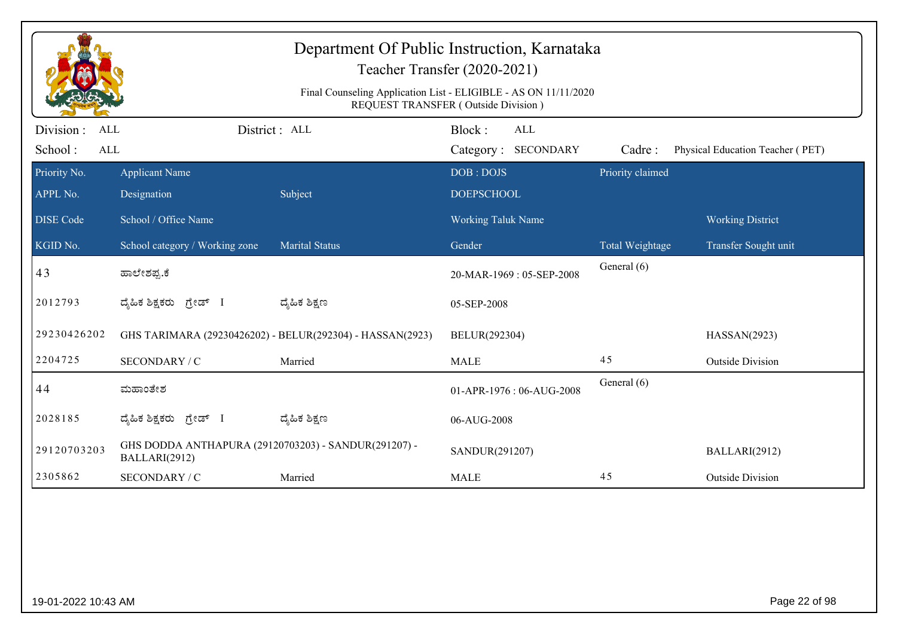|                                           |                                                                       | Department Of Public Instruction, Karnataka               | Teacher Transfer (2020-2021)<br>Final Counseling Application List - ELIGIBLE - AS ON 11/11/2020 |                  |                                  |
|-------------------------------------------|-----------------------------------------------------------------------|-----------------------------------------------------------|-------------------------------------------------------------------------------------------------|------------------|----------------------------------|
|                                           |                                                                       |                                                           | REQUEST TRANSFER (Outside Division)                                                             |                  |                                  |
| Division:<br>ALL<br>School:<br><b>ALL</b> |                                                                       | District : ALL                                            | Block:<br><b>ALL</b><br>Category: SECONDARY                                                     | Cadre:           | Physical Education Teacher (PET) |
| Priority No.                              | <b>Applicant Name</b>                                                 |                                                           | DOB: DOJS                                                                                       | Priority claimed |                                  |
| APPL No.                                  | Designation                                                           | Subject                                                   | <b>DOEPSCHOOL</b>                                                                               |                  |                                  |
| <b>DISE</b> Code                          | School / Office Name                                                  |                                                           | <b>Working Taluk Name</b>                                                                       |                  | <b>Working District</b>          |
| KGID No.                                  | School category / Working zone                                        | <b>Marital Status</b>                                     | Gender                                                                                          | Total Weightage  | Transfer Sought unit             |
| 43                                        | ಹಾಲೇಶಪ್ಪ.ಕೆ                                                           |                                                           | 20-MAR-1969: 05-SEP-2008                                                                        | General (6)      |                                  |
| 2012793                                   | ದ್ಯೆಹಿಕ ಶಿಕ್ಷಕರು<br>ಗ್ರೇಡ್ I                                          | ದ್ಮೆಹಿಕ ಶಿಕ್ಷಣ                                            | 05-SEP-2008                                                                                     |                  |                                  |
| 29230426202                               |                                                                       | GHS TARIMARA (29230426202) - BELUR(292304) - HASSAN(2923) | BELUR(292304)                                                                                   |                  | HASSAN(2923)                     |
| 2204725                                   | SECONDARY / C                                                         | Married                                                   | <b>MALE</b>                                                                                     | 45               | <b>Outside Division</b>          |
| 44                                        | ಮಹಾಂತೇಶ                                                               |                                                           | 01-APR-1976: 06-AUG-2008                                                                        | General (6)      |                                  |
| 2028185                                   | ದ್ಯಹಿಕ ಶಿಕ್ಷಕರು ಗ್ರೇಡ್ I                                              | ದ್ಯೆಹಿಕ ಶಿಕ್ಷಣ                                            | 06-AUG-2008                                                                                     |                  |                                  |
| 29120703203                               | GHS DODDA ANTHAPURA (29120703203) - SANDUR(291207) -<br>BALLARI(2912) |                                                           | SANDUR(291207)                                                                                  |                  | BALLARI(2912)                    |
| 2305862                                   | SECONDARY / C                                                         | Married                                                   | <b>MALE</b>                                                                                     | 45               | <b>Outside Division</b>          |
|                                           |                                                                       |                                                           |                                                                                                 |                  |                                  |
| 19-01-2022 10:43 AM                       |                                                                       |                                                           |                                                                                                 |                  | Page 22 of 98                    |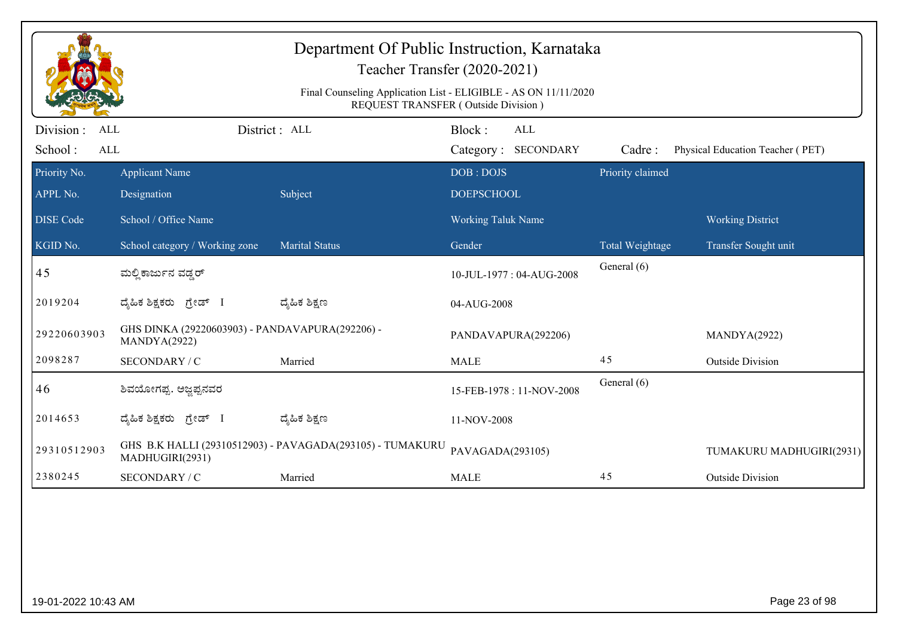|                                                   |                                                                 | Department Of Public Instruction, Karnataka<br>Teacher Transfer (2020-2021)<br>Final Counseling Application List - ELIGIBLE - AS ON 11/11/2020<br>REQUEST TRANSFER (Outside Division) |                           |                                   |                  |                                  |
|---------------------------------------------------|-----------------------------------------------------------------|---------------------------------------------------------------------------------------------------------------------------------------------------------------------------------------|---------------------------|-----------------------------------|------------------|----------------------------------|
| Division :<br><b>ALL</b><br>School:<br><b>ALL</b> |                                                                 | District : ALL                                                                                                                                                                        | Block:                    | <b>ALL</b><br>Category: SECONDARY | Cadre:           | Physical Education Teacher (PET) |
| Priority No.                                      | <b>Applicant Name</b>                                           |                                                                                                                                                                                       | DOB: DOJS                 |                                   | Priority claimed |                                  |
| APPL No.                                          | Designation                                                     | Subject                                                                                                                                                                               | <b>DOEPSCHOOL</b>         |                                   |                  |                                  |
| <b>DISE Code</b>                                  | School / Office Name                                            |                                                                                                                                                                                       | <b>Working Taluk Name</b> |                                   |                  | <b>Working District</b>          |
| KGID No.                                          | School category / Working zone                                  | <b>Marital Status</b>                                                                                                                                                                 | Gender                    |                                   | Total Weightage  | Transfer Sought unit             |
| 45                                                | ಮಲ್ಲಿ ಕಾರ್ಜುನ ವಡ್ಡರ್                                            |                                                                                                                                                                                       |                           | 10-JUL-1977: 04-AUG-2008          | General (6)      |                                  |
| 2019204                                           | ದ್ಯಹಿಕ ಶಿಕ್ಷಕರು ಗ್ರೇಡ್ I                                        | ದ್ಮಹಿಕ ಶಿಕ್ಷಣ                                                                                                                                                                         | 04-AUG-2008               |                                   |                  |                                  |
| 29220603903                                       | GHS DINKA (29220603903) - PANDAVAPURA(292206) -<br>MANDYA(2922) |                                                                                                                                                                                       |                           | PANDAVAPURA(292206)               |                  | MANDYA(2922)                     |
| 2098287                                           | SECONDARY / C                                                   | Married                                                                                                                                                                               | <b>MALE</b>               |                                   | 45               | <b>Outside Division</b>          |
| 46                                                | ಶಿವಯೋಗಪ್ಪ. ಅಜ್ಞಪ್ಪನವರ                                           |                                                                                                                                                                                       |                           | 15-FEB-1978: 11-NOV-2008          | General (6)      |                                  |
| 2014653                                           | ದ್ಯಹಿಕ ಶಿಕ್ಷಕರು ಗ್ರೇಡ್ I                                        | ದ್ಯಹಿಕ ಶಿಕ್ಷಣ                                                                                                                                                                         | 11-NOV-2008               |                                   |                  |                                  |
| 29310512903                                       | MADHUGIRI(2931)                                                 | GHS B.K HALLI (29310512903) - PAVAGADA(293105) - TUMAKURU                                                                                                                             | PAVAGADA(293105)          |                                   |                  | TUMAKURU MADHUGIRI(2931)         |
| 2380245                                           | SECONDARY / C                                                   | Married                                                                                                                                                                               | <b>MALE</b>               |                                   | 45               | <b>Outside Division</b>          |
|                                                   |                                                                 |                                                                                                                                                                                       |                           |                                   |                  |                                  |
| 19-01-2022 10:43 AM                               |                                                                 |                                                                                                                                                                                       |                           |                                   |                  | Page 23 of 98                    |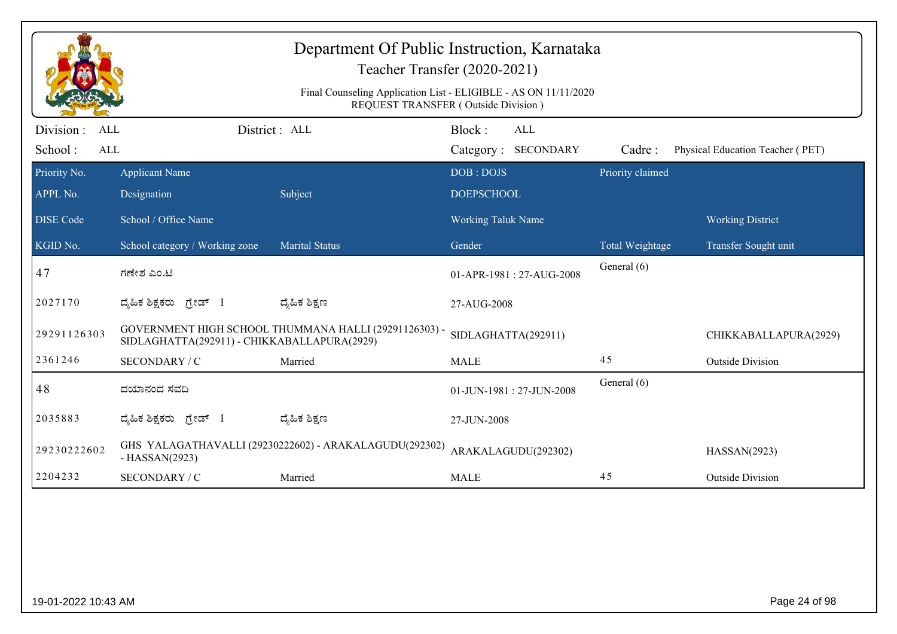|                                            |                                             | Department Of Public Instruction, Karnataka<br>Teacher Transfer (2020-2021)<br>Final Counseling Application List - ELIGIBLE - AS ON 11/11/2020 |                                |                            |                  |                                  |
|--------------------------------------------|---------------------------------------------|------------------------------------------------------------------------------------------------------------------------------------------------|--------------------------------|----------------------------|------------------|----------------------------------|
| Division :<br><b>ALL</b><br>School:<br>ALL |                                             | REQUEST TRANSFER (Outside Division)<br>District: ALL                                                                                           | Block:                         | ALL<br>Category: SECONDARY | Cadre:           | Physical Education Teacher (PET) |
| Priority No.<br>APPL No.                   | <b>Applicant Name</b><br>Designation        | Subject                                                                                                                                        | DOB: DOJS<br><b>DOEPSCHOOL</b> |                            | Priority claimed |                                  |
| <b>DISE</b> Code                           | School / Office Name                        |                                                                                                                                                | <b>Working Taluk Name</b>      |                            |                  | <b>Working District</b>          |
| KGID No.                                   | School category / Working zone              | <b>Marital Status</b>                                                                                                                          | Gender                         |                            | Total Weightage  | Transfer Sought unit             |
| 47                                         | ಗಣೇಶ ಎಂ.ಟಿ                                  |                                                                                                                                                |                                | 01-APR-1981 : 27-AUG-2008  | General (6)      |                                  |
| 2027170                                    | ದೈಹಿಕ ಶಿಕ್ಷಕರು ಗ್ರೇಡ್ I                     | ದ್ಯೆಹಿಕ ಶಿಕ್ಷಣ                                                                                                                                 | 27-AUG-2008                    |                            |                  |                                  |
| 29291126303                                | SIDLAGHATTA(292911) - CHIKKABALLAPURA(2929) | GOVERNMENT HIGH SCHOOL THUMMANA HALLI (29291126303) -                                                                                          | SIDLAGHATTA(292911)            |                            |                  | CHIKKABALLAPURA(2929)            |
| 2361246                                    | SECONDARY / C                               | Married                                                                                                                                        | <b>MALE</b>                    |                            | 45               | <b>Outside Division</b>          |
| 48                                         | ದಯಾನಂದ ಸವದಿ                                 |                                                                                                                                                |                                | 01-JUN-1981: 27-JUN-2008   | General (6)      |                                  |
| 2035883                                    | ದೈಹಿಕ ಶಿಕ್ಷಕರು ಗ್ರೇಡ್ I                     | ದ್ಯೆಹಿಕ ಶಿಕ್ಷಣ                                                                                                                                 | 27-JUN-2008                    |                            |                  |                                  |
| 29230222602                                | $-HASSAN(2923)$                             | GHS YALAGATHAVALLI (29230222602) - ARAKALAGUDU(292302)                                                                                         | ARAKALAGUDU(292302)            |                            |                  | HASSAN(2923)                     |
| 2204232                                    | SECONDARY / C                               | Married                                                                                                                                        | <b>MALE</b>                    |                            | 45               | <b>Outside Division</b>          |
|                                            |                                             |                                                                                                                                                |                                |                            |                  |                                  |
| 19-01-2022 10:43 AM                        |                                             |                                                                                                                                                |                                |                            |                  | Page 24 of 98                    |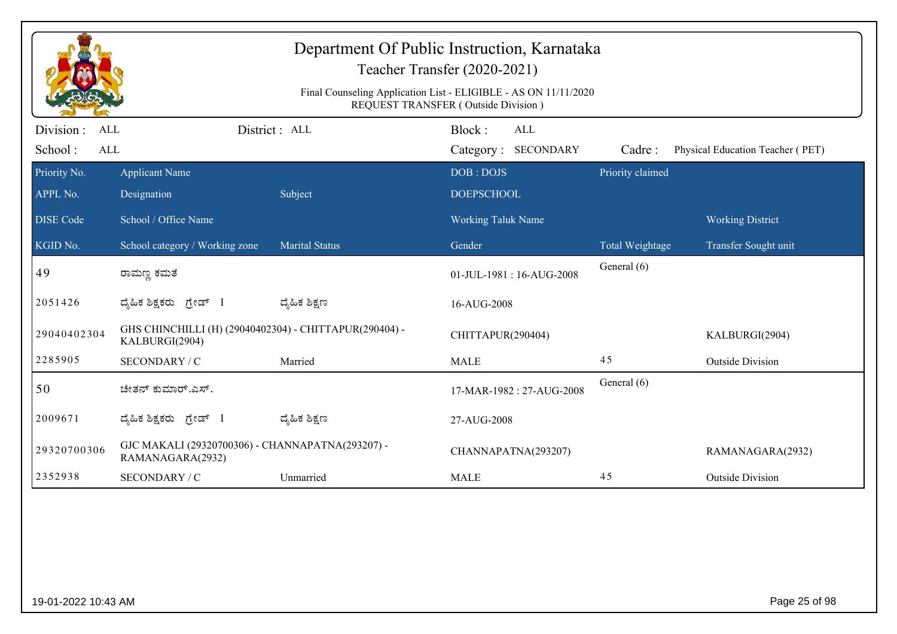|                       |                                                                          |                       | Teacher Transfer (2020-2021)                                                                                  |                  |                                  |
|-----------------------|--------------------------------------------------------------------------|-----------------------|---------------------------------------------------------------------------------------------------------------|------------------|----------------------------------|
|                       |                                                                          |                       | Final Counseling Application List - ELIGIBLE - AS ON 11/11/2020<br><b>REQUEST TRANSFER (Outside Division)</b> |                  |                                  |
| Division :<br>ALL     |                                                                          | District : ALL        | Block:<br>ALL                                                                                                 |                  |                                  |
| School:<br><b>ALL</b> |                                                                          |                       | Category: SECONDARY                                                                                           | Cadre:           | Physical Education Teacher (PET) |
| Priority No.          | <b>Applicant Name</b>                                                    |                       | DOB: DOJS                                                                                                     | Priority claimed |                                  |
| APPL No.              | Designation                                                              | Subject               | <b>DOEPSCHOOL</b>                                                                                             |                  |                                  |
| <b>DISE Code</b>      | School / Office Name                                                     |                       | <b>Working Taluk Name</b>                                                                                     |                  | <b>Working District</b>          |
| KGID No.              | School category / Working zone                                           | <b>Marital Status</b> | Gender                                                                                                        | Total Weightage  | Transfer Sought unit             |
| 49                    | ರಾಮಣ್ಣ ಕಮತೆ                                                              |                       | 01-JUL-1981: 16-AUG-2008                                                                                      | General (6)      |                                  |
| 2051426               | ದೈಹಿಕ ಶಿಕ್ಷಕರು ಗ್ರೇಡ್ I                                                  | ದ್ಯೆಹಿಕ ಶಿಕ್ಷಣ        | 16-AUG-2008                                                                                                   |                  |                                  |
| 29040402304           | GHS CHINCHILLI (H) (29040402304) - CHITTAPUR(290404) -<br>KALBURGI(2904) |                       | CHITTAPUR(290404)                                                                                             |                  | KALBURGI(2904)                   |
| 2285905               | SECONDARY / C                                                            | Married               | <b>MALE</b>                                                                                                   | 45               | <b>Outside Division</b>          |
| 50                    | ಚೇತನ್ ಕುಮಾರ್.ಎಸ್.                                                        |                       | 17-MAR-1982: 27-AUG-2008                                                                                      | General (6)      |                                  |
| 2009671               | ದೈಹಿಕ ಶಿಕ್ಷಕರು ಗ್ರೇಡ್ I                                                  | ದ್ಮಹಿಕ ಶಿಕ್ಷಣ         | 27-AUG-2008                                                                                                   |                  |                                  |
| 29320700306           | GJC MAKALI (29320700306) - CHANNAPATNA(293207) -<br>RAMANAGARA(2932)     |                       | CHANNAPATNA(293207)                                                                                           |                  | RAMANAGARA(2932)                 |
| 2352938               | SECONDARY / C                                                            | Unmarried             | <b>MALE</b>                                                                                                   | 45               | <b>Outside Division</b>          |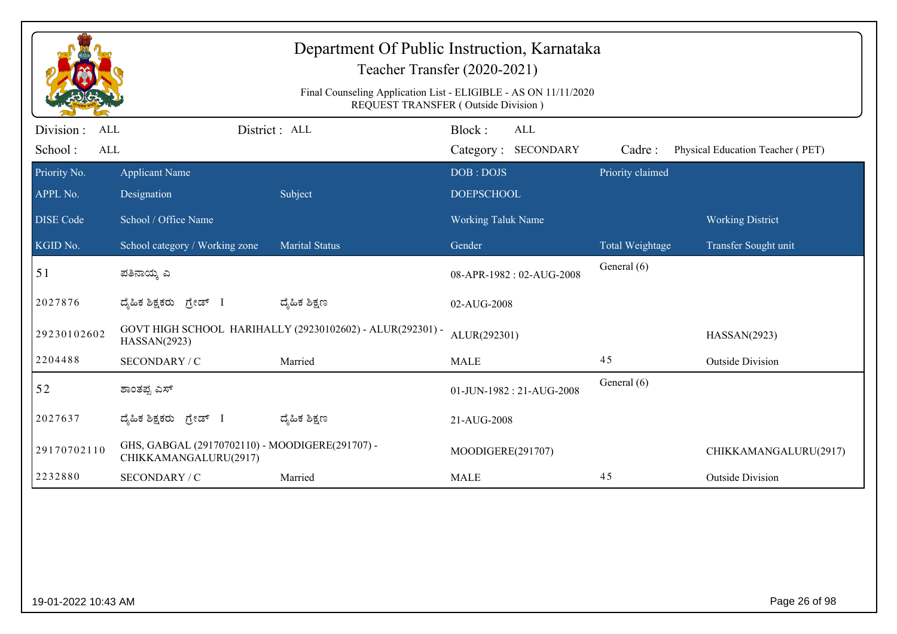|                                     |                                                                          | Department Of Public Instruction, Karnataka<br>Final Counseling Application List - ELIGIBLE - AS ON 11/11/2020 | Teacher Transfer (2020-2021)<br>REQUEST TRANSFER (Outside Division) |                  |                                  |
|-------------------------------------|--------------------------------------------------------------------------|----------------------------------------------------------------------------------------------------------------|---------------------------------------------------------------------|------------------|----------------------------------|
| Division :<br>ALL<br>School:<br>ALL |                                                                          | District : ALL                                                                                                 | Block:<br>ALL<br>Category: SECONDARY                                | Cadre:           | Physical Education Teacher (PET) |
| Priority No.<br>APPL No.            | <b>Applicant Name</b><br>Designation                                     | Subject                                                                                                        | DOB: DOJS<br><b>DOEPSCHOOL</b>                                      | Priority claimed |                                  |
| <b>DISE Code</b>                    | School / Office Name                                                     |                                                                                                                | <b>Working Taluk Name</b>                                           |                  | <b>Working District</b>          |
| KGID No.                            | School category / Working zone                                           | <b>Marital Status</b>                                                                                          | Gender                                                              | Total Weightage  | Transfer Sought unit             |
| 51                                  | ಪತಿನಾಯ್ತ ಎ                                                               |                                                                                                                | 08-APR-1982: 02-AUG-2008                                            | General (6)      |                                  |
| 2027876                             | ದೈಹಿಕ ಶಿಕ್ಷಕರು ಗ್ರೇಡ್ I                                                  | ದ್ಶೆಹಿಕ ಶಿಕ್ಷಣ                                                                                                 | 02-AUG-2008                                                         |                  |                                  |
| 29230102602                         | HASSAN(2923)                                                             | GOVT HIGH SCHOOL HARIHALLY (29230102602) - ALUR(292301) -                                                      | ALUR(292301)                                                        |                  | HASSAN(2923)                     |
| 2204488                             | SECONDARY / C                                                            | Married                                                                                                        | <b>MALE</b>                                                         | 45               | <b>Outside Division</b>          |
| 52                                  | ಶಾಂತಪ್ಪ ಎಸ್                                                              |                                                                                                                | 01-JUN-1982: 21-AUG-2008                                            | General (6)      |                                  |
| 2027637                             | ದ್ಯಹಿಕ ಶಿಕ್ಷಕರು<br>ಗ್ರೇಡ್ I                                              | ದ್ಮಹಿಕ ಶಿಕ್ಷಣ                                                                                                  | 21-AUG-2008                                                         |                  |                                  |
| 29170702110                         | GHS, GABGAL (29170702110) - MOODIGERE(291707) -<br>CHIKKAMANGALURU(2917) |                                                                                                                | MOODIGERE(291707)                                                   |                  | CHIKKAMANGALURU(2917)            |
| 2232880                             | SECONDARY / C                                                            | Married                                                                                                        | <b>MALE</b>                                                         | 45               | <b>Outside Division</b>          |
|                                     |                                                                          |                                                                                                                |                                                                     |                  |                                  |
| 19-01-2022 10:43 AM                 |                                                                          |                                                                                                                |                                                                     |                  | Page 26 of 98                    |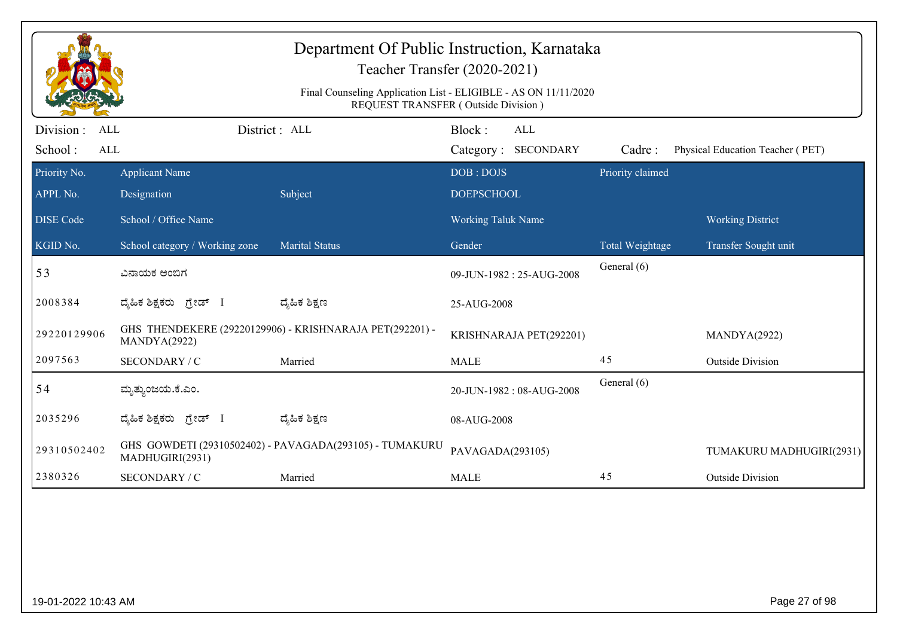|                                           |                                | Department Of Public Instruction, Karnataka<br>Teacher Transfer (2020-2021)<br>Final Counseling Application List - ELIGIBLE - AS ON 11/11/2020 |                               |                         |                  |                                  |
|-------------------------------------------|--------------------------------|------------------------------------------------------------------------------------------------------------------------------------------------|-------------------------------|-------------------------|------------------|----------------------------------|
| Division:<br><b>ALL</b><br>School:<br>ALL |                                | REQUEST TRANSFER (Outside Division)<br>District : ALL                                                                                          | Block:<br>Category: SECONDARY | ALL                     | Cadre:           | Physical Education Teacher (PET) |
| Priority No.                              | <b>Applicant Name</b>          |                                                                                                                                                | DOB: DOJS                     |                         | Priority claimed |                                  |
| APPL No.                                  | Designation                    | Subject                                                                                                                                        | <b>DOEPSCHOOL</b>             |                         |                  |                                  |
| <b>DISE</b> Code                          | School / Office Name           |                                                                                                                                                | <b>Working Taluk Name</b>     |                         |                  | <b>Working District</b>          |
| KGID No.                                  | School category / Working zone | <b>Marital Status</b>                                                                                                                          | Gender                        |                         | Total Weightage  | Transfer Sought unit             |
| 53                                        | ವಿನಾಯಕ ಅಂಬಿಗ                   |                                                                                                                                                | 09-JUN-1982: 25-AUG-2008      |                         | General (6)      |                                  |
| 2008384                                   | ದೈಹಿಕ ಶಿಕ್ಷಕರು ಗ್ರೇಡ್ I        | ದ್ಯಹಿಕ ಶಿಕ್ಷಣ                                                                                                                                  | 25-AUG-2008                   |                         |                  |                                  |
| 29220129906                               | MANDYA(2922)                   | GHS THENDEKERE (29220129906) - KRISHNARAJA PET(292201) -                                                                                       |                               | KRISHNARAJA PET(292201) |                  | MANDYA(2922)                     |
| 2097563                                   | SECONDARY / C                  | Married                                                                                                                                        | <b>MALE</b>                   |                         | 45               | <b>Outside Division</b>          |
| 54                                        | ಮೃತ್ತುಂಜಯ.ಕೆ.ಎಂ.               |                                                                                                                                                | 20-JUN-1982: 08-AUG-2008      |                         | General (6)      |                                  |
| 2035296                                   | ದ್ಯಹಿಕ ಶಿಕ್ಷಕರು ಗ್ರೇಡ್ I       | ದ್ಮಹಿಕ ಶಿಕ್ಷಣ                                                                                                                                  | 08-AUG-2008                   |                         |                  |                                  |
| 29310502402                               | MADHUGIRI(2931)                | GHS GOWDETI (29310502402) - PAVAGADA(293105) - TUMAKURU                                                                                        | PAVAGADA(293105)              |                         |                  | TUMAKURU MADHUGIRI(2931)         |
| 2380326                                   | SECONDARY / C                  | Married                                                                                                                                        | <b>MALE</b>                   |                         | 45               | <b>Outside Division</b>          |
|                                           |                                |                                                                                                                                                |                               |                         |                  |                                  |
| 19-01-2022 10:43 AM                       |                                |                                                                                                                                                |                               |                         |                  | Page 27 of 98                    |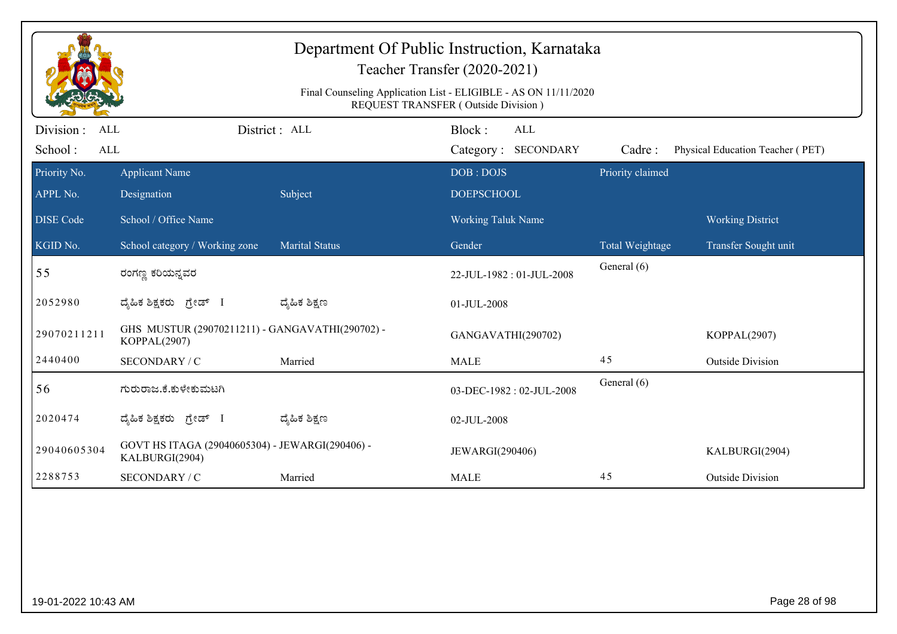|                          |                                                                   |                       | Final Counseling Application List - ELIGIBLE - AS ON 11/11/2020<br>REQUEST TRANSFER (Outside Division) |                  |                                  |
|--------------------------|-------------------------------------------------------------------|-----------------------|--------------------------------------------------------------------------------------------------------|------------------|----------------------------------|
| Division :<br><b>ALL</b> |                                                                   | District: ALL         | Block:<br>ALL                                                                                          |                  |                                  |
| School:<br>ALL           |                                                                   |                       | Category: SECONDARY                                                                                    | Cadre:           | Physical Education Teacher (PET) |
| Priority No.             | <b>Applicant Name</b>                                             |                       | DOB: DOJS                                                                                              | Priority claimed |                                  |
| APPL No.                 | Designation                                                       | Subject               | <b>DOEPSCHOOL</b>                                                                                      |                  |                                  |
| <b>DISE</b> Code         | School / Office Name                                              |                       | Working Taluk Name                                                                                     |                  | <b>Working District</b>          |
| KGID No.                 | School category / Working zone                                    | <b>Marital Status</b> | Gender                                                                                                 | Total Weightage  | Transfer Sought unit             |
| 55                       | ರಂಗಣ್ಣ ಕರಿಯನ್ನವರ                                                  |                       | 22-JUL-1982: 01-JUL-2008                                                                               | General (6)      |                                  |
| 2052980                  | ದ್ಯಹಿಕ ಶಿಕ್ಷಕರು ಗ್ರೇಡ್ I                                          | ದ್ಶೆಹಿಕ ಶಿಕ್ಷಣ        | 01-JUL-2008                                                                                            |                  |                                  |
| 29070211211              | GHS MUSTUR (29070211211) - GANGAVATHI(290702) -<br>KOPPAL(2907)   |                       | GANGAVATHI(290702)                                                                                     |                  | KOPPAL(2907)                     |
| 2440400                  | SECONDARY / C                                                     | Married               | <b>MALE</b>                                                                                            | 45               | <b>Outside Division</b>          |
| 56                       | ಗುರುರಾಜ.ಕೆ.ಕುಳೇಕುಮಟಗಿ                                             |                       | 03-DEC-1982: 02-JUL-2008                                                                               | General (6)      |                                  |
| 2020474                  | ದ್ಮಹಿಕ ಶಿಕ್ಷಕರು ಗ್ರೇಡ್ I                                          | ದ್ಯೆಹಿಕ ಶಿಕ್ಷಣ        | 02-JUL-2008                                                                                            |                  |                                  |
| 29040605304              | GOVT HS ITAGA (29040605304) - JEWARGI(290406) -<br>KALBURGI(2904) |                       | JEWARGI(290406)                                                                                        |                  | KALBURGI(2904)                   |
| 2288753                  | SECONDARY / C                                                     | Married               | <b>MALE</b>                                                                                            | 45               | <b>Outside Division</b>          |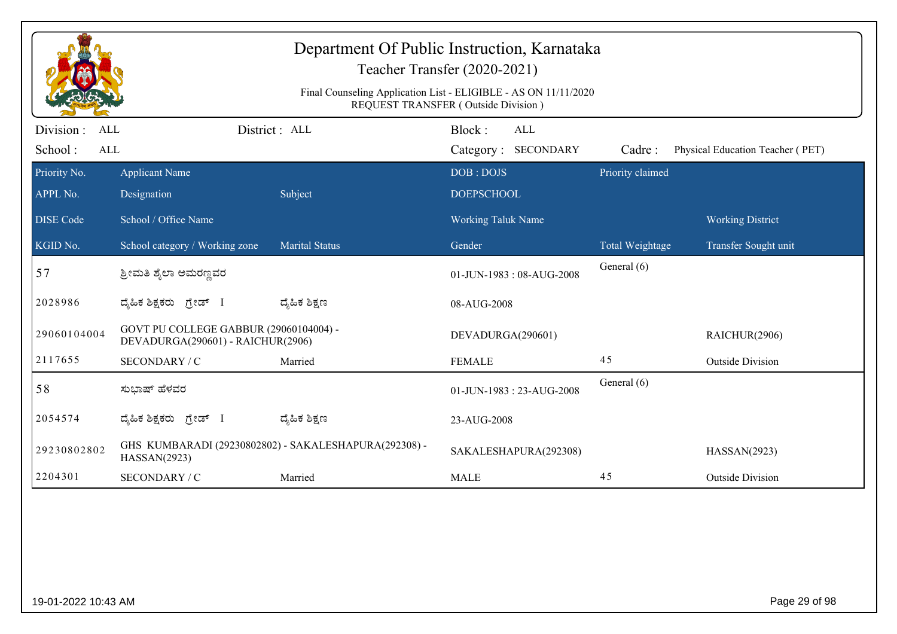|                                                  |                                                                             |                                                       | Department Of Public Instruction, Karnataka<br>Teacher Transfer (2020-2021)<br>Final Counseling Application List - ELIGIBLE - AS ON 11/11/2020<br>REQUEST TRANSFER (Outside Division) |                  |                                  |
|--------------------------------------------------|-----------------------------------------------------------------------------|-------------------------------------------------------|---------------------------------------------------------------------------------------------------------------------------------------------------------------------------------------|------------------|----------------------------------|
| Division:<br><b>ALL</b><br>School:<br><b>ALL</b> |                                                                             | District: ALL                                         | Block:<br><b>ALL</b><br>Category: SECONDARY                                                                                                                                           | Cadre:           | Physical Education Teacher (PET) |
| Priority No.                                     | <b>Applicant Name</b>                                                       |                                                       | DOB: DOJS                                                                                                                                                                             | Priority claimed |                                  |
| APPL No.                                         | Designation                                                                 | Subject                                               | <b>DOEPSCHOOL</b>                                                                                                                                                                     |                  |                                  |
| <b>DISE Code</b>                                 | School / Office Name                                                        |                                                       | <b>Working Taluk Name</b>                                                                                                                                                             |                  | <b>Working District</b>          |
| KGID No.                                         | School category / Working zone                                              | <b>Marital Status</b>                                 | Gender                                                                                                                                                                                | Total Weightage  | Transfer Sought unit             |
| 57                                               | ಶ್ರೀಮತಿ ಶೈಲಾ ಅಮರಣ್ಣವರ                                                       |                                                       | 01-JUN-1983: 08-AUG-2008                                                                                                                                                              | General (6)      |                                  |
| 2028986                                          | ದೈಹಿಕ ಶಿಕ್ಷಕರು ಗ್ರೇಡ್ I                                                     | ದ್ಯೆಹಿಕ ಶಿಕ್ಷಣ                                        | 08-AUG-2008                                                                                                                                                                           |                  |                                  |
| 29060104004                                      | GOVT PU COLLEGE GABBUR (29060104004) -<br>DEVADURGA(290601) - RAICHUR(2906) |                                                       | DEVADURGA(290601)                                                                                                                                                                     |                  | RAICHUR(2906)                    |
| 2117655                                          | SECONDARY / C                                                               | Married                                               | <b>FEMALE</b>                                                                                                                                                                         | 45               | <b>Outside Division</b>          |
| 58                                               | ಸುಭಾಷ್ ಹೆಳವರ                                                                |                                                       | 01-JUN-1983: 23-AUG-2008                                                                                                                                                              | General (6)      |                                  |
| 2054574                                          | ದ್ಯಹಿಕ ಶಿಕ್ಷಕರು ಗ್ರೇಡ್ I                                                    | ದ್ಮಹಿಕ ಶಿಕ್ಷಣ                                         | 23-AUG-2008                                                                                                                                                                           |                  |                                  |
| 29230802802                                      | HASSAN(2923)                                                                | GHS KUMBARADI (29230802802) - SAKALESHAPURA(292308) - | SAKALESHAPURA(292308)                                                                                                                                                                 |                  | HASSAN(2923)                     |
| 2204301                                          | SECONDARY / C                                                               | Married                                               | <b>MALE</b>                                                                                                                                                                           | 45               | <b>Outside Division</b>          |
|                                                  |                                                                             |                                                       |                                                                                                                                                                                       |                  |                                  |
| 19-01-2022 10:43 AM                              |                                                                             |                                                       |                                                                                                                                                                                       |                  | Page 29 of 98                    |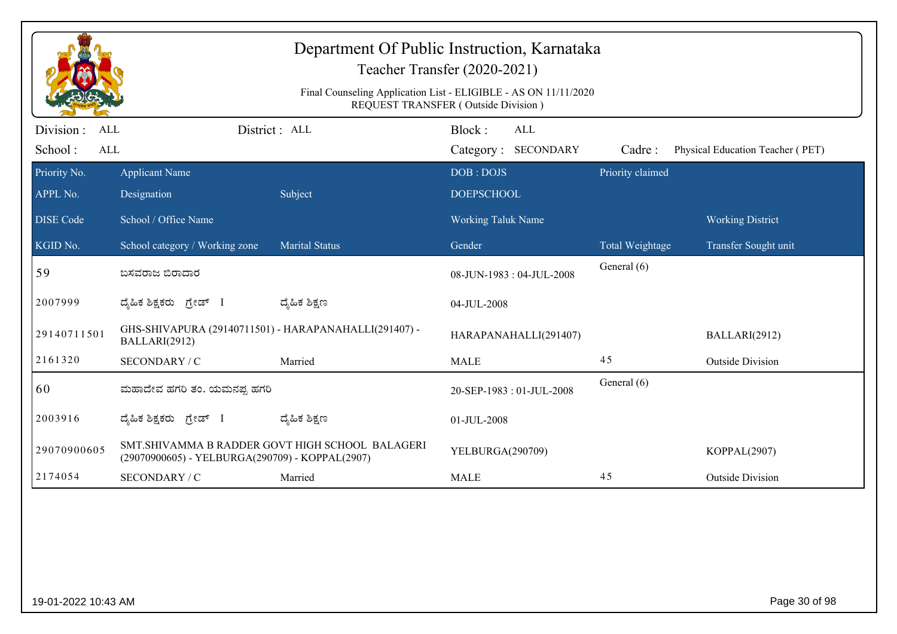|                                                   |                                                                        |                                                 | Department Of Public Instruction, Karnataka<br>Teacher Transfer (2020-2021)<br>Final Counseling Application List - ELIGIBLE - AS ON 11/11/2020<br>REQUEST TRANSFER (Outside Division) |                  |                                  |
|---------------------------------------------------|------------------------------------------------------------------------|-------------------------------------------------|---------------------------------------------------------------------------------------------------------------------------------------------------------------------------------------|------------------|----------------------------------|
| Division :<br><b>ALL</b><br>School:<br><b>ALL</b> |                                                                        | District: ALL                                   | Block:<br><b>ALL</b><br>Category: SECONDARY                                                                                                                                           | Cadre:           | Physical Education Teacher (PET) |
| Priority No.<br>APPL No.                          | <b>Applicant Name</b><br>Designation                                   | Subject                                         | DOB: DOJS<br><b>DOEPSCHOOL</b>                                                                                                                                                        | Priority claimed |                                  |
| <b>DISE Code</b>                                  | School / Office Name                                                   |                                                 | <b>Working Taluk Name</b>                                                                                                                                                             |                  | <b>Working District</b>          |
| KGID No.                                          | School category / Working zone                                         | <b>Marital Status</b>                           | Gender                                                                                                                                                                                | Total Weightage  | Transfer Sought unit             |
| 59                                                | ಬಸವರಾಜ ಬಿರಾದಾರ                                                         |                                                 | 08-JUN-1983: 04-JUL-2008                                                                                                                                                              | General (6)      |                                  |
| 2007999                                           | ದ್ಯಹಿಕ ಶಿಕ್ಷಕರು ಗ್ರೇಡ್ I                                               | ದ್ಯಹಿಕ ಶಿಕ್ಷಣ                                   | 04-JUL-2008                                                                                                                                                                           |                  |                                  |
| 29140711501                                       | GHS-SHIVAPURA (29140711501) - HARAPANAHALLI(291407) -<br>BALLARI(2912) |                                                 | HARAPANAHALLI(291407)                                                                                                                                                                 |                  | BALLARI(2912)                    |
| 2161320                                           | SECONDARY / C                                                          | Married                                         | <b>MALE</b>                                                                                                                                                                           | 45               | <b>Outside Division</b>          |
| 60                                                | ಮಹಾದೇವ ಹಗರಿ ತಂ. ಯಮನಪ್ಪ ಹಗರಿ                                            |                                                 | 20-SEP-1983: 01-JUL-2008                                                                                                                                                              | General (6)      |                                  |
| 2003916                                           | ದೈಹಿಕ ಶಿಕ್ಷಕರು ಗ್ರೇಡ್ I                                                | ದ್ಮಹಿಕ ಶಿಕ್ಷಣ                                   | 01-JUL-2008                                                                                                                                                                           |                  |                                  |
| 29070900605                                       | (29070900605) - YELBURGA(290709) - KOPPAL(2907)                        | SMT.SHIVAMMA B RADDER GOVT HIGH SCHOOL BALAGERI | YELBURGA(290709)                                                                                                                                                                      |                  | KOPPAL(2907)                     |
| 2174054                                           | SECONDARY / C                                                          | Married                                         | <b>MALE</b>                                                                                                                                                                           | 45               | <b>Outside Division</b>          |
|                                                   |                                                                        |                                                 |                                                                                                                                                                                       |                  |                                  |
| 19-01-2022 10:43 AM                               |                                                                        |                                                 |                                                                                                                                                                                       |                  | Page 30 of 98                    |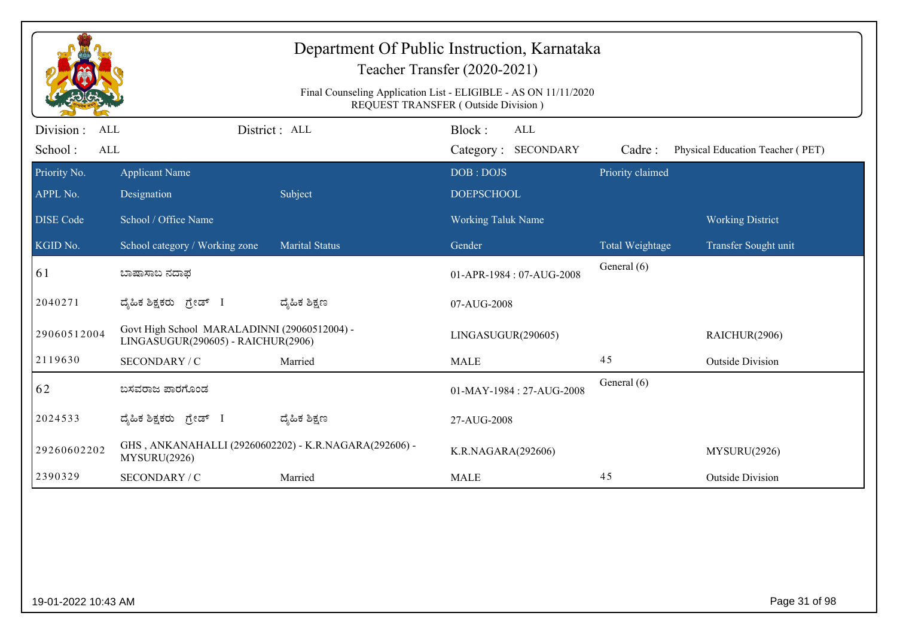|                                       |                                                                                    |                       | Department Of Public Instruction, Karnataka<br>Teacher Transfer (2020-2021)<br>Final Counseling Application List - ELIGIBLE - AS ON 11/11/2020<br>REQUEST TRANSFER (Outside Division) |                            |                                  |
|---------------------------------------|------------------------------------------------------------------------------------|-----------------------|---------------------------------------------------------------------------------------------------------------------------------------------------------------------------------------|----------------------------|----------------------------------|
| Division:<br><b>ALL</b><br><b>ALL</b> |                                                                                    | District : ALL        | Block:<br><b>ALL</b>                                                                                                                                                                  |                            |                                  |
| School:<br>Priority No.               | <b>Applicant Name</b>                                                              |                       | Category: SECONDARY<br>DOB: DOJS                                                                                                                                                      | Cadre:<br>Priority claimed | Physical Education Teacher (PET) |
| APPL No.                              | Designation                                                                        | Subject               | <b>DOEPSCHOOL</b>                                                                                                                                                                     |                            |                                  |
| <b>DISE Code</b>                      | School / Office Name                                                               |                       | <b>Working Taluk Name</b>                                                                                                                                                             |                            | <b>Working District</b>          |
| KGID No.                              | School category / Working zone                                                     | <b>Marital Status</b> | Gender                                                                                                                                                                                | Total Weightage            | Transfer Sought unit             |
| $\vert 61 \vert$                      | ಬಾಷಾಸಾಬ ನದಾಫ                                                                       |                       | 01-APR-1984: 07-AUG-2008                                                                                                                                                              | General (6)                |                                  |
| 2040271                               | ದ್ಯಹಿಕ ಶಿಕ್ಷಕರು ಗ್ರೇಡ್ I                                                           | ದ್ಯೆಹಿಕ ಶಿಕ್ಷಣ        | 07-AUG-2008                                                                                                                                                                           |                            |                                  |
| 29060512004                           | Govt High School MARALADINNI (29060512004) -<br>LINGASUGUR(290605) - RAICHUR(2906) |                       | LINGASUGUR(290605)                                                                                                                                                                    |                            | RAICHUR(2906)                    |
| 2119630                               | SECONDARY / C                                                                      | Married               | <b>MALE</b>                                                                                                                                                                           | 45                         | <b>Outside Division</b>          |
| 62                                    | ಬಸವರಾಜ ಪಾರಗೊಂಡ                                                                     |                       | 01-MAY-1984: 27-AUG-2008                                                                                                                                                              | General (6)                |                                  |
| 2024533                               | ದ್ಯಹಿಕ ಶಿಕ್ಷಕರು ಗ್ರೇಡ್ I                                                           | ದ್ಮಹಿಕ ಶಿಕ್ಷಣ         | 27-AUG-2008                                                                                                                                                                           |                            |                                  |
| 29260602202                           | GHS, ANKANAHALLI (29260602202) - K.R.NAGARA(292606) -<br>MYSURU(2926)              |                       | K.R.NAGARA(292606)                                                                                                                                                                    |                            | MYSURU(2926)                     |
| 2390329                               | SECONDARY / C                                                                      | Married               | <b>MALE</b>                                                                                                                                                                           | 45                         | <b>Outside Division</b>          |
|                                       |                                                                                    |                       |                                                                                                                                                                                       |                            |                                  |
| 19-01-2022 10:43 AM                   |                                                                                    |                       |                                                                                                                                                                                       |                            | Page 31 of 98                    |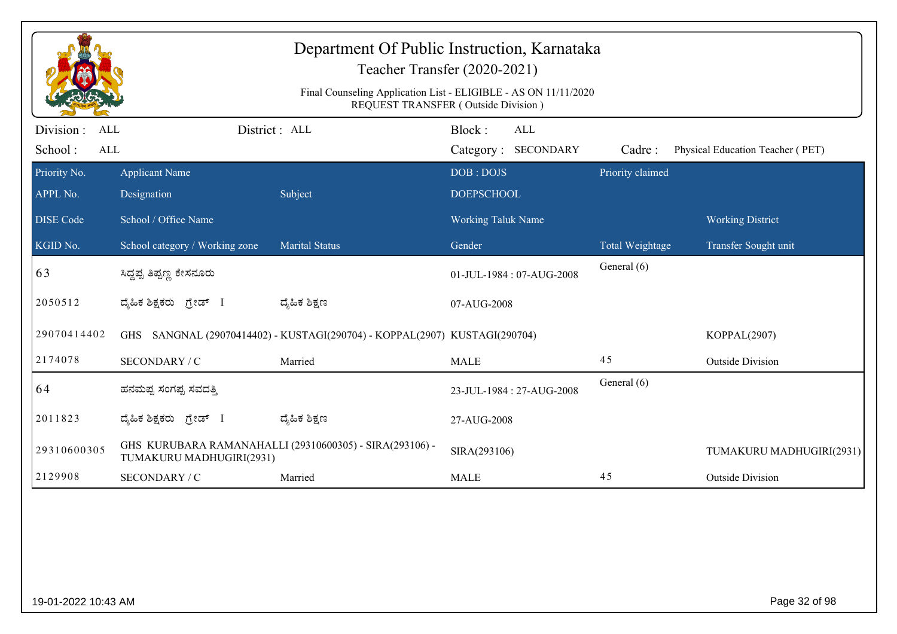|                                                   |                                                             | Department Of Public Instruction, Karnataka                                | Teacher Transfer (2020-2021)<br>Final Counseling Application List - ELIGIBLE - AS ON 11/11/2020<br>REQUEST TRANSFER (Outside Division) |                                |                                  |
|---------------------------------------------------|-------------------------------------------------------------|----------------------------------------------------------------------------|----------------------------------------------------------------------------------------------------------------------------------------|--------------------------------|----------------------------------|
| Division :<br><b>ALL</b><br>School:<br><b>ALL</b> |                                                             | District : ALL                                                             | Block:<br>ALL<br>Category: SECONDARY                                                                                                   | Cadre:                         | Physical Education Teacher (PET) |
| Priority No.<br>APPL No.                          | <b>Applicant Name</b><br>Designation                        | Subject                                                                    | DOB: DOJS<br><b>DOEPSCHOOL</b>                                                                                                         | Priority claimed               |                                  |
| <b>DISE Code</b>                                  | School / Office Name                                        |                                                                            | <b>Working Taluk Name</b>                                                                                                              |                                | <b>Working District</b>          |
| KGID No.<br>63                                    | School category / Working zone<br>ಸಿದ್ದಪ್ಪ ತಿಪ್ಪಣ್ಣ ಕೇಸನೂರು | <b>Marital Status</b>                                                      | Gender<br>01-JUL-1984: 07-AUG-2008                                                                                                     | Total Weightage<br>General (6) | Transfer Sought unit             |
| 2050512                                           | ದ್ಯಹಿಕ ಶಿಕ್ಷಕರು ಗ್ರೇಡ್ I                                    | ದ್ಯಹಿಕ ಶಿಕ್ಷಣ                                                              | 07-AUG-2008                                                                                                                            |                                |                                  |
| 29070414402                                       |                                                             | GHS SANGNAL (29070414402) - KUSTAGI(290704) - KOPPAL(2907) KUSTAGI(290704) |                                                                                                                                        |                                | KOPPAL(2907)                     |
| 2174078                                           | SECONDARY / C                                               | Married                                                                    | <b>MALE</b>                                                                                                                            | 45                             | <b>Outside Division</b>          |
| 64                                                | ಹನಮಪ್ಪ ಸಂಗಪ್ಪ ಸವದತ್ತಿ                                       |                                                                            | 23-JUL-1984: 27-AUG-2008                                                                                                               | General (6)                    |                                  |
| 2011823                                           | ದ್ಯಹಿಕ ಶಿಕ್ಷಕರು ಗ್ರೇಡ್ I                                    | ದ್ಮಹಿಕ ಶಿಕ್ಷಣ                                                              | 27-AUG-2008                                                                                                                            |                                |                                  |
| 29310600305                                       | TUMAKURU MADHUGIRI(2931)                                    | GHS KURUBARA RAMANAHALLI (29310600305) - SIRA(293106) -                    | SIRA(293106)                                                                                                                           |                                | TUMAKURU MADHUGIRI(2931)         |
| 2129908                                           | SECONDARY / C                                               | Married                                                                    | <b>MALE</b>                                                                                                                            | 45                             | <b>Outside Division</b>          |
|                                                   |                                                             |                                                                            |                                                                                                                                        |                                |                                  |
| 19-01-2022 10:43 AM                               |                                                             |                                                                            |                                                                                                                                        |                                | Page 32 of 98                    |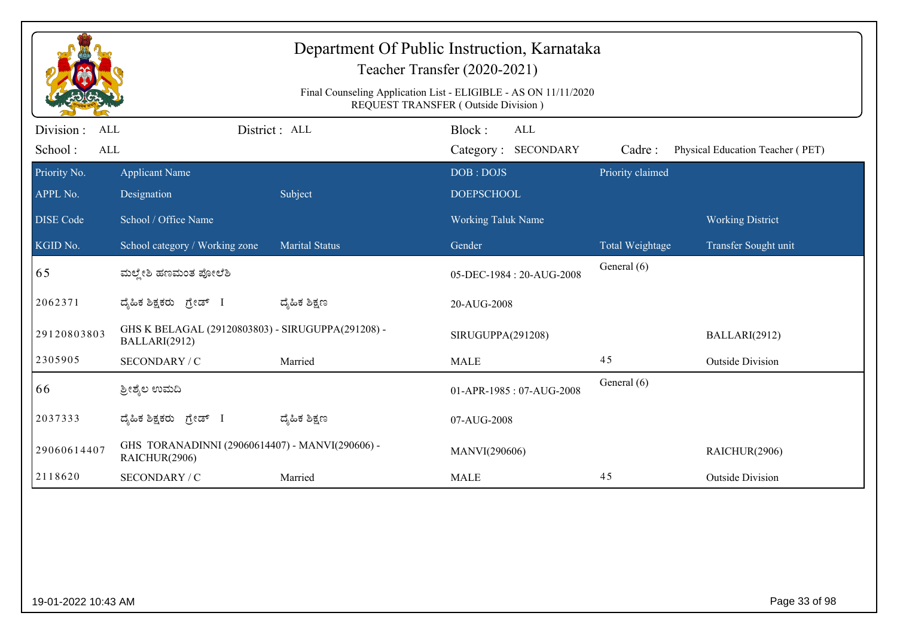|                                     |                                                                    |                       | Department Of Public Instruction, Karnataka<br>Teacher Transfer (2020-2021)<br>Final Counseling Application List - ELIGIBLE - AS ON 11/11/2020 |                        |                                  |
|-------------------------------------|--------------------------------------------------------------------|-----------------------|------------------------------------------------------------------------------------------------------------------------------------------------|------------------------|----------------------------------|
| Division :<br>ALL<br>School:<br>ALL |                                                                    | District : ALL        | REQUEST TRANSFER (Outside Division)<br>Block:<br><b>ALL</b><br>Category: SECONDARY                                                             | Cadre:                 | Physical Education Teacher (PET) |
| Priority No.<br>APPL No.            | <b>Applicant Name</b><br>Designation                               | Subject               | DOB: DOJS<br><b>DOEPSCHOOL</b>                                                                                                                 | Priority claimed       |                                  |
| <b>DISE</b> Code                    | School / Office Name                                               |                       | Working Taluk Name                                                                                                                             |                        | <b>Working District</b>          |
| KGID No.                            | School category / Working zone                                     | <b>Marital Status</b> | Gender                                                                                                                                         | <b>Total Weightage</b> | Transfer Sought unit             |
| 65                                  | ಮಲ್ಲೇಶಿ ಹಣಮಂತ ಪೋಲೆಶಿ                                               |                       | 05-DEC-1984: 20-AUG-2008                                                                                                                       | General (6)            |                                  |
| 2062371                             | ದೈಹಿಕ ಶಿಕ್ಷಕರು ಗ್ರೇಡ್ I                                            | ದ್ಮೆಹಿಕ ಶಿಕ್ಷಣ        | 20-AUG-2008                                                                                                                                    |                        |                                  |
| 29120803803                         | GHS K BELAGAL (29120803803) - SIRUGUPPA(291208) -<br>BALLARI(2912) |                       | SIRUGUPPA(291208)                                                                                                                              |                        | BALLARI(2912)                    |
| 2305905                             | SECONDARY / C                                                      | Married               | <b>MALE</b>                                                                                                                                    | 45                     | <b>Outside Division</b>          |
| 66                                  | ಶ್ರೀಶ್ಮೆಲ ಉಮದಿ                                                     |                       | 01-APR-1985: 07-AUG-2008                                                                                                                       | General (6)            |                                  |
| 2037333                             | ದೈಹಿಕ ಶಿಕ್ಷಕರು ಗ್ರೇಡ್ I                                            | ದ್ಯೆಹಿಕ ಶಿಕ್ಷಣ        | 07-AUG-2008                                                                                                                                    |                        |                                  |
| 29060614407                         | GHS TORANADINNI (29060614407) - MANVI(290606) -<br>RAICHUR(2906)   |                       | MANVI(290606)                                                                                                                                  |                        | RAICHUR(2906)                    |
| 2118620                             | SECONDARY / C                                                      | Married               | <b>MALE</b>                                                                                                                                    | 45                     | <b>Outside Division</b>          |
|                                     |                                                                    |                       |                                                                                                                                                |                        |                                  |
| 19-01-2022 10:43 AM                 |                                                                    |                       |                                                                                                                                                |                        | Page 33 of 98                    |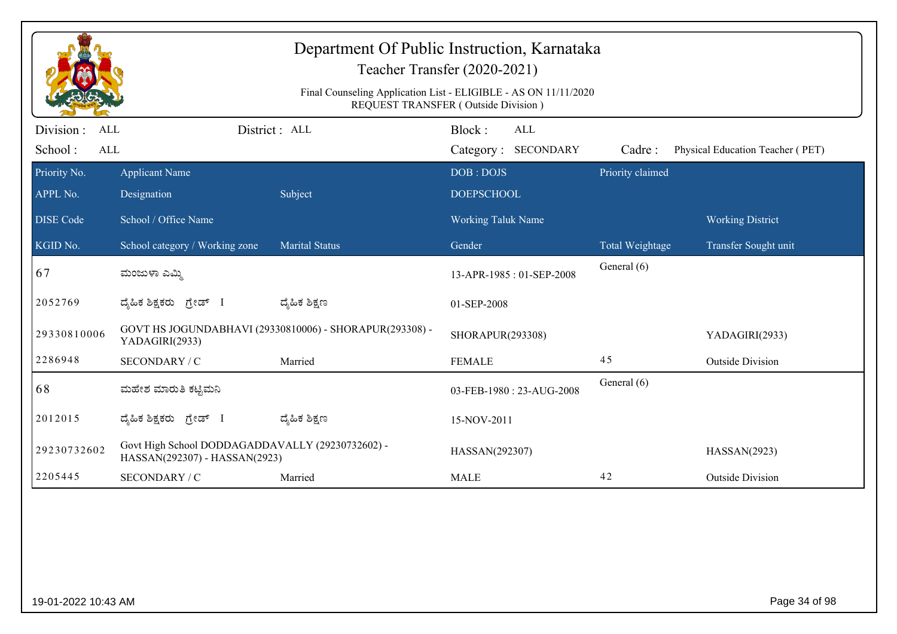| Department Of Public Instruction, Karnataka<br>Teacher Transfer (2020-2021) |                                                                                   |                                                         |                                                                                                        |                  |                                  |  |
|-----------------------------------------------------------------------------|-----------------------------------------------------------------------------------|---------------------------------------------------------|--------------------------------------------------------------------------------------------------------|------------------|----------------------------------|--|
|                                                                             |                                                                                   |                                                         | Final Counseling Application List - ELIGIBLE - AS ON 11/11/2020<br>REQUEST TRANSFER (Outside Division) |                  |                                  |  |
| Division :<br>ALL<br>School:<br><b>ALL</b>                                  |                                                                                   | District : ALL                                          | Block:<br>ALL<br>Category: SECONDARY                                                                   | Cadre:           | Physical Education Teacher (PET) |  |
| Priority No.                                                                | <b>Applicant Name</b>                                                             |                                                         | DOB: DOJS                                                                                              | Priority claimed |                                  |  |
| APPL No.                                                                    | Designation                                                                       | Subject                                                 | <b>DOEPSCHOOL</b>                                                                                      |                  |                                  |  |
| <b>DISE Code</b>                                                            | School / Office Name                                                              |                                                         | <b>Working Taluk Name</b>                                                                              |                  | <b>Working District</b>          |  |
| KGID No.                                                                    | School category / Working zone                                                    | <b>Marital Status</b>                                   | Gender                                                                                                 | Total Weightage  | Transfer Sought unit             |  |
| 67                                                                          | ಮಂಜುಳಾ ಎಮ್ಮಿ                                                                      |                                                         | 13-APR-1985: 01-SEP-2008                                                                               | General (6)      |                                  |  |
| 2052769                                                                     | ದೈಹಿಕ ಶಿಕ್ಷಕರು <i>ಗ್ರೇಡ್</i> I                                                    | ದ್ಯೆಹಿಕ ಶಿಕ್ಷಣ                                          | 01-SEP-2008                                                                                            |                  |                                  |  |
| 29330810006                                                                 | YADAGIRI(2933)                                                                    | GOVT HS JOGUNDABHAVI (29330810006) - SHORAPUR(293308) - | SHORAPUR(293308)                                                                                       |                  | YADAGIRI(2933)                   |  |
| 2286948                                                                     | SECONDARY / C                                                                     | Married                                                 | <b>FEMALE</b>                                                                                          | 45               | <b>Outside Division</b>          |  |
| 68                                                                          | ಮಹೇಶ ಮಾರುತಿ ಕಟ್ಟಿಮನಿ                                                              |                                                         | 03-FEB-1980: 23-AUG-2008                                                                               | General (6)      |                                  |  |
| 2012015                                                                     | ದೈಹಿಕ ಶಿಕ್ಷಕರು ಗ್ರೇಡ್ I                                                           | ದ್ಮಹಿಕ ಶಿಕ್ಷಣ                                           | 15-NOV-2011                                                                                            |                  |                                  |  |
| 29230732602                                                                 | Govt High School DODDAGADDAVALLY (29230732602) -<br>HASSAN(292307) - HASSAN(2923) |                                                         | HASSAN(292307)                                                                                         |                  | HASSAN(2923)                     |  |
| 2205445                                                                     | SECONDARY / C                                                                     | Married                                                 | <b>MALE</b>                                                                                            | 42               | <b>Outside Division</b>          |  |

extending the control of the control of the control of the control of the control of the control of the control of the control of the control of the control of the control of the control of the control of the control of th

19-01-2022 10:43 AM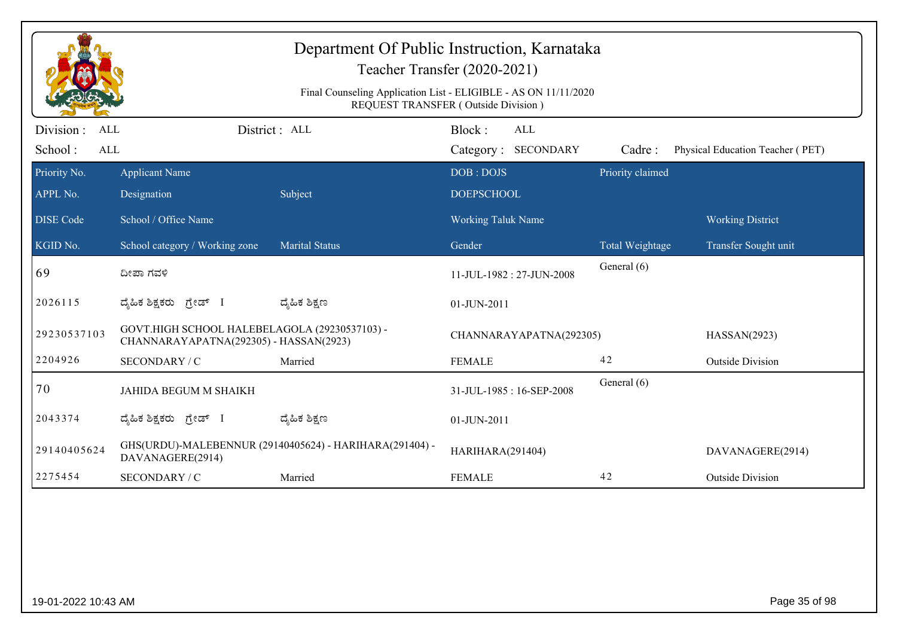|                                                   |                                                                                         | Department Of Public Instruction, Karnataka             | Teacher Transfer (2020-2021)<br>Final Counseling Application List - ELIGIBLE - AS ON 11/11/2020<br>REQUEST TRANSFER (Outside Division) |                  |                                  |
|---------------------------------------------------|-----------------------------------------------------------------------------------------|---------------------------------------------------------|----------------------------------------------------------------------------------------------------------------------------------------|------------------|----------------------------------|
| Division :<br><b>ALL</b><br>School:<br><b>ALL</b> |                                                                                         | District: ALL                                           | Block:<br>ALL<br>Category: SECONDARY                                                                                                   | Cadre:           | Physical Education Teacher (PET) |
| Priority No.                                      | <b>Applicant Name</b>                                                                   |                                                         | DOB: DOJS                                                                                                                              | Priority claimed |                                  |
| APPL No.<br><b>DISE Code</b>                      | Designation<br>School / Office Name                                                     | Subject                                                 | <b>DOEPSCHOOL</b><br><b>Working Taluk Name</b>                                                                                         |                  | <b>Working District</b>          |
| KGID No.                                          | School category / Working zone                                                          | <b>Marital Status</b>                                   | Gender                                                                                                                                 | Total Weightage  | Transfer Sought unit             |
| 69                                                | ದೀಪಾ ಗವಳಿ                                                                               |                                                         | 11-JUL-1982: 27-JUN-2008                                                                                                               | General (6)      |                                  |
| 2026115                                           | ದೈಹಿಕ ಶಿಕ್ಷಕರು ಗ್ರೇಡ್ I                                                                 | ದ್ಮಹಿಕ ಶಿಕ್ಷಣ                                           | 01-JUN-2011                                                                                                                            |                  |                                  |
| 29230537103                                       | GOVT.HIGH SCHOOL HALEBELAGOLA (29230537103) -<br>CHANNARAYAPATNA(292305) - HASSAN(2923) |                                                         | CHANNARAYAPATNA(292305)                                                                                                                |                  | HASSAN(2923)                     |
| 2204926                                           | SECONDARY / C                                                                           | Married                                                 | <b>FEMALE</b>                                                                                                                          | 42               | <b>Outside Division</b>          |
| 70                                                | JAHIDA BEGUM M SHAIKH                                                                   |                                                         | 31-JUL-1985: 16-SEP-2008                                                                                                               | General (6)      |                                  |
| 2043374                                           | ದೈಹಿಕ ಶಿಕ್ಷಕರು ಗ್ರೇಡ್ I                                                                 | ದ್ಯೆಹಿಕ ಶಿಕ್ಷಣ                                          | 01-JUN-2011                                                                                                                            |                  |                                  |
| 29140405624                                       | DAVANAGERE(2914)                                                                        | GHS(URDU)-MALEBENNUR (29140405624) - HARIHARA(291404) - | HARIHARA(291404)                                                                                                                       |                  | DAVANAGERE(2914)                 |
| 2275454                                           | SECONDARY / C                                                                           | Married                                                 | <b>FEMALE</b>                                                                                                                          | 42               | <b>Outside Division</b>          |
|                                                   |                                                                                         |                                                         |                                                                                                                                        |                  |                                  |
| 19-01-2022 10:43 AM                               |                                                                                         |                                                         |                                                                                                                                        |                  | Page 35 of 98                    |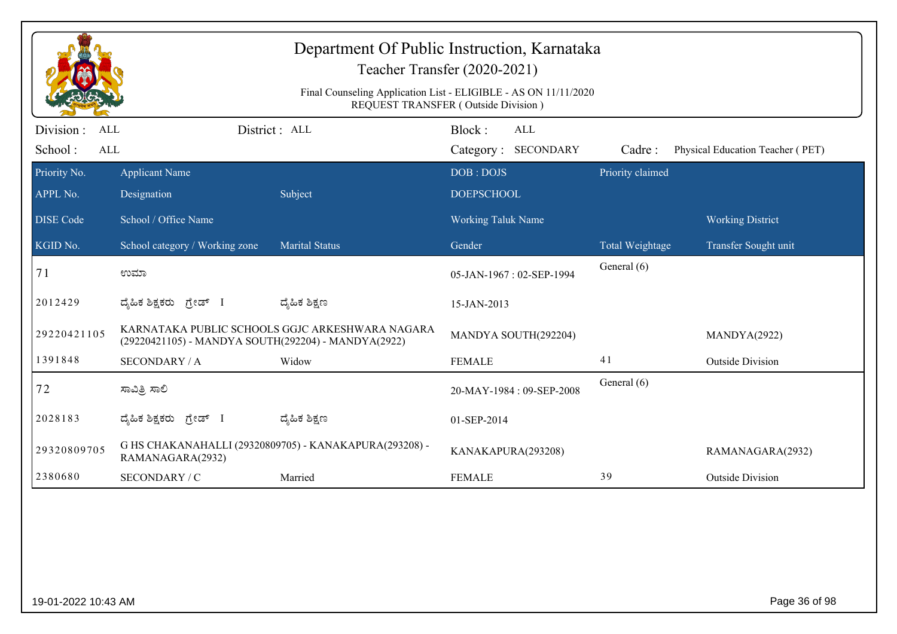|                                                   |                                                     | Department Of Public Instruction, Karnataka            | Teacher Transfer (2020-2021)<br>Final Counseling Application List - ELIGIBLE - AS ON 11/11/2020<br><b>REQUEST TRANSFER (Outside Division)</b> |                  |                                  |
|---------------------------------------------------|-----------------------------------------------------|--------------------------------------------------------|-----------------------------------------------------------------------------------------------------------------------------------------------|------------------|----------------------------------|
| Division :<br><b>ALL</b><br>School:<br><b>ALL</b> |                                                     | District: ALL                                          | Block:<br>ALL<br>Category: SECONDARY                                                                                                          | Cadre:           | Physical Education Teacher (PET) |
| Priority No.<br>APPL No.                          | <b>Applicant Name</b><br>Designation                | Subject                                                | DOB: DOJS<br><b>DOEPSCHOOL</b>                                                                                                                | Priority claimed |                                  |
| <b>DISE Code</b>                                  | School / Office Name                                |                                                        | <b>Working Taluk Name</b>                                                                                                                     |                  | <b>Working District</b>          |
| KGID No.                                          | School category / Working zone                      | <b>Marital Status</b>                                  | Gender                                                                                                                                        | Total Weightage  | Transfer Sought unit             |
| 71                                                | ಉಮಾ                                                 |                                                        | 05-JAN-1967: 02-SEP-1994                                                                                                                      | General (6)      |                                  |
| 2012429                                           | ದ್ಯೆಹಿಕ ಶಿಕ್ಷಕರು<br>ಗ್ರೇಡ್ I                        | ದ್ಯೆಹಿಕ ಶಿಕ್ಷಣ                                         | 15-JAN-2013                                                                                                                                   |                  |                                  |
| 29220421105                                       | (29220421105) - MANDYA SOUTH(292204) - MANDYA(2922) | KARNATAKA PUBLIC SCHOOLS GGJC ARKESHWARA NAGARA        | MANDYA SOUTH(292204)                                                                                                                          |                  | MANDYA(2922)                     |
| 1391848                                           | <b>SECONDARY / A</b>                                | Widow                                                  | <b>FEMALE</b>                                                                                                                                 | 41               | <b>Outside Division</b>          |
| 72                                                | ಸಾವಿತ್ರಿ ಸಾಲಿ                                       |                                                        | 20-MAY-1984: 09-SEP-2008                                                                                                                      | General (6)      |                                  |
| 2028183                                           | ದ್ಯಹಿಕ ಶಿಕ್ಷಕರು ಗ್ರೇಡ್ I                            | ದ್ಮಹಿಕ ಶಿಕ್ಷಣ                                          | 01-SEP-2014                                                                                                                                   |                  |                                  |
| 29320809705                                       | RAMANAGARA(2932)                                    | G HS CHAKANAHALLI (29320809705) - KANAKAPURA(293208) - | KANAKAPURA(293208)                                                                                                                            |                  | RAMANAGARA(2932)                 |
| 2380680                                           | SECONDARY / C                                       | Married                                                | <b>FEMALE</b>                                                                                                                                 | 39               | <b>Outside Division</b>          |
|                                                   |                                                     |                                                        |                                                                                                                                               |                  |                                  |
| 19-01-2022 10:43 AM                               |                                                     |                                                        |                                                                                                                                               |                  | Page 36 of 98                    |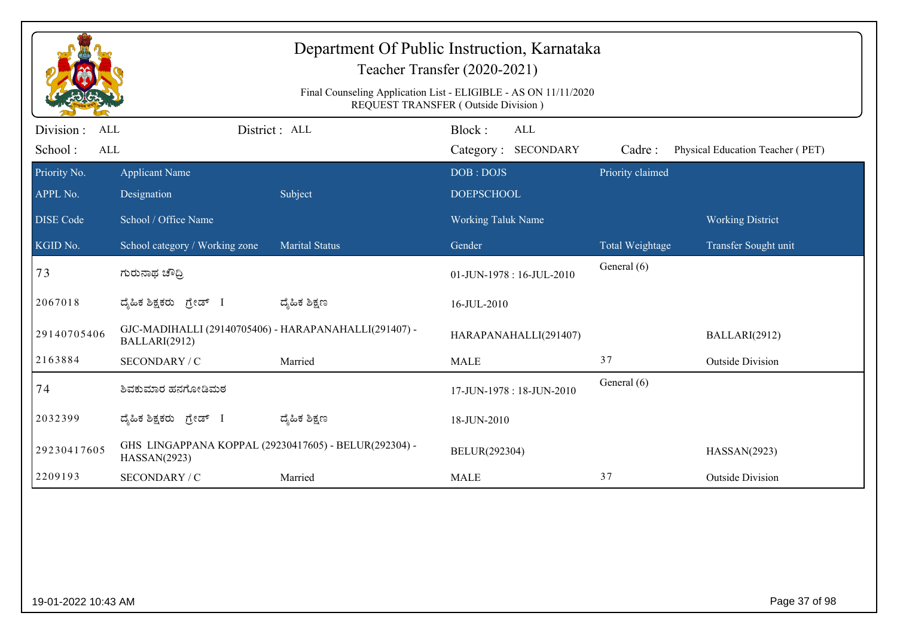|                                            |                                                                        |                                                                 | Department Of Public Instruction, Karnataka<br>Teacher Transfer (2020-2021) |                  |                                  |
|--------------------------------------------|------------------------------------------------------------------------|-----------------------------------------------------------------|-----------------------------------------------------------------------------|------------------|----------------------------------|
|                                            |                                                                        | Final Counseling Application List - ELIGIBLE - AS ON 11/11/2020 | REQUEST TRANSFER (Outside Division)                                         |                  |                                  |
| Division :<br><b>ALL</b><br>School:<br>ALL | District : ALL                                                         |                                                                 | Block:<br><b>ALL</b><br>Category: SECONDARY                                 | Cadre:           | Physical Education Teacher (PET) |
| Priority No.                               | <b>Applicant Name</b>                                                  |                                                                 | DOB: DOJS                                                                   | Priority claimed |                                  |
| APPL No.                                   | Designation                                                            | Subject                                                         | <b>DOEPSCHOOL</b>                                                           |                  |                                  |
| <b>DISE</b> Code                           | School / Office Name                                                   |                                                                 | <b>Working Taluk Name</b>                                                   |                  | <b>Working District</b>          |
| KGID No.                                   | School category / Working zone                                         | Marital Status                                                  | Gender                                                                      | Total Weightage  | Transfer Sought unit             |
| 73                                         | ಗುರುನಾಥ ಚೌಧ್ರಿ                                                         |                                                                 | 01-JUN-1978: 16-JUL-2010                                                    | General (6)      |                                  |
| 2067018                                    | ದೈಹಿಕ ಶಿಕ್ಷಕರು ಗ್ರೇಡ್ I                                                | ದ್ಮೆಹಿಕ ಶಿಕ್ಷಣ                                                  | 16-JUL-2010                                                                 |                  |                                  |
| 29140705406                                | GJC-MADIHALLI (29140705406) - HARAPANAHALLI(291407) -<br>BALLARI(2912) |                                                                 | HARAPANAHALLI(291407)                                                       |                  | BALLARI(2912)                    |
| 2163884                                    | SECONDARY / C                                                          | Married                                                         | <b>MALE</b>                                                                 | 37               | <b>Outside Division</b>          |
| 74                                         | ಶಿವಕುಮಾರ ಹನಗೋಡಿಮಠ                                                      |                                                                 | 17-JUN-1978: 18-JUN-2010                                                    | General (6)      |                                  |
| 2032399                                    | ದೈಹಿಕ ಶಿಕ್ಷಕರು ಗ್ರೇಡ್ I                                                | ದ್ಯೆಹಿಕ ಶಿಕ್ಷಣ                                                  | 18-JUN-2010                                                                 |                  |                                  |
| 29230417605                                | GHS LINGAPPANA KOPPAL (29230417605) - BELUR(292304) -<br>HASSAN(2923)  |                                                                 | BELUR(292304)                                                               |                  | HASSAN(2923)                     |
| 2209193                                    | SECONDARY / C                                                          | Married                                                         | <b>MALE</b>                                                                 | 37               | <b>Outside Division</b>          |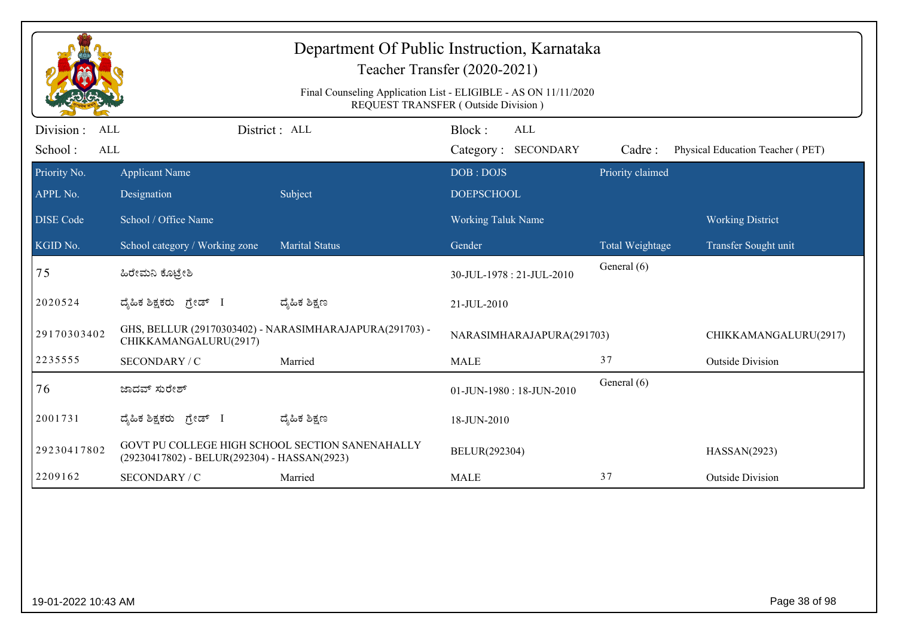|                                                   |                                                                                                 | Department Of Public Instruction, Karnataka             | Teacher Transfer (2020-2021)<br>Final Counseling Application List - ELIGIBLE - AS ON 11/11/2020<br>REQUEST TRANSFER (Outside Division) |                  |                                  |
|---------------------------------------------------|-------------------------------------------------------------------------------------------------|---------------------------------------------------------|----------------------------------------------------------------------------------------------------------------------------------------|------------------|----------------------------------|
| Division :<br><b>ALL</b><br>School:<br><b>ALL</b> |                                                                                                 | District: ALL                                           | Block:<br>ALL<br>Category: SECONDARY                                                                                                   | Cadre:           | Physical Education Teacher (PET) |
| Priority No.<br>APPL No.                          | <b>Applicant Name</b><br>Designation                                                            | Subject                                                 | DOB: DOJS<br><b>DOEPSCHOOL</b>                                                                                                         | Priority claimed |                                  |
| <b>DISE Code</b>                                  | School / Office Name                                                                            |                                                         | <b>Working Taluk Name</b>                                                                                                              |                  | <b>Working District</b>          |
| KGID No.                                          | School category / Working zone                                                                  | <b>Marital Status</b>                                   | Gender                                                                                                                                 | Total Weightage  | Transfer Sought unit             |
| 75                                                | ಹಿರೇಮನಿ ಕೊಟ್ರೇಶಿ                                                                                |                                                         | 30-JUL-1978: 21-JUL-2010                                                                                                               | General (6)      |                                  |
| 2020524                                           | ದ್ಯಹಿಕ ಶಿಕ್ಷಕರು ಗ್ರೇಡ್ I                                                                        | ದ್ಯೆಹಿಕ ಶಿಕ್ಷಣ                                          | 21-JUL-2010                                                                                                                            |                  |                                  |
| 29170303402                                       | CHIKKAMANGALURU(2917)                                                                           | GHS, BELLUR (29170303402) - NARASIMHARAJAPURA(291703) - | NARASIMHARAJAPURA(291703)                                                                                                              |                  | CHIKKAMANGALURU(2917)            |
| 2235555                                           | SECONDARY / C                                                                                   | Married                                                 | <b>MALE</b>                                                                                                                            | 37               | <b>Outside Division</b>          |
| 76                                                | ಜಾದವ್ ಸುರೇಶ್                                                                                    |                                                         | 01-JUN-1980: 18-JUN-2010                                                                                                               | General (6)      |                                  |
| 2001731                                           | ದ್ಯಹಿಕ ಶಿಕ್ಷಕರು ಗ್ರೇಡ್ I                                                                        | ದ್ಮಹಿಕ ಶಿಕ್ಷಣ                                           | 18-JUN-2010                                                                                                                            |                  |                                  |
| 29230417802                                       | GOVT PU COLLEGE HIGH SCHOOL SECTION SANENAHALLY<br>(29230417802) - BELUR(292304) - HASSAN(2923) |                                                         | BELUR(292304)                                                                                                                          |                  | HASSAN(2923)                     |
| 2209162                                           | SECONDARY / C                                                                                   | Married                                                 | <b>MALE</b>                                                                                                                            | 37               | <b>Outside Division</b>          |
|                                                   |                                                                                                 |                                                         |                                                                                                                                        |                  |                                  |
| 19-01-2022 10:43 AM                               |                                                                                                 |                                                         |                                                                                                                                        |                  | Page 38 of 98                    |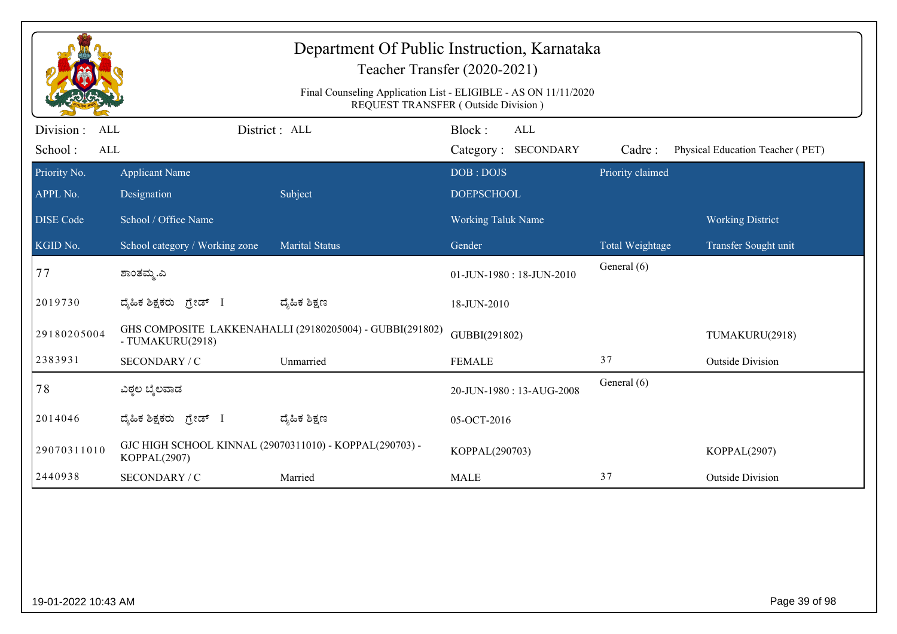| Department Of Public Instruction, Karnataka<br>Teacher Transfer (2020-2021)<br>Final Counseling Application List - ELIGIBLE - AS ON 11/11/2020<br>REQUEST TRANSFER (Outside Division) |                                                                         |                                                          |                           |                            |                  |                                  |  |
|---------------------------------------------------------------------------------------------------------------------------------------------------------------------------------------|-------------------------------------------------------------------------|----------------------------------------------------------|---------------------------|----------------------------|------------------|----------------------------------|--|
| Division :<br><b>ALL</b><br>School:<br><b>ALL</b>                                                                                                                                     |                                                                         | District: ALL                                            | Block:                    | ALL<br>Category: SECONDARY | Cadre:           | Physical Education Teacher (PET) |  |
| Priority No.                                                                                                                                                                          | <b>Applicant Name</b>                                                   |                                                          | DOB: DOJS                 |                            | Priority claimed |                                  |  |
| APPL No.                                                                                                                                                                              | Designation                                                             | Subject                                                  | <b>DOEPSCHOOL</b>         |                            |                  |                                  |  |
| <b>DISE Code</b>                                                                                                                                                                      | School / Office Name                                                    |                                                          | <b>Working Taluk Name</b> |                            |                  | <b>Working District</b>          |  |
| KGID No.                                                                                                                                                                              | School category / Working zone                                          | <b>Marital Status</b>                                    | Gender                    |                            | Total Weightage  | Transfer Sought unit             |  |
| 77                                                                                                                                                                                    | ಶಾಂತಮ್ಮ.ಎ                                                               |                                                          |                           | 01-JUN-1980: 18-JUN-2010   | General (6)      |                                  |  |
| 2019730                                                                                                                                                                               | ದ್ಮಹಿಕ ಶಿಕ್ಷಕರು<br>ಗ್ರೇಡ್ I                                             | ದ್ಶೆಹಿಕ ಶಿಕ್ಷಣ                                           | 18-JUN-2010               |                            |                  |                                  |  |
| 29180205004                                                                                                                                                                           | - TUMAKURU(2918)                                                        | GHS COMPOSITE LAKKENAHALLI (29180205004) - GUBBI(291802) | GUBBI(291802)             |                            |                  | TUMAKURU(2918)                   |  |
| 2383931                                                                                                                                                                               | SECONDARY / C                                                           | Unmarried                                                | <b>FEMALE</b>             |                            | 37               | <b>Outside Division</b>          |  |
| 78                                                                                                                                                                                    | ವಿಠ್ಠಲ ಬೈಲವಾಡ                                                           |                                                          |                           | 20-JUN-1980: 13-AUG-2008   | General (6)      |                                  |  |
| 2014046                                                                                                                                                                               | ದ್ಯಹಿಕ ಶಿಕ್ಷಕರು ಗ್ರೇಡ್ I                                                | ದ್ಮಹಿಕ ಶಿಕ್ಷಣ                                            | 05-OCT-2016               |                            |                  |                                  |  |
| 29070311010                                                                                                                                                                           | GJC HIGH SCHOOL KINNAL (29070311010) - KOPPAL(290703) -<br>KOPPAL(2907) |                                                          | KOPPAL(290703)            |                            |                  | KOPPAL(2907)                     |  |
| 2440938                                                                                                                                                                               | <b>SECONDARY / C</b>                                                    | Married                                                  | <b>MALE</b>               |                            | 37               | <b>Outside Division</b>          |  |
|                                                                                                                                                                                       |                                                                         |                                                          |                           |                            |                  |                                  |  |
| 19-01-2022 10:43 AM                                                                                                                                                                   |                                                                         |                                                          |                           |                            |                  | Page 39 of 98                    |  |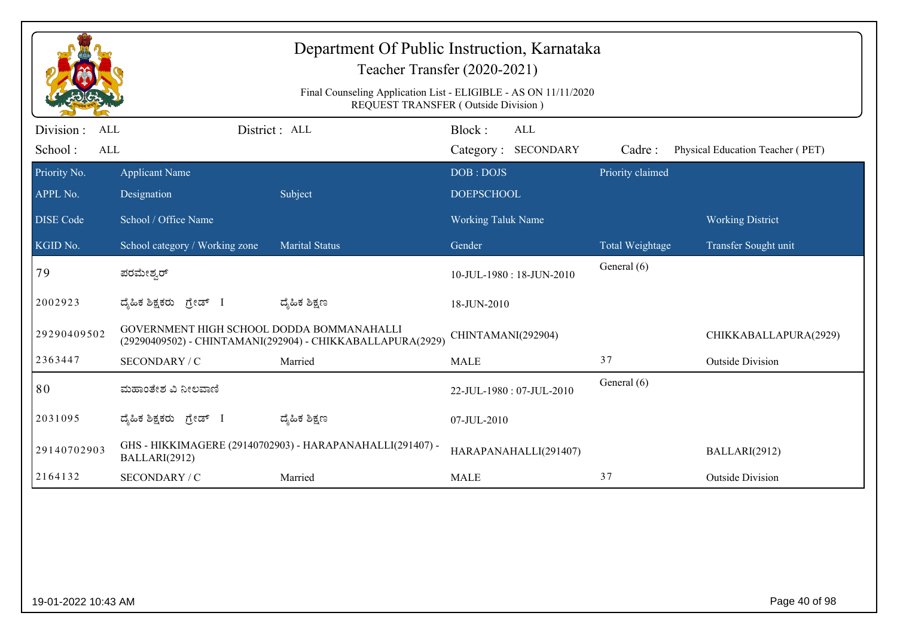|                                                  | Department Of Public Instruction, Karnataka<br>Teacher Transfer (2020-2021)<br>Final Counseling Application List - ELIGIBLE - AS ON 11/11/2020<br>REQUEST TRANSFER (Outside Division) |                                                            |                                      |                  |                                  |  |  |  |
|--------------------------------------------------|---------------------------------------------------------------------------------------------------------------------------------------------------------------------------------------|------------------------------------------------------------|--------------------------------------|------------------|----------------------------------|--|--|--|
| Division:<br><b>ALL</b><br>School:<br><b>ALL</b> |                                                                                                                                                                                       | District : ALL                                             | Block:<br>ALL<br>Category: SECONDARY | Cadre:           | Physical Education Teacher (PET) |  |  |  |
| Priority No.<br>APPL No.                         | <b>Applicant Name</b><br>Designation                                                                                                                                                  | Subject                                                    | DOB: DOJS<br><b>DOEPSCHOOL</b>       | Priority claimed |                                  |  |  |  |
| <b>DISE Code</b>                                 | School / Office Name                                                                                                                                                                  |                                                            | <b>Working Taluk Name</b>            |                  | <b>Working District</b>          |  |  |  |
| KGID No.                                         | School category / Working zone                                                                                                                                                        | <b>Marital Status</b>                                      | Gender                               | Total Weightage  | Transfer Sought unit             |  |  |  |
| 79                                               | ಪರಮೇಶ್ಕರ್                                                                                                                                                                             |                                                            | 10-JUL-1980: 18-JUN-2010             | General (6)      |                                  |  |  |  |
| 2002923                                          | ಗ್ರೇಡ್ I<br>ದ್ಯೆಹಿಕ ಶಿಕ್ಷಕರು                                                                                                                                                          | ದ್ಯೆಹಿಕ ಶಿಕ್ಷಣ                                             | 18-JUN-2010                          |                  |                                  |  |  |  |
| 29290409502                                      | GOVERNMENT HIGH SCHOOL DODDA BOMMANAHALLI                                                                                                                                             | (29290409502) - CHINTAMANI(292904) - CHIKKABALLAPURA(2929) | CHINTAMANI(292904)                   |                  | CHIKKABALLAPURA(2929)            |  |  |  |
| 2363447                                          | SECONDARY / C                                                                                                                                                                         | Married                                                    | <b>MALE</b>                          | 37               | <b>Outside Division</b>          |  |  |  |
| 80                                               | ಮಹಾಂತೇಶ ವಿ ನೀಲವಾಣಿ                                                                                                                                                                    |                                                            | 22-JUL-1980: 07-JUL-2010             | General (6)      |                                  |  |  |  |
| 2031095                                          | ದ್ಯಹಿಕ ಶಿಕ್ಷಕರು <i>ಗ್ರೇ</i> ಡ್ I                                                                                                                                                      | ದ್ಯೆಹಿಕ ಶಿಕ್ಷಣ                                             | 07-JUL-2010                          |                  |                                  |  |  |  |
| 29140702903                                      | BALLARI(2912)                                                                                                                                                                         | GHS - HIKKIMAGERE (29140702903) - HARAPANAHALLI(291407) -  | HARAPANAHALLI(291407)                |                  | BALLARI(2912)                    |  |  |  |
| 2164132                                          | SECONDARY / C                                                                                                                                                                         | Married                                                    | <b>MALE</b>                          | 37               | <b>Outside Division</b>          |  |  |  |
|                                                  |                                                                                                                                                                                       |                                                            |                                      |                  |                                  |  |  |  |
| 19-01-2022 10:43 AM                              |                                                                                                                                                                                       |                                                            |                                      |                  | Page 40 of 98                    |  |  |  |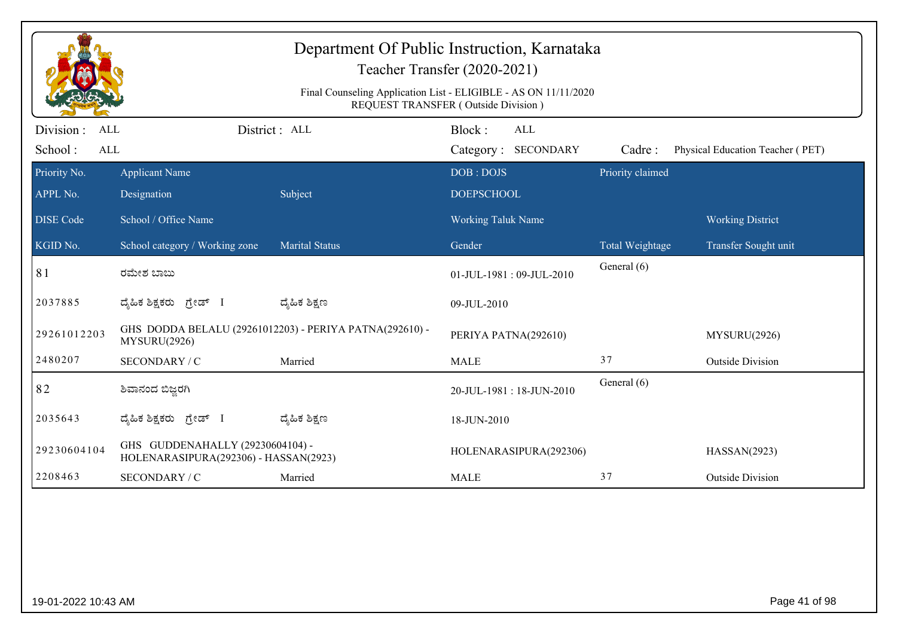|                                            |                                                                           |                                                         | Final Counseling Application List - ELIGIBLE - AS ON 11/11/2020<br>REQUEST TRANSFER (Outside Division) |                  |                                  |
|--------------------------------------------|---------------------------------------------------------------------------|---------------------------------------------------------|--------------------------------------------------------------------------------------------------------|------------------|----------------------------------|
| Division :<br><b>ALL</b><br>School:<br>ALL |                                                                           | District: ALL                                           | Block:<br>ALL<br>Category: SECONDARY                                                                   | Cadre:           | Physical Education Teacher (PET) |
| Priority No.                               | <b>Applicant Name</b>                                                     |                                                         | DOB: DOJS                                                                                              | Priority claimed |                                  |
| APPL No.                                   | Designation                                                               | Subject                                                 | <b>DOEPSCHOOL</b>                                                                                      |                  |                                  |
| <b>DISE Code</b>                           | School / Office Name                                                      |                                                         | Working Taluk Name                                                                                     |                  | <b>Working District</b>          |
| KGID No.                                   | School category / Working zone                                            | <b>Marital Status</b>                                   | Gender                                                                                                 | Total Weightage  | Transfer Sought unit             |
| 81                                         | ರಮೇಶ ಬಾಬು                                                                 |                                                         | 01-JUL-1981:09-JUL-2010                                                                                | General (6)      |                                  |
| 2037885                                    | ದೈಹಿಕ ಶಿಕ್ಷಕರು ಗ್ರೇಡ್ I                                                   | ದ್ಶೆಹಿಕ ಶಿಕ್ಷಣ                                          | 09-JUL-2010                                                                                            |                  |                                  |
| 29261012203                                | MYSURU(2926)                                                              | GHS DODDA BELALU (29261012203) - PERIYA PATNA(292610) - | PERIYA PATNA(292610)                                                                                   |                  | MYSURU(2926)                     |
| 2480207                                    | SECONDARY / C                                                             | Married                                                 | <b>MALE</b>                                                                                            | 37               | <b>Outside Division</b>          |
| 82                                         | ಶಿವಾನಂದ ಬಿಜ್ಜರಗಿ                                                          |                                                         | 20-JUL-1981:18-JUN-2010                                                                                | General (6)      |                                  |
| 2035643                                    | ದ್ಯಹಿಕ ಶಿಕ್ಷಕರು ಗ್ರೇಡ್ I                                                  | ದ್ಶೆಹಿಕ ಶಿಕ್ಷಣ                                          | 18-JUN-2010                                                                                            |                  |                                  |
| 29230604104                                | GHS GUDDENAHALLY (29230604104) -<br>HOLENARASIPURA(292306) - HASSAN(2923) |                                                         | HOLENARASIPURA(292306)                                                                                 |                  | HASSAN(2923)                     |
| 2208463                                    | SECONDARY / C                                                             | Married                                                 | <b>MALE</b>                                                                                            | 37               | <b>Outside Division</b>          |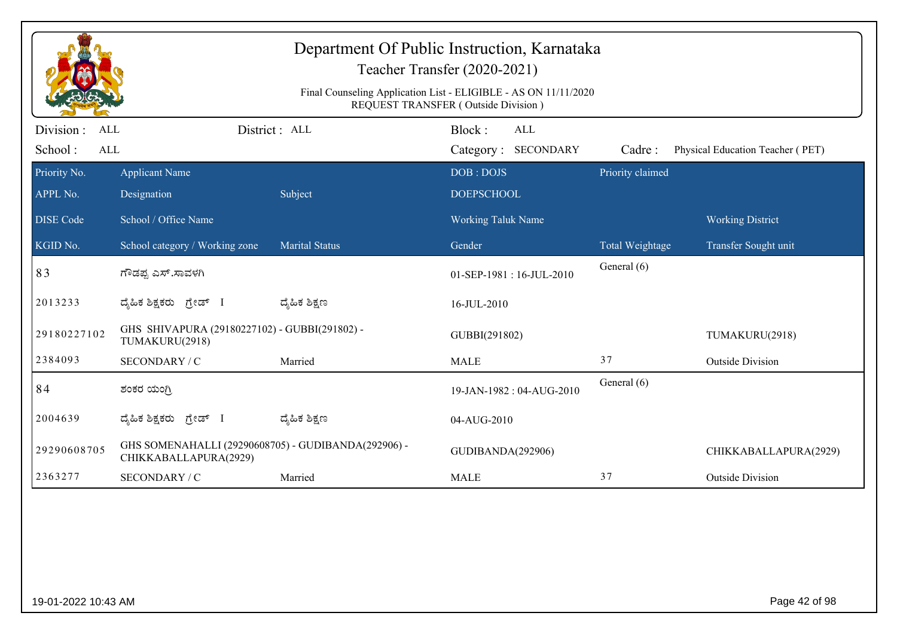| Department Of Public Instruction, Karnataka<br>Teacher Transfer (2020-2021)<br>Final Counseling Application List - ELIGIBLE - AS ON 11/11/2020<br>REQUEST TRANSFER (Outside Division) |                                                                              |                       |                                         |                  |                                  |  |  |
|---------------------------------------------------------------------------------------------------------------------------------------------------------------------------------------|------------------------------------------------------------------------------|-----------------------|-----------------------------------------|------------------|----------------------------------|--|--|
| Division :<br><b>ALL</b><br>School:<br>ALL                                                                                                                                            |                                                                              | District: ALL         | Block:<br>ALL<br>Category: SECONDARY    | Cadre:           | Physical Education Teacher (PET) |  |  |
| Priority No.                                                                                                                                                                          | <b>Applicant Name</b>                                                        |                       | DOB: DOJS                               | Priority claimed |                                  |  |  |
| APPL No.<br><b>DISE</b> Code                                                                                                                                                          | Designation<br>School / Office Name                                          | Subject               | <b>DOEPSCHOOL</b><br>Working Taluk Name |                  | <b>Working District</b>          |  |  |
| KGID No.                                                                                                                                                                              | School category / Working zone                                               | <b>Marital Status</b> | Gender                                  | Total Weightage  | Transfer Sought unit             |  |  |
| 83                                                                                                                                                                                    | ಗೌಡಪ್ಪ ಎಸ್.ಸಾವಳಗಿ                                                            |                       | 01-SEP-1981:16-JUL-2010                 | General (6)      |                                  |  |  |
| 2013233                                                                                                                                                                               | ದೈಹಿಕ ಶಿಕ್ಷಕರು ಗ್ರೇಡ್ I                                                      | ದ್ಶೆಹಿಕ ಶಿಕ್ಷಣ        | 16-JUL-2010                             |                  |                                  |  |  |
| 29180227102                                                                                                                                                                           | GHS SHIVAPURA (29180227102) - GUBBI(291802) -<br>TUMAKURU(2918)              |                       | GUBBI(291802)                           |                  | TUMAKURU(2918)                   |  |  |
| 2384093                                                                                                                                                                               | SECONDARY / C                                                                | Married               | <b>MALE</b>                             | 37               | <b>Outside Division</b>          |  |  |
| 84                                                                                                                                                                                    | ಶಂಕರ ಯಂಗ್ರಿ                                                                  |                       | 19-JAN-1982: 04-AUG-2010                | General (6)      |                                  |  |  |
| 2004639                                                                                                                                                                               | ದೈಹಿಕ ಶಿಕ್ಷಕರು ಗ್ರೇಡ್ I                                                      | ದ್ಯೆಹಿಕ ಶಿಕ್ಷಣ        | 04-AUG-2010                             |                  |                                  |  |  |
| 29290608705                                                                                                                                                                           | GHS SOMENAHALLI (29290608705) - GUDIBANDA(292906) -<br>CHIKKABALLAPURA(2929) |                       | GUDIBANDA(292906)                       |                  | CHIKKABALLAPURA(2929)            |  |  |
| 2363277                                                                                                                                                                               | SECONDARY / C                                                                | Married               | <b>MALE</b>                             | 37               | <b>Outside Division</b>          |  |  |
|                                                                                                                                                                                       |                                                                              |                       |                                         |                  |                                  |  |  |
| 19-01-2022 10:43 AM                                                                                                                                                                   |                                                                              |                       |                                         |                  | Page 42 of 98                    |  |  |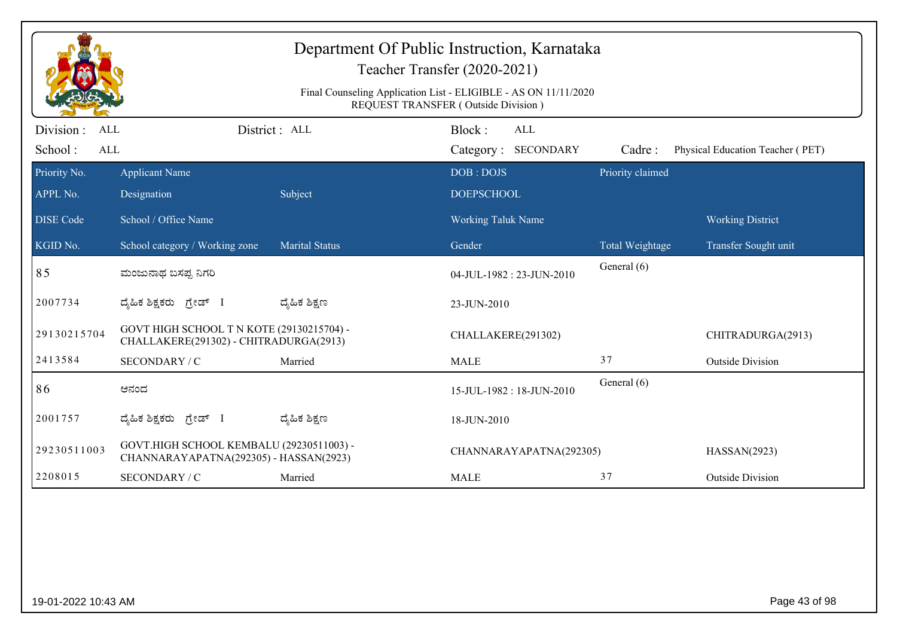|                                           |                                                                                     |                       | Department Of Public Instruction, Karnataka<br>Teacher Transfer (2020-2021)<br>Final Counseling Application List - ELIGIBLE - AS ON 11/11/2020 |                        |                                  |
|-------------------------------------------|-------------------------------------------------------------------------------------|-----------------------|------------------------------------------------------------------------------------------------------------------------------------------------|------------------------|----------------------------------|
| Division:<br>ALL<br>School:<br><b>ALL</b> | District: ALL                                                                       |                       | REQUEST TRANSFER (Outside Division)<br>Block:<br>ALL<br>Category: SECONDARY                                                                    | Cadre:                 | Physical Education Teacher (PET) |
| Priority No.                              | <b>Applicant Name</b>                                                               |                       | DOB: DOJS                                                                                                                                      | Priority claimed       |                                  |
| APPL No.                                  | Designation                                                                         | Subject               | <b>DOEPSCHOOL</b>                                                                                                                              |                        |                                  |
| <b>DISE</b> Code                          | School / Office Name                                                                |                       | <b>Working Taluk Name</b>                                                                                                                      |                        | <b>Working District</b>          |
| KGID No.                                  | School category / Working zone                                                      | <b>Marital Status</b> | Gender                                                                                                                                         | <b>Total Weightage</b> | Transfer Sought unit             |
| 85                                        | ಮಂಜುನಾಥ ಬಸಪ್ಪ ನಿಗರಿ                                                                 |                       | 04-JUL-1982: 23-JUN-2010                                                                                                                       | General (6)            |                                  |
| 2007734                                   | ದ್ಯಹಿಕ ಶಿಕ್ಷಕರು ಗ್ರೇಡ್ I                                                            | ದ್ಮಹಿಕ ಶಿಕ್ಷಣ         | 23-JUN-2010                                                                                                                                    |                        |                                  |
| 29130215704                               | GOVT HIGH SCHOOL T N KOTE (29130215704) -<br>CHALLAKERE(291302) - CHITRADURGA(2913) |                       | CHALLAKERE(291302)                                                                                                                             |                        | CHITRADURGA(2913)                |
| 2413584                                   | SECONDARY / C                                                                       | Married               | <b>MALE</b>                                                                                                                                    | 37                     | <b>Outside Division</b>          |
| 86                                        | ಆನಂದ                                                                                |                       | 15-JUL-1982: 18-JUN-2010                                                                                                                       | General (6)            |                                  |
| 2001757                                   | ದ್ಯಹಿಕ ಶಿಕ್ಷಕರು ಗ್ರೇಡ್ I                                                            | ದ್ಶೆಹಿಕ ಶಿಕ್ಷಣ        | 18-JUN-2010                                                                                                                                    |                        |                                  |
| 29230511003                               | GOVT.HIGH SCHOOL KEMBALU (29230511003) -<br>CHANNARAYAPATNA(292305) - HASSAN(2923)  |                       | CHANNARAYAPATNA(292305)                                                                                                                        |                        | HASSAN(2923)                     |
| 2208015                                   | SECONDARY / C                                                                       | Married               | <b>MALE</b>                                                                                                                                    | 37                     | <b>Outside Division</b>          |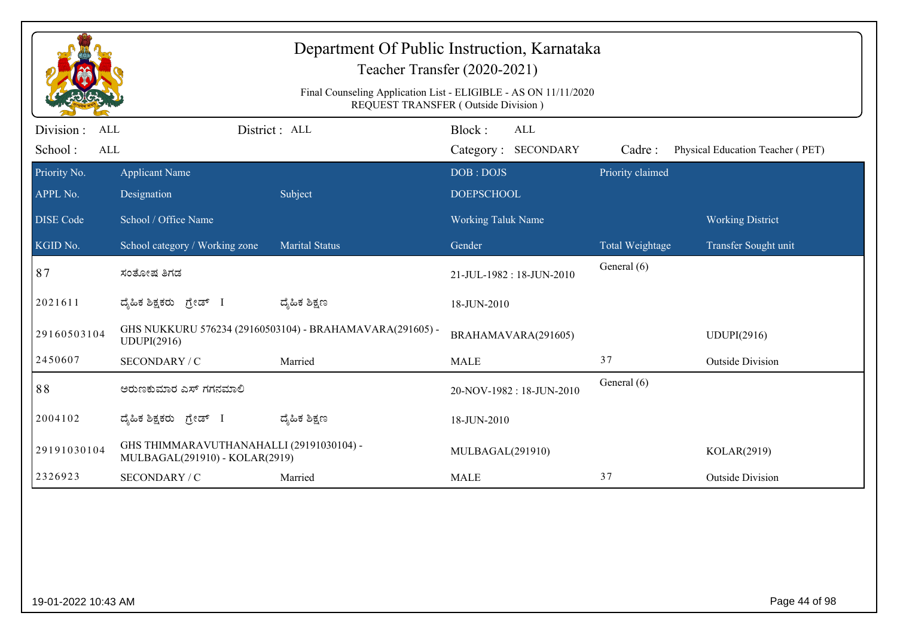| Department Of Public Instruction, Karnataka<br>Teacher Transfer (2020-2021)<br>Final Counseling Application List - ELIGIBLE - AS ON 11/11/2020<br><b>REQUEST TRANSFER (Outside Division)</b> |                                                                            |                                                          |                                      |                  |                                  |  |  |
|----------------------------------------------------------------------------------------------------------------------------------------------------------------------------------------------|----------------------------------------------------------------------------|----------------------------------------------------------|--------------------------------------|------------------|----------------------------------|--|--|
| Division :<br>ALL<br>School:<br><b>ALL</b>                                                                                                                                                   |                                                                            | District : ALL                                           | Block:<br>ALL<br>Category: SECONDARY | Cadre:           | Physical Education Teacher (PET) |  |  |
| Priority No.<br>APPL No.                                                                                                                                                                     | <b>Applicant Name</b><br>Designation                                       | Subject                                                  | DOB: DOJS<br><b>DOEPSCHOOL</b>       | Priority claimed |                                  |  |  |
| <b>DISE Code</b>                                                                                                                                                                             | School / Office Name                                                       |                                                          | Working Taluk Name                   |                  | <b>Working District</b>          |  |  |
| KGID No.                                                                                                                                                                                     | School category / Working zone                                             | <b>Marital Status</b>                                    | Gender                               | Total Weightage  | Transfer Sought unit             |  |  |
| 87                                                                                                                                                                                           | ಸಂತೋಷ ತಿಗಡ                                                                 |                                                          | 21-JUL-1982: 18-JUN-2010             | General (6)      |                                  |  |  |
| 2021611                                                                                                                                                                                      | ದೈಹಿಕ ಶಿಕ್ಷಕರು ಗ್ರೇಡ್ I                                                    | ದ್ಶೆಹಿಕ ಶಿಕ್ಷಣ                                           | 18-JUN-2010                          |                  |                                  |  |  |
| 29160503104                                                                                                                                                                                  | UDUPI(2916)                                                                | GHS NUKKURU 576234 (29160503104) - BRAHAMAVARA(291605) - | BRAHAMAVARA(291605)                  |                  | <b>UDUPI(2916)</b>               |  |  |
| 2450607                                                                                                                                                                                      | SECONDARY / C                                                              | Married                                                  | <b>MALE</b>                          | 37               | <b>Outside Division</b>          |  |  |
| 88                                                                                                                                                                                           | ಅರುಣಕುಮಾರ ಎಸ್ ಗಗನಮಾಲಿ                                                      |                                                          | 20-NOV-1982: 18-JUN-2010             | General (6)      |                                  |  |  |
| 2004102                                                                                                                                                                                      | ದೈಹಿಕ ಶಿಕ್ಷಕರು ಗ್ರೇಡ್ I                                                    | ದ್ಮಹಿಕ ಶಿಕ್ಷಣ                                            | 18-JUN-2010                          |                  |                                  |  |  |
| 29191030104                                                                                                                                                                                  | GHS THIMMARAVUTHANAHALLI (29191030104) -<br>MULBAGAL(291910) - KOLAR(2919) |                                                          | MULBAGAL(291910)                     |                  | KOLAR(2919)                      |  |  |
| 2326923                                                                                                                                                                                      | SECONDARY / C                                                              | Married                                                  | <b>MALE</b>                          | 37               | <b>Outside Division</b>          |  |  |
|                                                                                                                                                                                              |                                                                            |                                                          |                                      |                  |                                  |  |  |
| 19-01-2022 10:43 AM                                                                                                                                                                          |                                                                            |                                                          |                                      |                  | Page 44 of 98                    |  |  |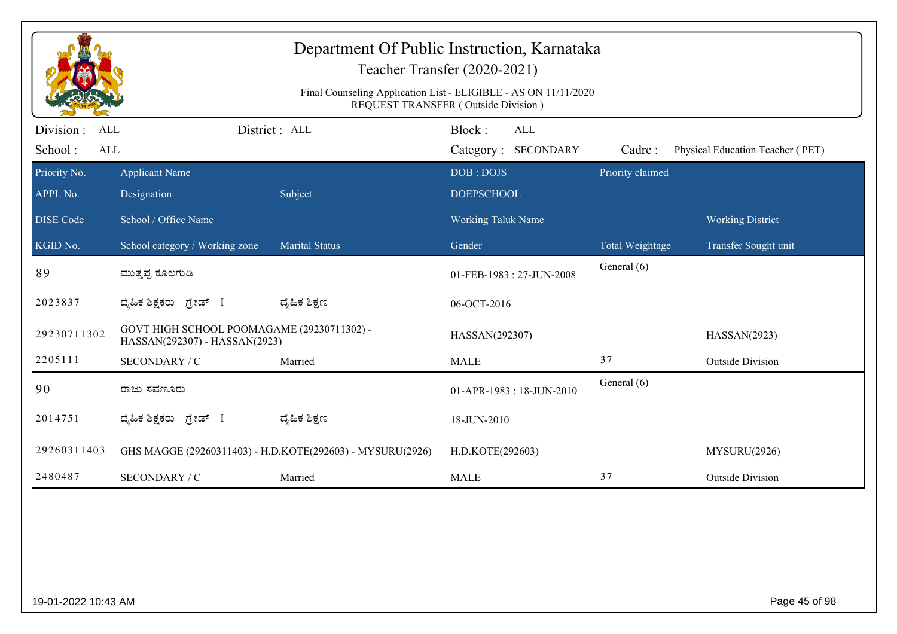| Department Of Public Instruction, Karnataka<br>Teacher Transfer (2020-2021)<br>Final Counseling Application List - ELIGIBLE - AS ON 11/11/2020<br>REQUEST TRANSFER (Outside Division) |                                                                             |                                                           |                                             |                  |                                  |  |  |
|---------------------------------------------------------------------------------------------------------------------------------------------------------------------------------------|-----------------------------------------------------------------------------|-----------------------------------------------------------|---------------------------------------------|------------------|----------------------------------|--|--|
| Division:<br><b>ALL</b><br>School:<br><b>ALL</b>                                                                                                                                      |                                                                             | District : ALL                                            | Block:<br><b>ALL</b><br>Category: SECONDARY | Cadre:           | Physical Education Teacher (PET) |  |  |
| Priority No.                                                                                                                                                                          | <b>Applicant Name</b>                                                       |                                                           | DOB: DOJS                                   | Priority claimed |                                  |  |  |
| APPL No.                                                                                                                                                                              | Designation                                                                 | Subject                                                   | <b>DOEPSCHOOL</b>                           |                  |                                  |  |  |
| <b>DISE</b> Code                                                                                                                                                                      | School / Office Name                                                        |                                                           | <b>Working Taluk Name</b>                   |                  | <b>Working District</b>          |  |  |
| $\overline{\text{KGID No.}}$                                                                                                                                                          | School category / Working zone                                              | <b>Marital Status</b>                                     | Gender                                      | Total Weightage  | Transfer Sought unit             |  |  |
| 89                                                                                                                                                                                    | ಮುತ್ತಪ್ಪ ಕೂಲಗುಡಿ                                                            |                                                           | 01-FEB-1983: 27-JUN-2008                    | General (6)      |                                  |  |  |
| 2023837                                                                                                                                                                               | ದ್ಯಹಿಕ ಶಿಕ್ಷಕರು ಗ್ರೇಡ್ I                                                    | ದ್ಮೆಹಿಕ ಶಿಕ್ಷಣ                                            | 06-OCT-2016                                 |                  |                                  |  |  |
| 29230711302                                                                                                                                                                           | GOVT HIGH SCHOOL POOMAGAME (29230711302) -<br>HASSAN(292307) - HASSAN(2923) |                                                           | HASSAN(292307)                              |                  | HASSAN(2923)                     |  |  |
| 2205111                                                                                                                                                                               | SECONDARY / C                                                               | Married                                                   | <b>MALE</b>                                 | 37               | <b>Outside Division</b>          |  |  |
| 90                                                                                                                                                                                    | ರಾಜು ಸವಣೂರು                                                                 |                                                           | 01-APR-1983: 18-JUN-2010                    | General (6)      |                                  |  |  |
| 2014751                                                                                                                                                                               | ದ್ಯಹಿಕ ಶಿಕ್ಷಕರು ಗ್ರೇಡ್ I                                                    | ದ್ಮಹಿಕ ಶಿಕ್ಷಣ                                             | 18-JUN-2010                                 |                  |                                  |  |  |
| 29260311403                                                                                                                                                                           |                                                                             | GHS MAGGE (29260311403) - H.D.KOTE(292603) - MYSURU(2926) | H.D.KOTE(292603)                            |                  | MYSURU(2926)                     |  |  |
| 2480487                                                                                                                                                                               | SECONDARY / C                                                               | Married                                                   | <b>MALE</b>                                 | 37               | <b>Outside Division</b>          |  |  |
|                                                                                                                                                                                       |                                                                             |                                                           |                                             |                  |                                  |  |  |
| 19-01-2022 10:43 AM                                                                                                                                                                   |                                                                             |                                                           |                                             |                  | Page 45 of 98                    |  |  |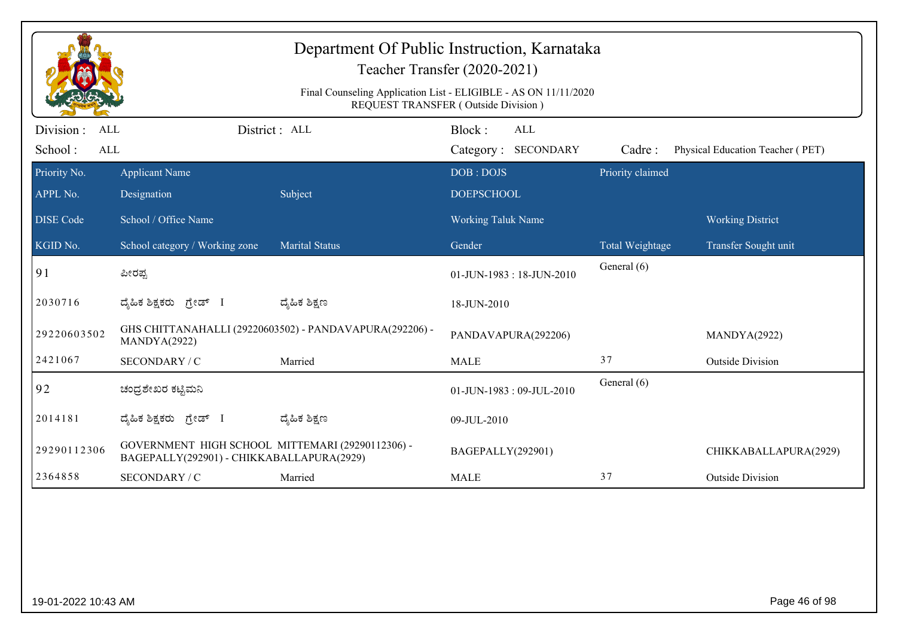| Department Of Public Instruction, Karnataka<br>Teacher Transfer (2020-2021)<br>Final Counseling Application List - ELIGIBLE - AS ON 11/11/2020<br>REQUEST TRANSFER (Outside Division) |                                                                                               |                                                         |                                      |                  |                                  |  |  |
|---------------------------------------------------------------------------------------------------------------------------------------------------------------------------------------|-----------------------------------------------------------------------------------------------|---------------------------------------------------------|--------------------------------------|------------------|----------------------------------|--|--|
| Division:<br><b>ALL</b><br>School:<br><b>ALL</b>                                                                                                                                      |                                                                                               | District : ALL                                          | Block:<br>ALL<br>Category: SECONDARY | Cadre:           | Physical Education Teacher (PET) |  |  |
| Priority No.<br>APPL No.                                                                                                                                                              | <b>Applicant Name</b><br>Designation                                                          | Subject                                                 | DOB: DOJS<br><b>DOEPSCHOOL</b>       | Priority claimed |                                  |  |  |
| <b>DISE Code</b>                                                                                                                                                                      | School / Office Name                                                                          |                                                         | <b>Working Taluk Name</b>            |                  | <b>Working District</b>          |  |  |
| KGID No.                                                                                                                                                                              | School category / Working zone                                                                | <b>Marital Status</b>                                   | Gender                               | Total Weightage  | Transfer Sought unit             |  |  |
| 91                                                                                                                                                                                    | ಪೀರಪ್ಪ                                                                                        |                                                         | $01$ -JUN-1983 : 18-JUN-2010         | General (6)      |                                  |  |  |
| 2030716                                                                                                                                                                               | ದೈಹಿಕ ಶಿಕ್ಷಕರು ಗ್ರೇಡ್ I                                                                       | ದ್ಮೆಹಿಕ ಶಿಕ್ಷಣ                                          | 18-JUN-2010                          |                  |                                  |  |  |
| 29220603502                                                                                                                                                                           | MANDYA(2922)                                                                                  | GHS CHITTANAHALLI (29220603502) - PANDAVAPURA(292206) - | PANDAVAPURA(292206)                  |                  | MANDYA(2922)                     |  |  |
| 2421067                                                                                                                                                                               | SECONDARY / C                                                                                 | Married                                                 | <b>MALE</b>                          | 37               | <b>Outside Division</b>          |  |  |
| 92                                                                                                                                                                                    | ಚಂದ್ರಶೇಖರ ಕಟ್ಟಿಮನಿ                                                                            |                                                         | 01-JUN-1983: 09-JUL-2010             | General (6)      |                                  |  |  |
| 2014181                                                                                                                                                                               | ದ್ಯಹಿಕ ಶಿಕ್ಷಕರು <i>ಗ್ರೇ</i> ಡ್ I                                                              | ದ್ಯೆಹಿಕ ಶಿಕ್ಷಣ                                          | 09-JUL-2010                          |                  |                                  |  |  |
| 29290112306                                                                                                                                                                           | GOVERNMENT HIGH SCHOOL MITTEMARI (29290112306) -<br>BAGEPALLY(292901) - CHIKKABALLAPURA(2929) |                                                         | BAGEPALLY(292901)                    |                  | CHIKKABALLAPURA(2929)            |  |  |
| 2364858                                                                                                                                                                               | <b>SECONDARY / C</b>                                                                          | Married                                                 | <b>MALE</b>                          | 37               | <b>Outside Division</b>          |  |  |
|                                                                                                                                                                                       |                                                                                               |                                                         |                                      |                  |                                  |  |  |
| 19-01-2022 10:43 AM                                                                                                                                                                   |                                                                                               |                                                         |                                      |                  | Page 46 of 98                    |  |  |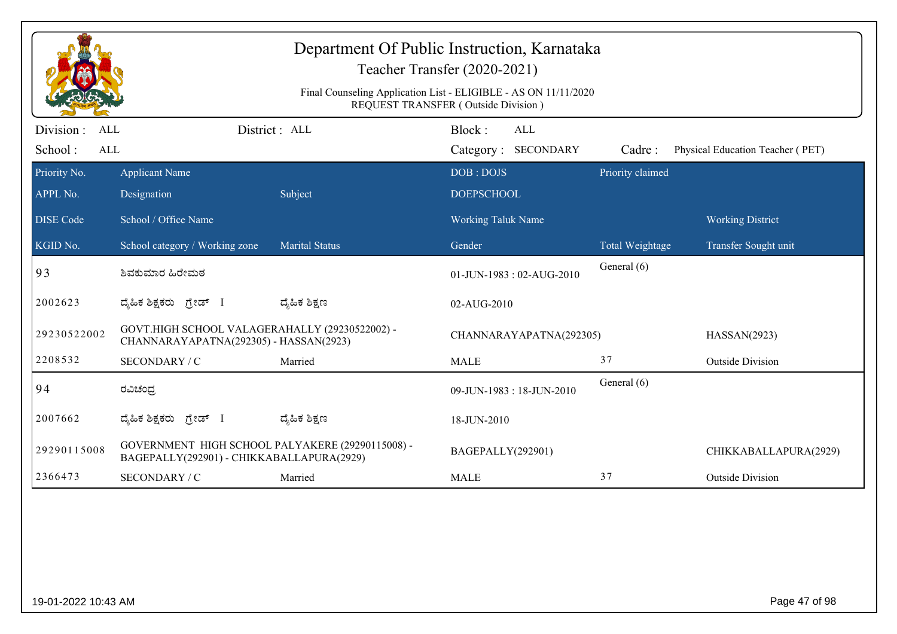|                                                  |                                                                                               |                       | Department Of Public Instruction, Karnataka<br>Teacher Transfer (2020-2021)<br>Final Counseling Application List - ELIGIBLE - AS ON 11/11/2020<br>REQUEST TRANSFER (Outside Division) |                  |                                  |
|--------------------------------------------------|-----------------------------------------------------------------------------------------------|-----------------------|---------------------------------------------------------------------------------------------------------------------------------------------------------------------------------------|------------------|----------------------------------|
| Division:<br><b>ALL</b><br>School:<br><b>ALL</b> |                                                                                               | District: ALL         | Block:<br><b>ALL</b><br>Category: SECONDARY                                                                                                                                           | Cadre:           | Physical Education Teacher (PET) |
| Priority No.                                     | <b>Applicant Name</b>                                                                         |                       | DOB: DOJS                                                                                                                                                                             | Priority claimed |                                  |
| APPL No.                                         | Designation                                                                                   | Subject               | <b>DOEPSCHOOL</b>                                                                                                                                                                     |                  |                                  |
| <b>DISE Code</b>                                 | School / Office Name                                                                          |                       | <b>Working Taluk Name</b>                                                                                                                                                             |                  | <b>Working District</b>          |
| KGID No.                                         | School category / Working zone                                                                | <b>Marital Status</b> | Gender                                                                                                                                                                                | Total Weightage  | Transfer Sought unit             |
| 93                                               | ಶಿವಕುಮಾರ ಹಿರೇಮಠ                                                                               |                       | 01-JUN-1983: 02-AUG-2010                                                                                                                                                              | General (6)      |                                  |
| 2002623                                          | ದೈಹಿಕ ಶಿಕ್ಷಕರು ಗ್ರೇಡ್ I                                                                       | ದ್ಶೆಹಿಕ ಶಿಕ್ಷಣ        | 02-AUG-2010                                                                                                                                                                           |                  |                                  |
| 29230522002                                      | GOVT.HIGH SCHOOL VALAGERAHALLY (29230522002) -<br>CHANNARAYAPATNA(292305) - HASSAN(2923)      |                       | CHANNARAYAPATNA(292305)                                                                                                                                                               |                  | HASSAN(2923)                     |
| 2208532                                          | SECONDARY / C                                                                                 | Married               | <b>MALE</b>                                                                                                                                                                           | 37               | <b>Outside Division</b>          |
| 94                                               | ರವಿಚಂದ್ರ                                                                                      |                       | 09-JUN-1983: 18-JUN-2010                                                                                                                                                              | General (6)      |                                  |
| 2007662                                          | ದ್ಯಹಿಕ ಶಿಕ್ಷಕರು <i>ಗ್ರೇ</i> ಡ್ I                                                              | ದ್ಯಹಿಕ ಶಿಕ್ಷಣ         | 18-JUN-2010                                                                                                                                                                           |                  |                                  |
| 29290115008                                      | GOVERNMENT HIGH SCHOOL PALYAKERE (29290115008) -<br>BAGEPALLY(292901) - CHIKKABALLAPURA(2929) |                       | BAGEPALLY(292901)                                                                                                                                                                     |                  | CHIKKABALLAPURA(2929)            |
| 2366473                                          | SECONDARY / C                                                                                 | Married               | <b>MALE</b>                                                                                                                                                                           | 37               | <b>Outside Division</b>          |
|                                                  |                                                                                               |                       |                                                                                                                                                                                       |                  |                                  |
| 19-01-2022 10:43 AM                              |                                                                                               |                       |                                                                                                                                                                                       |                  | Page 47 of 98                    |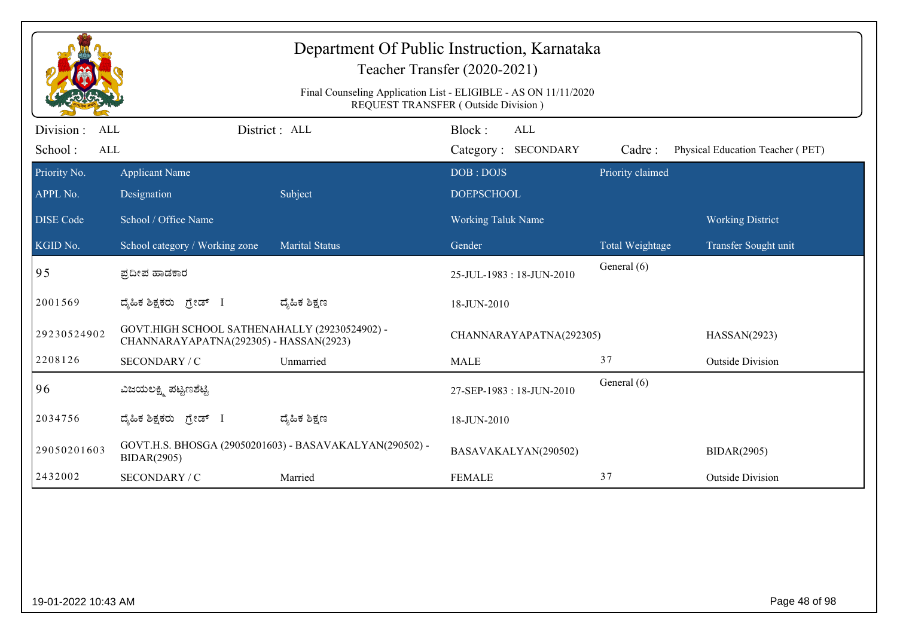| Department Of Public Instruction, Karnataka<br>Teacher Transfer (2020-2021)<br>Final Counseling Application List - ELIGIBLE - AS ON 11/11/2020<br>REQUEST TRANSFER (Outside Division) |                                                                                         |                                                         |                                                |                  |                                  |  |  |
|---------------------------------------------------------------------------------------------------------------------------------------------------------------------------------------|-----------------------------------------------------------------------------------------|---------------------------------------------------------|------------------------------------------------|------------------|----------------------------------|--|--|
| Division:<br>ALL<br>School:<br><b>ALL</b>                                                                                                                                             |                                                                                         | District : ALL                                          | Block:<br>ALL<br><b>SECONDARY</b><br>Category: | Cadre:           | Physical Education Teacher (PET) |  |  |
| Priority No.<br>APPL No.                                                                                                                                                              | <b>Applicant Name</b><br>Designation                                                    | Subject                                                 | DOB: DOJS<br><b>DOEPSCHOOL</b>                 | Priority claimed |                                  |  |  |
| <b>DISE</b> Code                                                                                                                                                                      | School / Office Name                                                                    |                                                         | <b>Working Taluk Name</b>                      |                  | <b>Working District</b>          |  |  |
| KGID No.                                                                                                                                                                              | School category / Working zone                                                          | <b>Marital Status</b>                                   | Gender                                         | Total Weightage  | Transfer Sought unit             |  |  |
| $\sqrt{95}$                                                                                                                                                                           | ಪ್ರದೀಪ ಹಾಡಕಾರ                                                                           |                                                         | 25-JUL-1983: 18-JUN-2010                       | General (6)      |                                  |  |  |
| 2001569                                                                                                                                                                               | ದ್ಯಹಿಕ ಶಿಕ್ಷಕರು ಗ್ರೇಡ್ I                                                                | ದ್ಶೆಹಿಕ ಶಿಕ್ಷಣ                                          | 18-JUN-2010                                    |                  |                                  |  |  |
| 29230524902                                                                                                                                                                           | GOVT.HIGH SCHOOL SATHENAHALLY (29230524902) -<br>CHANNARAYAPATNA(292305) - HASSAN(2923) |                                                         | CHANNARAYAPATNA(292305)                        |                  | HASSAN(2923)                     |  |  |
| 2208126                                                                                                                                                                               | SECONDARY / C                                                                           | Unmarried                                               | <b>MALE</b>                                    | 37               | <b>Outside Division</b>          |  |  |
| 96                                                                                                                                                                                    | ವಿಜಯಲಕ್ಷ್ಮಿ ಪಟ್ಟಣಶೆಟ್ಟಿ                                                                 |                                                         | 27-SEP-1983: 18-JUN-2010                       | General (6)      |                                  |  |  |
| 2034756                                                                                                                                                                               | ದ್ಯಹಿಕ ಶಿಕ್ಷಕರು <i>ಗ್ರೇಡ್</i> I                                                         | ದ್ಯೆಹಿಕ ಶಿಕ್ಷಣ                                          | 18-JUN-2010                                    |                  |                                  |  |  |
| 29050201603                                                                                                                                                                           | <b>BIDAR(2905)</b>                                                                      | GOVT.H.S. BHOSGA (29050201603) - BASAVAKALYAN(290502) - | BASAVAKALYAN(290502)                           |                  | <b>BIDAR(2905)</b>               |  |  |
| 2432002                                                                                                                                                                               | SECONDARY / C                                                                           | Married                                                 | <b>FEMALE</b>                                  | 37               | <b>Outside Division</b>          |  |  |
|                                                                                                                                                                                       |                                                                                         |                                                         |                                                |                  |                                  |  |  |
| 19-01-2022 10:43 AM                                                                                                                                                                   |                                                                                         |                                                         |                                                |                  | Page 48 of 98                    |  |  |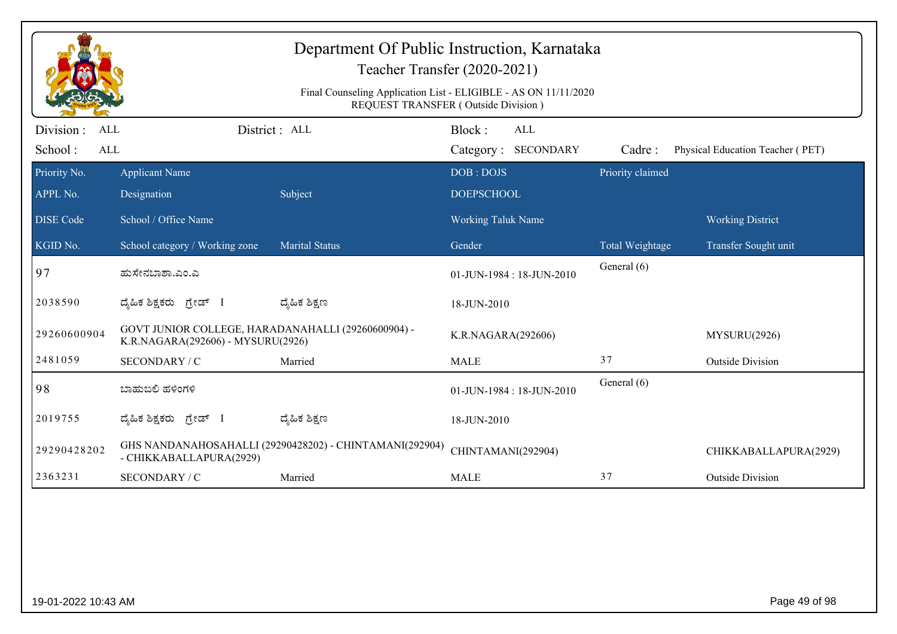| Department Of Public Instruction, Karnataka<br>Teacher Transfer (2020-2021)<br>Final Counseling Application List - ELIGIBLE - AS ON 11/11/2020<br>REQUEST TRANSFER (Outside Division) |                                                                                         |                                                         |                                      |                  |                                  |  |  |
|---------------------------------------------------------------------------------------------------------------------------------------------------------------------------------------|-----------------------------------------------------------------------------------------|---------------------------------------------------------|--------------------------------------|------------------|----------------------------------|--|--|
| Division :<br><b>ALL</b><br>School:<br><b>ALL</b>                                                                                                                                     |                                                                                         | District: ALL                                           | Block:<br>ALL<br>Category: SECONDARY | Cadre:           | Physical Education Teacher (PET) |  |  |
| Priority No.                                                                                                                                                                          | <b>Applicant Name</b>                                                                   |                                                         | DOB: DOJS                            | Priority claimed |                                  |  |  |
| APPL No.                                                                                                                                                                              | Designation                                                                             | Subject                                                 | <b>DOEPSCHOOL</b>                    |                  |                                  |  |  |
| <b>DISE Code</b>                                                                                                                                                                      | School / Office Name                                                                    |                                                         | Working Taluk Name                   |                  | <b>Working District</b>          |  |  |
| KGID No.                                                                                                                                                                              | School category / Working zone                                                          | <b>Marital Status</b>                                   | Gender                               | Total Weightage  | Transfer Sought unit             |  |  |
| 97                                                                                                                                                                                    | ಹುಸೇನಬಾಶಾ.ಎಂ.ಎ                                                                          |                                                         | 01-JUN-1984: 18-JUN-2010             | General (6)      |                                  |  |  |
| 2038590                                                                                                                                                                               | ದ್ಯಹಿಕ ಶಿಕ್ಷಕರು ಗ್ರೇಡ್ I                                                                | ದ್ಶೆಹಿಕ ಶಿಕ್ಷಣ                                          | 18-JUN-2010                          |                  |                                  |  |  |
| 29260600904                                                                                                                                                                           | GOVT JUNIOR COLLEGE, HARADANAHALLI (29260600904) -<br>K.R.NAGARA(292606) - MYSURU(2926) |                                                         | K.R.NAGARA(292606)                   |                  | MYSURU(2926)                     |  |  |
| 2481059                                                                                                                                                                               | SECONDARY / C                                                                           | Married                                                 | <b>MALE</b>                          | 37               | <b>Outside Division</b>          |  |  |
| 98                                                                                                                                                                                    | ಬಾಹುಬಲಿ ಹಳಿಂಗಳಿ                                                                         |                                                         | 01-JUN-1984: 18-JUN-2010             | General (6)      |                                  |  |  |
| 2019755                                                                                                                                                                               | ದೈಹಿಕ ಶಿಕ್ಷಕರು <i>ಗ್ರೇಡ್</i> I                                                          | ದ್ಮಹಿಕ ಶಿಕ್ಷಣ                                           | 18-JUN-2010                          |                  |                                  |  |  |
| 29290428202                                                                                                                                                                           | - CHIKKABALLAPURA(2929)                                                                 | GHS NANDANAHOSAHALLI (29290428202) - CHINTAMANI(292904) | CHINTAMANI(292904)                   |                  | CHIKKABALLAPURA(2929)            |  |  |
| 2363231                                                                                                                                                                               | SECONDARY / C                                                                           | Married                                                 | <b>MALE</b>                          | 37               | <b>Outside Division</b>          |  |  |
|                                                                                                                                                                                       |                                                                                         |                                                         |                                      |                  |                                  |  |  |
| 19-01-2022 10:43 AM                                                                                                                                                                   |                                                                                         |                                                         |                                      |                  | Page 49 of 98                    |  |  |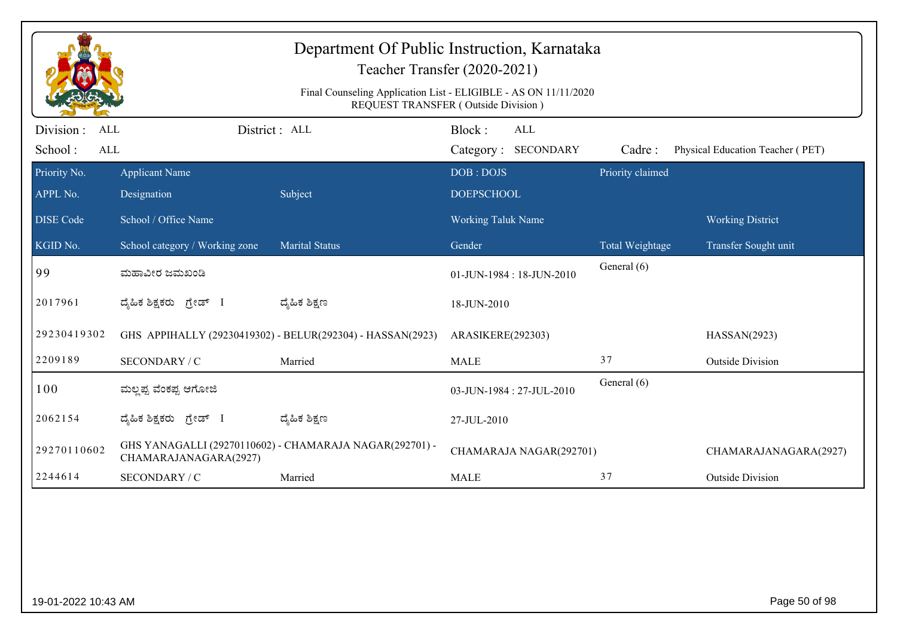|                                           | Department Of Public Instruction, Karnataka<br>Teacher Transfer (2020-2021)<br>Final Counseling Application List - ELIGIBLE - AS ON 11/11/2020 |                                                            |                                      |                  |                                  |  |  |  |
|-------------------------------------------|------------------------------------------------------------------------------------------------------------------------------------------------|------------------------------------------------------------|--------------------------------------|------------------|----------------------------------|--|--|--|
|                                           |                                                                                                                                                |                                                            | REQUEST TRANSFER (Outside Division)  |                  |                                  |  |  |  |
| Division:<br><b>ALL</b><br>School:<br>ALL | District : ALL                                                                                                                                 |                                                            | Block:<br>ALL<br>Category: SECONDARY | Cadre:           | Physical Education Teacher (PET) |  |  |  |
| Priority No.                              | <b>Applicant Name</b>                                                                                                                          |                                                            | DOB: DOJS                            | Priority claimed |                                  |  |  |  |
| APPL No.                                  | Designation                                                                                                                                    | Subject                                                    | <b>DOEPSCHOOL</b>                    |                  |                                  |  |  |  |
| <b>DISE Code</b>                          | School / Office Name                                                                                                                           |                                                            | <b>Working Taluk Name</b>            |                  | <b>Working District</b>          |  |  |  |
| KGID No.                                  | School category / Working zone                                                                                                                 | <b>Marital Status</b>                                      | Gender                               | Total Weightage  | Transfer Sought unit             |  |  |  |
| 99                                        | ಮಹಾವೀರ ಜಮಖಂಡಿ                                                                                                                                  |                                                            | $01$ -JUN-1984 : 18-JUN-2010         | General (6)      |                                  |  |  |  |
| 2017961                                   | ದ್ಯಹಿಕ ಶಿಕ್ಷಕರು ಗ್ರೇಡ್ I                                                                                                                       | ದ್ಯಹಿಕ ಶಿಕ್ಷಣ                                              | 18-JUN-2010                          |                  |                                  |  |  |  |
| 29230419302                               |                                                                                                                                                | GHS APPIHALLY (29230419302) - BELUR(292304) - HASSAN(2923) | ARASIKERE(292303)                    |                  | HASSAN(2923)                     |  |  |  |
| 2209189                                   | SECONDARY / C                                                                                                                                  | Married                                                    | <b>MALE</b>                          | 37               | <b>Outside Division</b>          |  |  |  |
| 100                                       | ಮಲ್ಷಪ್ಪ ವೆಂಕಪ್ಪ ಆಗೋಜಿ                                                                                                                          |                                                            | 03-JUN-1984: 27-JUL-2010             | General (6)      |                                  |  |  |  |
| 2062154                                   | ದ್ಯಹಿಕ ಶಿಕ್ಷಕರು ಗ್ರೇಡ್ I                                                                                                                       | ದ್ಯಹಿಕ ಶಿಕ್ಷಣ                                              | 27-JUL-2010                          |                  |                                  |  |  |  |
| 29270110602                               | CHAMARAJANAGARA(2927)                                                                                                                          | GHS YANAGALLI (29270110602) - CHAMARAJA NAGAR(292701) -    | CHAMARAJA NAGAR(292701)              |                  | CHAMARAJANAGARA(2927)            |  |  |  |
| 2244614                                   | SECONDARY / C                                                                                                                                  | Married                                                    | <b>MALE</b>                          | 37               | <b>Outside Division</b>          |  |  |  |
|                                           |                                                                                                                                                |                                                            |                                      |                  |                                  |  |  |  |
| 19-01-2022 10:43 AM                       |                                                                                                                                                |                                                            |                                      |                  | Page 50 of 98                    |  |  |  |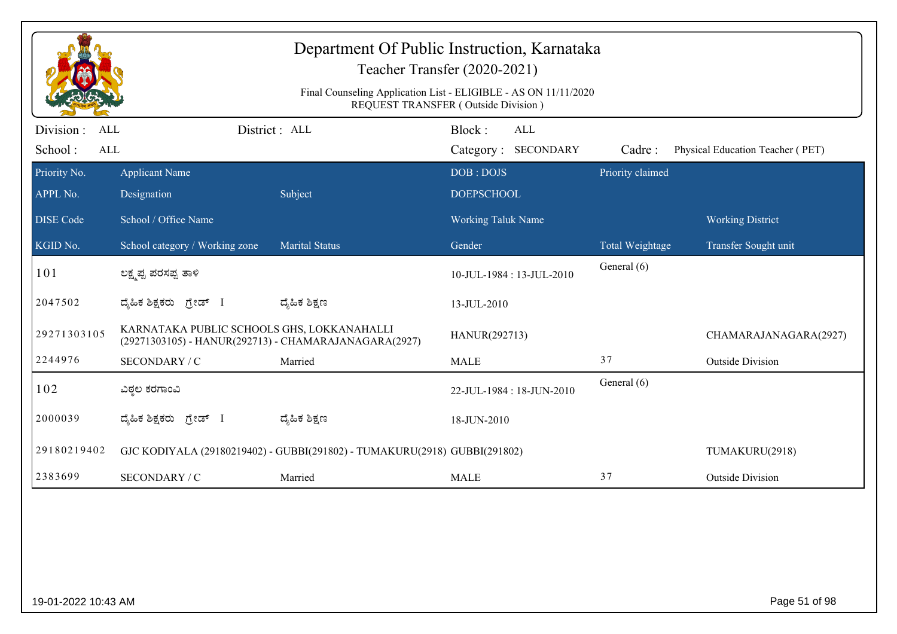|                                            | Department Of Public Instruction, Karnataka<br>Teacher Transfer (2020-2021)<br>Final Counseling Application List - ELIGIBLE - AS ON 11/11/2020<br>REQUEST TRANSFER (Outside Division) |                                                                           |                                      |                  |                                  |  |  |  |
|--------------------------------------------|---------------------------------------------------------------------------------------------------------------------------------------------------------------------------------------|---------------------------------------------------------------------------|--------------------------------------|------------------|----------------------------------|--|--|--|
| Division :<br>ALL<br>School:<br><b>ALL</b> |                                                                                                                                                                                       | District : ALL                                                            | Block:<br>ALL<br>Category: SECONDARY | Cadre:           | Physical Education Teacher (PET) |  |  |  |
| Priority No.<br>APPL No.                   | <b>Applicant Name</b><br>Designation                                                                                                                                                  | Subject                                                                   | DOB: DOJS<br><b>DOEPSCHOOL</b>       | Priority claimed |                                  |  |  |  |
| <b>DISE</b> Code                           | School / Office Name                                                                                                                                                                  |                                                                           | <b>Working Taluk Name</b>            |                  | <b>Working District</b>          |  |  |  |
| KGID No.                                   | School category / Working zone                                                                                                                                                        | <b>Marital Status</b>                                                     | Gender                               | Total Weightage  | Transfer Sought unit             |  |  |  |
| 101                                        | ಲಕ್ಷ್ಮಪ್ಪ ಪರಸಪ್ಪ ತಾಳಿ                                                                                                                                                                 |                                                                           | 10-JUL-1984: 13-JUL-2010             | General (6)      |                                  |  |  |  |
| 2047502                                    | ದೈಹಿಕ ಶಿಕ್ಷಕರು ಗ್ರೇಡ್ I                                                                                                                                                               | ದ್ಯೆಹಿಕ ಶಿಕ್ಷಣ                                                            | 13-JUL-2010                          |                  |                                  |  |  |  |
| 29271303105                                | KARNATAKA PUBLIC SCHOOLS GHS, LOKKANAHALLI<br>(29271303105) - HANUR(292713) - CHAMARAJANAGARA(2927)                                                                                   |                                                                           | HANUR(292713)                        |                  | CHAMARAJANAGARA(2927)            |  |  |  |
| 2244976                                    | SECONDARY / C                                                                                                                                                                         | Married                                                                   | <b>MALE</b>                          | 37               | <b>Outside Division</b>          |  |  |  |
| 102                                        | ವಿಠ್ಠಲ ಕರಗಾಂವಿ                                                                                                                                                                        |                                                                           | 22-JUL-1984: 18-JUN-2010             | General (6)      |                                  |  |  |  |
| 2000039                                    | ದ್ಯಹಿಕ ಶಿಕ್ಷಕರು ಗ್ರೇಡ್ I                                                                                                                                                              | ದ್ಮಹಿಕ ಶಿಕ್ಷಣ                                                             | 18-JUN-2010                          |                  |                                  |  |  |  |
| 29180219402                                |                                                                                                                                                                                       | GJC KODIYALA (29180219402) - GUBBI(291802) - TUMAKURU(2918) GUBBI(291802) |                                      |                  | TUMAKURU(2918)                   |  |  |  |
| 2383699                                    | SECONDARY / C                                                                                                                                                                         | Married                                                                   | <b>MALE</b>                          | 37               | <b>Outside Division</b>          |  |  |  |
|                                            |                                                                                                                                                                                       |                                                                           |                                      |                  |                                  |  |  |  |
| 19-01-2022 10:43 AM                        |                                                                                                                                                                                       |                                                                           |                                      |                  | Page 51 of 98                    |  |  |  |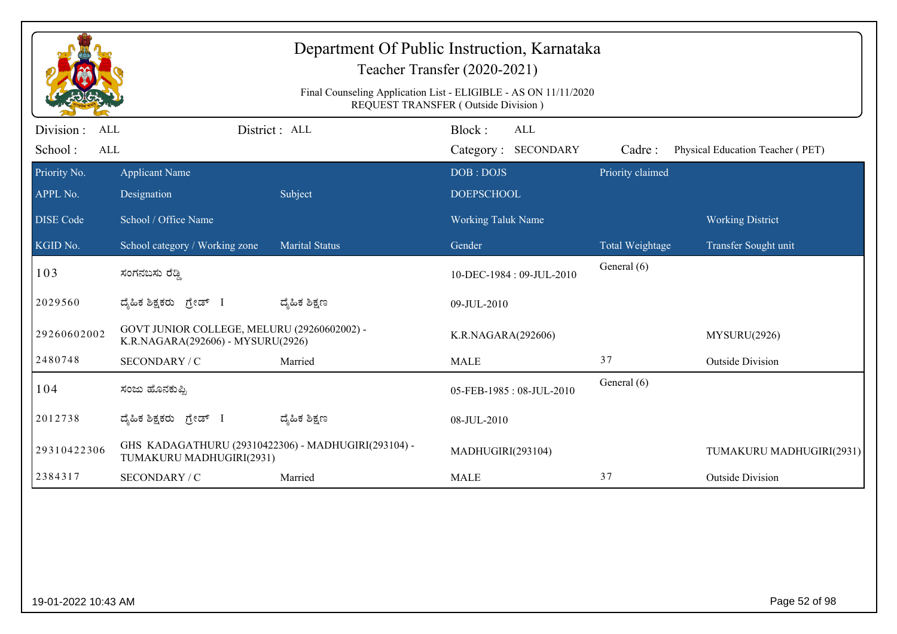|                                                  |                                                                                  |                       | Department Of Public Instruction, Karnataka<br>Teacher Transfer (2020-2021)<br>Final Counseling Application List - ELIGIBLE - AS ON 11/11/2020<br>REQUEST TRANSFER (Outside Division) |                  |                                  |
|--------------------------------------------------|----------------------------------------------------------------------------------|-----------------------|---------------------------------------------------------------------------------------------------------------------------------------------------------------------------------------|------------------|----------------------------------|
| Division:<br><b>ALL</b><br>School:<br><b>ALL</b> |                                                                                  | District : ALL        | Block:<br>ALL<br>Category: SECONDARY                                                                                                                                                  | Cadre:           | Physical Education Teacher (PET) |
| Priority No.<br>APPL No.                         | <b>Applicant Name</b><br>Designation                                             | Subject               | DOB: DOJS<br><b>DOEPSCHOOL</b>                                                                                                                                                        | Priority claimed |                                  |
| <b>DISE Code</b>                                 | School / Office Name                                                             |                       | <b>Working Taluk Name</b>                                                                                                                                                             |                  | <b>Working District</b>          |
| KGID No.                                         | School category / Working zone                                                   | <b>Marital Status</b> | Gender                                                                                                                                                                                | Total Weightage  | Transfer Sought unit             |
| 103                                              | ಸಂಗನಬಸು ರೆಡ್ಡಿ                                                                   |                       | 10-DEC-1984: 09-JUL-2010                                                                                                                                                              | General (6)      |                                  |
| 2029560                                          | ದೈಹಿಕ ಶಿಕ್ಷಕರು ಗ್ರೇಡ್ I                                                          | ದ್ಮೆಹಿಕ ಶಿಕ್ಷಣ        | 09-JUL-2010                                                                                                                                                                           |                  |                                  |
| 29260602002                                      | GOVT JUNIOR COLLEGE, MELURU (29260602002) -<br>K.R.NAGARA(292606) - MYSURU(2926) |                       | K.R.NAGARA(292606)                                                                                                                                                                    |                  | MYSURU(2926)                     |
| 2480748                                          | SECONDARY / C                                                                    | Married               | <b>MALE</b>                                                                                                                                                                           | 37               | <b>Outside Division</b>          |
| 104                                              | ಸಂಜು ಹೊನಕುಪ್ಪಿ                                                                   |                       | 05-FEB-1985: 08-JUL-2010                                                                                                                                                              | General (6)      |                                  |
| 2012738                                          | ದೈಹಿಕ ಶಿಕ್ಷಕರು <i>ಗ್ರೇಡ್</i> I                                                   | ದ್ಮಹಿಕ ಶಿಕ್ಷಣ         | 08-JUL-2010                                                                                                                                                                           |                  |                                  |
| 29310422306                                      | GHS KADAGATHURU (29310422306) - MADHUGIRI(293104) -<br>TUMAKURU MADHUGIRI(2931)  |                       | MADHUGIRI(293104)                                                                                                                                                                     |                  | TUMAKURU MADHUGIRI(2931)         |
| 2384317                                          | SECONDARY / C                                                                    | Married               | <b>MALE</b>                                                                                                                                                                           | 37               | <b>Outside Division</b>          |
|                                                  |                                                                                  |                       |                                                                                                                                                                                       |                  |                                  |
| 19-01-2022 10:43 AM                              |                                                                                  |                       |                                                                                                                                                                                       |                  | Page 52 of 98                    |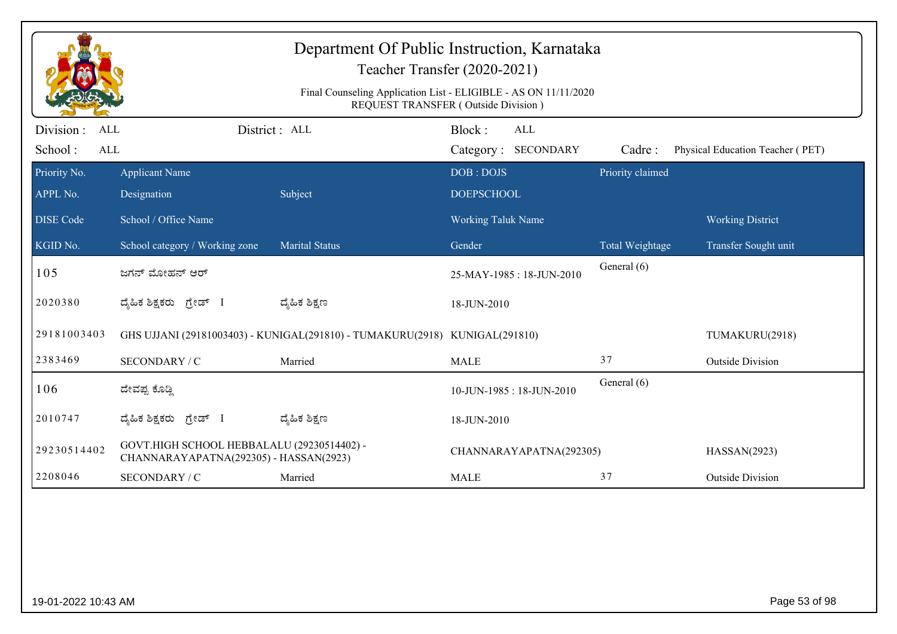|                                    |                                                                                      | Department Of Public Instruction, Karnataka<br>Teacher Transfer (2020-2021)<br>Final Counseling Application List - ELIGIBLE - AS ON 11/11/2020<br>REQUEST TRANSFER (Outside Division) |                                |                                   |                  |                                  |
|------------------------------------|--------------------------------------------------------------------------------------|---------------------------------------------------------------------------------------------------------------------------------------------------------------------------------------|--------------------------------|-----------------------------------|------------------|----------------------------------|
| Division:<br>ALL<br>School:<br>ALL |                                                                                      | District : ALL                                                                                                                                                                        | Block:                         | <b>ALL</b><br>Category: SECONDARY | Cadre:           | Physical Education Teacher (PET) |
| Priority No.<br>APPL No.           | <b>Applicant Name</b><br>Designation                                                 | Subject                                                                                                                                                                               | DOB: DOJS<br><b>DOEPSCHOOL</b> |                                   | Priority claimed |                                  |
| <b>DISE</b> Code                   | School / Office Name                                                                 |                                                                                                                                                                                       | <b>Working Taluk Name</b>      |                                   |                  | <b>Working District</b>          |
| $\overline{\text{KGID No.}}$       | School category / Working zone                                                       | <b>Marital Status</b>                                                                                                                                                                 | Gender                         |                                   | Total Weightage  | Transfer Sought unit             |
| 105                                | ಜಗನ್ ಮೋಹನ್ ಆರ್                                                                       |                                                                                                                                                                                       |                                | 25-MAY-1985: 18-JUN-2010          | General (6)      |                                  |
| 2020380                            | ದ್ಯಹಿಕ ಶಿಕ್ಷಕರು ಗ್ರೇಡ್ I                                                             | ದ್ಮಹಿಕ ಶಿಕ್ಷಣ                                                                                                                                                                         | 18-JUN-2010                    |                                   |                  |                                  |
| 29181003403                        |                                                                                      | GHS UJJANI (29181003403) - KUNIGAL(291810) - TUMAKURU(2918) KUNIGAL(291810)                                                                                                           |                                |                                   |                  | TUMAKURU(2918)                   |
| 2383469                            | SECONDARY / C                                                                        | Married                                                                                                                                                                               | <b>MALE</b>                    |                                   | 37               | <b>Outside Division</b>          |
| 106                                | ದೇವಪ್ಪ ಕೊಡ್ಡಿ                                                                        |                                                                                                                                                                                       |                                | 10-JUN-1985: 18-JUN-2010          | General (6)      |                                  |
| 2010747                            | ದ್ಯಹಿಕ ಶಿಕ್ಷಕರು <i>ಗ್ರೇಡ್</i> I                                                      | ದ್ಯಹಿಕ ಶಿಕ್ಷಣ                                                                                                                                                                         | 18-JUN-2010                    |                                   |                  |                                  |
| 29230514402                        | GOVT.HIGH SCHOOL HEBBALALU (29230514402) -<br>CHANNARAYAPATNA(292305) - HASSAN(2923) |                                                                                                                                                                                       |                                | CHANNARAYAPATNA(292305)           |                  | HASSAN(2923)                     |
| 2208046                            | SECONDARY / C                                                                        | Married                                                                                                                                                                               | <b>MALE</b>                    |                                   | 37               | <b>Outside Division</b>          |
|                                    |                                                                                      |                                                                                                                                                                                       |                                |                                   |                  |                                  |
| 19-01-2022 10:43 AM                |                                                                                      |                                                                                                                                                                                       |                                |                                   |                  | Page 53 of 98                    |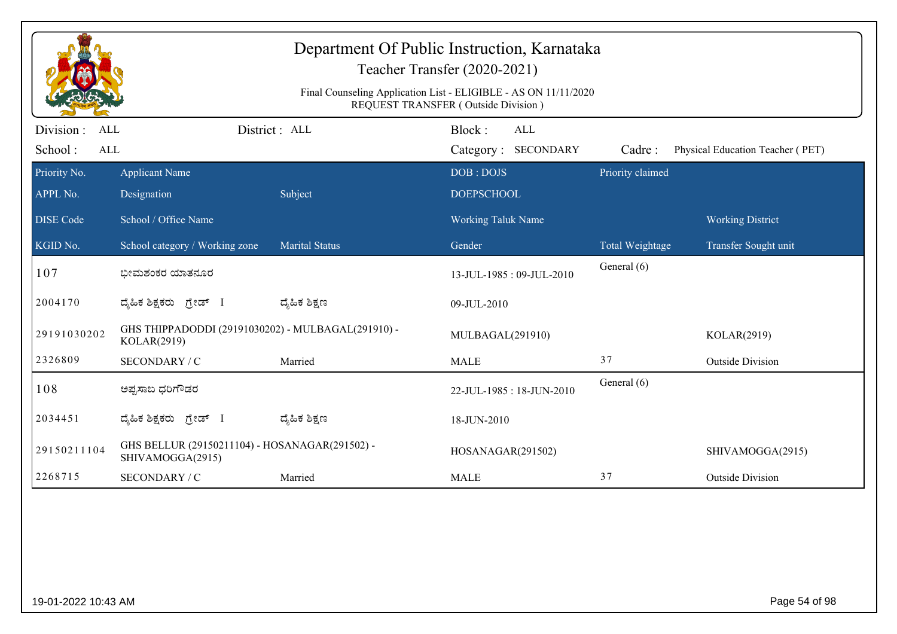|                          |                                                                    |                       | Department Of Public Instruction, Karnataka<br>Teacher Transfer (2020-2021)<br>Final Counseling Application List - ELIGIBLE - AS ON 11/11/2020 |                  |                                  |
|--------------------------|--------------------------------------------------------------------|-----------------------|------------------------------------------------------------------------------------------------------------------------------------------------|------------------|----------------------------------|
| Division :<br><b>ALL</b> |                                                                    | District : ALL        | REQUEST TRANSFER (Outside Division)<br>Block:<br><b>ALL</b>                                                                                    |                  |                                  |
| School:<br>ALL           |                                                                    |                       | Category: SECONDARY                                                                                                                            | Cadre:           | Physical Education Teacher (PET) |
| Priority No.             | <b>Applicant Name</b>                                              |                       | DOB: DOJS                                                                                                                                      | Priority claimed |                                  |
| APPL No.                 | Designation                                                        | Subject               | <b>DOEPSCHOOL</b>                                                                                                                              |                  |                                  |
| <b>DISE</b> Code         | School / Office Name                                               |                       | <b>Working Taluk Name</b>                                                                                                                      |                  | <b>Working District</b>          |
| KGID No.                 | School category / Working zone                                     | <b>Marital Status</b> | Gender                                                                                                                                         | Total Weightage  | Transfer Sought unit             |
| 107                      | ಭೀಮಶಂಕರ ಯಾತನೂರ                                                     |                       | 13-JUL-1985: 09-JUL-2010                                                                                                                       | General (6)      |                                  |
| 2004170                  | ದೈಹಿಕ ಶಿಕ್ಷಕರು ಗ್ರೇಡ್ I                                            | ದ್ಮೆಹಿಕ ಶಿಕ್ಷಣ        | 09-JUL-2010                                                                                                                                    |                  |                                  |
| 29191030202              | GHS THIPPADODDI (29191030202) - MULBAGAL(291910) -<br>KOLAR(2919)  |                       | MULBAGAL(291910)                                                                                                                               |                  | KOLAR(2919)                      |
| 2326809                  | SECONDARY / C                                                      | Married               | <b>MALE</b>                                                                                                                                    | 37               | <b>Outside Division</b>          |
| 108                      | ಅಪ್ಪಸಾಬ ಧರಿಗೌಡರ                                                    |                       | 22-JUL-1985: 18-JUN-2010                                                                                                                       | General (6)      |                                  |
| 2034451                  | ದೈಹಿಕ ಶಿಕ್ಷಕರು ಗ್ರೇಡ್ I                                            | ದ್ಯೆಹಿಕ ಶಿಕ್ಷಣ        | 18-JUN-2010                                                                                                                                    |                  |                                  |
| 29150211104              | GHS BELLUR (29150211104) - HOSANAGAR(291502) -<br>SHIVAMOGGA(2915) |                       | HOSANAGAR(291502)                                                                                                                              |                  | SHIVAMOGGA(2915)                 |
| 2268715                  | SECONDARY / C                                                      | Married               | <b>MALE</b>                                                                                                                                    | 37               | <b>Outside Division</b>          |
|                          |                                                                    |                       |                                                                                                                                                |                  |                                  |
| 19-01-2022 10:43 AM      |                                                                    |                       |                                                                                                                                                |                  | Page 54 of 98                    |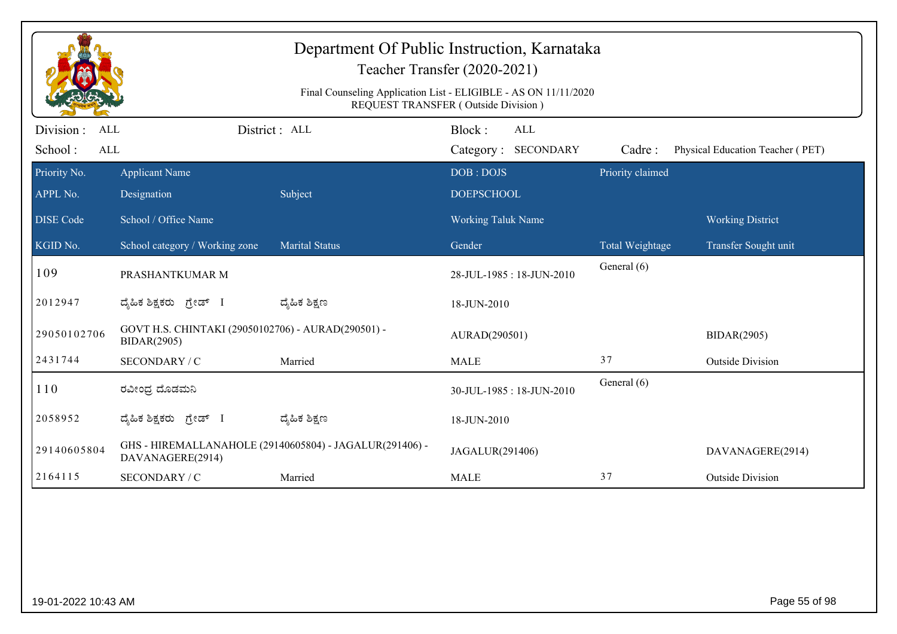| Department Of Public Instruction, Karnataka<br>Teacher Transfer (2020-2021)<br>Final Counseling Application List - ELIGIBLE - AS ON 11/11/2020<br>REQUEST TRANSFER (Outside Division) |                                                                          |                                                         |                                             |                  |                                  |  |  |
|---------------------------------------------------------------------------------------------------------------------------------------------------------------------------------------|--------------------------------------------------------------------------|---------------------------------------------------------|---------------------------------------------|------------------|----------------------------------|--|--|
| Division:<br><b>ALL</b><br>School:<br><b>ALL</b>                                                                                                                                      |                                                                          | District : ALL                                          | Block:<br><b>ALL</b><br>Category: SECONDARY | Cadre:           | Physical Education Teacher (PET) |  |  |
| Priority No.<br>APPL No.                                                                                                                                                              | <b>Applicant Name</b><br>Designation                                     | Subject                                                 | DOB: DOJS<br><b>DOEPSCHOOL</b>              | Priority claimed |                                  |  |  |
| <b>DISE</b> Code                                                                                                                                                                      | School / Office Name                                                     |                                                         | <b>Working Taluk Name</b>                   |                  | <b>Working District</b>          |  |  |
| KGID No.                                                                                                                                                                              | School category / Working zone                                           | <b>Marital Status</b>                                   | Gender                                      | Total Weightage  | Transfer Sought unit             |  |  |
| 109                                                                                                                                                                                   | PRASHANTKUMAR M                                                          |                                                         | 28-JUL-1985: 18-JUN-2010                    | General (6)      |                                  |  |  |
| 2012947                                                                                                                                                                               | ದೈಹಿಕ ಶಿಕ್ಷಕರು ಗ್ರೇಡ್ I                                                  | ದ್ಮಹಿಕ ಶಿಕ್ಷಣ                                           | 18-JUN-2010                                 |                  |                                  |  |  |
| 29050102706                                                                                                                                                                           | GOVT H.S. CHINTAKI (29050102706) - AURAD(290501) -<br><b>BIDAR(2905)</b> |                                                         | AURAD(290501)                               |                  | <b>BIDAR(2905)</b>               |  |  |
| 2431744                                                                                                                                                                               | SECONDARY / C                                                            | Married                                                 | <b>MALE</b>                                 | 37               | <b>Outside Division</b>          |  |  |
| 110                                                                                                                                                                                   | ರವೀಂಧ್ರ ದೊಡಮನಿ                                                           |                                                         | 30-JUL-1985: 18-JUN-2010                    | General (6)      |                                  |  |  |
| 2058952                                                                                                                                                                               | ದ್ಯಹಿಕ ಶಿಕ್ಷಕರು ಗ್ರೇಡ್ I                                                 | ದ್ಯಹಿಕ ಶಿಕ್ಷಣ                                           | 18-JUN-2010                                 |                  |                                  |  |  |
| 29140605804                                                                                                                                                                           | DAVANAGERE(2914)                                                         | GHS - HIREMALLANAHOLE (29140605804) - JAGALUR(291406) - | JAGALUR(291406)                             |                  | DAVANAGERE(2914)                 |  |  |
| 2164115                                                                                                                                                                               | SECONDARY / C                                                            | Married                                                 | <b>MALE</b>                                 | 37               | <b>Outside Division</b>          |  |  |
|                                                                                                                                                                                       |                                                                          |                                                         |                                             |                  |                                  |  |  |
| 19-01-2022 10:43 AM                                                                                                                                                                   |                                                                          |                                                         |                                             |                  | Page 55 of 98                    |  |  |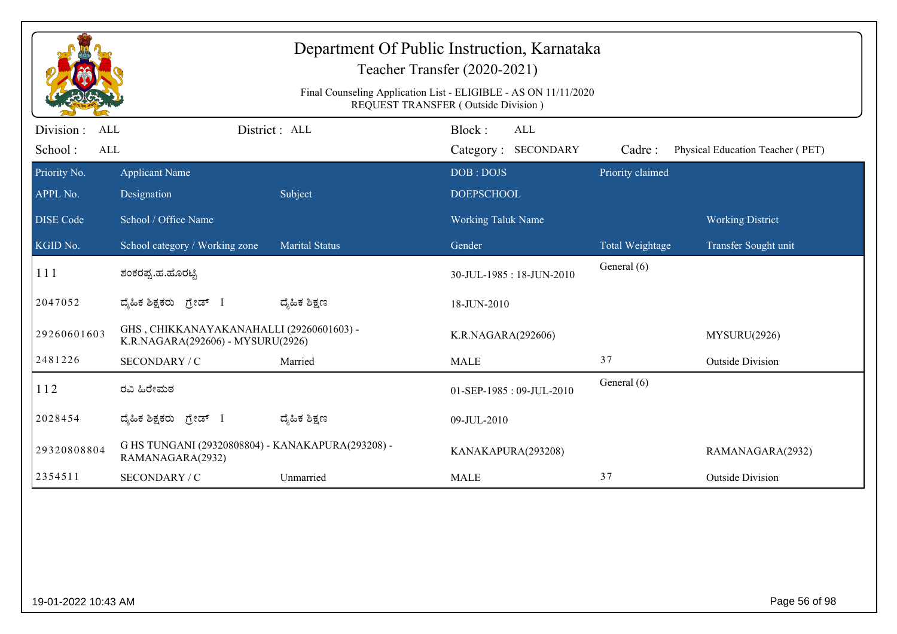| Final Counseling Application List - ELIGIBLE - AS ON 11/11/2020<br>REQUEST TRANSFER (Outside Division) |                                                                               |                       |                                                             |                  |                                  |  |  |  |
|--------------------------------------------------------------------------------------------------------|-------------------------------------------------------------------------------|-----------------------|-------------------------------------------------------------|------------------|----------------------------------|--|--|--|
| Division :<br>ALL<br>School:<br>$\mbox{ALL}$                                                           |                                                                               | District : ALL        | Block:<br>ALL<br>Category: SECONDARY                        | Cadre:           | Physical Education Teacher (PET) |  |  |  |
| Priority No.<br>APPL No.<br><b>DISE</b> Code                                                           | <b>Applicant Name</b><br>Designation<br>School / Office Name                  | Subject               | DOB: DOJS<br><b>DOEPSCHOOL</b><br><b>Working Taluk Name</b> | Priority claimed | <b>Working District</b>          |  |  |  |
| KGID No.                                                                                               | School category / Working zone                                                | <b>Marital Status</b> | Gender                                                      | Total Weightage  | Transfer Sought unit             |  |  |  |
| 111                                                                                                    | ಶಂಕರಪ್ಪ.ಹ.ಹೊರಟ್ಟಿ                                                             |                       | 30-JUL-1985: 18-JUN-2010                                    | General (6)      |                                  |  |  |  |
| 2047052                                                                                                | ದ್ಯಹಿಕ ಶಿಕ್ಷಕರು ಗ್ರೇಡ್ I                                                      | ದ್ಶೆಹಿಕ ಶಿಕ್ಷಣ        | 18-JUN-2010                                                 |                  |                                  |  |  |  |
| 29260601603                                                                                            | GHS, CHIKKANAYAKANAHALLI (29260601603) -<br>K.R.NAGARA(292606) - MYSURU(2926) |                       | K.R.NAGARA(292606)                                          |                  | MYSURU(2926)                     |  |  |  |
| 2481226                                                                                                | SECONDARY / C                                                                 | Married               | <b>MALE</b>                                                 | 37               | <b>Outside Division</b>          |  |  |  |
| 112                                                                                                    | ರವಿ ಹಿರೇಮಠ                                                                    |                       | 01-SEP-1985: 09-JUL-2010                                    | General (6)      |                                  |  |  |  |
| 2028454                                                                                                | ದ್ಯಹಿಕ ಶಿಕ್ಷಕರು ಗ್ರೇಡ್ I                                                      | ದ್ಶೆಹಿಕ ಶಿಕ್ಷಣ        | 09-JUL-2010                                                 |                  |                                  |  |  |  |
| 29320808804                                                                                            | G HS TUNGANI (29320808804) - KANAKAPURA(293208) -<br>RAMANAGARA(2932)         |                       | KANAKAPURA(293208)                                          |                  | RAMANAGARA(2932)                 |  |  |  |
| 2354511                                                                                                | SECONDARY / C                                                                 | Unmarried             | <b>MALE</b>                                                 | 37               | <b>Outside Division</b>          |  |  |  |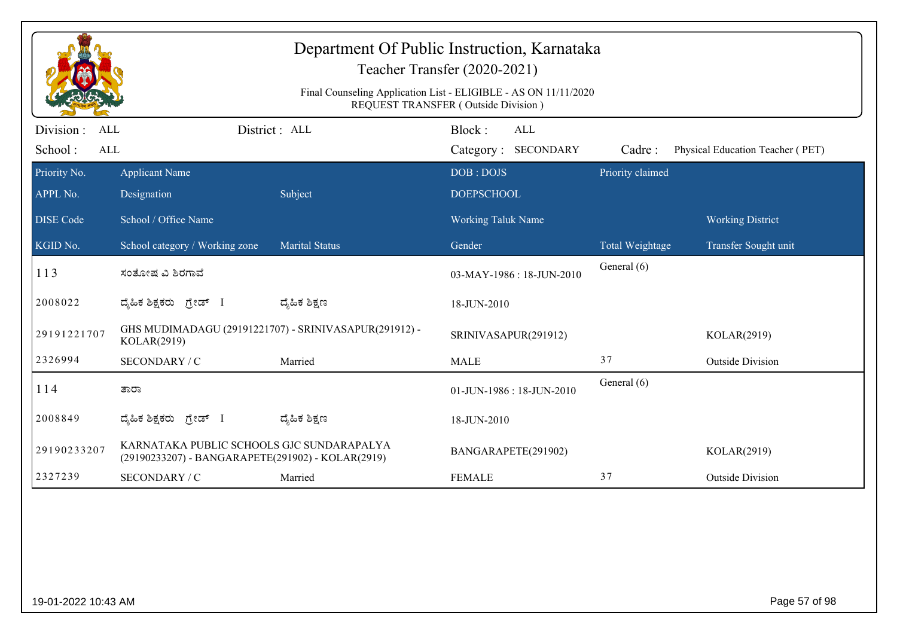|                                                  | Department Of Public Instruction, Karnataka<br>Teacher Transfer (2020-2021)<br>Final Counseling Application List - ELIGIBLE - AS ON 11/11/2020<br>REQUEST TRANSFER (Outside Division) |                                                       |                                             |                  |                                  |  |  |  |
|--------------------------------------------------|---------------------------------------------------------------------------------------------------------------------------------------------------------------------------------------|-------------------------------------------------------|---------------------------------------------|------------------|----------------------------------|--|--|--|
| Division:<br><b>ALL</b><br>School:<br><b>ALL</b> |                                                                                                                                                                                       | District: ALL                                         | Block:<br><b>ALL</b><br>Category: SECONDARY | Cadre:           | Physical Education Teacher (PET) |  |  |  |
| Priority No.<br>APPL No.                         | <b>Applicant Name</b><br>Designation                                                                                                                                                  | Subject                                               | DOB: DOJS<br><b>DOEPSCHOOL</b>              | Priority claimed |                                  |  |  |  |
| <b>DISE Code</b>                                 | School / Office Name                                                                                                                                                                  |                                                       | Working Taluk Name                          |                  | <b>Working District</b>          |  |  |  |
| KGID No.                                         | School category / Working zone                                                                                                                                                        | <b>Marital Status</b>                                 | Gender                                      | Total Weightage  | Transfer Sought unit             |  |  |  |
| 113                                              | ಸಂತೋಷ ವಿ ಶಿರಗಾವೆ                                                                                                                                                                      |                                                       | 03-MAY-1986: 18-JUN-2010                    | General (6)      |                                  |  |  |  |
| 2008022                                          | ದ್ಯಹಿಕ ಶಿಕ್ಷಕರು ಗ್ರೇಡ್ I                                                                                                                                                              | ದ್ಮಹಿಕ ಶಿಕ್ಷಣ                                         | 18-JUN-2010                                 |                  |                                  |  |  |  |
| 29191221707                                      | KOLAR(2919)                                                                                                                                                                           | GHS MUDIMADAGU (29191221707) - SRINIVASAPUR(291912) - | SRINIVASAPUR(291912)                        |                  | KOLAR(2919)                      |  |  |  |
| 2326994                                          | SECONDARY / C                                                                                                                                                                         | Married                                               | <b>MALE</b>                                 | 37               | <b>Outside Division</b>          |  |  |  |
| 114                                              | ತಾರಾ                                                                                                                                                                                  |                                                       | 01-JUN-1986: 18-JUN-2010                    | General (6)      |                                  |  |  |  |
| 2008849                                          | ದ್ಯಹಿಕ ಶಿಕ್ಷಕರು ಗ್ರೇಡ್ I                                                                                                                                                              | ದ್ಮಹಿಕ ಶಿಕ್ಷಣ                                         | 18-JUN-2010                                 |                  |                                  |  |  |  |
| 29190233207                                      | KARNATAKA PUBLIC SCHOOLS GJC SUNDARAPALYA<br>(29190233207) - BANGARAPETE(291902) - KOLAR(2919)                                                                                        |                                                       | BANGARAPETE(291902)                         |                  | KOLAR(2919)                      |  |  |  |
| 2327239                                          | SECONDARY / C                                                                                                                                                                         | Married                                               | <b>FEMALE</b>                               | 37               | <b>Outside Division</b>          |  |  |  |
|                                                  |                                                                                                                                                                                       |                                                       |                                             |                  |                                  |  |  |  |
| 19-01-2022 10:43 AM                              |                                                                                                                                                                                       |                                                       |                                             |                  | Page 57 of 98                    |  |  |  |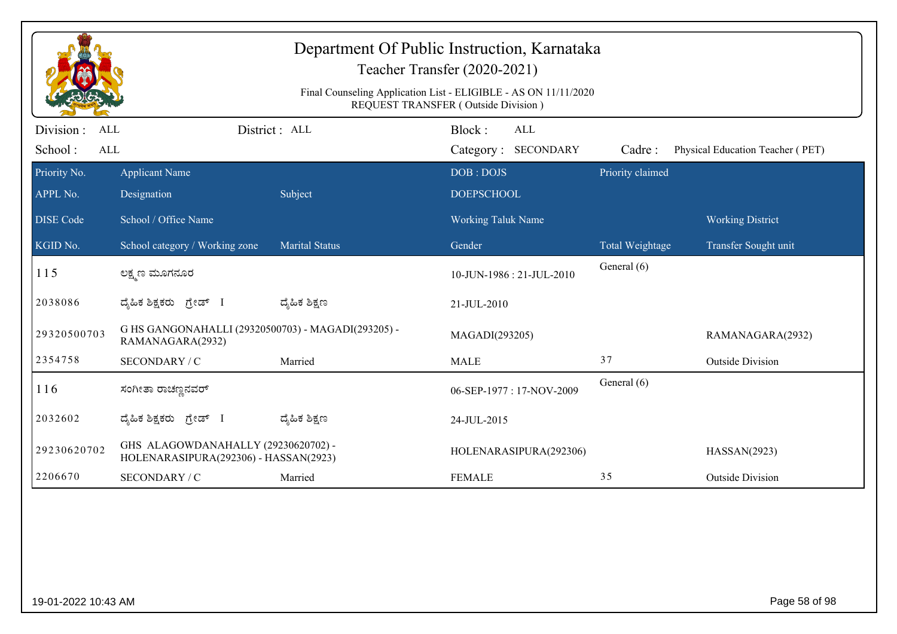|                                            |                                                                              |                       | Teacher Transfer (2020-2021)<br>Final Counseling Application List - ELIGIBLE - AS ON 11/11/2020 |                  |                                  |
|--------------------------------------------|------------------------------------------------------------------------------|-----------------------|-------------------------------------------------------------------------------------------------|------------------|----------------------------------|
|                                            |                                                                              |                       | REQUEST TRANSFER (Outside Division)                                                             |                  |                                  |
| Division :<br>ALL<br>School:<br><b>ALL</b> |                                                                              | District: ALL         | Block:<br>$\mbox{ALL}$<br>Category: SECONDARY                                                   | Cadre:           | Physical Education Teacher (PET) |
| Priority No.                               | <b>Applicant Name</b>                                                        |                       | DOB: DOJS                                                                                       | Priority claimed |                                  |
| APPL No.                                   | Designation                                                                  | Subject               | <b>DOEPSCHOOL</b>                                                                               |                  |                                  |
| <b>DISE Code</b>                           | School / Office Name                                                         |                       | Working Taluk Name                                                                              |                  | <b>Working District</b>          |
| KGID No.                                   | School category / Working zone                                               | <b>Marital Status</b> | Gender                                                                                          | Total Weightage  | Transfer Sought unit             |
| 115                                        | ಲಕ್ಷ್ಮಣ ಮೂಗನೂರ                                                               |                       | 10-JUN-1986: 21-JUL-2010                                                                        | General (6)      |                                  |
| 2038086                                    | ದೈಹಿಕ ಶಿಕ್ಷಕರು ಗ್ರೇಡ್ I                                                      | ದ್ಯಹಿಕ ಶಿಕ್ಷಣ         | 21-JUL-2010                                                                                     |                  |                                  |
| 29320500703                                | G HS GANGONAHALLI (29320500703) - MAGADI(293205) -<br>RAMANAGARA(2932)       |                       | MAGADI(293205)                                                                                  |                  | RAMANAGARA(2932)                 |
| 2354758                                    | SECONDARY / C                                                                | Married               | <b>MALE</b>                                                                                     | 37               | <b>Outside Division</b>          |
| 116                                        | ಸಂಗೀತಾ ರಾಚಣ್ಣನವರ್                                                            |                       | 06-SEP-1977: 17-NOV-2009                                                                        | General (6)      |                                  |
| 2032602                                    | ದೈಹಿಕ ಶಿಕ್ಷಕರು <i>ಗ್ರೇಡ್</i> I                                               | ದ್ಯೆಹಿಕ ಶಿಕ್ಷಣ        | 24-JUL-2015                                                                                     |                  |                                  |
| 29230620702                                | GHS ALAGOWDANAHALLY (29230620702) -<br>HOLENARASIPURA(292306) - HASSAN(2923) |                       | HOLENARASIPURA(292306)                                                                          |                  | HASSAN(2923)                     |
| 2206670                                    | SECONDARY / C                                                                | Married               | <b>FEMALE</b>                                                                                   | 35               | <b>Outside Division</b>          |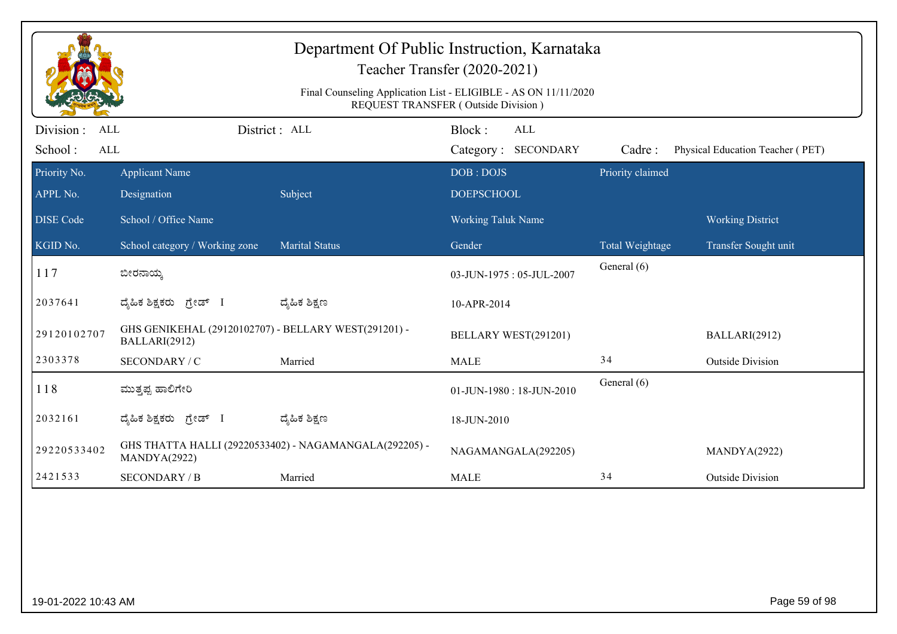|                                     |                                                                       |                                                        | Department Of Public Instruction, Karnataka<br>Teacher Transfer (2020-2021)                            |                  |                                  |
|-------------------------------------|-----------------------------------------------------------------------|--------------------------------------------------------|--------------------------------------------------------------------------------------------------------|------------------|----------------------------------|
|                                     |                                                                       |                                                        | Final Counseling Application List - ELIGIBLE - AS ON 11/11/2020<br>REQUEST TRANSFER (Outside Division) |                  |                                  |
| Division :<br>ALL<br>School:<br>ALL |                                                                       | District : ALL                                         | Block:<br>ALL<br><b>SECONDARY</b><br>Category:                                                         | Cadre:           | Physical Education Teacher (PET) |
| Priority No.<br>APPL No.            | <b>Applicant Name</b><br>Designation                                  | Subject                                                | DOB: DOJS<br><b>DOEPSCHOOL</b>                                                                         | Priority claimed |                                  |
| <b>DISE</b> Code                    | School / Office Name                                                  |                                                        | Working Taluk Name                                                                                     |                  | <b>Working District</b>          |
| KGID No.                            | School category / Working zone                                        | <b>Marital Status</b>                                  | Gender                                                                                                 | Total Weightage  | Transfer Sought unit             |
| 117                                 | ಬೀರನಾಯ್ಕ                                                              |                                                        | 03-JUN-1975: 05-JUL-2007                                                                               | General (6)      |                                  |
| 2037641                             | ದೈಹಿಕ ಶಿಕ್ಷಕರು ಗ್ರೇಡ್ I                                               | ದ್ಮೆಹಿಕ ಶಿಕ್ಷಣ                                         | 10-APR-2014                                                                                            |                  |                                  |
| 29120102707                         | GHS GENIKEHAL (29120102707) - BELLARY WEST(291201) -<br>BALLARI(2912) |                                                        | BELLARY WEST(291201)                                                                                   |                  | BALLARI(2912)                    |
| 2303378                             | SECONDARY / C                                                         | Married                                                | <b>MALE</b>                                                                                            | 34               | <b>Outside Division</b>          |
| 118                                 | ಮುತ್ತಪ್ಪ ಹಾಲಿಗೇರಿ                                                     |                                                        | 01-JUN-1980: 18-JUN-2010                                                                               | General (6)      |                                  |
| 2032161                             | ದೈಹಿಕ ಶಿಕ್ಷಕರು ಗ್ರೇಡ್ I                                               | ದ್ಯೆಹಿಕ ಶಿಕ್ಷಣ                                         | 18-JUN-2010                                                                                            |                  |                                  |
| 29220533402                         | MANDYA(2922)                                                          | GHS THATTA HALLI (29220533402) - NAGAMANGALA(292205) - | NAGAMANGALA(292205)                                                                                    |                  | MANDYA(2922)                     |
| 2421533                             | <b>SECONDARY / B</b>                                                  | Married                                                | <b>MALE</b>                                                                                            | 34               | <b>Outside Division</b>          |
|                                     |                                                                       |                                                        |                                                                                                        |                  |                                  |
| 19-01-2022 10:43 AM                 |                                                                       |                                                        |                                                                                                        |                  | Page 59 of 98                    |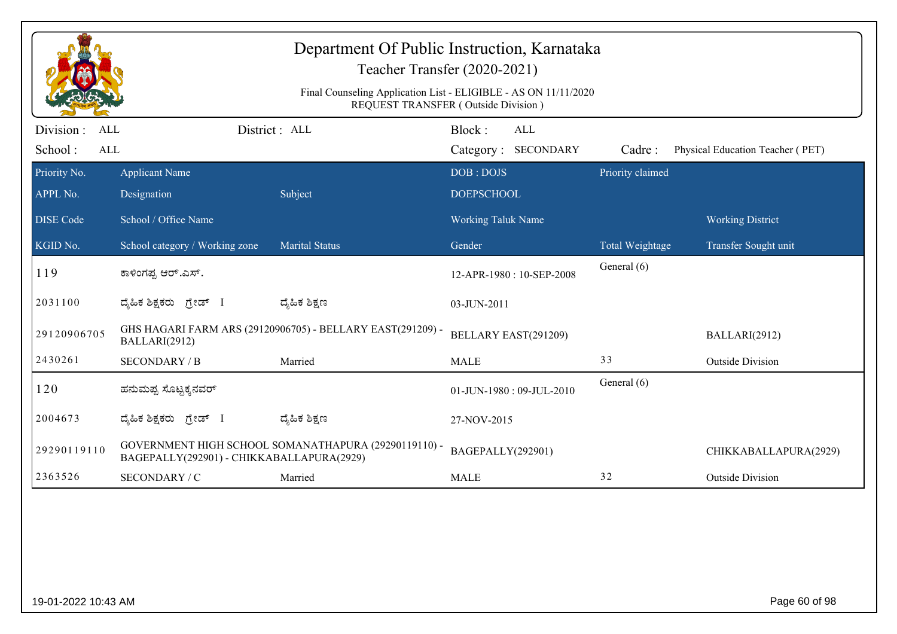| Department Of Public Instruction, Karnataka<br>Teacher Transfer (2020-2021)<br>Final Counseling Application List - ELIGIBLE - AS ON 11/11/2020<br>REQUEST TRANSFER (Outside Division) |                                           |                                                            |                                      |                  |                                  |  |  |
|---------------------------------------------------------------------------------------------------------------------------------------------------------------------------------------|-------------------------------------------|------------------------------------------------------------|--------------------------------------|------------------|----------------------------------|--|--|
| Division:<br><b>ALL</b><br>School:<br><b>ALL</b>                                                                                                                                      |                                           | District: ALL                                              | Block:<br>ALL<br>Category: SECONDARY | Cadre:           | Physical Education Teacher (PET) |  |  |
| Priority No.<br>APPL No.                                                                                                                                                              | <b>Applicant Name</b><br>Designation      | Subject                                                    | DOB: DOJS<br><b>DOEPSCHOOL</b>       | Priority claimed |                                  |  |  |
| <b>DISE</b> Code                                                                                                                                                                      | School / Office Name                      |                                                            | Working Taluk Name                   |                  | <b>Working District</b>          |  |  |
| KGID No.                                                                                                                                                                              | School category / Working zone            | <b>Marital Status</b>                                      | Gender                               | Total Weightage  | Transfer Sought unit             |  |  |
| 119                                                                                                                                                                                   | ಕಾಳಿಂಗಪ್ಪ ಆರ್.ಎಸ್.                        |                                                            | 12-APR-1980: 10-SEP-2008             | General (6)      |                                  |  |  |
| 2031100                                                                                                                                                                               | ದ್ಯಹಿಕ ಶಿಕ್ಷಕರು ಗ್ರೇಡ್ I                  | ದ್ಶೆಹಿಕ ಶಿಕ್ಷಣ                                             | 03-JUN-2011                          |                  |                                  |  |  |
| 29120906705                                                                                                                                                                           | BALLARI(2912)                             | GHS HAGARI FARM ARS (29120906705) - BELLARY EAST(291209) - | BELLARY EAST(291209)                 |                  | BALLARI(2912)                    |  |  |
| 2430261                                                                                                                                                                               | <b>SECONDARY / B</b>                      | Married                                                    | <b>MALE</b>                          | 33               | <b>Outside Division</b>          |  |  |
| 120                                                                                                                                                                                   | ಹನುಮಪ್ಪ ಸೊಟ್ಟಕ್ಕನವರ್                      |                                                            | 01-JUN-1980: 09-JUL-2010             | General (6)      |                                  |  |  |
| 2004673                                                                                                                                                                               | ದ್ಯಹಿಕ ಶಿಕ್ಷಕರು <i>ಗ್ರೇಡ್</i> I           | ದ್ಮಹಿಕ ಶಿಕ್ಷಣ                                              | 27-NOV-2015                          |                  |                                  |  |  |
| 29290119110                                                                                                                                                                           | BAGEPALLY(292901) - CHIKKABALLAPURA(2929) | GOVERNMENT HIGH SCHOOL SOMANATHAPURA (29290119110) -       | BAGEPALLY(292901)                    |                  | CHIKKABALLAPURA(2929)            |  |  |
| 2363526                                                                                                                                                                               | SECONDARY / C                             | Married                                                    | <b>MALE</b>                          | 32               | <b>Outside Division</b>          |  |  |
|                                                                                                                                                                                       |                                           |                                                            |                                      |                  |                                  |  |  |
| 19-01-2022 10:43 AM                                                                                                                                                                   |                                           |                                                            |                                      |                  | Page 60 of 98                    |  |  |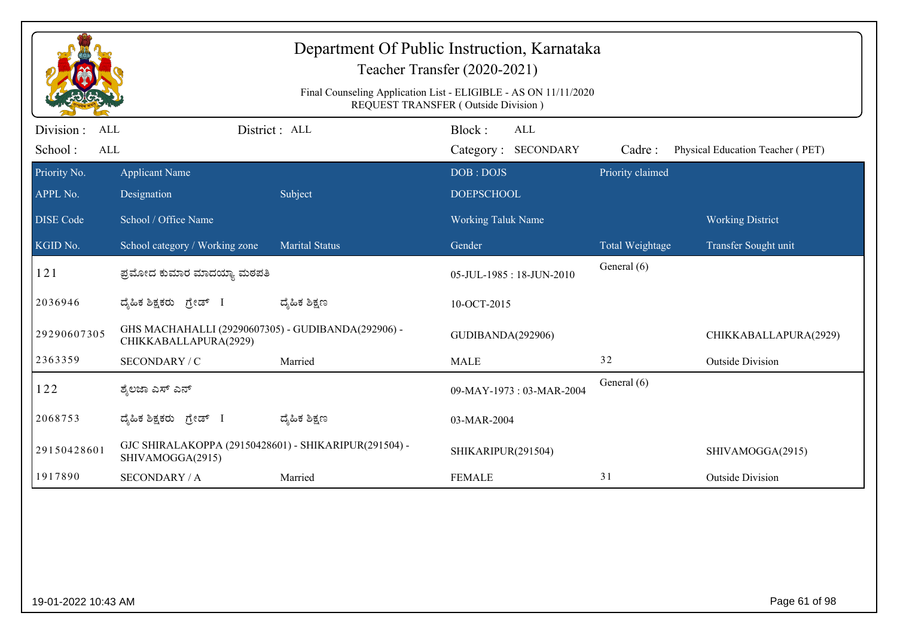|                                                  |                                                                             |                       | Department Of Public Instruction, Karnataka<br>Teacher Transfer (2020-2021)<br>Final Counseling Application List - ELIGIBLE - AS ON 11/11/2020<br>REQUEST TRANSFER (Outside Division) |                  |                                  |
|--------------------------------------------------|-----------------------------------------------------------------------------|-----------------------|---------------------------------------------------------------------------------------------------------------------------------------------------------------------------------------|------------------|----------------------------------|
| Division:<br><b>ALL</b><br>School:<br><b>ALL</b> |                                                                             | District: ALL         | Block:<br>ALL<br>Category: SECONDARY                                                                                                                                                  | Cadre:           | Physical Education Teacher (PET) |
| Priority No.                                     | <b>Applicant Name</b>                                                       |                       | DOB: DOJS                                                                                                                                                                             | Priority claimed |                                  |
| APPL No.<br><b>DISE Code</b>                     | Designation<br>School / Office Name                                         | Subject               | <b>DOEPSCHOOL</b><br><b>Working Taluk Name</b>                                                                                                                                        |                  | <b>Working District</b>          |
| $\overline{\text{KGID No.}}$                     | School category / Working zone                                              | <b>Marital Status</b> | Gender                                                                                                                                                                                | Total Weightage  | Transfer Sought unit             |
| 121                                              | ಪ್ರಮೋದ ಕುಮಾರ ಮಾದಯ್ಯಾ ಮಠಪತಿ                                                  |                       | 05-JUL-1985: 18-JUN-2010                                                                                                                                                              | General (6)      |                                  |
| 2036946                                          | ದ್ಯಹಿಕ ಶಿಕ್ಷಕರು ಗ್ರೇಡ್ I                                                    | ದ್ಶೆಹಿಕ ಶಿಕ್ಷಣ        | 10-OCT-2015                                                                                                                                                                           |                  |                                  |
| 29290607305                                      | GHS MACHAHALLI (29290607305) - GUDIBANDA(292906) -<br>CHIKKABALLAPURA(2929) |                       | GUDIBANDA(292906)                                                                                                                                                                     |                  | CHIKKABALLAPURA(2929)            |
| 2363359                                          | SECONDARY / C                                                               | Married               | <b>MALE</b>                                                                                                                                                                           | 32               | <b>Outside Division</b>          |
| 122                                              | ಶ್ಮೆಲಜಾ ಎಸ್ ಎನ್                                                             |                       | 09-MAY-1973: 03-MAR-2004                                                                                                                                                              | General (6)      |                                  |
| 2068753                                          | ದ್ಯಹಿಕ ಶಿಕ್ಷಕರು <i>ಗ್ರೇಡ್</i> I                                             | ದ್ಮಹಿಕ ಶಿಕ್ಷಣ         | 03-MAR-2004                                                                                                                                                                           |                  |                                  |
| 29150428601                                      | GJC SHIRALAKOPPA (29150428601) - SHIKARIPUR(291504) -<br>SHIVAMOGGA(2915)   |                       | SHIKARIPUR(291504)                                                                                                                                                                    |                  | SHIVAMOGGA(2915)                 |
| 1917890                                          | <b>SECONDARY / A</b>                                                        | Married               | <b>FEMALE</b>                                                                                                                                                                         | 31               | <b>Outside Division</b>          |
|                                                  |                                                                             |                       |                                                                                                                                                                                       |                  |                                  |
| 19-01-2022 10:43 AM                              |                                                                             |                       |                                                                                                                                                                                       |                  | Page 61 of 98                    |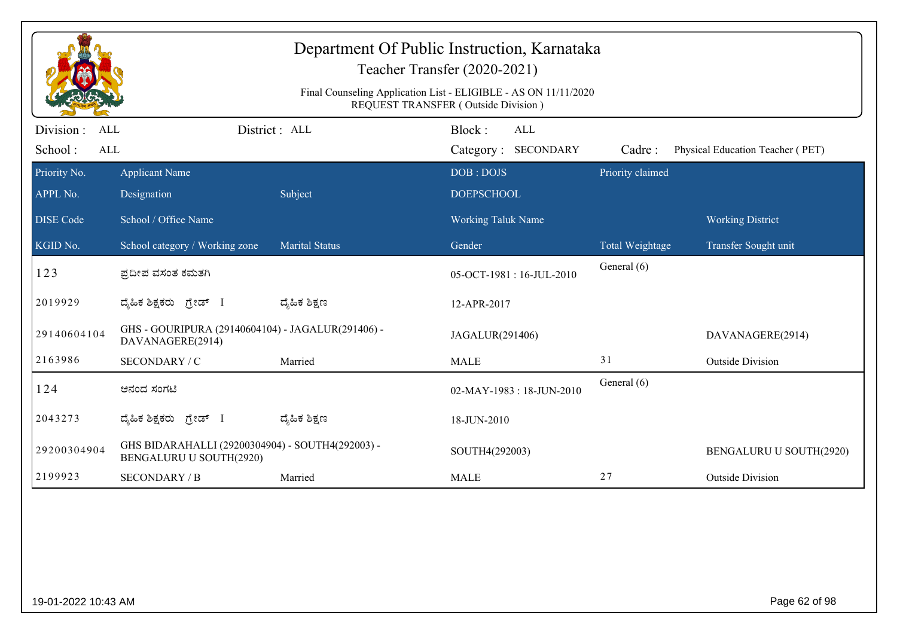|                                            |                                                                                    |                       | Department Of Public Instruction, Karnataka<br>Teacher Transfer (2020-2021)<br>Final Counseling Application List - ELIGIBLE - AS ON 11/11/2020<br>REQUEST TRANSFER (Outside Division) |                  |                                  |
|--------------------------------------------|------------------------------------------------------------------------------------|-----------------------|---------------------------------------------------------------------------------------------------------------------------------------------------------------------------------------|------------------|----------------------------------|
| Division :<br><b>ALL</b><br>School:<br>ALL |                                                                                    | District : ALL        | Block:<br>ALL<br>Category: SECONDARY                                                                                                                                                  | Cadre:           | Physical Education Teacher (PET) |
| Priority No.                               | <b>Applicant Name</b>                                                              |                       | DOB: DOJS                                                                                                                                                                             | Priority claimed |                                  |
| APPL No.                                   | Designation                                                                        | Subject               | <b>DOEPSCHOOL</b>                                                                                                                                                                     |                  |                                  |
| <b>DISE</b> Code                           | School / Office Name                                                               |                       | <b>Working Taluk Name</b>                                                                                                                                                             |                  | <b>Working District</b>          |
| KGID No.                                   | School category / Working zone                                                     | <b>Marital Status</b> | Gender                                                                                                                                                                                | Total Weightage  | Transfer Sought unit             |
| 123                                        | ಪ್ರದೀಪ ವಸಂತ ಕಮತಗಿ                                                                  |                       | 05-OCT-1981:16-JUL-2010                                                                                                                                                               | General (6)      |                                  |
| 2019929                                    | ದೈಹಿಕ ಶಿಕ್ಷಕರು ಗ್ರೇಡ್ I                                                            | ದ್ಯೆಹಿಕ ಶಿಕ್ಷಣ        | 12-APR-2017                                                                                                                                                                           |                  |                                  |
| 29140604104                                | GHS - GOURIPURA (29140604104) - JAGALUR(291406) -<br>DAVANAGERE(2914)              |                       | JAGALUR(291406)                                                                                                                                                                       |                  | DAVANAGERE(2914)                 |
| 2163986                                    | SECONDARY / C                                                                      | Married               | <b>MALE</b>                                                                                                                                                                           | 31               | <b>Outside Division</b>          |
| 124                                        | ಆನಂದ ಸಂಗಟಿ                                                                         |                       | 02-MAY-1983: 18-JUN-2010                                                                                                                                                              | General (6)      |                                  |
| 2043273                                    | ದೈಹಿಕ ಶಿಕ್ಷಕರು ಗ್ರೇಡ್ I                                                            | ದ್ಯೆಹಿಕ ಶಿಕ್ಷಣ        | 18-JUN-2010                                                                                                                                                                           |                  |                                  |
| 29200304904                                | GHS BIDARAHALLI (29200304904) - SOUTH4(292003) -<br><b>BENGALURU U SOUTH(2920)</b> |                       | SOUTH4(292003)                                                                                                                                                                        |                  | BENGALURU U SOUTH(2920)          |
| 2199923                                    | <b>SECONDARY / B</b>                                                               | Married               | <b>MALE</b>                                                                                                                                                                           | 27               | <b>Outside Division</b>          |
|                                            |                                                                                    |                       |                                                                                                                                                                                       |                  |                                  |
| 19-01-2022 10:43 AM                        |                                                                                    |                       |                                                                                                                                                                                       |                  | Page 62 of 98                    |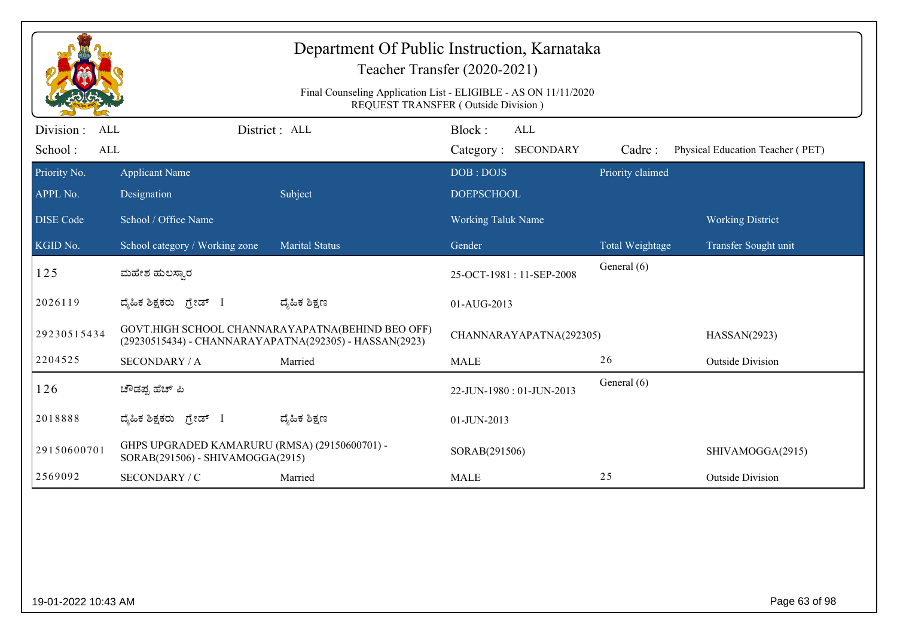|                                            | Department Of Public Instruction, Karnataka<br>Teacher Transfer (2020-2021)                            |                                                                                                            |                                      |                  |                                  |  |  |  |
|--------------------------------------------|--------------------------------------------------------------------------------------------------------|------------------------------------------------------------------------------------------------------------|--------------------------------------|------------------|----------------------------------|--|--|--|
|                                            | Final Counseling Application List - ELIGIBLE - AS ON 11/11/2020<br>REQUEST TRANSFER (Outside Division) |                                                                                                            |                                      |                  |                                  |  |  |  |
| Division :<br><b>ALL</b><br>School:<br>ALL |                                                                                                        | District: ALL                                                                                              | Block:<br>ALL<br>Category: SECONDARY | Cadre:           | Physical Education Teacher (PET) |  |  |  |
| Priority No.<br>APPL No.                   | <b>Applicant Name</b>                                                                                  | Subject                                                                                                    | DOB: DOJS<br><b>DOEPSCHOOL</b>       | Priority claimed |                                  |  |  |  |
| <b>DISE Code</b>                           | Designation<br>School / Office Name                                                                    |                                                                                                            | <b>Working Taluk Name</b>            |                  | <b>Working District</b>          |  |  |  |
| KGID No.                                   | School category / Working zone                                                                         | <b>Marital Status</b>                                                                                      | Gender                               | Total Weightage  | Transfer Sought unit             |  |  |  |
| 125                                        | ಮಹೇಶ ಹುಲಸ್ಕಾರ                                                                                          |                                                                                                            | 25-OCT-1981:11-SEP-2008              | General (6)      |                                  |  |  |  |
| 2026119                                    | ದೈಹಿಕ ಶಿಕ್ಷಕರು ಗ್ರೇಡ್ I                                                                                | ದ್ಯೆಹಿಕ ಶಿಕ್ಷಣ                                                                                             | 01-AUG-2013                          |                  |                                  |  |  |  |
| 29230515434                                |                                                                                                        | GOVT.HIGH SCHOOL CHANNARAYAPATNA(BEHIND BEO OFF)<br>(29230515434) - CHANNARAYAPATNA(292305) - HASSAN(2923) | CHANNARAYAPATNA(292305)              |                  | HASSAN(2923)                     |  |  |  |
| 2204525                                    | <b>SECONDARY / A</b>                                                                                   | Married                                                                                                    | <b>MALE</b>                          | 26               | <b>Outside Division</b>          |  |  |  |
| 126                                        | ಚೌಡಪ್ಪ ಹೆಚ್ ಪಿ                                                                                         |                                                                                                            | 22-JUN-1980: 01-JUN-2013             | General (6)      |                                  |  |  |  |
| 2018888                                    | ದೈಹಿಕ ಶಿಕ್ಷಕರು ಗ್ರೇಡ್ I                                                                                | ದ್ಮಹಿಕ ಶಿಕ್ಷಣ                                                                                              | 01-JUN-2013                          |                  |                                  |  |  |  |
| 29150600701                                | GHPS UPGRADED KAMARURU (RMSA) (29150600701) -<br>SORAB(291506) - SHIVAMOGGA(2915)                      |                                                                                                            | SORAB(291506)                        |                  | SHIVAMOGGA(2915)                 |  |  |  |
|                                            | SECONDARY / C                                                                                          | Married                                                                                                    | <b>MALE</b>                          | 25               | <b>Outside Division</b>          |  |  |  |
| 2569092                                    |                                                                                                        |                                                                                                            |                                      |                  |                                  |  |  |  |
| 19-01-2022 10:43 AM                        |                                                                                                        |                                                                                                            |                                      |                  | Page 63 of 98                    |  |  |  |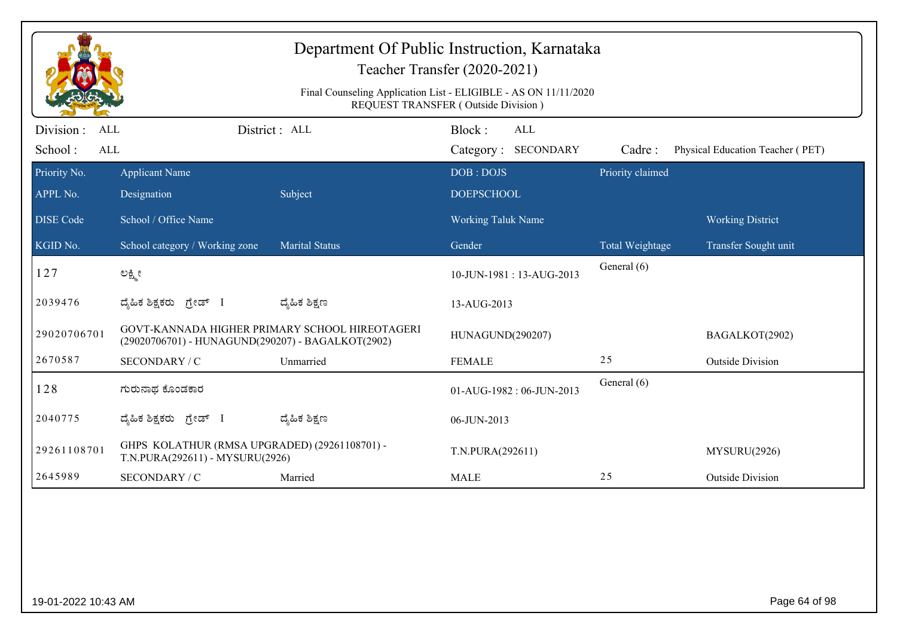|                                            | Department Of Public Instruction, Karnataka<br>Teacher Transfer (2020-2021)                            |                                                |                                      |                  |                                  |  |  |  |
|--------------------------------------------|--------------------------------------------------------------------------------------------------------|------------------------------------------------|--------------------------------------|------------------|----------------------------------|--|--|--|
|                                            | Final Counseling Application List - ELIGIBLE - AS ON 11/11/2020<br>REQUEST TRANSFER (Outside Division) |                                                |                                      |                  |                                  |  |  |  |
| Division :<br><b>ALL</b><br>School:<br>ALL |                                                                                                        | District: ALL                                  | Block:<br>ALL<br>Category: SECONDARY | Cadre:           | Physical Education Teacher (PET) |  |  |  |
| Priority No.<br>APPL No.                   | <b>Applicant Name</b><br>Designation                                                                   | Subject                                        | DOB: DOJS<br><b>DOEPSCHOOL</b>       | Priority claimed |                                  |  |  |  |
| <b>DISE Code</b>                           | School / Office Name                                                                                   |                                                | <b>Working Taluk Name</b>            |                  | <b>Working District</b>          |  |  |  |
| KGID No.                                   | School category / Working zone                                                                         | <b>Marital Status</b>                          | Gender                               | Total Weightage  | Transfer Sought unit             |  |  |  |
| 127                                        | ಲಕ್ಷ್ಮೀ                                                                                                |                                                | 10-JUN-1981: 13-AUG-2013             | General (6)      |                                  |  |  |  |
| 2039476                                    | ದೈಹಿಕ ಶಿಕ್ಷಕರು ಗ್ರೇಡ್ I                                                                                | ದ್ಯೆಹಿಕ ಶಿಕ್ಷಣ                                 | 13-AUG-2013                          |                  |                                  |  |  |  |
| 29020706701                                | (29020706701) - HUNAGUND(290207) - BAGALKOT(2902)                                                      | GOVT-KANNADA HIGHER PRIMARY SCHOOL HIREOTAGERI | HUNAGUND(290207)                     |                  | BAGALKOT(2902)                   |  |  |  |
| 2670587                                    | SECONDARY / C                                                                                          | Unmarried                                      | <b>FEMALE</b>                        | 25               | <b>Outside Division</b>          |  |  |  |
| 128                                        | ಗುರುನಾಥ ಕೊಂಡಕಾರ                                                                                        |                                                | 01-AUG-1982: 06-JUN-2013             | General (6)      |                                  |  |  |  |
| 2040775                                    | ದ್ಯಹಿಕ ಶಿಕ್ಷಕರು ಗ್ರೇಡ್ I                                                                               | ದ್ಮಹಿಕ ಶಿಕ್ಷಣ                                  | 06-JUN-2013                          |                  |                                  |  |  |  |
| 29261108701                                | GHPS KOLATHUR (RMSA UPGRADED) (29261108701) -<br>T.N.PURA(292611) - MYSURU(2926)                       |                                                | T.N.PURA(292611)                     |                  | MYSURU(2926)                     |  |  |  |
|                                            | SECONDARY / C                                                                                          | Married                                        | <b>MALE</b>                          | 25               | <b>Outside Division</b>          |  |  |  |
| 2645989                                    |                                                                                                        |                                                |                                      |                  |                                  |  |  |  |
| 19-01-2022 10:43 AM                        |                                                                                                        |                                                |                                      |                  | Page 64 of 98                    |  |  |  |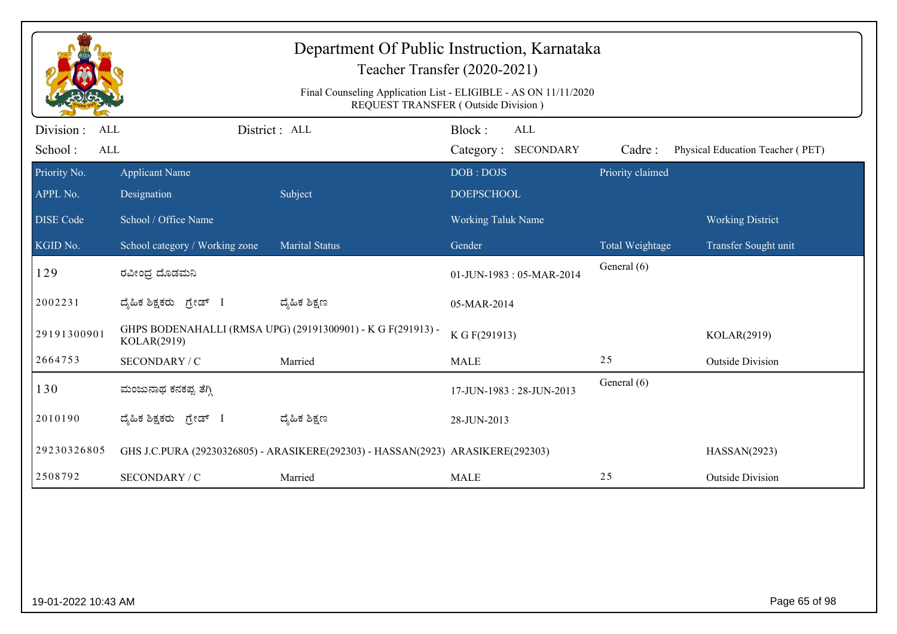|                                 | Department Of Public Instruction, Karnataka<br>Teacher Transfer (2020-2021)<br>Final Counseling Application List - ELIGIBLE - AS ON 11/11/2020 |                                                                                 |                                                                                    |                            |                                  |  |  |  |
|---------------------------------|------------------------------------------------------------------------------------------------------------------------------------------------|---------------------------------------------------------------------------------|------------------------------------------------------------------------------------|----------------------------|----------------------------------|--|--|--|
| Division :<br><b>ALL</b><br>ALL |                                                                                                                                                | District : ALL                                                                  | REQUEST TRANSFER (Outside Division)<br>Block:<br><b>ALL</b><br>Category: SECONDARY |                            | Physical Education Teacher (PET) |  |  |  |
| School:<br>Priority No.         | <b>Applicant Name</b>                                                                                                                          |                                                                                 | DOB: DOJS                                                                          | Cadre:<br>Priority claimed |                                  |  |  |  |
| APPL No.                        | Designation                                                                                                                                    | Subject                                                                         | <b>DOEPSCHOOL</b>                                                                  |                            |                                  |  |  |  |
| <b>DISE</b> Code                | School / Office Name                                                                                                                           |                                                                                 | <b>Working Taluk Name</b>                                                          |                            | <b>Working District</b>          |  |  |  |
| KGID No.                        | School category / Working zone                                                                                                                 | <b>Marital Status</b>                                                           | Gender                                                                             | Total Weightage            | Transfer Sought unit             |  |  |  |
| 129                             | ರವೀಂಧ್ರ ದೊಡಮನಿ                                                                                                                                 |                                                                                 | 01-JUN-1983: 05-MAR-2014                                                           | General (6)                |                                  |  |  |  |
| 2002231                         | ದೈಹಿಕ ಶಿಕ್ಷಕರು ಗ್ರೇಡ್ I                                                                                                                        | ದ್ಯೆಹಿಕ ಶಿಕ್ಷಣ                                                                  | 05-MAR-2014                                                                        |                            |                                  |  |  |  |
| 29191300901                     | KOLAR(2919)                                                                                                                                    | GHPS BODENAHALLI (RMSA UPG) (29191300901) - K G F(291913) -                     | K G F(291913)                                                                      |                            | KOLAR(2919)                      |  |  |  |
| 2664753                         | SECONDARY / C                                                                                                                                  | Married                                                                         | <b>MALE</b>                                                                        | 25                         | <b>Outside Division</b>          |  |  |  |
| 130                             | ಮಂಜುನಾಥ ಕನಕಪ್ಪ ತೆಗ್ಗಿ                                                                                                                          |                                                                                 | 17-JUN-1983: 28-JUN-2013                                                           | General (6)                |                                  |  |  |  |
| 2010190                         | ದೈಹಿಕ ಶಿಕ್ಷಕರು <i>ಗ್ರೇಡ್</i> I                                                                                                                 | ದ್ಯೆಹಿಕ ಶಿಕ್ಷಣ                                                                  | 28-JUN-2013                                                                        |                            |                                  |  |  |  |
| 29230326805                     |                                                                                                                                                | GHS J.C.PURA (29230326805) - ARASIKERE(292303) - HASSAN(2923) ARASIKERE(292303) |                                                                                    |                            | HASSAN(2923)                     |  |  |  |
| 2508792                         | SECONDARY / C                                                                                                                                  | Married                                                                         | <b>MALE</b>                                                                        | 25                         | <b>Outside Division</b>          |  |  |  |
|                                 |                                                                                                                                                |                                                                                 |                                                                                    |                            |                                  |  |  |  |
| 19-01-2022 10:43 AM             |                                                                                                                                                |                                                                                 |                                                                                    |                            | Page 65 of 98                    |  |  |  |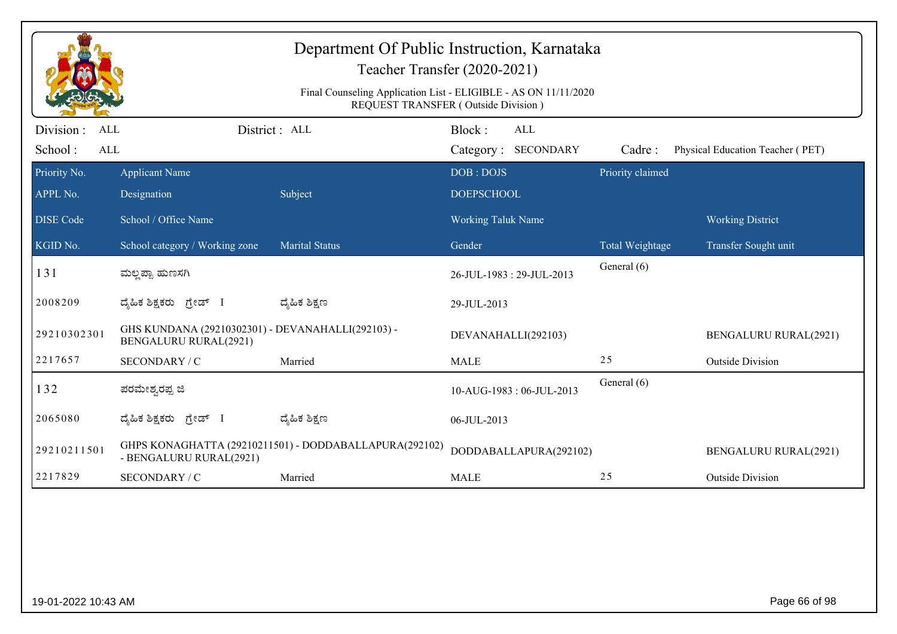|                                            |                                                                                   | Department Of Public Instruction, Karnataka            | Teacher Transfer (2020-2021)<br>Final Counseling Application List - ELIGIBLE - AS ON 11/11/2020<br>REQUEST TRANSFER (Outside Division) |                  |                                  |
|--------------------------------------------|-----------------------------------------------------------------------------------|--------------------------------------------------------|----------------------------------------------------------------------------------------------------------------------------------------|------------------|----------------------------------|
| Division :<br>ALL<br>School:<br><b>ALL</b> |                                                                                   | District : ALL                                         | Block:<br>ALL<br>Category: SECONDARY                                                                                                   | Cadre:           | Physical Education Teacher (PET) |
| Priority No.<br>APPL No.                   | <b>Applicant Name</b><br>Designation                                              | Subject                                                | DOB: DOJS<br><b>DOEPSCHOOL</b>                                                                                                         | Priority claimed |                                  |
| <b>DISE</b> Code                           | School / Office Name                                                              |                                                        | <b>Working Taluk Name</b>                                                                                                              |                  | <b>Working District</b>          |
| KGID No.                                   | School category / Working zone                                                    | <b>Marital Status</b>                                  | Gender                                                                                                                                 | Total Weightage  | Transfer Sought unit             |
| 131                                        | ಮಲ್ಲಪ್ಪಾ ಹುಣಸಗಿ                                                                   |                                                        | 26-JUL-1983: 29-JUL-2013                                                                                                               | General (6)      |                                  |
| 2008209                                    | ದ್ಯಹಿಕ ಶಿಕ್ಷಕರು ಗ್ರೇಡ್ I                                                          | ದ್ಯೆಹಿಕ ಶಿಕ್ಷಣ                                         | 29-JUL-2013                                                                                                                            |                  |                                  |
| 29210302301                                | GHS KUNDANA (29210302301) - DEVANAHALLI(292103) -<br><b>BENGALURU RURAL(2921)</b> |                                                        | DEVANAHALLI(292103)                                                                                                                    |                  | <b>BENGALURU RURAL(2921)</b>     |
| 2217657                                    | SECONDARY / C                                                                     | Married                                                | <b>MALE</b>                                                                                                                            | 25               | <b>Outside Division</b>          |
| 132                                        | ಪರಮೇಶ್ವರಪ್ಪ ಜಿ                                                                    |                                                        | 10-AUG-1983: 06-JUL-2013                                                                                                               | General (6)      |                                  |
| 2065080                                    | ದ್ಯಹಿಕ ಶಿಕ್ಷಕರು ಗ್ರೇಡ್ I                                                          | ದ್ಯೆಹಿಕ ಶಿಕ್ಷಣ                                         | 06-JUL-2013                                                                                                                            |                  |                                  |
| 29210211501                                | - BENGALURU RURAL(2921)                                                           | GHPS KONAGHATTA (29210211501) - DODDABALLAPURA(292102) | DODDABALLAPURA(292102)                                                                                                                 |                  | <b>BENGALURU RURAL(2921)</b>     |
| 2217829                                    | SECONDARY / C                                                                     | Married                                                | <b>MALE</b>                                                                                                                            | 25               | <b>Outside Division</b>          |
|                                            |                                                                                   |                                                        |                                                                                                                                        |                  |                                  |
| 19-01-2022 10:43 AM                        |                                                                                   |                                                        |                                                                                                                                        |                  | Page 66 of 98                    |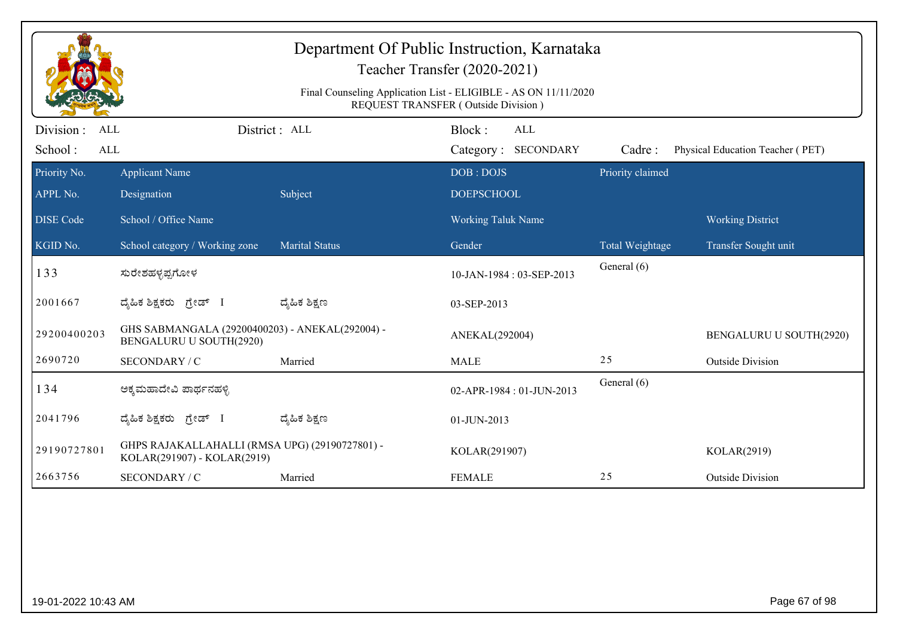|                       |                                                                               |                       | Department Of Public Instruction, Karnataka<br>Teacher Transfer (2020-2021)<br>Final Counseling Application List - ELIGIBLE - AS ON 11/11/2020 |                  |                                  |
|-----------------------|-------------------------------------------------------------------------------|-----------------------|------------------------------------------------------------------------------------------------------------------------------------------------|------------------|----------------------------------|
|                       |                                                                               |                       | REQUEST TRANSFER (Outside Division)                                                                                                            |                  |                                  |
| Division :<br>ALL     |                                                                               | District : ALL        | Block:<br>ALL                                                                                                                                  |                  |                                  |
| School:<br><b>ALL</b> |                                                                               |                       | Category: SECONDARY                                                                                                                            | Cadre:           | Physical Education Teacher (PET) |
| Priority No.          | <b>Applicant Name</b>                                                         |                       | DOB: DOJS                                                                                                                                      | Priority claimed |                                  |
| APPL No.              | Designation                                                                   | Subject               | <b>DOEPSCHOOL</b>                                                                                                                              |                  |                                  |
| <b>DISE Code</b>      | School / Office Name                                                          |                       | Working Taluk Name                                                                                                                             |                  | <b>Working District</b>          |
| KGID No.              | School category / Working zone                                                | <b>Marital Status</b> | Gender                                                                                                                                         | Total Weightage  | Transfer Sought unit             |
| 133                   | ಸುರೇಶಹಳ್ಳಪ್ಪಗೋಳ                                                               |                       | 10-JAN-1984: 03-SEP-2013                                                                                                                       | General (6)      |                                  |
| 2001667               | ದ್ಯಹಿಕ ಶಿಕ್ಷಕರು ಗ್ರೇಡ್ I                                                      | ದ್ಶೆಹಿಕ ಶಿಕ್ಷಣ        | 03-SEP-2013                                                                                                                                    |                  |                                  |
| 29200400203           | GHS SABMANGALA (29200400203) - ANEKAL(292004) -<br>BENGALURU U SOUTH(2920)    |                       | ANEKAL(292004)                                                                                                                                 |                  | BENGALURU U SOUTH(2920)          |
| 2690720               | SECONDARY / C                                                                 | Married               | <b>MALE</b>                                                                                                                                    | 25               | <b>Outside Division</b>          |
| 134                   | ಅಕ್ಕಮಹಾದೇವಿ ಪಾರ್ಥನಹಳ್ಳಿ                                                       |                       | 02-APR-1984: 01-JUN-2013                                                                                                                       | General (6)      |                                  |
| 2041796               | ದ್ಯಹಿಕ ಶಿಕ್ಷಕರು ಗ್ರೇಡ್ I                                                      | ದ್ಮಹಿಕ ಶಿಕ್ಷಣ         | 01-JUN-2013                                                                                                                                    |                  |                                  |
| 29190727801           | GHPS RAJAKALLAHALLI (RMSA UPG) (29190727801) -<br>KOLAR(291907) - KOLAR(2919) |                       | KOLAR(291907)                                                                                                                                  |                  | KOLAR(2919)                      |
| 2663756               | SECONDARY / C                                                                 | Married               | <b>FEMALE</b>                                                                                                                                  | 25               | <b>Outside Division</b>          |
|                       |                                                                               |                       |                                                                                                                                                |                  |                                  |
| 19-01-2022 10:43 AM   |                                                                               |                       |                                                                                                                                                |                  | Page 67 of 98                    |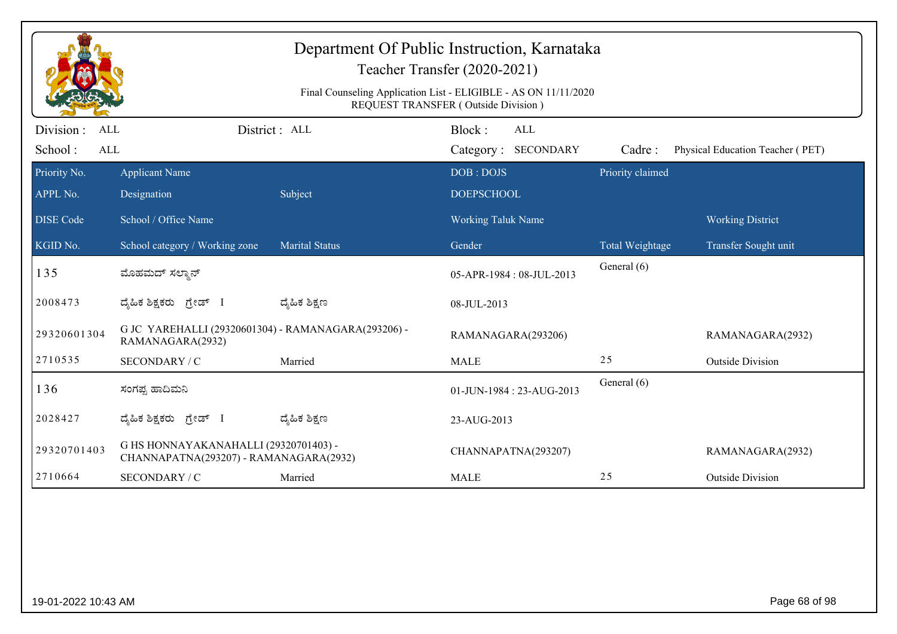|                         |                                                                                 |                | Teacher Transfer (2020-2021)                                                                           |                  |                                  |
|-------------------------|---------------------------------------------------------------------------------|----------------|--------------------------------------------------------------------------------------------------------|------------------|----------------------------------|
|                         |                                                                                 |                | Final Counseling Application List - ELIGIBLE - AS ON 11/11/2020<br>REQUEST TRANSFER (Outside Division) |                  |                                  |
| Division:<br><b>ALL</b> |                                                                                 | District: ALL  | Block:<br>ALL                                                                                          |                  |                                  |
| School:<br><b>ALL</b>   |                                                                                 |                | Category: SECONDARY                                                                                    | Cadre:           | Physical Education Teacher (PET) |
| Priority No.            | <b>Applicant Name</b>                                                           |                | DOB: DOJS                                                                                              | Priority claimed |                                  |
| APPL No.                | Designation                                                                     | Subject        | <b>DOEPSCHOOL</b>                                                                                      |                  |                                  |
| <b>DISE Code</b>        | School / Office Name                                                            |                | <b>Working Taluk Name</b>                                                                              |                  | <b>Working District</b>          |
| KGID No.                | School category / Working zone                                                  | Marital Status | Gender                                                                                                 | Total Weightage  | Transfer Sought unit             |
| 135                     | ಮೊಹಮದ್ ಸಲ್ಮಾನ್                                                                  |                | 05-APR-1984: 08-JUL-2013                                                                               | General (6)      |                                  |
| 2008473                 | ದ್ಯಹಿಕ ಶಿಕ್ಷಕರು ಗ್ರೇಡ್ I                                                        | ದ್ಯಹಿಕ ಶಿಕ್ಷಣ  | 08-JUL-2013                                                                                            |                  |                                  |
| 29320601304             | G JC YAREHALLI (29320601304) - RAMANAGARA(293206) -<br>RAMANAGARA(2932)         |                | RAMANAGARA(293206)                                                                                     |                  | RAMANAGARA(2932)                 |
| 2710535                 | SECONDARY / C                                                                   | Married        | <b>MALE</b>                                                                                            | 25               | <b>Outside Division</b>          |
| 136                     | ಸಂಗಪ್ಪ ಹಾದಿಮನಿ                                                                  |                | 01-JUN-1984: 23-AUG-2013                                                                               | General (6)      |                                  |
| 2028427                 | ದ್ಯಹಿಕ ಶಿಕ್ಷಕರು ಗ್ರೇಡ್ I                                                        | ದ್ಯಹಿಕ ಶಿಕ್ಷಣ  | 23-AUG-2013                                                                                            |                  |                                  |
| 29320701403             | G HS HONNAYAKANAHALLI (29320701403) -<br>CHANNAPATNA(293207) - RAMANAGARA(2932) |                | CHANNAPATNA(293207)                                                                                    |                  | RAMANAGARA(2932)                 |
| 2710664                 | SECONDARY / C                                                                   | Married        | <b>MALE</b>                                                                                            | 25               | <b>Outside Division</b>          |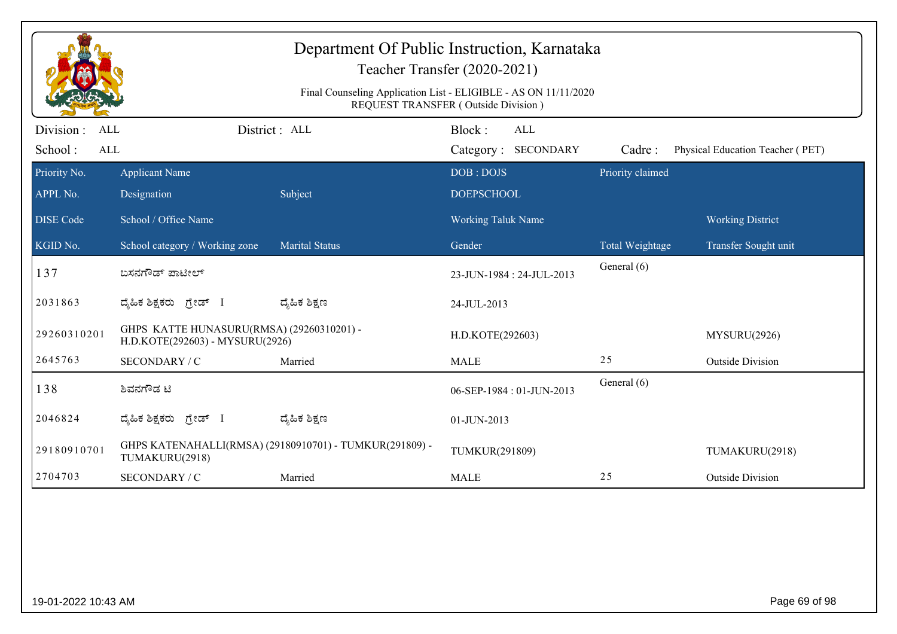| Department Of Public Instruction, Karnataka<br>Teacher Transfer (2020-2021)<br>Final Counseling Application List - ELIGIBLE - AS ON 11/11/2020<br>REQUEST TRANSFER (Outside Division) |                                                                              |                                                         |                                             |                  |                                  |  |  |  |
|---------------------------------------------------------------------------------------------------------------------------------------------------------------------------------------|------------------------------------------------------------------------------|---------------------------------------------------------|---------------------------------------------|------------------|----------------------------------|--|--|--|
| Division:<br>ALL<br>School:<br><b>ALL</b>                                                                                                                                             |                                                                              | District : ALL                                          | Block:<br><b>ALL</b><br>Category: SECONDARY | Cadre:           | Physical Education Teacher (PET) |  |  |  |
| Priority No.<br>APPL No.                                                                                                                                                              | <b>Applicant Name</b><br>Designation                                         | Subject                                                 | DOB: DOJS<br><b>DOEPSCHOOL</b>              | Priority claimed |                                  |  |  |  |
| <b>DISE</b> Code                                                                                                                                                                      | School / Office Name                                                         |                                                         | <b>Working Taluk Name</b>                   |                  | <b>Working District</b>          |  |  |  |
| KGID No.                                                                                                                                                                              | School category / Working zone                                               | <b>Marital Status</b>                                   | Gender                                      | Total Weightage  | Transfer Sought unit             |  |  |  |
| 137                                                                                                                                                                                   | ಬಸನಗೌಡ್ ಪಾಟೀಲ್                                                               |                                                         | 23-JUN-1984: 24-JUL-2013                    | General (6)      |                                  |  |  |  |
| 2031863                                                                                                                                                                               | ದ್ಯಹಿಕ ಶಿಕ್ಷಕರು ಗ್ರೇಡ್ I                                                     | ದ್ಮೆಹಿಕ ಶಿಕ್ಷಣ                                          | 24-JUL-2013                                 |                  |                                  |  |  |  |
| 29260310201                                                                                                                                                                           | GHPS KATTE HUNASURU(RMSA) (29260310201) -<br>H.D.KOTE(292603) - MYSURU(2926) |                                                         | H.D.KOTE(292603)                            |                  | MYSURU(2926)                     |  |  |  |
| 2645763                                                                                                                                                                               | SECONDARY / C                                                                | Married                                                 | <b>MALE</b>                                 | 25               | <b>Outside Division</b>          |  |  |  |
| 138                                                                                                                                                                                   | ಶಿವನಗೌಡ ಟಿ                                                                   |                                                         | 06-SEP-1984: 01-JUN-2013                    | General (6)      |                                  |  |  |  |
| 2046824                                                                                                                                                                               | ದ್ಯಹಿಕ ಶಿಕ್ಷಕರು ಗ್ರೇಡ್ I                                                     | ದ್ಯೆಹಿಕ ಶಿಕ್ಷಣ                                          | 01-JUN-2013                                 |                  |                                  |  |  |  |
| 29180910701                                                                                                                                                                           | TUMAKURU(2918)                                                               | GHPS KATENAHALLI(RMSA) (29180910701) - TUMKUR(291809) - | TUMKUR(291809)                              |                  | TUMAKURU(2918)                   |  |  |  |
| 2704703                                                                                                                                                                               | SECONDARY / C                                                                | Married                                                 | <b>MALE</b>                                 | 25               | <b>Outside Division</b>          |  |  |  |
|                                                                                                                                                                                       |                                                                              |                                                         |                                             |                  |                                  |  |  |  |
| 19-01-2022 10:43 AM                                                                                                                                                                   |                                                                              |                                                         |                                             |                  | Page 69 of 98                    |  |  |  |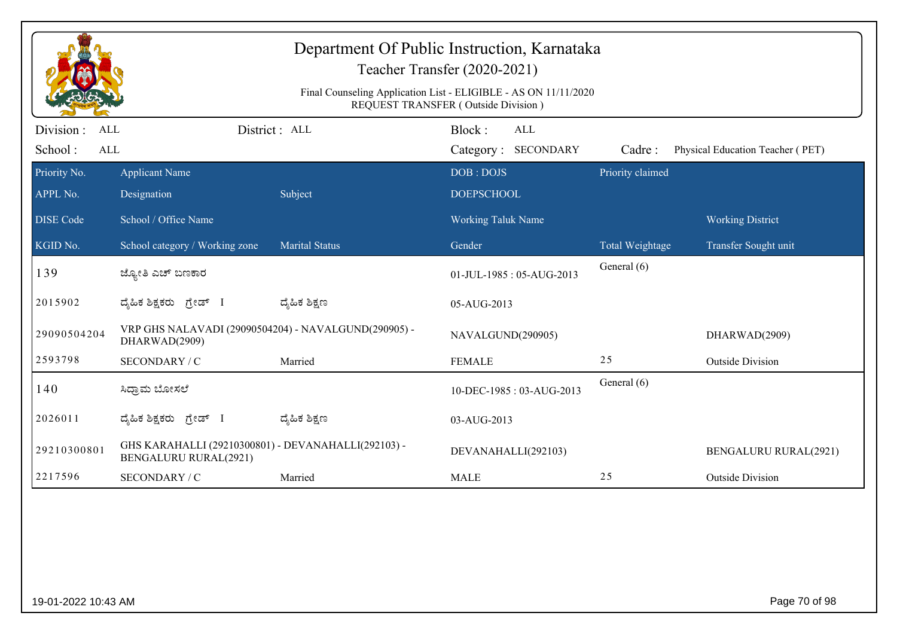|                                                  |                                                                                     |                       | Department Of Public Instruction, Karnataka<br>Teacher Transfer (2020-2021)<br>Final Counseling Application List - ELIGIBLE - AS ON 11/11/2020<br>REQUEST TRANSFER (Outside Division) |                  |                                  |
|--------------------------------------------------|-------------------------------------------------------------------------------------|-----------------------|---------------------------------------------------------------------------------------------------------------------------------------------------------------------------------------|------------------|----------------------------------|
| Division:<br><b>ALL</b><br>School:<br><b>ALL</b> |                                                                                     | District: ALL         | Block:<br>ALL<br>Category: SECONDARY                                                                                                                                                  | Cadre:           | Physical Education Teacher (PET) |
| Priority No.<br>APPL No.                         | <b>Applicant Name</b><br>Designation                                                | Subject               | DOB: DOJS<br><b>DOEPSCHOOL</b>                                                                                                                                                        | Priority claimed |                                  |
| <b>DISE Code</b>                                 | School / Office Name                                                                |                       | Working Taluk Name                                                                                                                                                                    |                  | <b>Working District</b>          |
| KGID No.                                         | School category / Working zone                                                      | <b>Marital Status</b> | Gender                                                                                                                                                                                | Total Weightage  | Transfer Sought unit             |
| 139                                              | ಜ್ಯೋತಿ ಎಚ್ ಬಣಕಾರ                                                                    |                       | 01-JUL-1985: 05-AUG-2013                                                                                                                                                              | General (6)      |                                  |
| 2015902                                          | ದ್ಯಹಿಕ ಶಿಕ್ಷಕರು ಗ್ರೇಡ್ I                                                            | ದ್ಶೆಹಿಕ ಶಿಕ್ಷಣ        | 05-AUG-2013                                                                                                                                                                           |                  |                                  |
| 29090504204                                      | VRP GHS NALAVADI (29090504204) - NAVALGUND(290905) -<br>DHARWAD(2909)               |                       | NAVALGUND(290905)                                                                                                                                                                     |                  | DHARWAD(2909)                    |
| 2593798                                          | SECONDARY / C                                                                       | Married               | <b>FEMALE</b>                                                                                                                                                                         | 25               | <b>Outside Division</b>          |
| 140                                              | ಸಿದ್ರಾಮ ಬೋಸಲೆ                                                                       |                       | 10-DEC-1985: 03-AUG-2013                                                                                                                                                              | General (6)      |                                  |
| 2026011                                          | ದ್ಯಹಿಕ ಶಿಕ್ಷಕರು <i>ಗ್ರೇಡ್</i> I                                                     | ದ್ಯೆಹಿಕ ಶಿಕ್ಷಣ        | 03-AUG-2013                                                                                                                                                                           |                  |                                  |
| 29210300801                                      | GHS KARAHALLI (29210300801) - DEVANAHALLI(292103) -<br><b>BENGALURU RURAL(2921)</b> |                       | DEVANAHALLI(292103)                                                                                                                                                                   |                  | <b>BENGALURU RURAL(2921)</b>     |
| 2217596                                          | SECONDARY / C                                                                       | Married               | <b>MALE</b>                                                                                                                                                                           | 25               | <b>Outside Division</b>          |
|                                                  |                                                                                     |                       |                                                                                                                                                                                       |                  |                                  |
| 19-01-2022 10:43 AM                              |                                                                                     |                       |                                                                                                                                                                                       |                  | Page 70 of 98                    |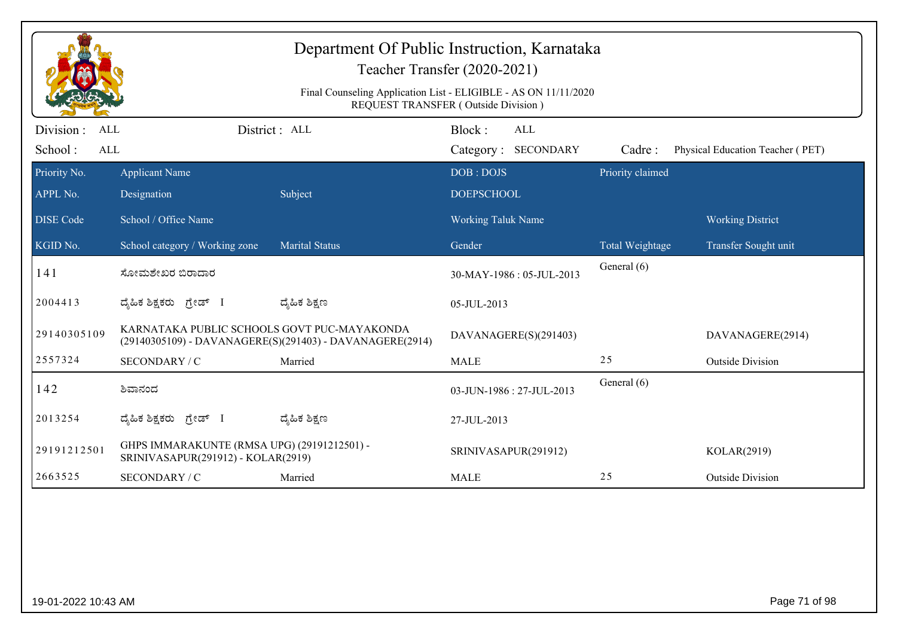| Department Of Public Instruction, Karnataka<br>Teacher Transfer (2020-2021)<br>Final Counseling Application List - ELIGIBLE - AS ON 11/11/2020 |                                                                                   |                                                          |                           |                          |                  |                                  |  |  |
|------------------------------------------------------------------------------------------------------------------------------------------------|-----------------------------------------------------------------------------------|----------------------------------------------------------|---------------------------|--------------------------|------------------|----------------------------------|--|--|
| REQUEST TRANSFER (Outside Division)                                                                                                            |                                                                                   |                                                          |                           |                          |                  |                                  |  |  |
| Division :<br><b>ALL</b>                                                                                                                       | District : ALL                                                                    |                                                          | Block:                    | ALL                      |                  |                                  |  |  |
| School:<br>ALL                                                                                                                                 |                                                                                   |                                                          |                           | Category: SECONDARY      | Cadre:           | Physical Education Teacher (PET) |  |  |
| Priority No.                                                                                                                                   | <b>Applicant Name</b>                                                             |                                                          | DOB: DOJS                 |                          | Priority claimed |                                  |  |  |
| APPL No.                                                                                                                                       | Designation                                                                       | Subject                                                  | <b>DOEPSCHOOL</b>         |                          |                  |                                  |  |  |
| <b>DISE Code</b>                                                                                                                               | School / Office Name                                                              |                                                          | <b>Working Taluk Name</b> |                          |                  | <b>Working District</b>          |  |  |
| KGID No.                                                                                                                                       | School category / Working zone                                                    | <b>Marital Status</b>                                    | Gender                    |                          | Total Weightage  | Transfer Sought unit             |  |  |
| 141                                                                                                                                            | ಸೋಮಶೇಖರ ಬಿರಾದಾರ                                                                   |                                                          |                           | 30-MAY-1986: 05-JUL-2013 | General (6)      |                                  |  |  |
| 2004413                                                                                                                                        | ದೈಹಿಕ ಶಿಕ್ಷಕರು ಗ್ರೇಡ್ I                                                           | ದ್ಯೆಹಿಕ ಶಿಕ್ಷಣ                                           | 05-JUL-2013               |                          |                  |                                  |  |  |
| 29140305109                                                                                                                                    | KARNATAKA PUBLIC SCHOOLS GOVT PUC-MAYAKONDA                                       | (29140305109) - DAVANAGERE(S)(291403) - DAVANAGERE(2914) |                           | DAVANAGERE(S)(291403)    |                  | DAVANAGERE(2914)                 |  |  |
| 2557324                                                                                                                                        | SECONDARY / C                                                                     | Married                                                  | <b>MALE</b>               |                          | 25               | <b>Outside Division</b>          |  |  |
| 142                                                                                                                                            | ಶಿವಾನಂದ                                                                           |                                                          | 03-JUN-1986: 27-JUL-2013  |                          | General (6)      |                                  |  |  |
| 2013254                                                                                                                                        | ದೈಹಿಕ ಶಿಕ್ಷಕರು ಗ್ರೇಡ್ I                                                           | ದ್ಮಹಿಕ ಶಿಕ್ಷಣ                                            | 27-JUL-2013               |                          |                  |                                  |  |  |
| 29191212501                                                                                                                                    | GHPS IMMARAKUNTE (RMSA UPG) (29191212501) -<br>SRINIVASAPUR(291912) - KOLAR(2919) |                                                          | SRINIVASAPUR(291912)      |                          |                  | KOLAR(2919)                      |  |  |
| 2663525                                                                                                                                        | SECONDARY / C                                                                     | Married                                                  | <b>MALE</b>               |                          | 25               | <b>Outside Division</b>          |  |  |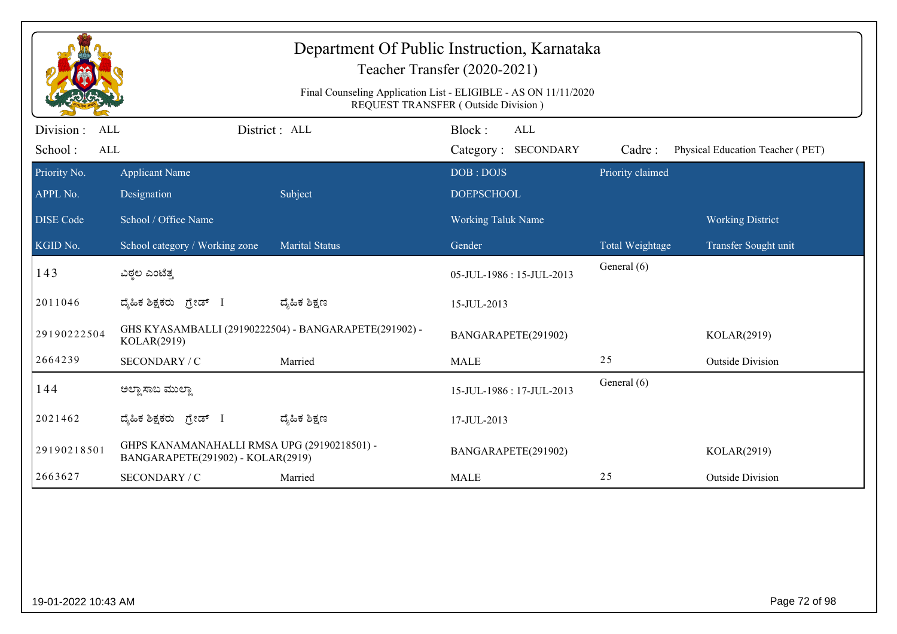|                                            | Department Of Public Instruction, Karnataka<br>Teacher Transfer (2020-2021)<br>Final Counseling Application List - ELIGIBLE - AS ON 11/11/2020<br>REQUEST TRANSFER (Outside Division) |                                                       |                                      |                  |                                  |  |  |  |
|--------------------------------------------|---------------------------------------------------------------------------------------------------------------------------------------------------------------------------------------|-------------------------------------------------------|--------------------------------------|------------------|----------------------------------|--|--|--|
| Division :<br>ALL<br>School:<br><b>ALL</b> |                                                                                                                                                                                       | District: ALL                                         | Block:<br>ALL<br>Category: SECONDARY | Cadre:           | Physical Education Teacher (PET) |  |  |  |
| Priority No.<br>APPL No.                   | <b>Applicant Name</b><br>Designation                                                                                                                                                  | Subject                                               | DOB: DOJS<br><b>DOEPSCHOOL</b>       | Priority claimed |                                  |  |  |  |
| <b>DISE Code</b>                           | School / Office Name                                                                                                                                                                  |                                                       | Working Taluk Name                   |                  | <b>Working District</b>          |  |  |  |
| KGID No.                                   | School category / Working zone                                                                                                                                                        | <b>Marital Status</b>                                 | Gender                               | Total Weightage  | Transfer Sought unit             |  |  |  |
| 143                                        | ವಿಠ್ಠಲ ಎಂಟೆತ್ತ                                                                                                                                                                        |                                                       | 05-JUL-1986: 15-JUL-2013             | General (6)      |                                  |  |  |  |
| 2011046                                    | ದ್ಯಹಿಕ ಶಿಕ್ಷಕರು ಗ್ರೇಡ್ I                                                                                                                                                              | ದ್ಯೆಹಿಕ ಶಿಕ್ಷಣ                                        | 15-JUL-2013                          |                  |                                  |  |  |  |
| 29190222504                                | KOLAR(2919)                                                                                                                                                                           | GHS KYASAMBALLI (29190222504) - BANGARAPETE(291902) - | BANGARAPETE(291902)                  |                  | KOLAR(2919)                      |  |  |  |
| 2664239                                    | SECONDARY / C                                                                                                                                                                         | Married                                               | <b>MALE</b>                          | 25               | <b>Outside Division</b>          |  |  |  |
| 144                                        | ಅಲ್ಲಾ ಸಾಬ ಮುಲ್ಲಾ                                                                                                                                                                      |                                                       | 15-JUL-1986: 17-JUL-2013             | General (6)      |                                  |  |  |  |
| 2021462                                    | ದ್ಯಹಿಕ ಶಿಕ್ಷಕರು <i>ಗ್ರೇಡ್</i> I                                                                                                                                                       | ದ್ಮಹಿಕ ಶಿಕ್ಷಣ                                         | 17-JUL-2013                          |                  |                                  |  |  |  |
| 29190218501                                | GHPS KANAMANAHALLI RMSA UPG (29190218501) -<br>BANGARAPETE(291902) - KOLAR(2919)                                                                                                      |                                                       | BANGARAPETE(291902)                  |                  | KOLAR(2919)                      |  |  |  |
| 2663627                                    | SECONDARY / C                                                                                                                                                                         | Married                                               | <b>MALE</b>                          | 25               | <b>Outside Division</b>          |  |  |  |
|                                            |                                                                                                                                                                                       |                                                       |                                      |                  |                                  |  |  |  |
| 19-01-2022 10:43 AM                        |                                                                                                                                                                                       |                                                       |                                      |                  | Page 72 of 98                    |  |  |  |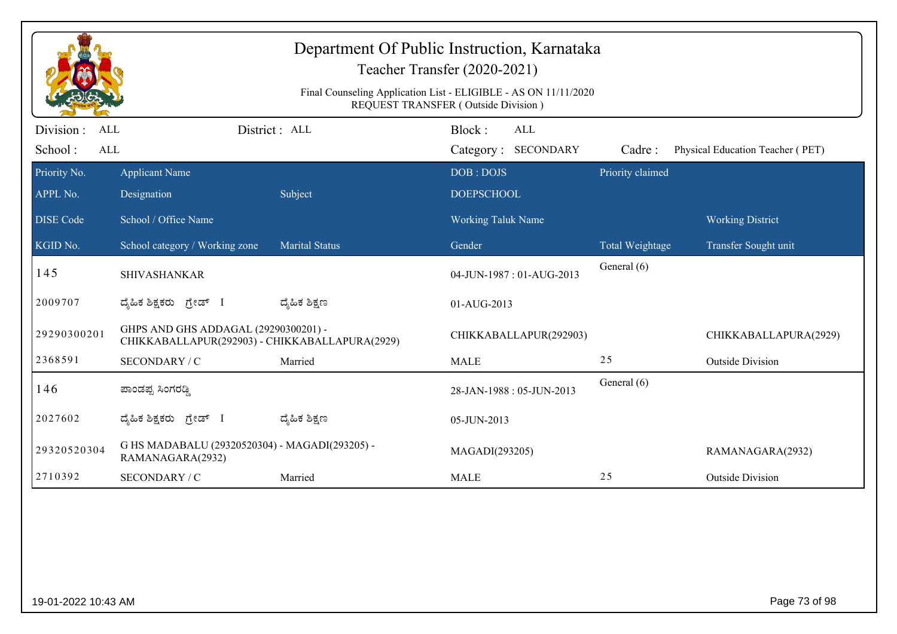| Department Of Public Instruction, Karnataka<br>Teacher Transfer (2020-2021)<br>Final Counseling Application List - ELIGIBLE - AS ON 11/11/2020 |                                                                                        |                       |                                     |                  |                                  |  |  |
|------------------------------------------------------------------------------------------------------------------------------------------------|----------------------------------------------------------------------------------------|-----------------------|-------------------------------------|------------------|----------------------------------|--|--|
|                                                                                                                                                |                                                                                        |                       | REQUEST TRANSFER (Outside Division) |                  |                                  |  |  |
| Division :<br><b>ALL</b>                                                                                                                       |                                                                                        | District : ALL        | Block:<br>ALL                       |                  |                                  |  |  |
| School:<br>$\mbox{ALL}$                                                                                                                        |                                                                                        |                       | Category: SECONDARY                 | Cadre:           | Physical Education Teacher (PET) |  |  |
| Priority No.                                                                                                                                   | <b>Applicant Name</b>                                                                  |                       | DOB: DOJS                           | Priority claimed |                                  |  |  |
| APPL No.                                                                                                                                       | Designation                                                                            | Subject               | <b>DOEPSCHOOL</b>                   |                  |                                  |  |  |
| <b>DISE</b> Code                                                                                                                               | School / Office Name                                                                   |                       | <b>Working Taluk Name</b>           |                  | <b>Working District</b>          |  |  |
| KGID No.                                                                                                                                       | School category / Working zone                                                         | <b>Marital Status</b> | Gender                              | Total Weightage  | Transfer Sought unit             |  |  |
| 145                                                                                                                                            | <b>SHIVASHANKAR</b>                                                                    |                       | 04-JUN-1987: 01-AUG-2013            | General (6)      |                                  |  |  |
| 2009707                                                                                                                                        | ದ್ಯಹಿಕ ಶಿಕ್ಷಕರು ಗ್ರೇಡ್ I                                                               | ದ್ಮೆಹಿಕ ಶಿಕ್ಷಣ        | 01-AUG-2013                         |                  |                                  |  |  |
| 29290300201                                                                                                                                    | GHPS AND GHS ADDAGAL (29290300201) -<br>CHIKKABALLAPUR(292903) - CHIKKABALLAPURA(2929) |                       | CHIKKABALLAPUR(292903)              |                  | CHIKKABALLAPURA(2929)            |  |  |
| 2368591                                                                                                                                        | SECONDARY / C                                                                          | Married               | <b>MALE</b>                         | 25               | <b>Outside Division</b>          |  |  |
| 146                                                                                                                                            | ಪಾಂಡಪ್ಪ ಸಿಂಗರಡ್ಡಿ                                                                      |                       | 28-JAN-1988: 05-JUN-2013            | General (6)      |                                  |  |  |
| 2027602                                                                                                                                        | ದ್ಯಹಿಕ ಶಿಕ್ಷಕರು <i>ಗ್ರೇ</i> ಡ್ I                                                       | ದ್ಯೆಹಿಕ ಶಿಕ್ಷಣ        | 05-JUN-2013                         |                  |                                  |  |  |
| 29320520304                                                                                                                                    | G HS MADABALU (29320520304) - MAGADI(293205) -<br>RAMANAGARA(2932)                     |                       | MAGADI(293205)                      |                  | RAMANAGARA(2932)                 |  |  |
| 2710392                                                                                                                                        | SECONDARY / C                                                                          | Married               | <b>MALE</b>                         | 25               | <b>Outside Division</b>          |  |  |
|                                                                                                                                                |                                                                                        |                       |                                     |                  |                                  |  |  |
| 19-01-2022 10:43 AM                                                                                                                            |                                                                                        |                       |                                     |                  | Page 73 of 98                    |  |  |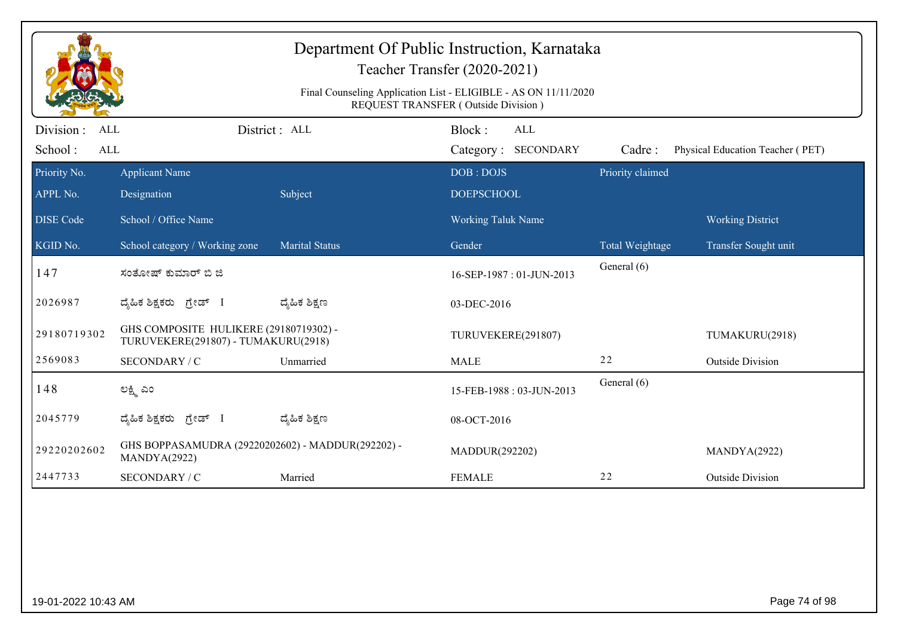| Department Of Public Instruction, Karnataka<br>Teacher Transfer (2020-2021)<br>Final Counseling Application List - ELIGIBLE - AS ON 11/11/2020<br>REQUEST TRANSFER (Outside Division) |                                                                               |                       |                                |                  |                                  |  |  |
|---------------------------------------------------------------------------------------------------------------------------------------------------------------------------------------|-------------------------------------------------------------------------------|-----------------------|--------------------------------|------------------|----------------------------------|--|--|
| Division :<br>ALL                                                                                                                                                                     |                                                                               | District: ALL         | Block:<br><b>ALL</b>           |                  |                                  |  |  |
| School:<br>$\mbox{ALL}$                                                                                                                                                               |                                                                               |                       | Category: SECONDARY            | Cadre:           | Physical Education Teacher (PET) |  |  |
| Priority No.<br>APPL No.                                                                                                                                                              | <b>Applicant Name</b><br>Designation                                          | Subject               | DOB: DOJS<br><b>DOEPSCHOOL</b> | Priority claimed |                                  |  |  |
| <b>DISE</b> Code                                                                                                                                                                      | School / Office Name                                                          |                       | Working Taluk Name             |                  | <b>Working District</b>          |  |  |
| KGID No.                                                                                                                                                                              | School category / Working zone                                                | <b>Marital Status</b> | Gender                         | Total Weightage  | Transfer Sought unit             |  |  |
| 147                                                                                                                                                                                   | ಸಂತೋಷ್ ಕುಮಾರ್ ಬಿ ಜಿ                                                           |                       | 16-SEP-1987: 01-JUN-2013       | General (6)      |                                  |  |  |
| 2026987                                                                                                                                                                               | ದ್ಯಹಿಕ ಶಿಕ್ಷಕರು ಗ್ರೇಡ್ I                                                      | ದ್ಶೆಹಿಕ ಶಿಕ್ಷಣ        | 03-DEC-2016                    |                  |                                  |  |  |
| 29180719302                                                                                                                                                                           | GHS COMPOSITE HULIKERE (29180719302) -<br>TURUVEKERE(291807) - TUMAKURU(2918) |                       | TURUVEKERE(291807)             |                  | TUMAKURU(2918)                   |  |  |
| 2569083                                                                                                                                                                               | SECONDARY / C                                                                 | Unmarried             | <b>MALE</b>                    | 22               | <b>Outside Division</b>          |  |  |
| 148                                                                                                                                                                                   | ಲಕ್ಷ್ಮಿ ಎಂ                                                                    |                       | 15-FEB-1988: 03-JUN-2013       | General (6)      |                                  |  |  |
| 2045779                                                                                                                                                                               | ದ್ಯಹಿಕ ಶಿಕ್ಷಕರು<br>ಗ್ರೇಡ್ I                                                   | ದ್ಶೆಹಿಕ ಶಿಕ್ಷಣ        | 08-OCT-2016                    |                  |                                  |  |  |
| 29220202602                                                                                                                                                                           | GHS BOPPASAMUDRA (29220202602) - MADDUR(292202) -<br>MANDYA(2922)             |                       | MADDUR(292202)                 |                  | MANDYA(2922)                     |  |  |
|                                                                                                                                                                                       | SECONDARY / C                                                                 | Married               | <b>FEMALE</b>                  | 22               | <b>Outside Division</b>          |  |  |
| 2447733                                                                                                                                                                               |                                                                               |                       |                                |                  |                                  |  |  |
| 19-01-2022 10:43 AM                                                                                                                                                                   |                                                                               |                       |                                |                  | Page 74 of 98                    |  |  |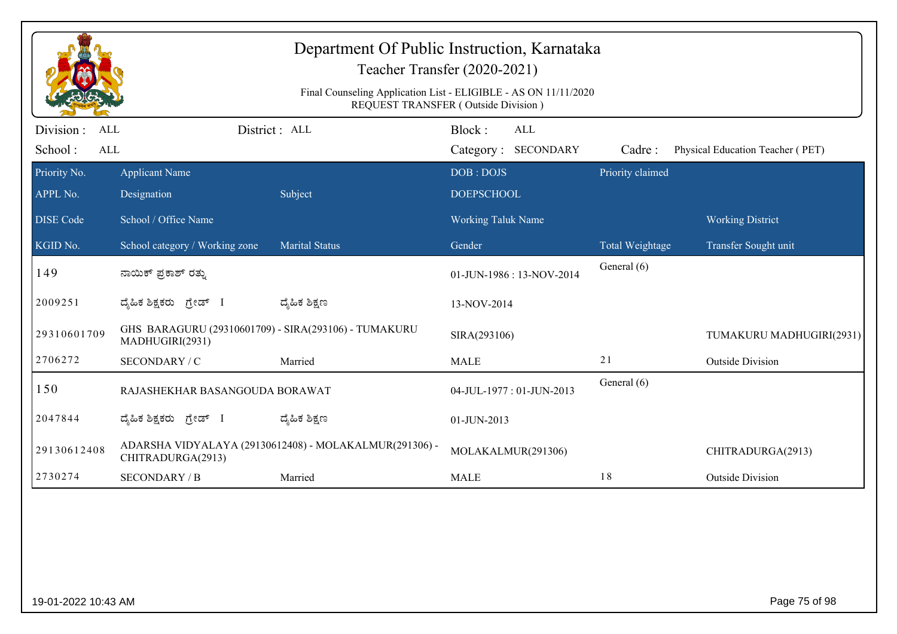|                                            | Department Of Public Instruction, Karnataka<br>Teacher Transfer (2020-2021)<br>Final Counseling Application List - ELIGIBLE - AS ON 11/11/2020 |                                                        |                                      |  |                  |                                  |  |  |  |
|--------------------------------------------|------------------------------------------------------------------------------------------------------------------------------------------------|--------------------------------------------------------|--------------------------------------|--|------------------|----------------------------------|--|--|--|
|                                            | REQUEST TRANSFER (Outside Division)                                                                                                            |                                                        |                                      |  |                  |                                  |  |  |  |
| Division :<br><b>ALL</b><br>School:<br>ALL |                                                                                                                                                | District : ALL                                         | Block:<br>ALL<br>Category: SECONDARY |  | Cadre:           | Physical Education Teacher (PET) |  |  |  |
| Priority No.                               | <b>Applicant Name</b>                                                                                                                          |                                                        | DOB: DOJS                            |  | Priority claimed |                                  |  |  |  |
| APPL No.                                   | Designation                                                                                                                                    | Subject                                                | <b>DOEPSCHOOL</b>                    |  |                  |                                  |  |  |  |
| <b>DISE</b> Code                           | School / Office Name                                                                                                                           |                                                        | <b>Working Taluk Name</b>            |  |                  | <b>Working District</b>          |  |  |  |
| KGID No.                                   | School category / Working zone                                                                                                                 | <b>Marital Status</b>                                  | Gender                               |  | Total Weightage  | Transfer Sought unit             |  |  |  |
| 149                                        | ನಾಯಿಕ್ ಪ್ರಕಾಶ್ ರತ್ನು                                                                                                                           |                                                        | 01-JUN-1986: 13-NOV-2014             |  | General (6)      |                                  |  |  |  |
| 2009251                                    | ದೈಹಿಕ ಶಿಕ್ಷಕರು ಗ್ರೇಡ್ I                                                                                                                        | ದ್ಯೆಹಿಕ ಶಿಕ್ಷಣ                                         | 13-NOV-2014                          |  |                  |                                  |  |  |  |
| 29310601709                                | GHS BARAGURU (29310601709) - SIRA(293106) - TUMAKURU<br>MADHUGIRI(2931)                                                                        |                                                        | SIRA(293106)                         |  |                  | TUMAKURU MADHUGIRI(2931)         |  |  |  |
| 2706272                                    | SECONDARY / C                                                                                                                                  | Married                                                | <b>MALE</b>                          |  | 21               | <b>Outside Division</b>          |  |  |  |
| 150                                        | RAJASHEKHAR BASANGOUDA BORAWAT                                                                                                                 |                                                        | 04-JUL-1977: 01-JUN-2013             |  | General (6)      |                                  |  |  |  |
| 2047844                                    | ದೈಹಿಕ ಶಿಕ್ಷಕರು <i>ಗ್ರೇಡ್</i> I                                                                                                                 | ದ್ಯೆಹಿಕ ಶಿಕ್ಷಣ                                         | 01-JUN-2013                          |  |                  |                                  |  |  |  |
| 29130612408                                | CHITRADURGA(2913)                                                                                                                              | ADARSHA VIDYALAYA (29130612408) - MOLAKALMUR(291306) - | MOLAKALMUR(291306)                   |  |                  | CHITRADURGA(2913)                |  |  |  |
| 2730274                                    | <b>SECONDARY / B</b>                                                                                                                           | Married                                                | <b>MALE</b>                          |  | 18               | <b>Outside Division</b>          |  |  |  |
|                                            |                                                                                                                                                |                                                        |                                      |  |                  |                                  |  |  |  |
| 19-01-2022 10:43 AM                        |                                                                                                                                                |                                                        |                                      |  |                  | Page 75 of 98                    |  |  |  |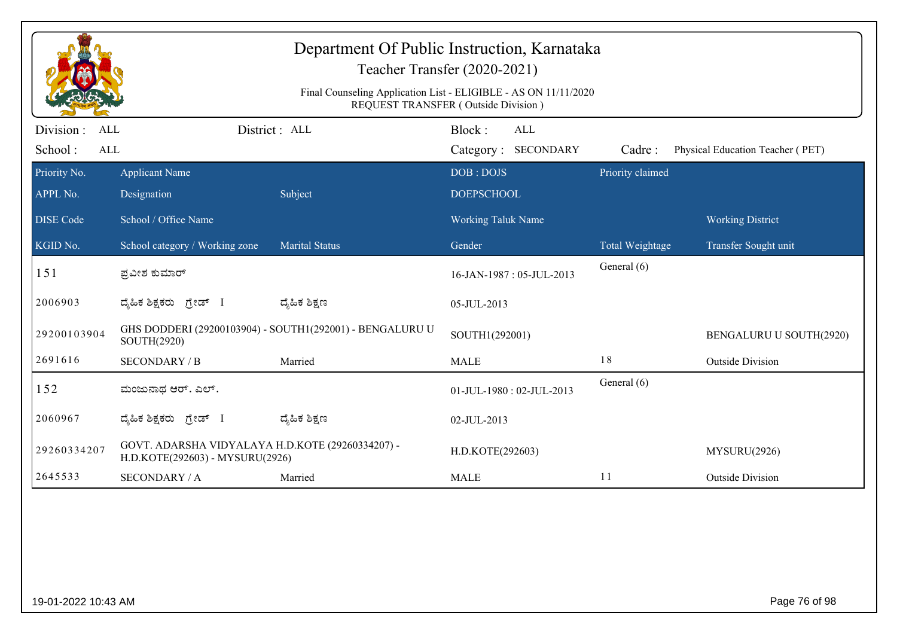| Department Of Public Instruction, Karnataka<br>Teacher Transfer (2020-2021) |                                                                                                        |                                                          |                                             |                  |                                  |  |  |  |
|-----------------------------------------------------------------------------|--------------------------------------------------------------------------------------------------------|----------------------------------------------------------|---------------------------------------------|------------------|----------------------------------|--|--|--|
|                                                                             | Final Counseling Application List - ELIGIBLE - AS ON 11/11/2020<br>REQUEST TRANSFER (Outside Division) |                                                          |                                             |                  |                                  |  |  |  |
| Division :<br>ALL<br>School:<br>$\mbox{ALL}$                                |                                                                                                        | District : ALL                                           | Block:<br><b>ALL</b><br>Category: SECONDARY | Cadre:           | Physical Education Teacher (PET) |  |  |  |
| Priority No.                                                                | <b>Applicant Name</b>                                                                                  |                                                          | DOB: DOJS                                   | Priority claimed |                                  |  |  |  |
| APPL No.                                                                    | Designation                                                                                            | Subject                                                  | <b>DOEPSCHOOL</b>                           |                  |                                  |  |  |  |
| <b>DISE</b> Code                                                            | School / Office Name                                                                                   |                                                          | <b>Working Taluk Name</b>                   |                  | <b>Working District</b>          |  |  |  |
| KGID No.                                                                    | School category / Working zone                                                                         | <b>Marital Status</b>                                    | Gender                                      | Total Weightage  | Transfer Sought unit             |  |  |  |
| 151                                                                         | ಪ್ರವೀಶ ಕುಮಾರ್                                                                                          |                                                          | 16-JAN-1987: 05-JUL-2013                    | General (6)      |                                  |  |  |  |
| 2006903                                                                     | ದೈಹಿಕ ಶಿಕ್ಷಕರು <i>ಗ್ರೇಡ್</i> I                                                                         | ದ್ಶೆಹಿಕ ಶಿಕ್ಷಣ                                           | 05-JUL-2013                                 |                  |                                  |  |  |  |
| 29200103904                                                                 | SOUTH(2920)                                                                                            | GHS DODDERI (29200103904) - SOUTH1(292001) - BENGALURU U | SOUTH1(292001)                              |                  | BENGALURU U SOUTH(2920)          |  |  |  |
| 2691616                                                                     | <b>SECONDARY / B</b>                                                                                   | Married                                                  | <b>MALE</b>                                 | 18               | <b>Outside Division</b>          |  |  |  |
| 152                                                                         | ಮಂಜುನಾಥ ಆರ್. ಎಲ್.                                                                                      |                                                          | 01-JUL-1980: 02-JUL-2013                    | General (6)      |                                  |  |  |  |
| 2060967                                                                     | ದ್ಯಹಿಕ ಶಿಕ್ಷಕರು <i>ಗ್ರೇಡ್</i> I                                                                        | ದ್ಮಹಿಕ ಶಿಕ್ಷಣ                                            | 02-JUL-2013                                 |                  |                                  |  |  |  |
| 29260334207                                                                 | GOVT. ADARSHA VIDYALAYA H.D.KOTE (29260334207) -<br>H.D.KOTE(292603) - MYSURU(2926)                    |                                                          | H.D.KOTE(292603)                            |                  | MYSURU(2926)                     |  |  |  |
| 2645533                                                                     | <b>SECONDARY / A</b>                                                                                   | Married                                                  | <b>MALE</b>                                 | 11               | <b>Outside Division</b>          |  |  |  |
|                                                                             |                                                                                                        |                                                          |                                             |                  |                                  |  |  |  |
|                                                                             |                                                                                                        |                                                          |                                             |                  |                                  |  |  |  |
|                                                                             |                                                                                                        |                                                          |                                             |                  |                                  |  |  |  |
|                                                                             |                                                                                                        |                                                          |                                             |                  |                                  |  |  |  |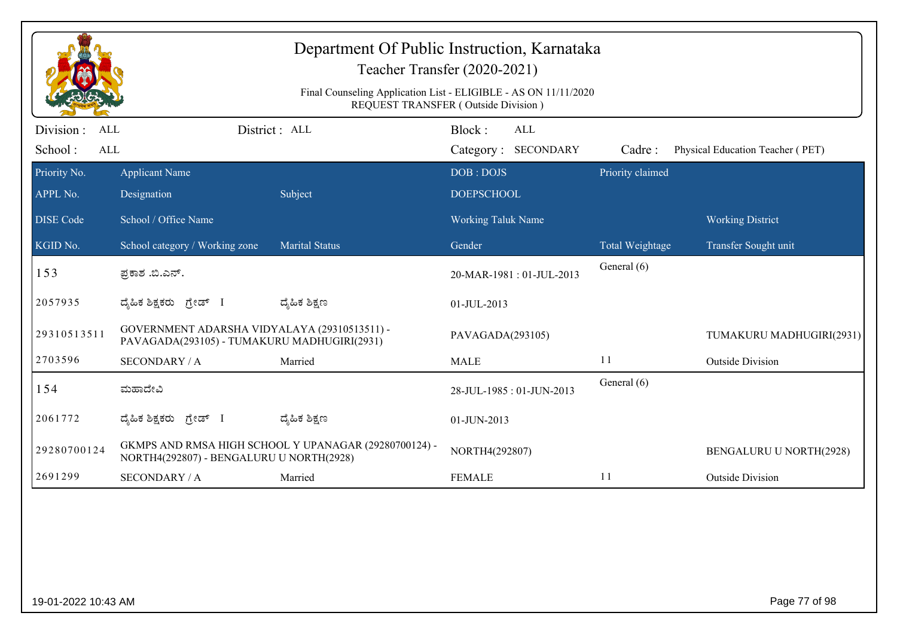|                                                   | Department Of Public Instruction, Karnataka<br>Teacher Transfer (2020-2021)<br>Final Counseling Application List - ELIGIBLE - AS ON 11/11/2020<br>REQUEST TRANSFER (Outside Division) |                                                       |                                      |                  |                                  |  |  |  |
|---------------------------------------------------|---------------------------------------------------------------------------------------------------------------------------------------------------------------------------------------|-------------------------------------------------------|--------------------------------------|------------------|----------------------------------|--|--|--|
| Division :<br><b>ALL</b><br>School:<br><b>ALL</b> |                                                                                                                                                                                       | District: ALL                                         | Block:<br>ALL<br>Category: SECONDARY | Cadre:           | Physical Education Teacher (PET) |  |  |  |
| Priority No.<br>APPL No.                          | <b>Applicant Name</b><br>Designation                                                                                                                                                  | Subject                                               | DOB: DOJS<br><b>DOEPSCHOOL</b>       | Priority claimed |                                  |  |  |  |
| <b>DISE</b> Code                                  | School / Office Name                                                                                                                                                                  |                                                       | <b>Working Taluk Name</b>            |                  | <b>Working District</b>          |  |  |  |
| KGID No.                                          | School category / Working zone                                                                                                                                                        | <b>Marital Status</b>                                 | Gender                               | Total Weightage  | Transfer Sought unit             |  |  |  |
| 153                                               | ಪ್ರಕಾಶ .ಬಿ.ಎನ್.                                                                                                                                                                       |                                                       | 20-MAR-1981: 01-JUL-2013             | General (6)      |                                  |  |  |  |
| 2057935                                           | ದೈಹಿಕ ಶಿಕ್ಷಕರು ಗ್ರೇಡ್ I                                                                                                                                                               | ದ್ಯೆಹಿಕ ಶಿಕ್ಷಣ                                        | 01-JUL-2013                          |                  |                                  |  |  |  |
| 29310513511                                       | GOVERNMENT ADARSHA VIDYALAYA (29310513511) -<br>PAVAGADA(293105) - TUMAKURU MADHUGIRI(2931)                                                                                           |                                                       | PAVAGADA(293105)                     |                  | TUMAKURU MADHUGIRI(2931)         |  |  |  |
| 2703596                                           | <b>SECONDARY / A</b>                                                                                                                                                                  | Married                                               | <b>MALE</b>                          | 11               | <b>Outside Division</b>          |  |  |  |
| 154                                               | ಮಹಾದೇವಿ                                                                                                                                                                               |                                                       | 28-JUL-1985: 01-JUN-2013             | General (6)      |                                  |  |  |  |
| 2061772                                           | ದೈಹಿಕ ಶಿಕ್ಷಕರು <i>ಗ್ರೇಡ್</i> I                                                                                                                                                        | ದ್ಯೆಹಿಕ ಶಿಕ್ಷಣ                                        | 01-JUN-2013                          |                  |                                  |  |  |  |
| 29280700124                                       | NORTH4(292807) - BENGALURU U NORTH(2928)                                                                                                                                              | GKMPS AND RMSA HIGH SCHOOL Y UPANAGAR (29280700124) - | NORTH4(292807)                       |                  | BENGALURU U NORTH(2928)          |  |  |  |
| 2691299                                           | <b>SECONDARY / A</b>                                                                                                                                                                  | Married                                               | <b>FEMALE</b>                        | 11               | <b>Outside Division</b>          |  |  |  |
|                                                   |                                                                                                                                                                                       |                                                       |                                      |                  |                                  |  |  |  |
| 19-01-2022 10:43 AM                               |                                                                                                                                                                                       |                                                       |                                      |                  | Page 77 of 98                    |  |  |  |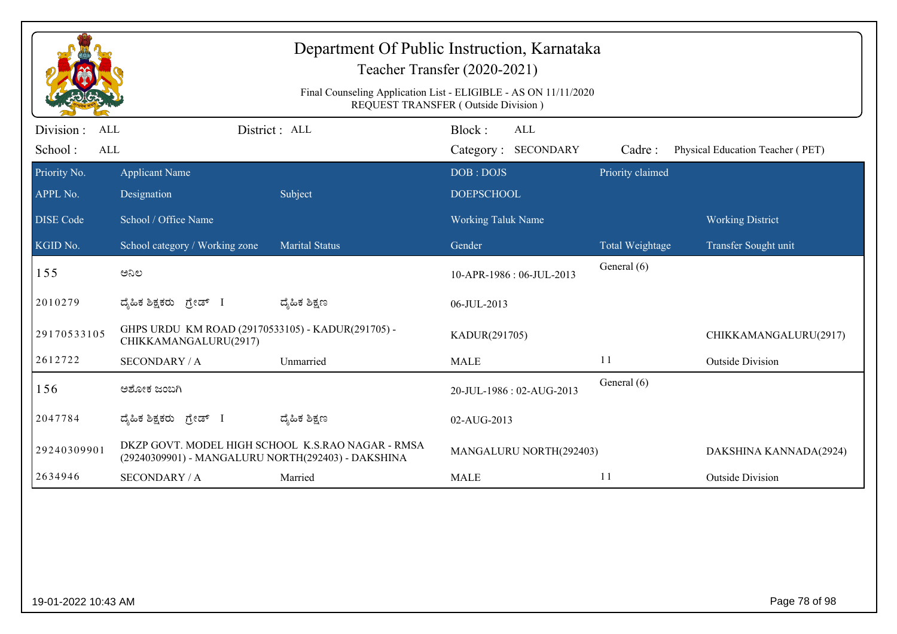|                                                   | Department Of Public Instruction, Karnataka<br>Teacher Transfer (2020-2021)<br>Final Counseling Application List - ELIGIBLE - AS ON 11/11/2020<br>REQUEST TRANSFER (Outside Division) |                                                   |                                      |                  |                                  |  |  |  |
|---------------------------------------------------|---------------------------------------------------------------------------------------------------------------------------------------------------------------------------------------|---------------------------------------------------|--------------------------------------|------------------|----------------------------------|--|--|--|
| Division :<br><b>ALL</b><br>School:<br><b>ALL</b> |                                                                                                                                                                                       | District : ALL                                    | Block:<br>ALL<br>Category: SECONDARY | Cadre:           | Physical Education Teacher (PET) |  |  |  |
| Priority No.<br>APPL No.                          | <b>Applicant Name</b><br>Designation                                                                                                                                                  | Subject                                           | DOB: DOJS<br><b>DOEPSCHOOL</b>       | Priority claimed |                                  |  |  |  |
| <b>DISE Code</b>                                  | School / Office Name                                                                                                                                                                  |                                                   | <b>Working Taluk Name</b>            |                  | <b>Working District</b>          |  |  |  |
| KGID No.                                          | School category / Working zone                                                                                                                                                        | <b>Marital Status</b>                             | Gender                               | Total Weightage  | Transfer Sought unit             |  |  |  |
| 155                                               | ಅನಿಲ                                                                                                                                                                                  |                                                   | 10-APR-1986: 06-JUL-2013             | General (6)      |                                  |  |  |  |
| 2010279                                           | ದೈಹಿಕ ಶಿಕ್ಷಕರು ಗ್ರೇಡ್ I                                                                                                                                                               | ದ್ಯೆಹಿಕ ಶಿಕ್ಷಣ                                    | 06-JUL-2013                          |                  |                                  |  |  |  |
| 29170533105                                       | GHPS URDU KM ROAD (29170533105) - KADUR(291705) -<br>CHIKKAMANGALURU(2917)                                                                                                            |                                                   | KADUR(291705)                        |                  | CHIKKAMANGALURU(2917)            |  |  |  |
| 2612722                                           | <b>SECONDARY / A</b>                                                                                                                                                                  | Unmarried                                         | <b>MALE</b>                          | 11               | <b>Outside Division</b>          |  |  |  |
| 156                                               | ಅಶೋಕ ಜಂಬಗಿ                                                                                                                                                                            |                                                   | 20-JUL-1986: 02-AUG-2013             | General (6)      |                                  |  |  |  |
| 2047784                                           | ದ್ಯಹಿಕ ಶಿಕ್ಷಕರು ಗ್ರೇಡ್ I                                                                                                                                                              | ದ್ಯೆಹಿಕ ಶಿಕ್ಷಣ                                    | 02-AUG-2013                          |                  |                                  |  |  |  |
| 29240309901                                       | (29240309901) - MANGALURU NORTH(292403) - DAKSHINA                                                                                                                                    | DKZP GOVT. MODEL HIGH SCHOOL K.S.RAO NAGAR - RMSA | MANGALURU NORTH(292403)              |                  | DAKSHINA KANNADA(2924)           |  |  |  |
| 2634946                                           | <b>SECONDARY / A</b>                                                                                                                                                                  | Married                                           | <b>MALE</b>                          | 11               | <b>Outside Division</b>          |  |  |  |
|                                                   |                                                                                                                                                                                       |                                                   |                                      |                  |                                  |  |  |  |
|                                                   | Page 78 of 98<br>19-01-2022 10:43 AM                                                                                                                                                  |                                                   |                                      |                  |                                  |  |  |  |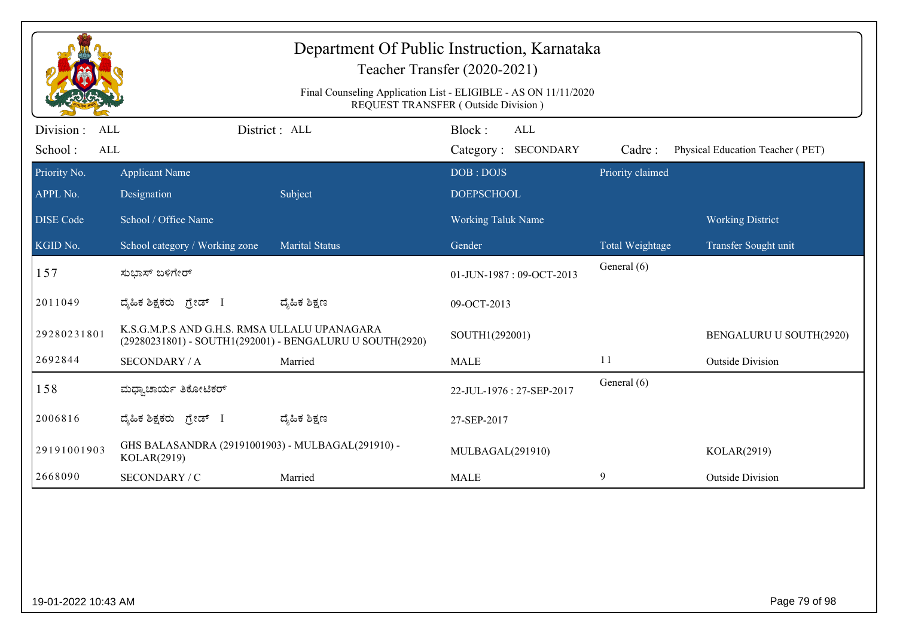|                                     | Department Of Public Instruction, Karnataka<br>Teacher Transfer (2020-2021)                                   |                                                          |                                      |                  |                                  |  |  |  |
|-------------------------------------|---------------------------------------------------------------------------------------------------------------|----------------------------------------------------------|--------------------------------------|------------------|----------------------------------|--|--|--|
|                                     | Final Counseling Application List - ELIGIBLE - AS ON 11/11/2020<br><b>REQUEST TRANSFER (Outside Division)</b> |                                                          |                                      |                  |                                  |  |  |  |
| Division :<br>ALL<br>School:<br>ALL |                                                                                                               | District: ALL                                            | Block:<br>ALL<br>Category: SECONDARY | Cadre:           | Physical Education Teacher (PET) |  |  |  |
| Priority No.<br>APPL No.            | <b>Applicant Name</b><br>Designation                                                                          | Subject                                                  | DOB: DOJS<br><b>DOEPSCHOOL</b>       | Priority claimed |                                  |  |  |  |
| <b>DISE Code</b>                    | School / Office Name                                                                                          |                                                          | <b>Working Taluk Name</b>            |                  | <b>Working District</b>          |  |  |  |
| KGID No.                            | School category / Working zone                                                                                | <b>Marital Status</b>                                    | Gender                               | Total Weightage  | Transfer Sought unit             |  |  |  |
| 157                                 | ಸುಭಾಸ್ ಬಳಿಗೇರ್                                                                                                |                                                          | 01-JUN-1987: 09-OCT-2013             | General (6)      |                                  |  |  |  |
| 2011049                             | ದೈಹಿಕ ಶಿಕ್ಷಕರು ಗ್ರೇಡ್ I                                                                                       | ದ್ಶೆಹಿಕ ಶಿಕ್ಷಣ                                           | 09-OCT-2013                          |                  |                                  |  |  |  |
| 29280231801                         | K.S.G.M.P.S AND G.H.S. RMSA ULLALU UPANAGARA                                                                  | (29280231801) - SOUTH1(292001) - BENGALURU U SOUTH(2920) | SOUTH1(292001)                       |                  | BENGALURU U SOUTH(2920)          |  |  |  |
| 2692844                             | <b>SECONDARY / A</b>                                                                                          | Married                                                  | <b>MALE</b>                          | 11               | <b>Outside Division</b>          |  |  |  |
| 158                                 | ಮಧ್ಯಾಚಾರ್ಯ ತಿಕೋಟಿಕರ್                                                                                          |                                                          | 22-JUL-1976: 27-SEP-2017             | General (6)      |                                  |  |  |  |
| 2006816                             | ದೈಹಿಕ ಶಿಕ್ಷಕರು ಗ್ರೇಡ್ I                                                                                       | ದ್ಶೆಹಿಕ ಶಿಕ್ಷಣ                                           | 27-SEP-2017                          |                  |                                  |  |  |  |
| 29191001903                         | GHS BALASANDRA (29191001903) - MULBAGAL(291910) -<br>KOLAR(2919)                                              |                                                          | MULBAGAL(291910)                     |                  | KOLAR(2919)                      |  |  |  |
| 2668090                             | SECONDARY / C                                                                                                 | Married                                                  | <b>MALE</b>                          | 9                | <b>Outside Division</b>          |  |  |  |
|                                     |                                                                                                               |                                                          |                                      |                  |                                  |  |  |  |
| 19-01-2022 10:43 AM                 |                                                                                                               |                                                          |                                      |                  | Page 79 of 98                    |  |  |  |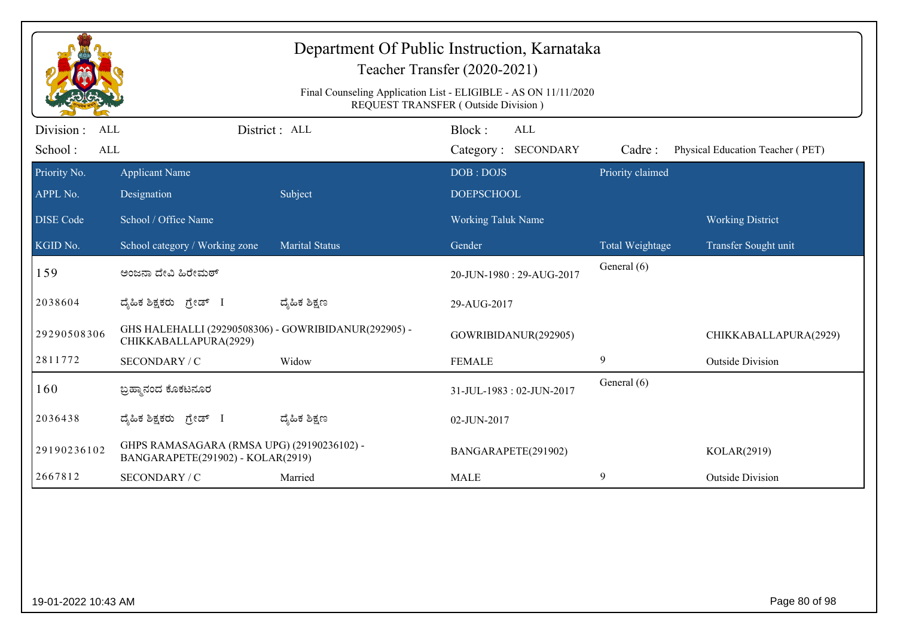| Department Of Public Instruction, Karnataka<br>Teacher Transfer (2020-2021)<br>Final Counseling Application List - ELIGIBLE - AS ON 11/11/2020<br>REQUEST TRANSFER (Outside Division) |                                                                                 |                       |                                             |                  |                                  |  |  |
|---------------------------------------------------------------------------------------------------------------------------------------------------------------------------------------|---------------------------------------------------------------------------------|-----------------------|---------------------------------------------|------------------|----------------------------------|--|--|
| Division:<br><b>ALL</b><br>School:<br>ALL                                                                                                                                             |                                                                                 | District: ALL         | Block:<br><b>ALL</b><br>Category: SECONDARY | Cadre:           | Physical Education Teacher (PET) |  |  |
| Priority No.<br>APPL No.                                                                                                                                                              | <b>Applicant Name</b><br>Designation                                            | Subject               | DOB: DOJS<br><b>DOEPSCHOOL</b>              | Priority claimed |                                  |  |  |
| <b>DISE</b> Code                                                                                                                                                                      | School / Office Name                                                            |                       | <b>Working Taluk Name</b>                   |                  | <b>Working District</b>          |  |  |
| KGID No.                                                                                                                                                                              | School category / Working zone                                                  | <b>Marital Status</b> | Gender                                      | Total Weightage  | Transfer Sought unit             |  |  |
| 159                                                                                                                                                                                   | ಅಂಜನಾ ದೇವಿ ಹಿರೇಮಠ್                                                              |                       | 20-JUN-1980: 29-AUG-2017                    | General (6)      |                                  |  |  |
| 2038604                                                                                                                                                                               | ದ್ಯಹಿಕ ಶಿಕ್ಷಕರು ಗ್ರೇಡ್ I                                                        | ದ್ಯೆಹಿಕ ಶಿಕ್ಷಣ        | 29-AUG-2017                                 |                  |                                  |  |  |
| 29290508306                                                                                                                                                                           | GHS HALEHALLI (29290508306) - GOWRIBIDANUR(292905) -<br>CHIKKABALLAPURA(2929)   |                       | GOWRIBIDANUR(292905)                        |                  | CHIKKABALLAPURA(2929)            |  |  |
| 2811772                                                                                                                                                                               | SECONDARY / C                                                                   | Widow                 | <b>FEMALE</b>                               | 9                | <b>Outside Division</b>          |  |  |
| 160                                                                                                                                                                                   | ಬ್ರಹ್ತಾನಂದ ಕೊಕಟನೂರ                                                              |                       | 31-JUL-1983: 02-JUN-2017                    | General (6)      |                                  |  |  |
| 2036438                                                                                                                                                                               | ದ್ಯಹಿಕ ಶಿಕ್ಷಕರು ಗ್ರೇಡ್ I                                                        | ದ್ಯೆಹಿಕ ಶಿಕ್ಷಣ        | 02-JUN-2017                                 |                  |                                  |  |  |
| 29190236102                                                                                                                                                                           | GHPS RAMASAGARA (RMSA UPG) (29190236102) -<br>BANGARAPETE(291902) - KOLAR(2919) |                       | BANGARAPETE(291902)                         |                  | KOLAR(2919)                      |  |  |
| 2667812                                                                                                                                                                               | SECONDARY / C                                                                   | Married               | <b>MALE</b>                                 | 9                | <b>Outside Division</b>          |  |  |
|                                                                                                                                                                                       |                                                                                 |                       |                                             |                  |                                  |  |  |
| 19-01-2022 10:43 AM                                                                                                                                                                   |                                                                                 |                       |                                             |                  | Page 80 of 98                    |  |  |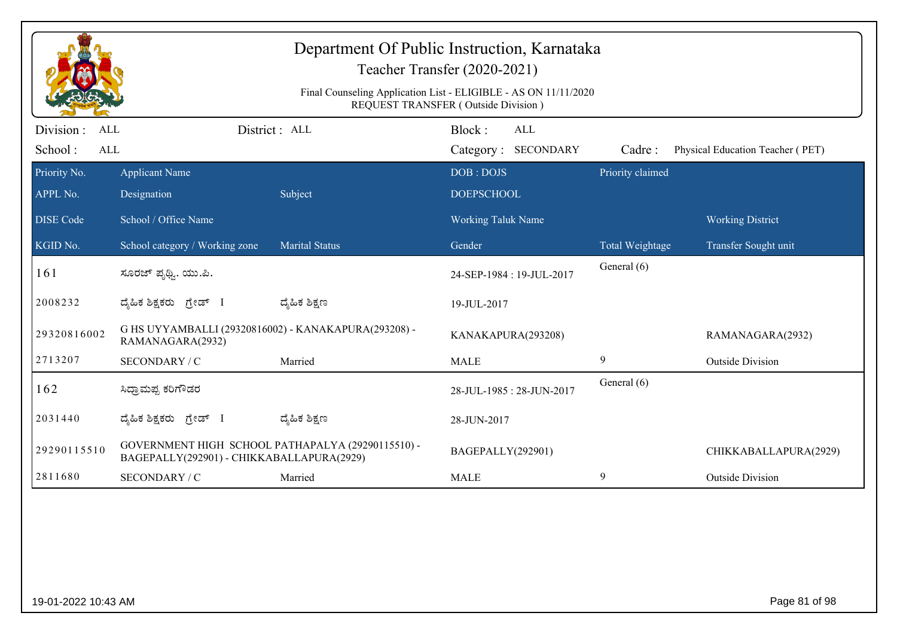| Department Of Public Instruction, Karnataka<br>Teacher Transfer (2020-2021)<br>Final Counseling Application List - ELIGIBLE - AS ON 11/11/2020<br>REQUEST TRANSFER (Outside Division) |                                                                                                |                       |                                      |                            |                                  |  |  |
|---------------------------------------------------------------------------------------------------------------------------------------------------------------------------------------|------------------------------------------------------------------------------------------------|-----------------------|--------------------------------------|----------------------------|----------------------------------|--|--|
| Division :<br><b>ALL</b><br>ALL                                                                                                                                                       |                                                                                                | District : ALL        | Block:<br>ALL<br>Category: SECONDARY |                            |                                  |  |  |
| School:<br>Priority No.                                                                                                                                                               | <b>Applicant Name</b>                                                                          |                       | DOB: DOJS                            | Cadre:<br>Priority claimed | Physical Education Teacher (PET) |  |  |
| APPL No.                                                                                                                                                                              | Designation                                                                                    | Subject               | <b>DOEPSCHOOL</b>                    |                            |                                  |  |  |
| <b>DISE Code</b>                                                                                                                                                                      | School / Office Name                                                                           |                       | Working Taluk Name                   |                            | <b>Working District</b>          |  |  |
| KGID No.                                                                                                                                                                              | School category / Working zone                                                                 | <b>Marital Status</b> | Gender                               | Total Weightage            | Transfer Sought unit             |  |  |
| 161                                                                                                                                                                                   | ಸೂರಜ್ ಪೃಥ್ವಿ. ಯು.ಪಿ.                                                                           |                       | 24-SEP-1984: 19-JUL-2017             | General (6)                |                                  |  |  |
| 2008232                                                                                                                                                                               | ದೈಹಿಕ ಶಿಕ್ಷಕರು ಗ್ರೇಡ್ I                                                                        | ದ್ಶೆಹಿಕ ಶಿಕ್ಷಣ        | 19-JUL-2017                          |                            |                                  |  |  |
| 29320816002                                                                                                                                                                           | G HS UYYAMBALLI (29320816002) - KANAKAPURA(293208) -<br>RAMANAGARA(2932)                       |                       | KANAKAPURA(293208)                   |                            | RAMANAGARA(2932)                 |  |  |
| 2713207                                                                                                                                                                               | SECONDARY / C                                                                                  | Married               | <b>MALE</b>                          | 9                          | <b>Outside Division</b>          |  |  |
| 162                                                                                                                                                                                   | ಸಿದ್ರಾಮಪ್ಪ ಕರಿಗೌಡರ                                                                             |                       | 28-JUL-1985: 28-JUN-2017             | General (6)                |                                  |  |  |
| 2031440                                                                                                                                                                               | ದೈಹಿಕ ಶಿಕ್ಷಕರು ಗ್ರೇಡ್ I                                                                        | ದ್ಶೆಹಿಕ ಶಿಕ್ಷಣ        | 28-JUN-2017                          |                            |                                  |  |  |
| 29290115510                                                                                                                                                                           | GOVERNMENT HIGH SCHOOL PATHAPALYA (29290115510) -<br>BAGEPALLY(292901) - CHIKKABALLAPURA(2929) |                       | BAGEPALLY(292901)                    |                            | CHIKKABALLAPURA(2929)            |  |  |
| 2811680                                                                                                                                                                               | SECONDARY / C                                                                                  | Married               | <b>MALE</b>                          | 9                          | <b>Outside Division</b>          |  |  |
|                                                                                                                                                                                       |                                                                                                |                       |                                      |                            |                                  |  |  |
| 19-01-2022 10:43 AM                                                                                                                                                                   |                                                                                                |                       |                                      |                            | Page 81 of 98                    |  |  |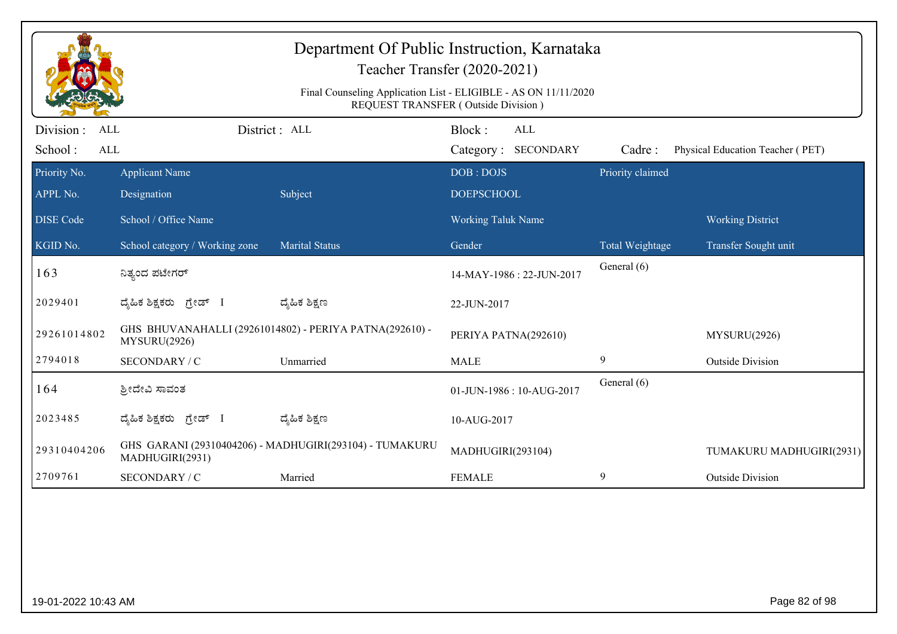|                                                   | Department Of Public Instruction, Karnataka<br>Teacher Transfer (2020-2021)<br>Final Counseling Application List - ELIGIBLE - AS ON 11/11/2020<br>REQUEST TRANSFER (Outside Division) |                                                         |                                      |                  |                                  |  |  |  |
|---------------------------------------------------|---------------------------------------------------------------------------------------------------------------------------------------------------------------------------------------|---------------------------------------------------------|--------------------------------------|------------------|----------------------------------|--|--|--|
| Division :<br><b>ALL</b><br>School:<br><b>ALL</b> |                                                                                                                                                                                       | District : ALL                                          | Block:<br>ALL<br>Category: SECONDARY | Cadre:           | Physical Education Teacher (PET) |  |  |  |
| Priority No.<br>APPL No.                          | <b>Applicant Name</b><br>Designation                                                                                                                                                  | Subject                                                 | DOB: DOJS<br><b>DOEPSCHOOL</b>       | Priority claimed |                                  |  |  |  |
| <b>DISE Code</b>                                  | School / Office Name                                                                                                                                                                  |                                                         | <b>Working Taluk Name</b>            |                  | <b>Working District</b>          |  |  |  |
| KGID No.                                          | School category / Working zone                                                                                                                                                        | <b>Marital Status</b>                                   | Gender                               | Total Weightage  | Transfer Sought unit             |  |  |  |
| 163                                               | ನಿತ್ಯಂದ ಪಟೇಗರ್                                                                                                                                                                        |                                                         | 14-MAY-1986: 22-JUN-2017             | General (6)      |                                  |  |  |  |
| 2029401                                           | ದೈಹಿಕ ಶಿಕ್ಷಕರು ಗ್ರೇಡ್ I                                                                                                                                                               | ದ್ಯೆಹಿಕ ಶಿಕ್ಷಣ                                          | 22-JUN-2017                          |                  |                                  |  |  |  |
| 29261014802                                       | MYSURU(2926)                                                                                                                                                                          | GHS BHUVANAHALLI (29261014802) - PERIYA PATNA(292610) - | PERIYA PATNA(292610)                 |                  | MYSURU(2926)                     |  |  |  |
| 2794018                                           | SECONDARY / C                                                                                                                                                                         | Unmarried                                               | <b>MALE</b>                          | $\boldsymbol{9}$ | <b>Outside Division</b>          |  |  |  |
| 164                                               | ಶ್ರೀದೇವಿ ಸಾವಂತ                                                                                                                                                                        |                                                         | 01-JUN-1986: 10-AUG-2017             | General (6)      |                                  |  |  |  |
| 2023485                                           | ದ್ಯಹಿಕ ಶಿಕ್ಷಕರು ಗ್ರೇಡ್ I                                                                                                                                                              | ದ್ಯೆಹಿಕ ಶಿಕ್ಷಣ                                          | 10-AUG-2017                          |                  |                                  |  |  |  |
| 29310404206                                       | MADHUGIRI(2931)                                                                                                                                                                       | GHS GARANI (29310404206) - MADHUGIRI(293104) - TUMAKURU | MADHUGIRI(293104)                    |                  | TUMAKURU MADHUGIRI(2931)         |  |  |  |
| 2709761                                           | SECONDARY / C                                                                                                                                                                         | Married                                                 | <b>FEMALE</b>                        | 9                | <b>Outside Division</b>          |  |  |  |
|                                                   |                                                                                                                                                                                       |                                                         |                                      |                  |                                  |  |  |  |
| 19-01-2022 10:43 AM                               |                                                                                                                                                                                       |                                                         |                                      |                  | Page 82 of 98                    |  |  |  |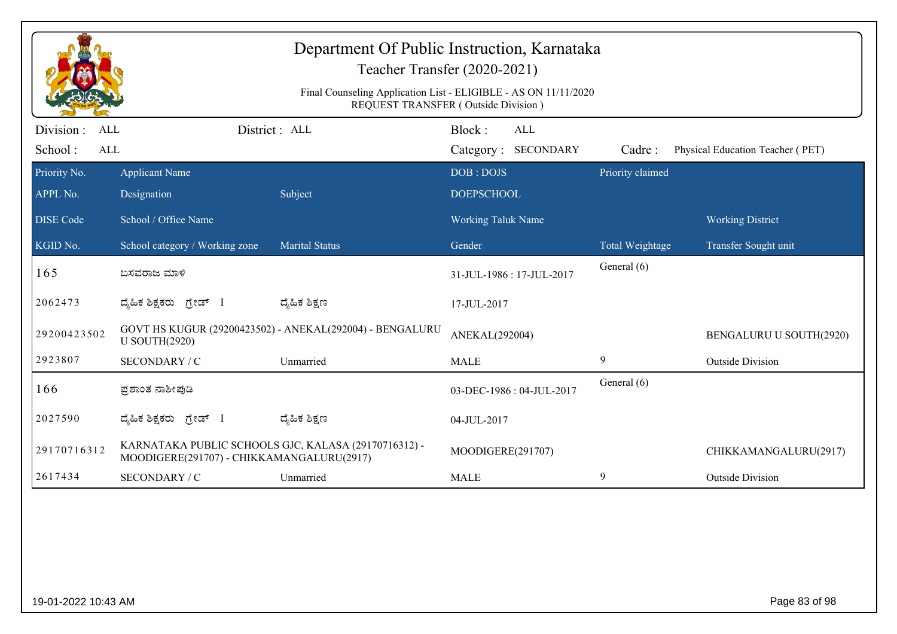|                                                   | Department Of Public Instruction, Karnataka<br>Teacher Transfer (2020-2021)<br>Final Counseling Application List - ELIGIBLE - AS ON 11/11/2020<br>REQUEST TRANSFER (Outside Division) |                                                          |                                      |                  |                                  |  |  |  |
|---------------------------------------------------|---------------------------------------------------------------------------------------------------------------------------------------------------------------------------------------|----------------------------------------------------------|--------------------------------------|------------------|----------------------------------|--|--|--|
| Division :<br><b>ALL</b><br>School:<br><b>ALL</b> |                                                                                                                                                                                       | District: ALL                                            | Block:<br>ALL<br>Category: SECONDARY | Cadre:           | Physical Education Teacher (PET) |  |  |  |
| Priority No.<br>APPL No.                          | <b>Applicant Name</b><br>Designation                                                                                                                                                  | Subject                                                  | DOB: DOJS<br><b>DOEPSCHOOL</b>       | Priority claimed |                                  |  |  |  |
| <b>DISE</b> Code                                  | School / Office Name                                                                                                                                                                  |                                                          | <b>Working Taluk Name</b>            |                  | <b>Working District</b>          |  |  |  |
| KGID No.                                          | School category / Working zone                                                                                                                                                        | <b>Marital Status</b>                                    | Gender                               | Total Weightage  | Transfer Sought unit             |  |  |  |
| 165                                               | ಬಸವರಾಜ ಮಾಳಿ                                                                                                                                                                           |                                                          | 31-JUL-1986: 17-JUL-2017             | General (6)      |                                  |  |  |  |
| 2062473                                           | ದ್ಯಹಿಕ ಶಿಕ್ಷಕರು ಗ್ರೇಡ್ I                                                                                                                                                              | ದ್ಮಹಿಕ ಶಿಕ್ಷಣ                                            | 17-JUL-2017                          |                  |                                  |  |  |  |
| 29200423502                                       | <b>U SOUTH(2920)</b>                                                                                                                                                                  | GOVT HS KUGUR (29200423502) - ANEKAL(292004) - BENGALURU | ANEKAL(292004)                       |                  | BENGALURU U SOUTH(2920)          |  |  |  |
| 2923807                                           | SECONDARY / C                                                                                                                                                                         | Unmarried                                                | <b>MALE</b>                          | 9                | <b>Outside Division</b>          |  |  |  |
| 166                                               | ಪ್ರಶಾಂತ ನಾಶೀಪುಡಿ                                                                                                                                                                      |                                                          | 03-DEC-1986: 04-JUL-2017             | General (6)      |                                  |  |  |  |
| 2027590                                           | ದ್ಯಹಿಕ ಶಿಕ್ಷಕರು <i>ಗ್ರೇ</i> ಡ್ I                                                                                                                                                      | ದ್ಯೆಹಿಕ ಶಿಕ್ಷಣ                                           | 04-JUL-2017                          |                  |                                  |  |  |  |
| 29170716312                                       | MOODIGERE(291707) - CHIKKAMANGALURU(2917)                                                                                                                                             | KARNATAKA PUBLIC SCHOOLS GJC, KALASA (29170716312) -     | MOODIGERE(291707)                    |                  | CHIKKAMANGALURU(2917)            |  |  |  |
| 2617434                                           | SECONDARY / C                                                                                                                                                                         | Unmarried                                                | <b>MALE</b>                          | 9                | <b>Outside Division</b>          |  |  |  |
|                                                   |                                                                                                                                                                                       |                                                          |                                      |                  |                                  |  |  |  |
| 19-01-2022 10:43 AM                               |                                                                                                                                                                                       |                                                          |                                      |                  | Page 83 of 98                    |  |  |  |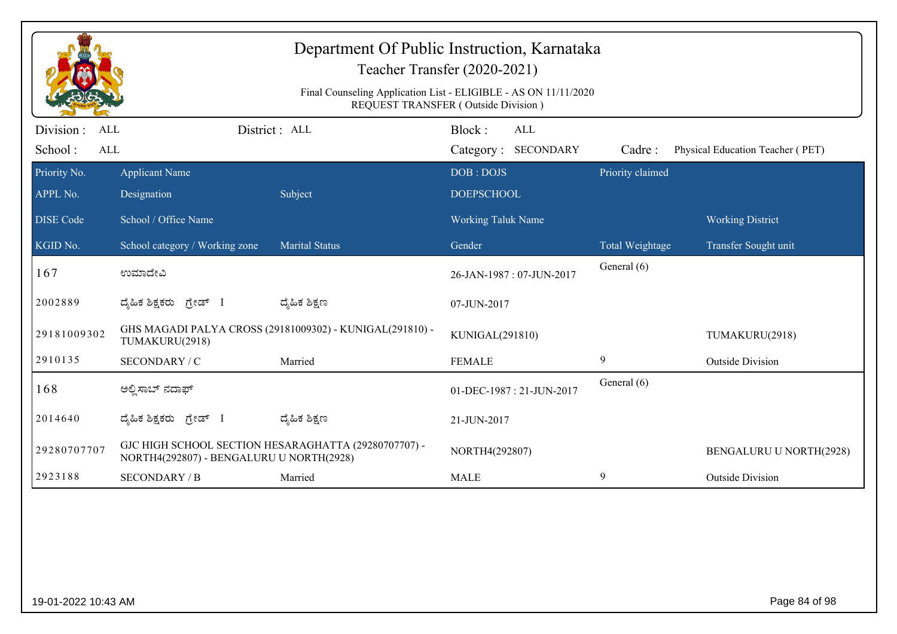|                                                   | Department Of Public Instruction, Karnataka<br>Teacher Transfer (2020-2021)<br>Final Counseling Application List - ELIGIBLE - AS ON 11/11/2020<br>REQUEST TRANSFER (Outside Division) |                                                          |                                      |                  |                                  |  |  |  |
|---------------------------------------------------|---------------------------------------------------------------------------------------------------------------------------------------------------------------------------------------|----------------------------------------------------------|--------------------------------------|------------------|----------------------------------|--|--|--|
| Division :<br><b>ALL</b><br>School:<br><b>ALL</b> |                                                                                                                                                                                       | District: ALL                                            | Block:<br>ALL<br>Category: SECONDARY | Cadre:           | Physical Education Teacher (PET) |  |  |  |
| Priority No.<br>APPL No.                          | <b>Applicant Name</b><br>Designation                                                                                                                                                  | Subject                                                  | DOB: DOJS<br><b>DOEPSCHOOL</b>       | Priority claimed |                                  |  |  |  |
| <b>DISE Code</b>                                  | School / Office Name                                                                                                                                                                  |                                                          | <b>Working Taluk Name</b>            |                  | <b>Working District</b>          |  |  |  |
| KGID No.                                          | School category / Working zone                                                                                                                                                        | <b>Marital Status</b>                                    | Gender                               | Total Weightage  | Transfer Sought unit             |  |  |  |
| 167                                               | ಉಮಾದೇವಿ                                                                                                                                                                               |                                                          | 26-JAN-1987: 07-JUN-2017             | General (6)      |                                  |  |  |  |
| 2002889                                           | ದ್ಯಹಿಕ ಶಿಕ್ಷಕರು ಗ್ರೇಡ್ I                                                                                                                                                              | ದ್ಮೆಹಿಕ ಶಿಕ್ಷಣ                                           | 07-JUN-2017                          |                  |                                  |  |  |  |
| 29181009302                                       | TUMAKURU(2918)                                                                                                                                                                        | GHS MAGADI PALYA CROSS (29181009302) - KUNIGAL(291810) - | KUNIGAL(291810)                      |                  | TUMAKURU(2918)                   |  |  |  |
| 2910135                                           | SECONDARY / C                                                                                                                                                                         | Married                                                  | <b>FEMALE</b>                        | 9                | <b>Outside Division</b>          |  |  |  |
| 168                                               | ಅಲ್ಪಿಸಾಬ್ ನದಾಫ್                                                                                                                                                                       |                                                          | 01-DEC-1987: 21-JUN-2017             | General (6)      |                                  |  |  |  |
| 2014640                                           | ದ್ಯಹಿಕ ಶಿಕ್ಷಕರು <i>ಗ್ರೇ</i> ಡ್ I                                                                                                                                                      | ದ್ಮಹಿಕ ಶಿಕ್ಷಣ                                            | 21-JUN-2017                          |                  |                                  |  |  |  |
| 29280707707                                       | NORTH4(292807) - BENGALURU U NORTH(2928)                                                                                                                                              | GJC HIGH SCHOOL SECTION HESARAGHATTA (29280707707) -     | NORTH4(292807)                       |                  | BENGALURU U NORTH(2928)          |  |  |  |
| 2923188                                           | <b>SECONDARY / B</b>                                                                                                                                                                  | Married                                                  | <b>MALE</b>                          | 9                | <b>Outside Division</b>          |  |  |  |
|                                                   |                                                                                                                                                                                       |                                                          |                                      |                  |                                  |  |  |  |
| 19-01-2022 10:43 AM                               |                                                                                                                                                                                       |                                                          |                                      |                  | Page 84 of 98                    |  |  |  |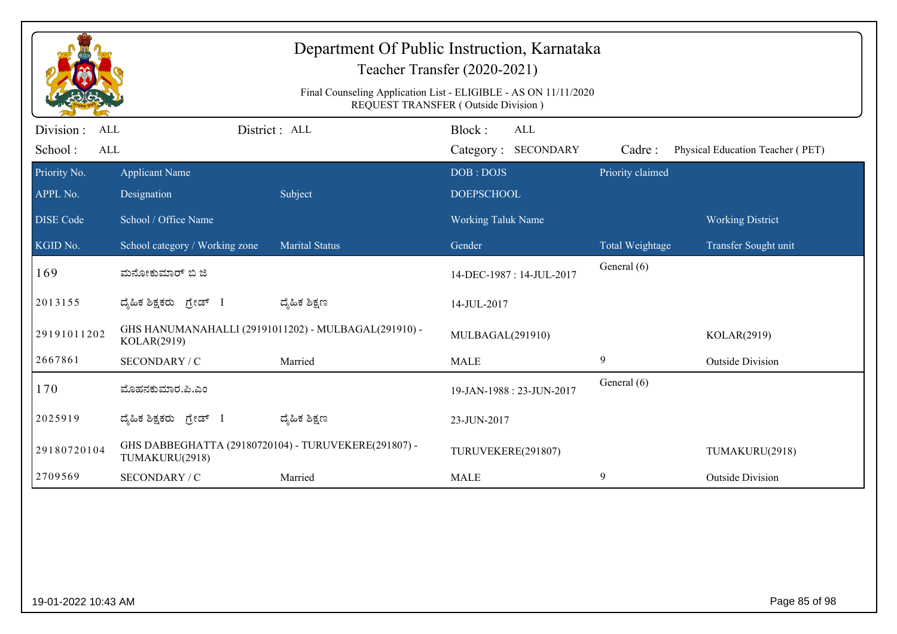| Department Of Public Instruction, Karnataka<br>Teacher Transfer (2020-2021)<br>Final Counseling Application List - ELIGIBLE - AS ON 11/11/2020 |                                                                        |                       |                                                                                    |                  |                                  |  |  |
|------------------------------------------------------------------------------------------------------------------------------------------------|------------------------------------------------------------------------|-----------------------|------------------------------------------------------------------------------------|------------------|----------------------------------|--|--|
| Division:<br><b>ALL</b><br>School:<br><b>ALL</b>                                                                                               |                                                                        | District : ALL        | REQUEST TRANSFER (Outside Division)<br>Block:<br><b>ALL</b><br>Category: SECONDARY | Cadre:           | Physical Education Teacher (PET) |  |  |
| Priority No.                                                                                                                                   | <b>Applicant Name</b>                                                  |                       | DOB: DOJS                                                                          | Priority claimed |                                  |  |  |
| APPL No.<br><b>DISE</b> Code                                                                                                                   | Designation<br>School / Office Name                                    | Subject               | <b>DOEPSCHOOL</b><br><b>Working Taluk Name</b>                                     |                  | <b>Working District</b>          |  |  |
| KGID No.                                                                                                                                       | School category / Working zone                                         | <b>Marital Status</b> | Gender                                                                             | Total Weightage  | Transfer Sought unit             |  |  |
| 169                                                                                                                                            | ಮನೋಕುಮಾರ್ ಬಿ ಜಿ                                                        |                       | 14-DEC-1987: 14-JUL-2017                                                           | General (6)      |                                  |  |  |
| 2013155                                                                                                                                        | ದ್ಯಹಿಕ ಶಿಕ್ಷಕರು ಗ್ರೇಡ್ I                                               | ದ್ಯಹಿಕ ಶಿಕ್ಷಣ         | 14-JUL-2017                                                                        |                  |                                  |  |  |
| 29191011202                                                                                                                                    | GHS HANUMANAHALLI (29191011202) - MULBAGAL(291910) -<br>KOLAR(2919)    |                       | MULBAGAL(291910)                                                                   |                  | KOLAR(2919)                      |  |  |
| 2667861                                                                                                                                        | SECONDARY / C                                                          | Married               | <b>MALE</b>                                                                        | 9                | <b>Outside Division</b>          |  |  |
| 170                                                                                                                                            | ಮೊಹನಕುಮಾರ.ಪಿ.ಎಂ                                                        |                       | 19-JAN-1988: 23-JUN-2017                                                           | General (6)      |                                  |  |  |
| 2025919                                                                                                                                        | ದ್ಯಹಿಕ ಶಿಕ್ಷಕರು ಗ್ರೇಡ್ I                                               | ದ್ಯಹಿಕ ಶಿಕ್ಷಣ         | 23-JUN-2017                                                                        |                  |                                  |  |  |
| 29180720104                                                                                                                                    | GHS DABBEGHATTA (29180720104) - TURUVEKERE(291807) -<br>TUMAKURU(2918) |                       | TURUVEKERE(291807)                                                                 |                  | TUMAKURU(2918)                   |  |  |
| 2709569                                                                                                                                        | SECONDARY / C                                                          | Married               | <b>MALE</b>                                                                        | 9                | <b>Outside Division</b>          |  |  |
|                                                                                                                                                |                                                                        |                       |                                                                                    |                  |                                  |  |  |
| 19-01-2022 10:43 AM                                                                                                                            |                                                                        |                       |                                                                                    |                  | Page 85 of 98                    |  |  |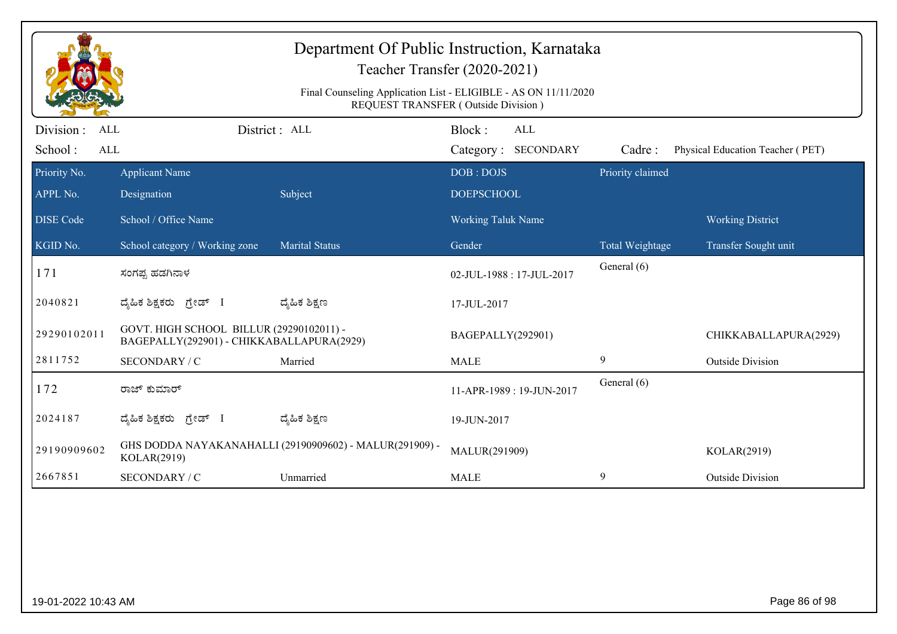| Department Of Public Instruction, Karnataka<br>Teacher Transfer (2020-2021)<br>Final Counseling Application List - ELIGIBLE - AS ON 11/11/2020<br>REQUEST TRANSFER (Outside Division) |                                                                                       |                                                         |                                             |                  |                                  |  |  |
|---------------------------------------------------------------------------------------------------------------------------------------------------------------------------------------|---------------------------------------------------------------------------------------|---------------------------------------------------------|---------------------------------------------|------------------|----------------------------------|--|--|
| Division :<br><b>ALL</b><br>School:<br>ALL                                                                                                                                            |                                                                                       | District : ALL                                          | Block:<br><b>ALL</b><br>Category: SECONDARY | Cadre:           | Physical Education Teacher (PET) |  |  |
| Priority No.<br>APPL No.                                                                                                                                                              | <b>Applicant Name</b><br>Designation                                                  | Subject                                                 | DOB: DOJS<br><b>DOEPSCHOOL</b>              | Priority claimed |                                  |  |  |
| <b>DISE</b> Code                                                                                                                                                                      | School / Office Name                                                                  |                                                         | <b>Working Taluk Name</b>                   |                  | <b>Working District</b>          |  |  |
| KGID No.                                                                                                                                                                              | School category / Working zone                                                        | <b>Marital Status</b>                                   | Gender                                      | Total Weightage  | Transfer Sought unit             |  |  |
| 171                                                                                                                                                                                   | ಸಂಗಪ್ಪ ಹಡಗಿನಾಳ                                                                        |                                                         | 02-JUL-1988: 17-JUL-2017                    | General (6)      |                                  |  |  |
| 2040821                                                                                                                                                                               | ದೈಹಿಕ ಶಿಕ್ಷಕರು ಗ್ರೇಡ್ I                                                               | ದ್ಯೆಹಿಕ ಶಿಕ್ಷಣ                                          | 17-JUL-2017                                 |                  |                                  |  |  |
| 29290102011                                                                                                                                                                           | GOVT. HIGH SCHOOL BILLUR (29290102011) -<br>BAGEPALLY(292901) - CHIKKABALLAPURA(2929) |                                                         | BAGEPALLY(292901)                           |                  | CHIKKABALLAPURA(2929)            |  |  |
| 2811752                                                                                                                                                                               | SECONDARY / C                                                                         | Married                                                 | <b>MALE</b>                                 | 9                | <b>Outside Division</b>          |  |  |
| 172                                                                                                                                                                                   | ರಾಜ್ ಕುಮಾರ್                                                                           |                                                         | 11-APR-1989: 19-JUN-2017                    | General (6)      |                                  |  |  |
| 2024187                                                                                                                                                                               | ದೈಹಿಕ ಶಿಕ್ಷಕರು ಗ್ರೇಡ್ I                                                               | ದ್ಯೆಹಿಕ ಶಿಕ್ಷಣ                                          | 19-JUN-2017                                 |                  |                                  |  |  |
| 29190909602                                                                                                                                                                           | KOLAR(2919)                                                                           | GHS DODDA NAYAKANAHALLI (29190909602) - MALUR(291909) - | MALUR(291909)                               |                  | KOLAR(2919)                      |  |  |
| 2667851                                                                                                                                                                               | <b>SECONDARY / C</b>                                                                  | Unmarried                                               | <b>MALE</b>                                 | 9                | <b>Outside Division</b>          |  |  |
|                                                                                                                                                                                       |                                                                                       |                                                         |                                             |                  |                                  |  |  |
| 19-01-2022 10:43 AM                                                                                                                                                                   |                                                                                       |                                                         |                                             |                  | Page 86 of 98                    |  |  |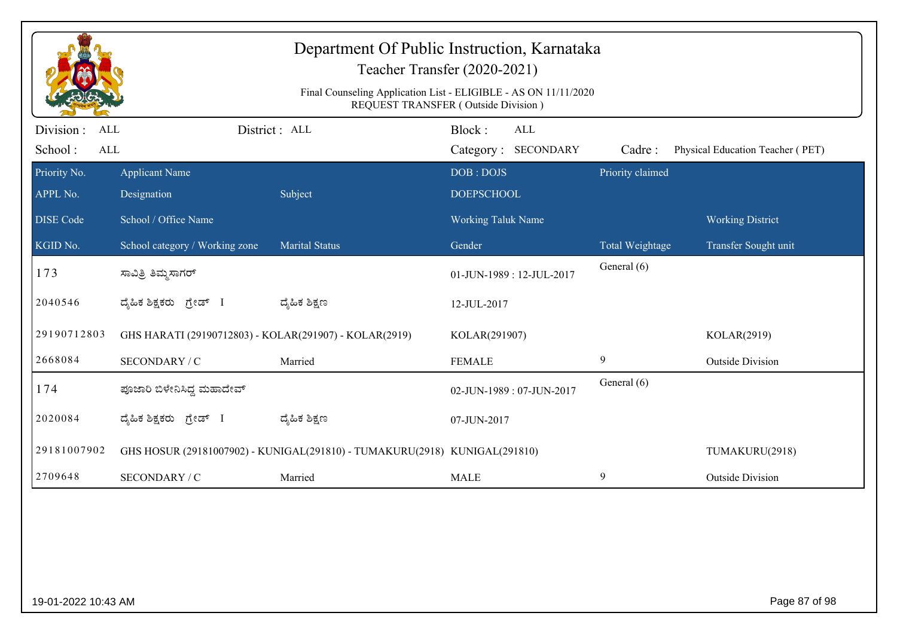| Department Of Public Instruction, Karnataka<br>Teacher Transfer (2020-2021)<br>Final Counseling Application List - ELIGIBLE - AS ON 11/11/2020<br>REQUEST TRANSFER (Outside Division) |                                                        |                                                                            |                           |                                   |                  |                                  |  |
|---------------------------------------------------------------------------------------------------------------------------------------------------------------------------------------|--------------------------------------------------------|----------------------------------------------------------------------------|---------------------------|-----------------------------------|------------------|----------------------------------|--|
| Division :<br><b>ALL</b><br>School:<br><b>ALL</b>                                                                                                                                     |                                                        | District: ALL                                                              | Block:                    | <b>ALL</b><br>Category: SECONDARY | Cadre:           | Physical Education Teacher (PET) |  |
| Priority No.                                                                                                                                                                          | <b>Applicant Name</b>                                  |                                                                            | DOB: DOJS                 |                                   | Priority claimed |                                  |  |
| APPL No.                                                                                                                                                                              | Designation                                            | Subject                                                                    | <b>DOEPSCHOOL</b>         |                                   |                  |                                  |  |
| <b>DISE Code</b>                                                                                                                                                                      | School / Office Name                                   |                                                                            | <b>Working Taluk Name</b> |                                   |                  | <b>Working District</b>          |  |
| KGID No.                                                                                                                                                                              | School category / Working zone                         | <b>Marital Status</b>                                                      | Gender                    |                                   | Total Weightage  | Transfer Sought unit             |  |
| 173                                                                                                                                                                                   | ಸಾವಿತ್ರಿ ತಿಮ್ಮಸಾಗರ್                                    |                                                                            |                           | 01-JUN-1989: 12-JUL-2017          | General (6)      |                                  |  |
| 2040546                                                                                                                                                                               | ದೈಹಿಕ ಶಿಕ್ಷಕರು ಗ್ರೇಡ್ I                                | ದ್ಯೆಹಿಕ ಶಿಕ್ಷಣ                                                             | 12-JUL-2017               |                                   |                  |                                  |  |
| 29190712803                                                                                                                                                                           | GHS HARATI (29190712803) - KOLAR(291907) - KOLAR(2919) |                                                                            | KOLAR(291907)             |                                   |                  | KOLAR(2919)                      |  |
| 2668084                                                                                                                                                                               | SECONDARY / C                                          | Married                                                                    | <b>FEMALE</b>             |                                   | 9                | <b>Outside Division</b>          |  |
| 174                                                                                                                                                                                   | ಪೂಜಾರಿ ಬಿಳೇನಿಸಿದ್ದ ಮಹಾದೇವ್                             |                                                                            |                           | 02-JUN-1989: 07-JUN-2017          | General (6)      |                                  |  |
| 2020084                                                                                                                                                                               | ದೈಹಿಕ ಶಿಕ್ಷಕರು ಗ್ರೇಡ್ I                                | ದ್ಯೆಹಿಕ ಶಿಕ್ಷಣ                                                             | 07-JUN-2017               |                                   |                  |                                  |  |
| 29181007902                                                                                                                                                                           |                                                        | GHS HOSUR (29181007902) - KUNIGAL(291810) - TUMAKURU(2918) KUNIGAL(291810) |                           |                                   |                  | TUMAKURU(2918)                   |  |
| 2709648                                                                                                                                                                               | SECONDARY / C                                          | Married                                                                    | <b>MALE</b>               |                                   | 9                | <b>Outside Division</b>          |  |
|                                                                                                                                                                                       |                                                        |                                                                            |                           |                                   |                  |                                  |  |
|                                                                                                                                                                                       | Page 87 of 98<br>19-01-2022 10:43 AM                   |                                                                            |                           |                                   |                  |                                  |  |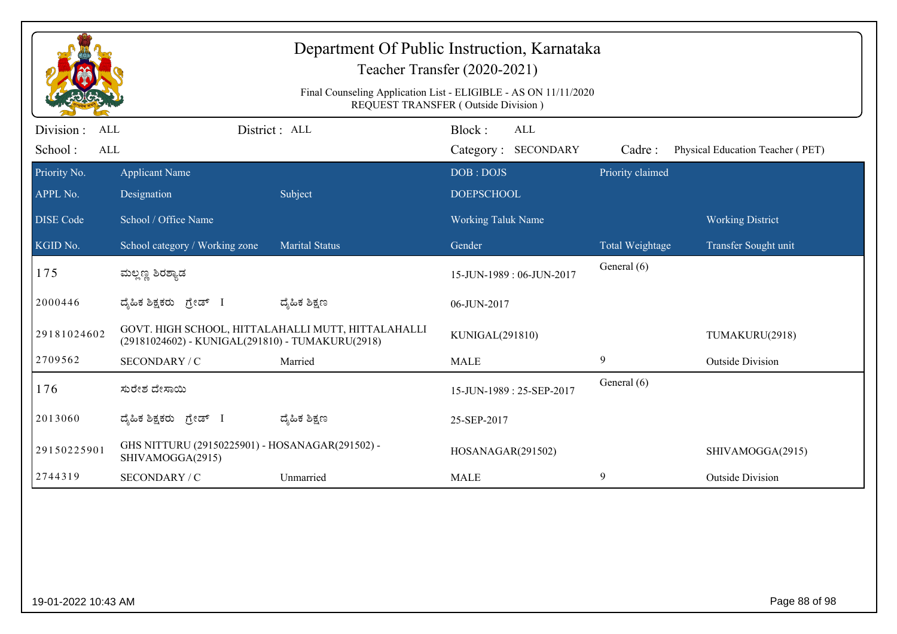| Department Of Public Instruction, Karnataka<br>Teacher Transfer (2020-2021)                            |                                                                     |                                                    |                                      |                  |                                  |  |  |  |
|--------------------------------------------------------------------------------------------------------|---------------------------------------------------------------------|----------------------------------------------------|--------------------------------------|------------------|----------------------------------|--|--|--|
| Final Counseling Application List - ELIGIBLE - AS ON 11/11/2020<br>REQUEST TRANSFER (Outside Division) |                                                                     |                                                    |                                      |                  |                                  |  |  |  |
| Division :<br><b>ALL</b><br>School:<br>ALL                                                             |                                                                     | District: ALL                                      | Block:<br>ALL<br>Category: SECONDARY | Cadre:           | Physical Education Teacher (PET) |  |  |  |
| Priority No.<br>APPL No.                                                                               | <b>Applicant Name</b><br>Designation                                | Subject                                            | DOB: DOJS<br><b>DOEPSCHOOL</b>       | Priority claimed |                                  |  |  |  |
| <b>DISE Code</b>                                                                                       | School / Office Name                                                |                                                    | <b>Working Taluk Name</b>            |                  | <b>Working District</b>          |  |  |  |
| KGID No.                                                                                               | School category / Working zone                                      | <b>Marital Status</b>                              | Gender                               | Total Weightage  | Transfer Sought unit             |  |  |  |
| 175                                                                                                    | ಮಲ್ಲಣ್ಣ ಶಿರಶ್ಯಾಡ                                                    |                                                    | 15-JUN-1989: 06-JUN-2017             | General (6)      |                                  |  |  |  |
| 2000446                                                                                                | ದೈಹಿಕ ಶಿಕ್ಷಕರು ಗ್ರೇಡ್ I                                             | ದ್ಯೆಹಿಕ ಶಿಕ್ಷಣ                                     | 06-JUN-2017                          |                  |                                  |  |  |  |
| 29181024602                                                                                            | (29181024602) - KUNIGAL(291810) - TUMAKURU(2918)                    | GOVT. HIGH SCHOOL, HITTALAHALLI MUTT, HITTALAHALLI | KUNIGAL(291810)                      |                  | TUMAKURU(2918)                   |  |  |  |
| 2709562                                                                                                | SECONDARY / C                                                       | Married                                            | <b>MALE</b>                          | 9                | <b>Outside Division</b>          |  |  |  |
| 176                                                                                                    | ಸುರೇಶ ದೇಸಾಯಿ                                                        |                                                    | 15-JUN-1989: 25-SEP-2017             | General (6)      |                                  |  |  |  |
| 2013060                                                                                                | ದೈಹಿಕ ಶಿಕ್ಷಕರು ಗ್ರೇಡ್ I                                             | ದ್ಯೆಹಿಕ ಶಿಕ್ಷಣ                                     | 25-SEP-2017                          |                  |                                  |  |  |  |
| 29150225901                                                                                            | GHS NITTURU (29150225901) - HOSANAGAR(291502) -<br>SHIVAMOGGA(2915) |                                                    | HOSANAGAR(291502)                    |                  | SHIVAMOGGA(2915)                 |  |  |  |
| 2744319                                                                                                | SECONDARY / C                                                       | Unmarried                                          | <b>MALE</b>                          | 9                | <b>Outside Division</b>          |  |  |  |
|                                                                                                        |                                                                     |                                                    |                                      |                  |                                  |  |  |  |
| 19-01-2022 10:43 AM                                                                                    |                                                                     |                                                    |                                      |                  | Page 88 of 98                    |  |  |  |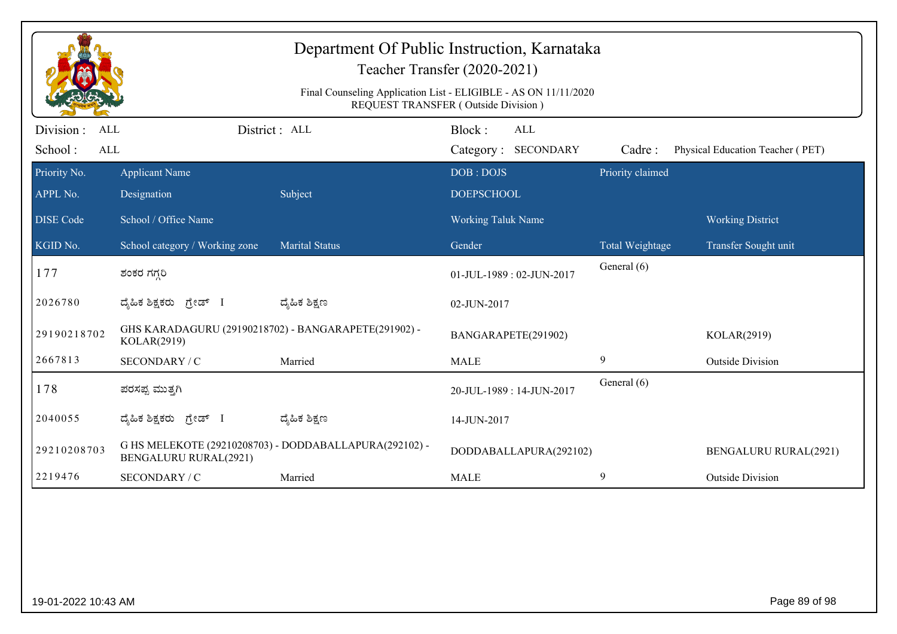| Department Of Public Instruction, Karnataka<br>Teacher Transfer (2020-2021)<br>Final Counseling Application List - ELIGIBLE - AS ON 11/11/2020<br>REQUEST TRANSFER (Outside Division) |                                                                     |                                                        |                                      |                  |                                  |  |  |
|---------------------------------------------------------------------------------------------------------------------------------------------------------------------------------------|---------------------------------------------------------------------|--------------------------------------------------------|--------------------------------------|------------------|----------------------------------|--|--|
| Division:<br><b>ALL</b><br>School:<br><b>ALL</b>                                                                                                                                      |                                                                     | District: ALL                                          | Block:<br>ALL<br>Category: SECONDARY | Cadre:           | Physical Education Teacher (PET) |  |  |
| Priority No.<br>APPL No.                                                                                                                                                              | <b>Applicant Name</b><br>Designation                                | Subject                                                | DOB: DOJS<br><b>DOEPSCHOOL</b>       | Priority claimed |                                  |  |  |
| <b>DISE Code</b>                                                                                                                                                                      | School / Office Name                                                |                                                        | <b>Working Taluk Name</b>            |                  | <b>Working District</b>          |  |  |
| KGID No.                                                                                                                                                                              | School category / Working zone                                      | <b>Marital Status</b>                                  | Gender                               | Total Weightage  | Transfer Sought unit             |  |  |
| 177                                                                                                                                                                                   | ಶಂಕರ ಗಗ್ಗರಿ                                                         |                                                        | 01-JUL-1989: 02-JUN-2017             | General (6)      |                                  |  |  |
| 2026780                                                                                                                                                                               | ದೈಹಿಕ ಶಿಕ್ಷಕರು ಗ್ರೇಡ್ I                                             | ದ್ಮೆಹಿಕ ಶಿಕ್ಷಣ                                         | 02-JUN-2017                          |                  |                                  |  |  |
| 29190218702                                                                                                                                                                           | GHS KARADAGURU (29190218702) - BANGARAPETE(291902) -<br>KOLAR(2919) |                                                        | BANGARAPETE(291902)                  |                  | KOLAR(2919)                      |  |  |
| 2667813                                                                                                                                                                               | SECONDARY / C                                                       | Married                                                | <b>MALE</b>                          | 9                | <b>Outside Division</b>          |  |  |
| 178                                                                                                                                                                                   | ಪರಸಪ್ಪ ಮುತ್ತಗಿ                                                      |                                                        | 20-JUL-1989: 14-JUN-2017             | General (6)      |                                  |  |  |
| 2040055                                                                                                                                                                               | ದ್ಯಹಿಕ ಶಿಕ್ಷಕರು ಗ್ರೇಡ್ I                                            | ದ್ಶೆಹಿಕ ಶಿಕ್ಷಣ                                         | 14-JUN-2017                          |                  |                                  |  |  |
| 29210208703                                                                                                                                                                           | <b>BENGALURU RURAL(2921)</b>                                        | G HS MELEKOTE (29210208703) - DODDABALLAPURA(292102) - | DODDABALLAPURA(292102)               |                  | <b>BENGALURU RURAL(2921)</b>     |  |  |
| 2219476                                                                                                                                                                               | SECONDARY / C                                                       | Married                                                | <b>MALE</b>                          | 9                | <b>Outside Division</b>          |  |  |
|                                                                                                                                                                                       |                                                                     |                                                        |                                      |                  |                                  |  |  |
| 19-01-2022 10:43 AM                                                                                                                                                                   |                                                                     |                                                        |                                      |                  | Page 89 of 98                    |  |  |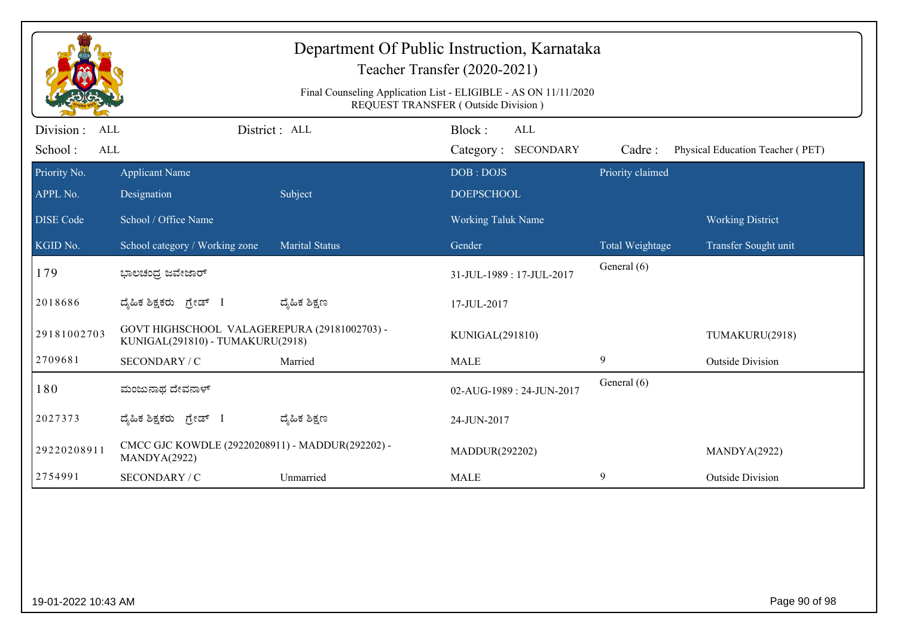|                                                                                                        |                                                                                  |                       | Department Of Public Instruction, Karnataka<br>Teacher Transfer (2020-2021) |                  |                                  |  |  |  |
|--------------------------------------------------------------------------------------------------------|----------------------------------------------------------------------------------|-----------------------|-----------------------------------------------------------------------------|------------------|----------------------------------|--|--|--|
| Final Counseling Application List - ELIGIBLE - AS ON 11/11/2020<br>REQUEST TRANSFER (Outside Division) |                                                                                  |                       |                                                                             |                  |                                  |  |  |  |
| Division :<br>ALL<br>School:<br>$\mbox{ALL}$                                                           |                                                                                  | District : ALL        | Block:<br><b>ALL</b><br>Category: SECONDARY                                 | Cadre:           | Physical Education Teacher (PET) |  |  |  |
| Priority No.<br>APPL No.                                                                               | <b>Applicant Name</b><br>Designation                                             | Subject               | DOB: DOJS<br><b>DOEPSCHOOL</b>                                              | Priority claimed |                                  |  |  |  |
| <b>DISE</b> Code                                                                                       | School / Office Name                                                             |                       | Working Taluk Name                                                          |                  | <b>Working District</b>          |  |  |  |
| KGID No.                                                                                               | School category / Working zone                                                   | <b>Marital Status</b> | Gender                                                                      | Total Weightage  | Transfer Sought unit             |  |  |  |
| 179                                                                                                    | ಭಾಲಚಂದ್ರ ಜವೇಜಾರ್                                                                 |                       | 31-JUL-1989: 17-JUL-2017                                                    | General (6)      |                                  |  |  |  |
| 2018686                                                                                                | ದ್ಯಹಿಕ ಶಿಕ್ಷಕರು ಗ್ರೇಡ್ I                                                         | ದ್ಶೆಹಿಕ ಶಿಕ್ಷಣ        | 17-JUL-2017                                                                 |                  |                                  |  |  |  |
| 29181002703                                                                                            | GOVT HIGHSCHOOL VALAGEREPURA (29181002703) -<br>KUNIGAL(291810) - TUMAKURU(2918) |                       | KUNIGAL(291810)                                                             |                  | TUMAKURU(2918)                   |  |  |  |
| 2709681                                                                                                | SECONDARY / C                                                                    | Married               | <b>MALE</b>                                                                 | 9                | <b>Outside Division</b>          |  |  |  |
| 180                                                                                                    | ಮಂಜುನಾಥ ದೇವನಾಳ್                                                                  |                       | 02-AUG-1989: 24-JUN-2017                                                    | General (6)      |                                  |  |  |  |
| 2027373                                                                                                | ದ್ಯಹಿಕ ಶಿಕ್ಷಕರು ಗ್ರೇಡ್ I                                                         | ದ್ಮಹಿಕ ಶಿಕ್ಷಣ         | 24-JUN-2017                                                                 |                  |                                  |  |  |  |
| 29220208911                                                                                            | CMCC GJC KOWDLE (29220208911) - MADDUR(292202) -<br>MANDYA(2922)                 |                       | MADDUR(292202)                                                              |                  | MANDYA(2922)                     |  |  |  |
| 2754991                                                                                                | SECONDARY / C                                                                    | Unmarried             | <b>MALE</b>                                                                 | 9                | <b>Outside Division</b>          |  |  |  |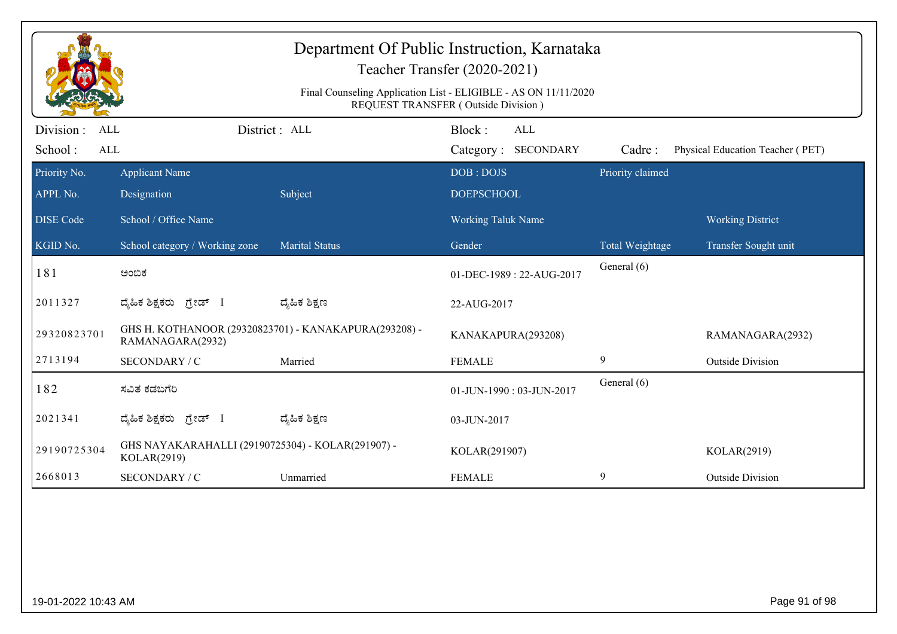| Department Of Public Instruction, Karnataka<br>Teacher Transfer (2020-2021)                            |                                                                  |                                                       |                                             |                  |                                  |  |  |  |
|--------------------------------------------------------------------------------------------------------|------------------------------------------------------------------|-------------------------------------------------------|---------------------------------------------|------------------|----------------------------------|--|--|--|
| Final Counseling Application List - ELIGIBLE - AS ON 11/11/2020<br>REQUEST TRANSFER (Outside Division) |                                                                  |                                                       |                                             |                  |                                  |  |  |  |
| Division :<br>ALL<br>School:<br>$\mbox{ALL}$                                                           |                                                                  | District: ALL                                         | Block:<br><b>ALL</b><br>Category: SECONDARY | Cadre:           | Physical Education Teacher (PET) |  |  |  |
| Priority No.<br>APPL No.                                                                               | <b>Applicant Name</b><br>Designation                             | Subject                                               | DOB: DOJS<br><b>DOEPSCHOOL</b>              | Priority claimed |                                  |  |  |  |
| <b>DISE</b> Code                                                                                       | School / Office Name                                             |                                                       | Working Taluk Name                          |                  | <b>Working District</b>          |  |  |  |
| KGID No.                                                                                               | School category / Working zone                                   | <b>Marital Status</b>                                 | Gender                                      | Total Weightage  | Transfer Sought unit             |  |  |  |
| 181                                                                                                    | ಅಂಬಿಕ                                                            |                                                       | 01-DEC-1989: 22-AUG-2017                    | General (6)      |                                  |  |  |  |
| 2011327                                                                                                | ದೈಹಿಕ ಶಿಕ್ಷಕರು ಗ್ರೇಡ್ I                                          | ದ್ಶೆಹಿಕ ಶಿಕ್ಷಣ                                        | 22-AUG-2017                                 |                  |                                  |  |  |  |
| 29320823701                                                                                            | RAMANAGARA(2932)                                                 | GHS H. KOTHANOOR (29320823701) - KANAKAPURA(293208) - | KANAKAPURA(293208)                          |                  | RAMANAGARA(2932)                 |  |  |  |
| 2713194                                                                                                | SECONDARY / C                                                    | Married                                               | <b>FEMALE</b>                               | $\overline{9}$   | <b>Outside Division</b>          |  |  |  |
| 182                                                                                                    | ಸವಿತ ಕಡಬಗೆರಿ                                                     |                                                       | 01-JUN-1990: 03-JUN-2017                    | General (6)      |                                  |  |  |  |
| 2021341                                                                                                | ದ್ಯಹಿಕ ಶಿಕ್ಷಕರು ಗ್ರೇಡ್ I                                         | ದ್ಮಹಿಕ ಶಿಕ್ಷಣ                                         | 03-JUN-2017                                 |                  |                                  |  |  |  |
| 29190725304                                                                                            | GHS NAYAKARAHALLI (29190725304) - KOLAR(291907) -<br>KOLAR(2919) |                                                       | KOLAR(291907)                               |                  | KOLAR(2919)                      |  |  |  |
| 2668013                                                                                                | SECONDARY / C                                                    | Unmarried                                             | <b>FEMALE</b>                               | 9                | <b>Outside Division</b>          |  |  |  |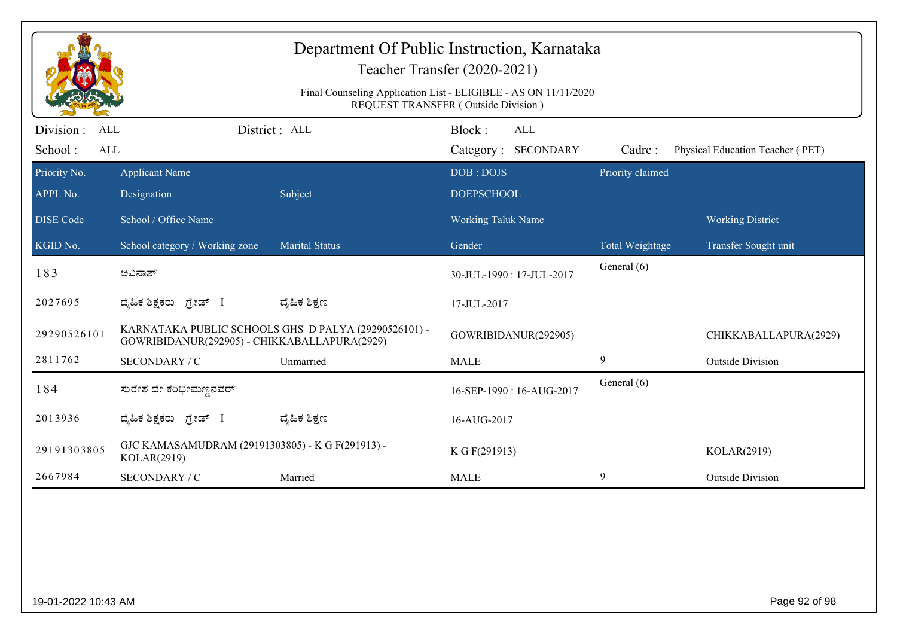| Department Of Public Instruction, Karnataka<br>Teacher Transfer (2020-2021) |                                                                                                        |                                                      |                                             |                  |                                  |  |  |  |  |
|-----------------------------------------------------------------------------|--------------------------------------------------------------------------------------------------------|------------------------------------------------------|---------------------------------------------|------------------|----------------------------------|--|--|--|--|
|                                                                             | Final Counseling Application List - ELIGIBLE - AS ON 11/11/2020<br>REQUEST TRANSFER (Outside Division) |                                                      |                                             |                  |                                  |  |  |  |  |
| Division :<br>ALL<br>School:<br>ALL                                         |                                                                                                        | District: ALL                                        | Block:<br><b>ALL</b><br>Category: SECONDARY | Cadre:           | Physical Education Teacher (PET) |  |  |  |  |
| Priority No.<br>APPL No.                                                    | <b>Applicant Name</b><br>Designation                                                                   | Subject                                              | DOB: DOJS<br><b>DOEPSCHOOL</b>              | Priority claimed |                                  |  |  |  |  |
| <b>DISE Code</b>                                                            | School / Office Name                                                                                   |                                                      | <b>Working Taluk Name</b>                   |                  | <b>Working District</b>          |  |  |  |  |
| KGID No.                                                                    | School category / Working zone                                                                         | <b>Marital Status</b>                                | Gender                                      | Total Weightage  | Transfer Sought unit             |  |  |  |  |
| 183                                                                         | ಅವಿನಾಶ್                                                                                                |                                                      | 30-JUL-1990: 17-JUL-2017                    | General (6)      |                                  |  |  |  |  |
| 2027695                                                                     | ದೈಹಿಕ ಶಿಕ್ಷಕರು ಗ್ರೇಡ್ I                                                                                | ದ್ಶೆಹಿಕ ಶಿಕ್ಷಣ                                       | 17-JUL-2017                                 |                  |                                  |  |  |  |  |
| 29290526101                                                                 | GOWRIBIDANUR(292905) - CHIKKABALLAPURA(2929)                                                           | KARNATAKA PUBLIC SCHOOLS GHS D PALYA (29290526101) - | GOWRIBIDANUR(292905)                        |                  | CHIKKABALLAPURA(2929)            |  |  |  |  |
| 2811762                                                                     | SECONDARY / C                                                                                          | Unmarried                                            | <b>MALE</b>                                 | $\boldsymbol{9}$ | <b>Outside Division</b>          |  |  |  |  |
| 184                                                                         | ಸುರೇಶ ದೇ ಕರಿಭೀಮಣ್ಣನವರ್                                                                                 |                                                      | 16-SEP-1990: 16-AUG-2017                    | General (6)      |                                  |  |  |  |  |
| 2013936                                                                     | ದ್ಯಹಿಕ ಶಿಕ್ಷಕರು ಗ್ರೇಡ್ I                                                                               | ದ್ಮಹಿಕ ಶಿಕ್ಷಣ                                        | 16-AUG-2017                                 |                  |                                  |  |  |  |  |
| 29191303805                                                                 | GJC KAMASAMUDRAM (29191303805) - K G F(291913) -<br>KOLAR(2919)                                        |                                                      | K G F(291913)                               |                  | KOLAR(2919)                      |  |  |  |  |
| 2667984                                                                     | SECONDARY / C                                                                                          | Married                                              | <b>MALE</b>                                 | 9                | <b>Outside Division</b>          |  |  |  |  |
|                                                                             |                                                                                                        |                                                      |                                             |                  |                                  |  |  |  |  |
| 19-01-2022 10:43 AM                                                         |                                                                                                        |                                                      |                                             |                  | Page 92 of 98                    |  |  |  |  |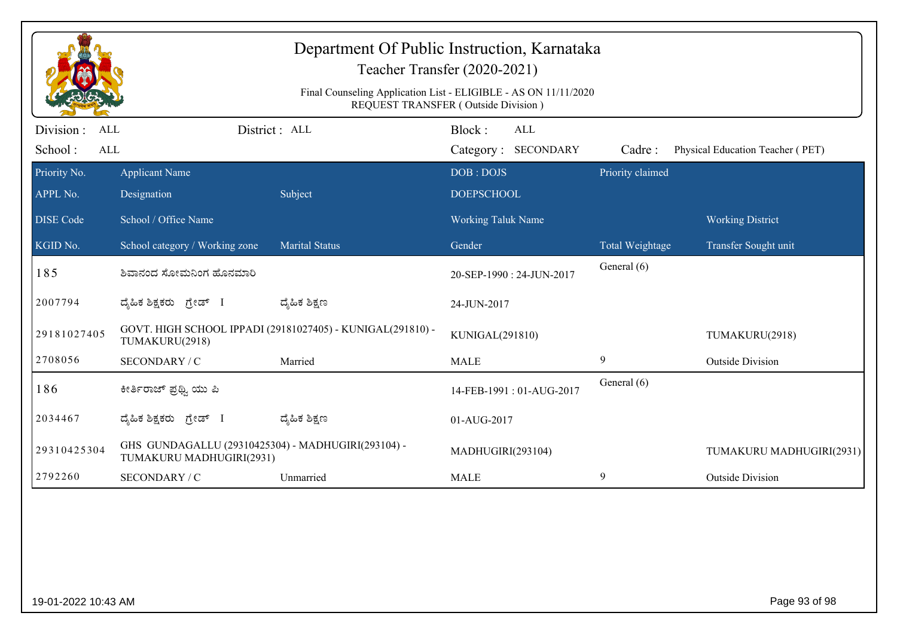|                                                   | Department Of Public Instruction, Karnataka<br>Teacher Transfer (2020-2021)<br>Final Counseling Application List - ELIGIBLE - AS ON 11/11/2020<br><b>REQUEST TRANSFER (Outside Division)</b> |                                                            |                                      |                  |                                  |  |  |  |
|---------------------------------------------------|----------------------------------------------------------------------------------------------------------------------------------------------------------------------------------------------|------------------------------------------------------------|--------------------------------------|------------------|----------------------------------|--|--|--|
| Division :<br><b>ALL</b><br>School:<br><b>ALL</b> |                                                                                                                                                                                              | District : ALL                                             | Block:<br>ALL<br>Category: SECONDARY | Cadre:           | Physical Education Teacher (PET) |  |  |  |
| Priority No.<br>APPL No.                          | <b>Applicant Name</b><br>Designation                                                                                                                                                         | Subject                                                    | DOB: DOJS<br><b>DOEPSCHOOL</b>       | Priority claimed |                                  |  |  |  |
| <b>DISE Code</b>                                  | School / Office Name                                                                                                                                                                         |                                                            | <b>Working Taluk Name</b>            |                  | <b>Working District</b>          |  |  |  |
| KGID No.                                          | School category / Working zone                                                                                                                                                               | <b>Marital Status</b>                                      | Gender                               | Total Weightage  | Transfer Sought unit             |  |  |  |
| 185                                               | ಶಿವಾನಂದ ಸೋಮನಿಂಗ ಹೊನಮಾರಿ                                                                                                                                                                      |                                                            | 20-SEP-1990: 24-JUN-2017             | General (6)      |                                  |  |  |  |
| 2007794                                           | ದೈಹಿಕ ಶಿಕ್ಷಕರು ಗ್ರೇಡ್ I                                                                                                                                                                      | ದ್ಮೆಹಿಕ ಶಿಕ್ಷಣ                                             | 24-JUN-2017                          |                  |                                  |  |  |  |
| 29181027405                                       | TUMAKURU(2918)                                                                                                                                                                               | GOVT. HIGH SCHOOL IPPADI (29181027405) - KUNIGAL(291810) - | KUNIGAL(291810)                      |                  | TUMAKURU(2918)                   |  |  |  |
| 2708056                                           | SECONDARY / C                                                                                                                                                                                | Married                                                    | <b>MALE</b>                          | 9                | <b>Outside Division</b>          |  |  |  |
| 186                                               | ಕೀರ್ತಿರಾಜ್ ಪ್ರಥ್ವಿ ಯು ಪಿ                                                                                                                                                                     |                                                            | 14-FEB-1991: 01-AUG-2017             | General (6)      |                                  |  |  |  |
| 2034467                                           | ದ್ಯಹಿಕ ಶಿಕ್ಷಕರು ಗ್ರೇಡ್ I                                                                                                                                                                     | ದ್ಮಹಿಕ ಶಿಕ್ಷಣ                                              | 01-AUG-2017                          |                  |                                  |  |  |  |
| 29310425304                                       | GHS GUNDAGALLU (29310425304) - MADHUGIRI(293104) -<br>TUMAKURU MADHUGIRI(2931)                                                                                                               |                                                            | MADHUGIRI(293104)                    |                  | TUMAKURU MADHUGIRI(2931)         |  |  |  |
| 2792260                                           | <b>SECONDARY / C</b>                                                                                                                                                                         | Unmarried                                                  | <b>MALE</b>                          | 9                | <b>Outside Division</b>          |  |  |  |
|                                                   |                                                                                                                                                                                              |                                                            |                                      |                  |                                  |  |  |  |
| 19-01-2022 10:43 AM                               |                                                                                                                                                                                              |                                                            |                                      |                  | Page 93 of 98                    |  |  |  |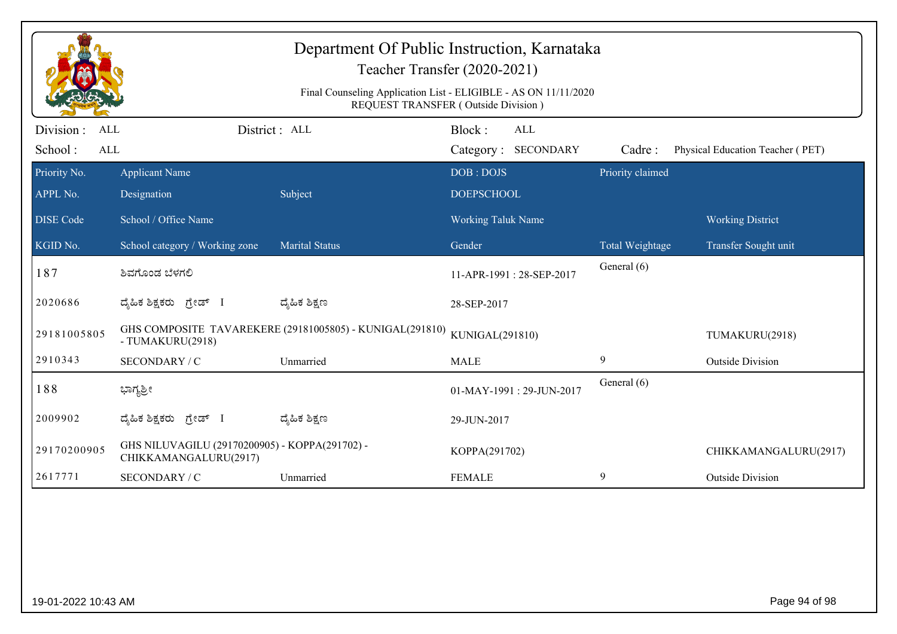|                                            |                                                                         | Department Of Public Instruction, Karnataka              | Teacher Transfer (2020-2021)<br>Final Counseling Application List - ELIGIBLE - AS ON 11/11/2020<br>REQUEST TRANSFER (Outside Division) |                  |                                  |
|--------------------------------------------|-------------------------------------------------------------------------|----------------------------------------------------------|----------------------------------------------------------------------------------------------------------------------------------------|------------------|----------------------------------|
| Division :<br><b>ALL</b><br>School:<br>ALL |                                                                         | District: ALL                                            | Block:<br>ALL<br>Category: SECONDARY                                                                                                   | Cadre:           | Physical Education Teacher (PET) |
| Priority No.<br>APPL No.                   | <b>Applicant Name</b><br>Designation                                    | Subject                                                  | DOB: DOJS<br><b>DOEPSCHOOL</b>                                                                                                         | Priority claimed |                                  |
| <b>DISE Code</b>                           | School / Office Name                                                    |                                                          | Working Taluk Name                                                                                                                     |                  | <b>Working District</b>          |
| KGID No.                                   | School category / Working zone                                          | <b>Marital Status</b>                                    | Gender                                                                                                                                 | Total Weightage  | Transfer Sought unit             |
| 187                                        | ಶಿವಗೊಂಡ ಬೆಳಗಲಿ                                                          |                                                          | 11-APR-1991: 28-SEP-2017                                                                                                               | General (6)      |                                  |
| 2020686                                    | ದ್ಯಹಿಕ ಶಿಕ್ಷಕರು ಗ್ರೇಡ್ I                                                | ದ್ಶೆಹಿಕ ಶಿಕ್ಷಣ                                           | 28-SEP-2017                                                                                                                            |                  |                                  |
| 29181005805                                | - TUMAKURU(2918)                                                        | GHS COMPOSITE TAVAREKERE (29181005805) - KUNIGAL(291810) | KUNIGAL(291810)                                                                                                                        |                  | TUMAKURU(2918)                   |
| 2910343                                    | SECONDARY / C                                                           | Unmarried                                                | <b>MALE</b>                                                                                                                            | 9                | <b>Outside Division</b>          |
| 188                                        | ಭಾಗ್ಯಶ್ರೀ                                                               |                                                          | 01-MAY-1991: 29-JUN-2017                                                                                                               | General (6)      |                                  |
| 2009902                                    | ದೈಹಿಕ ಶಿಕ್ಷಕರು<br>ಗ್ರೇಡ್ I                                              | ದ್ಮಹಿಕ ಶಿಕ್ಷಣ                                            | 29-JUN-2017                                                                                                                            |                  |                                  |
| 29170200905                                | GHS NILUVAGILU (29170200905) - KOPPA(291702) -<br>CHIKKAMANGALURU(2917) |                                                          | KOPPA(291702)                                                                                                                          |                  | CHIKKAMANGALURU(2917)            |
| 2617771                                    | SECONDARY / C                                                           | Unmarried                                                | <b>FEMALE</b>                                                                                                                          | 9                | <b>Outside Division</b>          |
|                                            |                                                                         |                                                          |                                                                                                                                        |                  |                                  |
| 19-01-2022 10:43 AM                        |                                                                         |                                                          |                                                                                                                                        |                  | Page 94 of 98                    |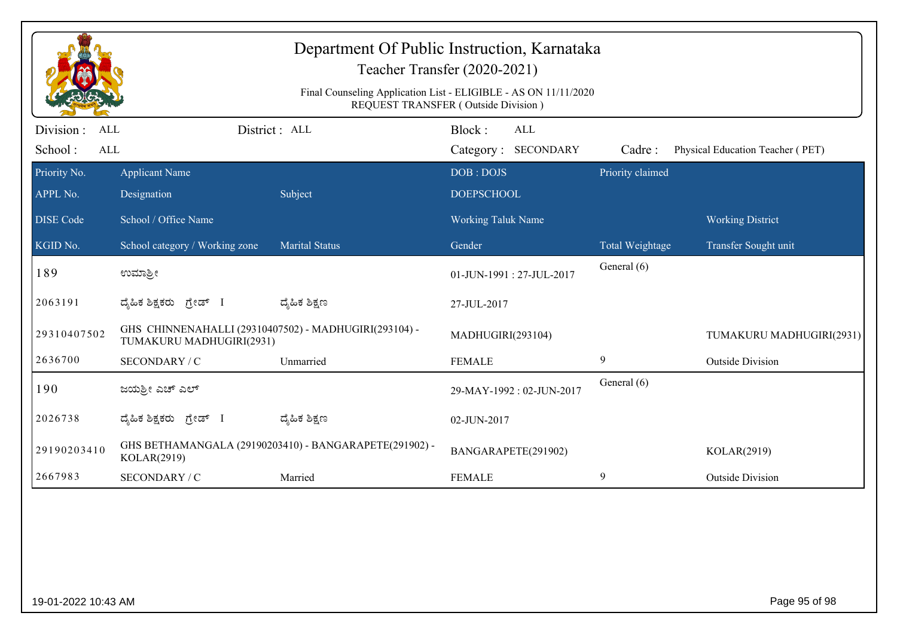|                                           | Department Of Public Instruction, Karnataka<br>Teacher Transfer (2020-2021)<br>Final Counseling Application List - ELIGIBLE - AS ON 11/11/2020<br>REQUEST TRANSFER (Outside Division) |                                                        |                                             |                  |                                  |  |  |  |
|-------------------------------------------|---------------------------------------------------------------------------------------------------------------------------------------------------------------------------------------|--------------------------------------------------------|---------------------------------------------|------------------|----------------------------------|--|--|--|
| Division:<br>ALL<br>School:<br><b>ALL</b> |                                                                                                                                                                                       | District : ALL                                         | Block:<br><b>ALL</b><br>Category: SECONDARY | Cadre:           | Physical Education Teacher (PET) |  |  |  |
| Priority No.<br>APPL No.                  | <b>Applicant Name</b><br>Designation                                                                                                                                                  | Subject                                                | DOB: DOJS<br><b>DOEPSCHOOL</b>              | Priority claimed |                                  |  |  |  |
| <b>DISE</b> Code                          | School / Office Name                                                                                                                                                                  |                                                        | <b>Working Taluk Name</b>                   |                  | <b>Working District</b>          |  |  |  |
| KGID No.                                  | School category / Working zone                                                                                                                                                        | <b>Marital Status</b>                                  | Gender                                      | Total Weightage  | Transfer Sought unit             |  |  |  |
| 189                                       | ಉಮಾಶ್ರೀ                                                                                                                                                                               |                                                        | 01-JUN-1991: 27-JUL-2017                    | General (6)      |                                  |  |  |  |
| 2063191                                   | ಗ್ರೇಡ್ I<br>ದ್ಯೆಹಿಕ ಶಿಕ್ಷಕರು                                                                                                                                                          | ದ್ಮೆಹಿಕ ಶಿಕ್ಷಣ                                         | 27-JUL-2017                                 |                  |                                  |  |  |  |
| 29310407502                               | GHS CHINNENAHALLI (29310407502) - MADHUGIRI(293104) -<br>TUMAKURU MADHUGIRI(2931)                                                                                                     |                                                        | MADHUGIRI(293104)                           |                  | TUMAKURU MADHUGIRI(2931)         |  |  |  |
| 2636700                                   | SECONDARY / C                                                                                                                                                                         | Unmarried                                              | <b>FEMALE</b>                               | 9                | <b>Outside Division</b>          |  |  |  |
| 190                                       | ಜಯಶ್ರೀ ಎಚ್ ಎಲ್                                                                                                                                                                        |                                                        | 29-MAY-1992: 02-JUN-2017                    | General (6)      |                                  |  |  |  |
| 2026738                                   | ದ್ಯಹಿಕ ಶಿಕ್ಷಕರು ಗ್ರೇಡ್ I                                                                                                                                                              | ದ್ಯೆಹಿಕ ಶಿಕ್ಷಣ                                         | 02-JUN-2017                                 |                  |                                  |  |  |  |
| 29190203410                               | KOLAR(2919)                                                                                                                                                                           | GHS BETHAMANGALA (29190203410) - BANGARAPETE(291902) - | BANGARAPETE(291902)                         |                  | KOLAR(2919)                      |  |  |  |
| 2667983                                   | SECONDARY / C                                                                                                                                                                         | Married                                                | <b>FEMALE</b>                               | 9                | <b>Outside Division</b>          |  |  |  |
|                                           |                                                                                                                                                                                       |                                                        |                                             |                  |                                  |  |  |  |
| 19-01-2022 10:43 AM                       |                                                                                                                                                                                       |                                                        |                                             |                  | Page 95 of 98                    |  |  |  |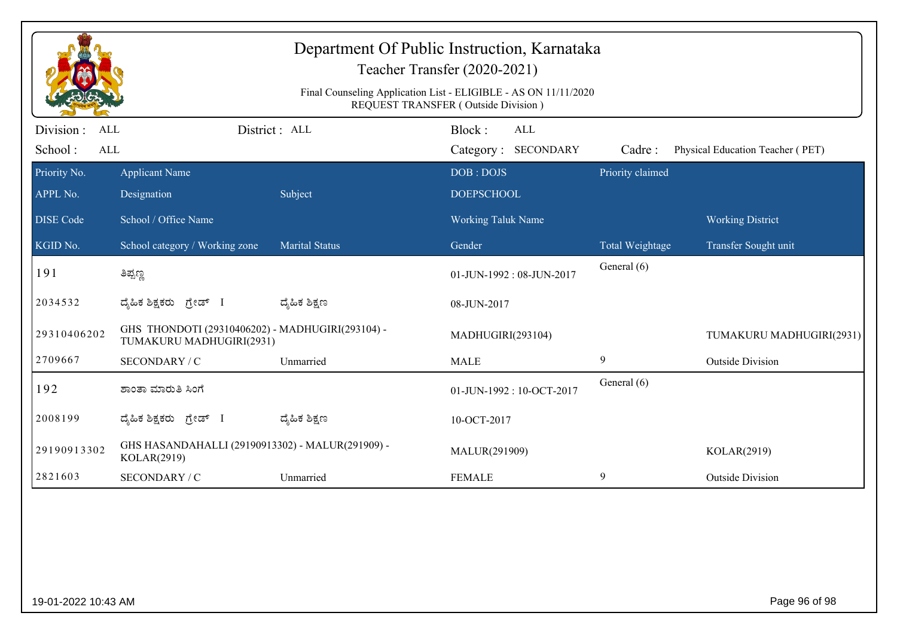|                                     | Department Of Public Instruction, Karnataka<br>Teacher Transfer (2020-2021)                                   |                       |                                      |                  |                                  |  |  |  |
|-------------------------------------|---------------------------------------------------------------------------------------------------------------|-----------------------|--------------------------------------|------------------|----------------------------------|--|--|--|
|                                     | Final Counseling Application List - ELIGIBLE - AS ON 11/11/2020<br><b>REQUEST TRANSFER (Outside Division)</b> |                       |                                      |                  |                                  |  |  |  |
| Division :<br>ALL<br>School:<br>ALL |                                                                                                               | District: ALL         | Block:<br>ALL<br>Category: SECONDARY | Cadre:           | Physical Education Teacher (PET) |  |  |  |
| Priority No.<br>APPL No.            | <b>Applicant Name</b><br>Designation                                                                          | Subject               | DOB: DOJS<br><b>DOEPSCHOOL</b>       | Priority claimed |                                  |  |  |  |
| <b>DISE Code</b>                    | School / Office Name                                                                                          |                       | <b>Working Taluk Name</b>            |                  | <b>Working District</b>          |  |  |  |
| KGID No.                            | School category / Working zone                                                                                | <b>Marital Status</b> | Gender                               | Total Weightage  | Transfer Sought unit             |  |  |  |
| 191                                 | ತಿಪ್ಪಣ್ಣ                                                                                                      |                       | 01-JUN-1992: 08-JUN-2017             | General (6)      |                                  |  |  |  |
| 2034532                             | ದೈಹಿಕ ಶಿಕ್ಷಕರು <i>ಗ್ರೇಡ್</i> I                                                                                | ದ್ಶೆಹಿಕ ಶಿಕ್ಷಣ        | 08-JUN-2017                          |                  |                                  |  |  |  |
| 29310406202                         | GHS THONDOTI (29310406202) - MADHUGIRI(293104) -<br>TUMAKURU MADHUGIRI(2931)                                  |                       | MADHUGIRI(293104)                    |                  | TUMAKURU MADHUGIRI(2931)         |  |  |  |
| 2709667                             | SECONDARY / C                                                                                                 | Unmarried             | <b>MALE</b>                          | 9                | <b>Outside Division</b>          |  |  |  |
| 192                                 | ಶಾಂತಾ ಮಾರುತಿ ಸಿಂಗೆ                                                                                            |                       | 01-JUN-1992: 10-OCT-2017             | General (6)      |                                  |  |  |  |
| 2008199                             | ದ್ಯಹಿಕ ಶಿಕ್ಷಕರು ಗ್ರೇಡ್ I                                                                                      | ದ್ಶೆಹಿಕ ಶಿಕ್ಷಣ        | 10-OCT-2017                          |                  |                                  |  |  |  |
| 29190913302                         | GHS HASANDAHALLI (29190913302) - MALUR(291909) -<br>KOLAR(2919)                                               |                       | MALUR(291909)                        |                  | KOLAR(2919)                      |  |  |  |
| 2821603                             | SECONDARY / C                                                                                                 | Unmarried             | <b>FEMALE</b>                        | 9                | <b>Outside Division</b>          |  |  |  |
|                                     |                                                                                                               |                       |                                      |                  |                                  |  |  |  |
| 19-01-2022 10:43 AM                 |                                                                                                               |                       |                                      |                  | Page 96 of 98                    |  |  |  |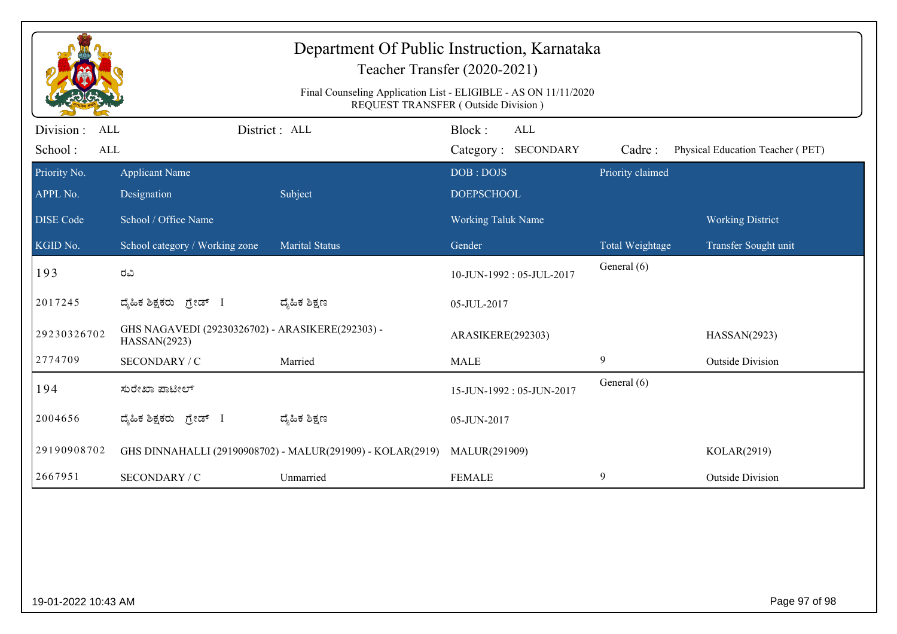| Department Of Public Instruction, Karnataka<br>Teacher Transfer (2020-2021)<br>Final Counseling Application List - ELIGIBLE - AS ON 11/11/2020<br>REQUEST TRANSFER (Outside Division) |                                                                  |                       |                                             |                  |                                  |  |  |  |
|---------------------------------------------------------------------------------------------------------------------------------------------------------------------------------------|------------------------------------------------------------------|-----------------------|---------------------------------------------|------------------|----------------------------------|--|--|--|
| Division:<br>ALL<br>School:<br><b>ALL</b>                                                                                                                                             |                                                                  | District: ALL         | Block:<br><b>ALL</b><br>Category: SECONDARY | Cadre:           | Physical Education Teacher (PET) |  |  |  |
| Priority No.<br>APPL No.                                                                                                                                                              | <b>Applicant Name</b><br>Designation                             | Subject               | DOB: DOJS<br><b>DOEPSCHOOL</b>              | Priority claimed |                                  |  |  |  |
| <b>DISE</b> Code                                                                                                                                                                      | School / Office Name                                             |                       | <b>Working Taluk Name</b>                   |                  | <b>Working District</b>          |  |  |  |
| KGID No.                                                                                                                                                                              | School category / Working zone                                   | <b>Marital Status</b> | Gender                                      | Total Weightage  | Transfer Sought unit             |  |  |  |
| 193                                                                                                                                                                                   | ರವಿ                                                              |                       | 10-JUN-1992: 05-JUL-2017                    | General (6)      |                                  |  |  |  |
| 2017245                                                                                                                                                                               | ದ್ಯೆಹಿಕ ಶಿಕ್ಷಕರು<br>ಗ್ರೇಡ್ I                                     | ದ್ಮೆಹಿಕ ಶಿಕ್ಷಣ        | 05-JUL-2017                                 |                  |                                  |  |  |  |
| 29230326702                                                                                                                                                                           | GHS NAGAVEDI (29230326702) - ARASIKERE(292303) -<br>HASSAN(2923) |                       | ARASIKERE(292303)                           |                  | HASSAN(2923)                     |  |  |  |
| 2774709                                                                                                                                                                               | SECONDARY / C                                                    | Married               | <b>MALE</b>                                 | 9                | <b>Outside Division</b>          |  |  |  |
| 194                                                                                                                                                                                   | ಸುರೇಖಾ ಪಾಟೀಲ್                                                    |                       | 15-JUN-1992: 05-JUN-2017                    | General (6)      |                                  |  |  |  |
| 2004656                                                                                                                                                                               | ದ್ಯಹಿಕ ಶಿಕ್ಷಕರು ಗ್ರೇಡ್ I                                         | ದ್ಯೆಹಿಕ ಶಿಕ್ಷಣ        | 05-JUN-2017                                 |                  |                                  |  |  |  |
| 29190908702                                                                                                                                                                           | GHS DINNAHALLI (29190908702) - MALUR(291909) - KOLAR(2919)       |                       | MALUR(291909)                               |                  | KOLAR(2919)                      |  |  |  |
| 2667951                                                                                                                                                                               | <b>SECONDARY / C</b>                                             | Unmarried             | <b>FEMALE</b>                               | 9                | <b>Outside Division</b>          |  |  |  |
|                                                                                                                                                                                       |                                                                  |                       |                                             |                  |                                  |  |  |  |
| Page 97 of 98<br>19-01-2022 10:43 AM                                                                                                                                                  |                                                                  |                       |                                             |                  |                                  |  |  |  |